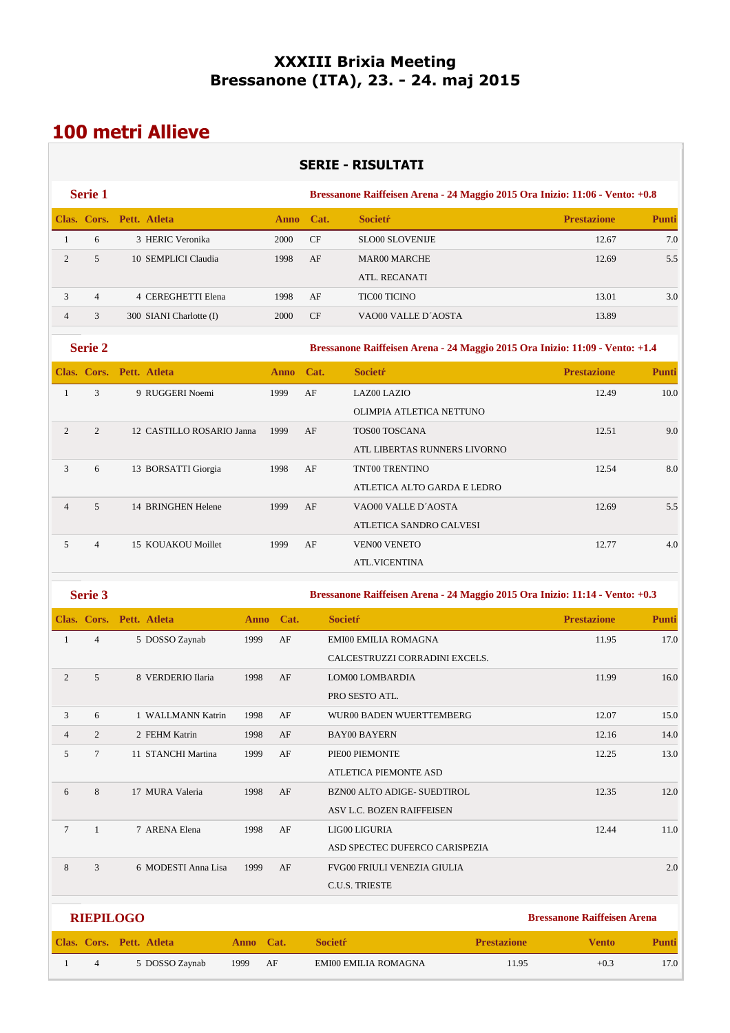## **XXXIII Brixia Meeting Bressanone (ITA), 23. - 24. maj 2015**

# **100 metri Allieve**

|                |                  |                           |             |             |      | <b>SERIE - RISULTATI</b>                                                     |                                    |              |
|----------------|------------------|---------------------------|-------------|-------------|------|------------------------------------------------------------------------------|------------------------------------|--------------|
|                | Serie 1          |                           |             |             |      | Bressanone Raiffeisen Arena - 24 Maggio 2015 Ora Inizio: 11:06 - Vento: +0.8 |                                    |              |
|                |                  | Clas. Cors. Pett. Atleta  |             | <b>Anno</b> | Cat. | <b>Societr</b>                                                               | <b>Prestazione</b>                 | Punti        |
| $\mathbf{1}$   | 6                | 3 HERIC Veronika          |             | 2000        | CF   | <b>SLO00 SLOVENIJE</b>                                                       | 12.67                              | 7.0          |
| $\overline{c}$ | 5                | 10 SEMPLICI Claudia       |             | 1998        | AF   | <b>MAR00 MARCHE</b>                                                          | 12.69                              | 5.5          |
|                |                  |                           |             |             |      | ATL. RECANATI                                                                |                                    |              |
| 3              | $\overline{4}$   | 4 CEREGHETTI Elena        |             | 1998        | AF   | <b>TIC00 TICINO</b>                                                          | 13.01                              | 3.0          |
| $\overline{4}$ | 3                | 300 SIANI Charlotte (I)   |             | 2000        | CF   | VAO00 VALLE D'AOSTA                                                          | 13.89                              |              |
|                | Serie 2          |                           |             |             |      | Bressanone Raiffeisen Arena - 24 Maggio 2015 Ora Inizio: 11:09 - Vento: +1.4 |                                    |              |
|                |                  | Clas. Cors. Pett. Atleta  |             | Anno        | Cat. | <b>Societr</b>                                                               | <b>Prestazione</b>                 | <b>Punti</b> |
| $\mathbf{1}$   | 3                | 9 RUGGERI Noemi           |             | 1999        | AF   | LAZ00 LAZIO                                                                  | 12.49                              | 10.0         |
|                |                  |                           |             |             |      | OLIMPIA ATLETICA NETTUNO                                                     |                                    |              |
| $\overline{c}$ | $\overline{2}$   | 12 CASTILLO ROSARIO Janna |             | 1999        | AF   | TOS00 TOSCANA                                                                | 12.51                              | 9.0          |
|                |                  |                           |             |             |      | ATL LIBERTAS RUNNERS LIVORNO                                                 |                                    |              |
| 3              | 6                | 13 BORSATTI Giorgia       |             | 1998        | AF   | TNT00 TRENTINO                                                               | 12.54                              | 8.0          |
|                |                  |                           |             |             |      | ATLETICA ALTO GARDA E LEDRO                                                  |                                    |              |
| $\overline{4}$ | 5                | 14 BRINGHEN Helene        |             | 1999        | AF   | VAO00 VALLE D'AOSTA                                                          | 12.69                              | 5.5          |
|                |                  |                           |             |             |      | ATLETICA SANDRO CALVESI                                                      |                                    |              |
| 5              | $\overline{4}$   | 15 KOUAKOU Moillet        |             | 1999        | AF   | <b>VEN00 VENETO</b>                                                          | 12.77                              | 4.0          |
|                |                  |                           |             |             |      | <b>ATL.VICENTINA</b>                                                         |                                    |              |
|                | Serie 3          |                           |             |             |      | Bressanone Raiffeisen Arena - 24 Maggio 2015 Ora Inizio: 11:14 - Vento: +0.3 |                                    |              |
|                |                  | Clas. Cors. Pett. Atleta  | <b>Anno</b> | Cat.        |      | <b>Societr</b>                                                               | <b>Prestazione</b>                 | <b>Punti</b> |
| $\mathbf{1}$   | $\overline{4}$   | 5 DOSSO Zaynab            | 1999        | AF          |      | EMI00 EMILIA ROMAGNA                                                         | 11.95                              | 17.0         |
|                |                  |                           |             |             |      | CALCESTRUZZI CORRADINI EXCELS.                                               |                                    |              |
| $\overline{c}$ | 5                | 8 VERDERIO Ilaria         | 1998        | AF          |      | LOM00 LOMBARDIA                                                              | 11.99                              | 16.0         |
|                |                  |                           |             |             |      | PRO SESTO ATL.                                                               |                                    |              |
| 3              | 6                | 1 WALLMANN Katrin         | 1998        | $\rm AF$    |      | WUR00 BADEN WUERTTEMBERG                                                     | 12.07                              | 15.0         |
| $\overline{4}$ | $\overline{c}$   | 2 FEHM Katrin             | 1998        | AF          |      | <b>BAY00 BAYERN</b>                                                          | 12.16                              | 14.0         |
| 5              | $\tau$           | 11 STANCHI Martina        | 1999        | AF          |      | PIE00 PIEMONTE                                                               | 12.25                              | 13.0         |
|                |                  |                           |             |             |      | ATLETICA PIEMONTE ASD                                                        |                                    |              |
| 6              | $\,8\,$          | 17 MURA Valeria           | 1998        | AF          |      | BZN00 ALTO ADIGE- SUEDTIROL                                                  | 12.35                              | 12.0         |
|                |                  |                           |             |             |      | ASV L.C. BOZEN RAIFFEISEN                                                    |                                    |              |
| $\tau$         | $\mathbf{1}$     | 7 ARENA Elena             | 1998        | $\rm{AF}$   |      | LIG00 LIGURIA                                                                | 12.44                              | 11.0         |
|                |                  |                           |             |             |      | ASD SPECTEC DUFERCO CARISPEZIA                                               |                                    |              |
| $\,8\,$        | 3                | 6 MODESTI Anna Lisa       | 1999        | AF          |      | FVG00 FRIULI VENEZIA GIULIA                                                  |                                    | 2.0          |
|                |                  |                           |             |             |      | C.U.S. TRIESTE                                                               |                                    |              |
|                | <b>RIEPILOGO</b> |                           |             |             |      |                                                                              | <b>Bressanone Raiffeisen Arena</b> |              |
|                |                  | Clas. Cors. Pett. Atleta  | Anno Cat.   |             |      | <b>Societŕ</b><br><b>Prestazione</b>                                         | <b>Vento</b>                       | <b>Punti</b> |
| $\mathbf{1}$   | $\overline{4}$   | 5 DOSSO Zaynab            | 1999        | $\rm AF$    |      | EMI00 EMILIA ROMAGNA                                                         | 11.95<br>$+0.3$                    | 17.0         |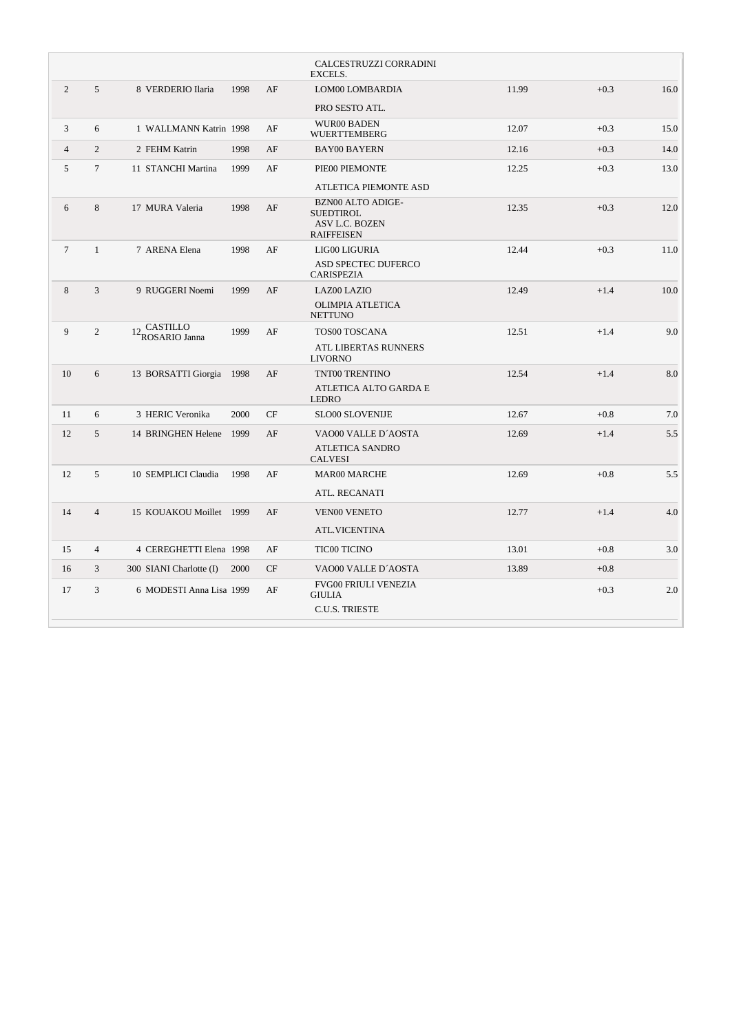|                |                |                              |      |    | CALCESTRUZZI CORRADINI<br>EXCELS.                                                   |       |        |      |
|----------------|----------------|------------------------------|------|----|-------------------------------------------------------------------------------------|-------|--------|------|
| $\overline{c}$ | 5              | 8 VERDERIO Ilaria            | 1998 | AF | LOM00 LOMBARDIA                                                                     | 11.99 | $+0.3$ | 16.0 |
|                |                |                              |      |    | PRO SESTO ATL.                                                                      |       |        |      |
| 3              | 6              | 1 WALLMANN Katrin 1998       |      | AF | <b>WUR00 BADEN</b><br><b>WUERTTEMBERG</b>                                           | 12.07 | $+0.3$ | 15.0 |
| $\overline{4}$ | $\overline{2}$ | 2 FEHM Katrin                | 1998 | AF | <b>BAY00 BAYERN</b>                                                                 | 12.16 | $+0.3$ | 14.0 |
| 5              | $\tau$         | 11 STANCHI Martina           | 1999 | AF | PIE00 PIEMONTE                                                                      | 12.25 | $+0.3$ | 13.0 |
|                |                |                              |      |    | <b>ATLETICA PIEMONTE ASD</b>                                                        |       |        |      |
| 6              | 8              | 17 MURA Valeria              | 1998 | AF | <b>BZN00 ALTO ADIGE-</b><br><b>SUEDTIROL</b><br>ASV L.C. BOZEN<br><b>RAIFFEISEN</b> | 12.35 | $+0.3$ | 12.0 |
| $\tau$         | $\mathbf{1}$   | 7 ARENA Elena                | 1998 | AF | LIG00 LIGURIA                                                                       | 12.44 | $+0.3$ | 11.0 |
|                |                |                              |      |    | ASD SPECTEC DUFERCO<br><b>CARISPEZIA</b>                                            |       |        |      |
| 8              | 3              | 9 RUGGERI Noemi              | 1999 | AF | LAZ00 LAZIO                                                                         | 12.49 | $+1.4$ | 10.0 |
|                |                |                              |      |    | <b>OLIMPIA ATLETICA</b><br><b>NETTUNO</b>                                           |       |        |      |
| 9              | $\overline{2}$ | 12_CASTILLO<br>ROSARIO Janna | 1999 | AF | TOS00 TOSCANA                                                                       | 12.51 | $+1.4$ | 9.0  |
|                |                |                              |      |    | ATL LIBERTAS RUNNERS<br><b>LIVORNO</b>                                              |       |        |      |
| 10             | 6              | 13 BORSATTI Giorgia 1998     |      | AF | TNT00 TRENTINO                                                                      | 12.54 | $+1.4$ | 8.0  |
|                |                |                              |      |    | ATLETICA ALTO GARDA E<br><b>LEDRO</b>                                               |       |        |      |
| 11             | 6              | 3 HERIC Veronika             | 2000 | CF | <b>SLO00 SLOVENIJE</b>                                                              | 12.67 | $+0.8$ | 7.0  |
| 12             | 5              | 14 BRINGHEN Helene 1999      |      | AF | VAO00 VALLE D'AOSTA                                                                 | 12.69 | $+1.4$ | 5.5  |
|                |                |                              |      |    | <b>ATLETICA SANDRO</b><br><b>CALVESI</b>                                            |       |        |      |
| 12             | 5              | 10 SEMPLICI Claudia          | 1998 | AF | <b>MAR00 MARCHE</b>                                                                 | 12.69 | $+0.8$ | 5.5  |
|                |                |                              |      |    | ATL. RECANATI                                                                       |       |        |      |
| 14             | $\overline{4}$ | 15 KOUAKOU Moillet 1999      |      | AF | <b>VEN00 VENETO</b>                                                                 | 12.77 | $+1.4$ | 4.0  |
|                |                |                              |      |    | <b>ATL.VICENTINA</b>                                                                |       |        |      |
| 15             | $\overline{4}$ | 4 CEREGHETTI Elena 1998      |      | AF | <b>TIC00 TICINO</b>                                                                 | 13.01 | $+0.8$ | 3.0  |
| 16             | 3              | 300 SIANI Charlotte (I)      | 2000 | CF | VAO00 VALLE D'AOSTA                                                                 | 13.89 | $+0.8$ |      |
| 17             | 3              | 6 MODESTI Anna Lisa 1999     |      | AF | <b>FVG00 FRIULI VENEZIA</b><br><b>GIULIA</b>                                        |       | $+0.3$ | 2.0  |
|                |                |                              |      |    | <b>C.U.S. TRIESTE</b>                                                               |       |        |      |
|                |                |                              |      |    |                                                                                     |       |        |      |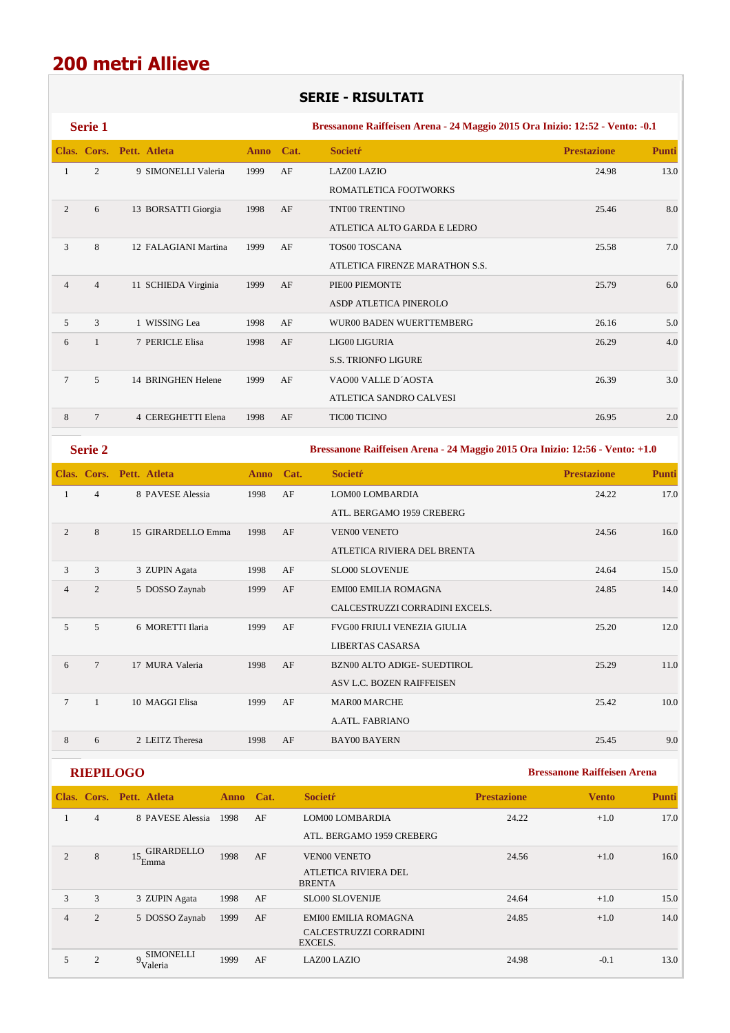## **SERIE - RISULTATI**

|                | Serie 1        |                          |           |    | Bressanone Raiffeisen Arena - 24 Maggio 2015 Ora Inizio: 12:52 - Vento: -0.1 |                    |              |  |  |
|----------------|----------------|--------------------------|-----------|----|------------------------------------------------------------------------------|--------------------|--------------|--|--|
|                |                | Clas. Cors. Pett. Atleta | Anno Cat. |    | <b>Societr</b>                                                               | <b>Prestazione</b> | <b>Punti</b> |  |  |
| 1              | 2              | 9 SIMONELLI Valeria      | 1999      | AF | LAZ00 LAZIO                                                                  | 24.98              | 13.0         |  |  |
|                |                |                          |           |    | ROMATLETICA FOOTWORKS                                                        |                    |              |  |  |
| 2              | 6              | 13 BORSATTI Giorgia      | 1998      | AF | TNT00 TRENTINO                                                               | 25.46              | 8.0          |  |  |
|                |                |                          |           |    | ATLETICA ALTO GARDA E LEDRO                                                  |                    |              |  |  |
| 3              | 8              | 12 FALAGIANI Martina     | 1999      | AF | <b>TOS00 TOSCANA</b>                                                         | 25.58              | 7.0          |  |  |
|                |                |                          |           |    | ATLETICA FIRENZE MARATHON S.S.                                               |                    |              |  |  |
| $\overline{4}$ | $\overline{4}$ | 11 SCHIEDA Virginia      | 1999      | AF | PIE00 PIEMONTE                                                               | 25.79              | 6.0          |  |  |
|                |                |                          |           |    | ASDP ATLETICA PINEROLO                                                       |                    |              |  |  |
| 5              | 3              | 1 WISSING Lea            | 1998      | AF | WUR00 BADEN WUERTTEMBERG                                                     | 26.16              | 5.0          |  |  |
| 6              | $\mathbf{1}$   | 7 PERICLE Elisa          | 1998      | AF | LIG00 LIGURIA                                                                | 26.29              | 4.0          |  |  |
|                |                |                          |           |    | <b>S.S. TRIONFO LIGURE</b>                                                   |                    |              |  |  |
| $\tau$         | 5              | 14 BRINGHEN Helene       | 1999      | AF | VAO00 VALLE D'AOSTA                                                          | 26.39              | 3.0          |  |  |
|                |                |                          |           |    | ATLETICA SANDRO CALVESI                                                      |                    |              |  |  |
| 8              | $\overline{7}$ | 4 CEREGHETTI Elena       | 1998      | AF | <b>TIC00 TICINO</b>                                                          | 26.95              | 2.0          |  |  |
|                |                |                          |           |    |                                                                              |                    |              |  |  |

|                | <b>Serie 2</b> |                          |           |    | Bressanone Raiffeisen Arena - 24 Maggio 2015 Ora Inizio: 12:56 - Vento: +1.0 |                    |              |  |  |  |
|----------------|----------------|--------------------------|-----------|----|------------------------------------------------------------------------------|--------------------|--------------|--|--|--|
|                |                | Clas. Cors. Pett. Atleta | Anno Cat. |    | <b>Societr</b>                                                               | <b>Prestazione</b> | <b>Punti</b> |  |  |  |
| 1              | $\overline{4}$ | 8 PAVESE Alessia         | 1998      | AF | LOM00 LOMBARDIA                                                              | 24.22              | 17.0         |  |  |  |
|                |                |                          |           |    | ATL. BERGAMO 1959 CREBERG                                                    |                    |              |  |  |  |
| 2              | 8              | 15 GIRARDELLO Emma       | 1998      | AF | <b>VEN00 VENETO</b>                                                          | 24.56              | 16.0         |  |  |  |
|                |                |                          |           |    | ATLETICA RIVIERA DEL BRENTA                                                  |                    |              |  |  |  |
| 3              | 3              | 3 ZUPIN Agata            | 1998      | AF | <b>SLO00 SLOVENIJE</b>                                                       | 24.64              | 15.0         |  |  |  |
| $\overline{4}$ | $\overline{2}$ | 5 DOSSO Zaynab           | 1999      | AF | <b>EMI00 EMILIA ROMAGNA</b>                                                  | 24.85              | 14.0         |  |  |  |
|                |                |                          |           |    | CALCESTRUZZI CORRADINI EXCELS.                                               |                    |              |  |  |  |
| 5              | 5              | 6 MORETTI Ilaria         | 1999      | AF | <b>FVG00 FRIULI VENEZIA GIULIA</b>                                           | 25.20              | 12.0         |  |  |  |
|                |                |                          |           |    | <b>LIBERTAS CASARSA</b>                                                      |                    |              |  |  |  |
| 6              | $\overline{7}$ | 17 MURA Valeria          | 1998      | AF | <b>BZN00 ALTO ADIGE- SUEDTIROL</b>                                           | 25.29              | 11.0         |  |  |  |
|                |                |                          |           |    | ASV L.C. BOZEN RAIFFEISEN                                                    |                    |              |  |  |  |
| $\overline{7}$ | $\mathbf{1}$   | 10 MAGGI Elisa           | 1999      | AF | <b>MAR00 MARCHE</b>                                                          | 25.42              | 10.0         |  |  |  |
|                |                |                          |           |    | A.ATL. FABRIANO                                                              |                    |              |  |  |  |
| 8              | 6              | 2 LEITZ Theresa          | 1998      | AF | <b>BAY00 BAYERN</b>                                                          | 25.45              | 9.0          |  |  |  |

|                |                | Clas. Cors. Pett. Atleta                | Anno Cat. |    | <b>Societr</b>                        | <b>Prestazione</b> | <b>Vento</b> | <b>Punti</b> |
|----------------|----------------|-----------------------------------------|-----------|----|---------------------------------------|--------------------|--------------|--------------|
|                | $\overline{4}$ | 8 PAVESE Alessia                        | 1998      | AF | LOM00 LOMBARDIA                       | 24.22              | $+1.0$       | 17.0         |
|                |                |                                         |           |    | ATL. BERGAMO 1959 CREBERG             |                    |              |              |
| $\mathfrak{D}$ | 8              | GIRARDELLO<br>$15$ <sub>Emma</sub>      | 1998      | AF | <b>VEN00 VENETO</b>                   | 24.56              | $+1.0$       | 16.0         |
|                |                |                                         |           |    | ATLETICA RIVIERA DEL<br><b>BRENTA</b> |                    |              |              |
| 3              | 3              | 3 ZUPIN Agata                           | 1998      | AF | <b>SLO00 SLOVENIJE</b>                | 24.64              | $+1.0$       | 15.0         |
| 4              | $\overline{2}$ | 5 DOSSO Zaynab                          | 1999      | AF | <b>EMI00 EMILIA ROMAGNA</b>           | 24.85              | $+1.0$       | 14.0         |
|                |                |                                         |           |    | CALCESTRUZZI CORRADINI<br>EXCELS.     |                    |              |              |
|                | $\overline{2}$ | <b>SIMONELLI</b><br>$\Omega$<br>Valeria | 1999      | AF | <b>LAZ00 LAZIO</b>                    | 24.98              | $-0.1$       | 13.0         |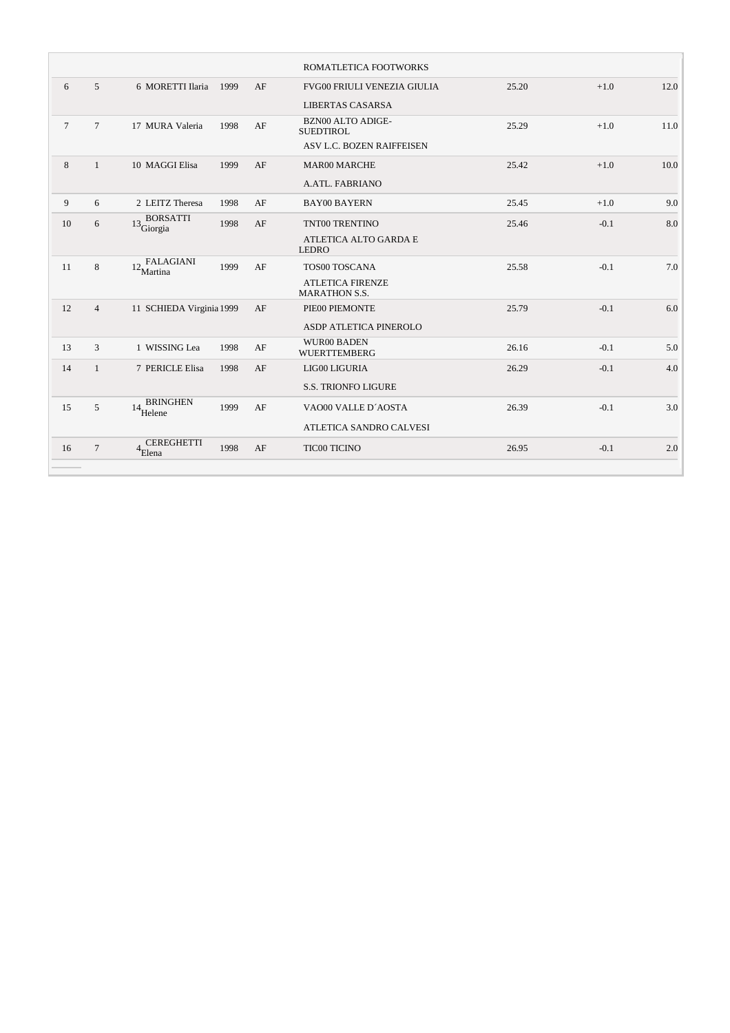|        |                 |                                                 |      |    | ROMATLETICA FOOTWORKS         |       |        |      |
|--------|-----------------|-------------------------------------------------|------|----|-------------------------------|-------|--------|------|
| 6      | $\overline{5}$  | 6 MORETTI Ilaria                                | 1999 | AF | FVG00 FRIULI VENEZIA GIULIA   | 25.20 | $+1.0$ | 12.0 |
|        |                 |                                                 |      |    | <b>LIBERTAS CASARSA</b>       |       |        |      |
| $\tau$ | $7\phantom{.0}$ | 17 MURA Valeria                                 | 1998 | AF | <b>BZN00 ALTO ADIGE-</b>      | 25.29 | $+1.0$ | 11.0 |
|        |                 |                                                 |      |    | <b>SUEDTIROL</b>              |       |        |      |
|        |                 |                                                 |      |    | ASV L.C. BOZEN RAIFFEISEN     |       |        |      |
| 8      | $\mathbf{1}$    | 10 MAGGI Elisa                                  | 1999 | AF | <b>MAR00 MARCHE</b>           | 25.42 | $+1.0$ | 10.0 |
|        |                 |                                                 |      |    | <b>A.ATL. FABRIANO</b>        |       |        |      |
| 9      | 6               | 2 LEITZ Theresa                                 | 1998 | AF | <b>BAY00 BAYERN</b>           | 25.45 | $+1.0$ | 9.0  |
| 10     | 6               | <b>BORSATTI</b><br>$13\frac{D}{\text{Giorgia}}$ | 1998 | AF | TNT00 TRENTINO                | 25.46 | $-0.1$ | 8.0  |
|        |                 |                                                 |      |    | ATLETICA ALTO GARDA E         |       |        |      |
|        |                 |                                                 |      |    | <b>LEDRO</b>                  |       |        |      |
| 11     | 8               | $12\frac{\text{FALAGIANI}}{\text{Martina}}$     | 1999 | AF | TOS00 TOSCANA                 | 25.58 | $-0.1$ | 7.0  |
|        |                 |                                                 |      |    | <b>ATLETICA FIRENZE</b>       |       |        |      |
|        |                 |                                                 |      |    | <b>MARATHON S.S.</b>          |       |        |      |
| 12     | $\overline{4}$  | 11 SCHIEDA Virginia 1999                        |      | AF | PIE00 PIEMONTE                | 25.79 | $-0.1$ | 6.0  |
|        |                 |                                                 |      |    | <b>ASDP ATLETICA PINEROLO</b> |       |        |      |
| 13     | 3               | 1 WISSING Lea                                   | 1998 | AF | <b>WUR00 BADEN</b>            | 26.16 | $-0.1$ | 5.0  |
|        |                 |                                                 |      |    | <b>WUERTTEMBERG</b>           |       |        |      |
| 14     | $\mathbf{1}$    | 7 PERICLE Elisa                                 | 1998 | AF | LIG00 LIGURIA                 | 26.29 | $-0.1$ | 4.0  |
|        |                 |                                                 |      |    | <b>S.S. TRIONFO LIGURE</b>    |       |        |      |
| 15     | 5               | <b>BRINGHEN</b><br>14<br>Helene                 | 1999 | AF | VAO00 VALLE D'AOSTA           | 26.39 | $-0.1$ | 3.0  |
|        |                 |                                                 |      |    | ATLETICA SANDRO CALVESI       |       |        |      |
|        |                 |                                                 |      |    |                               |       |        |      |
| 16     | $\tau$          | <b>CEREGHETTI</b><br>$4\epsilon$<br>Elena       | 1998 | AF | TIC00 TICINO                  | 26.95 | $-0.1$ | 2.0  |
|        |                 |                                                 |      |    |                               |       |        |      |
|        |                 |                                                 |      |    |                               |       |        |      |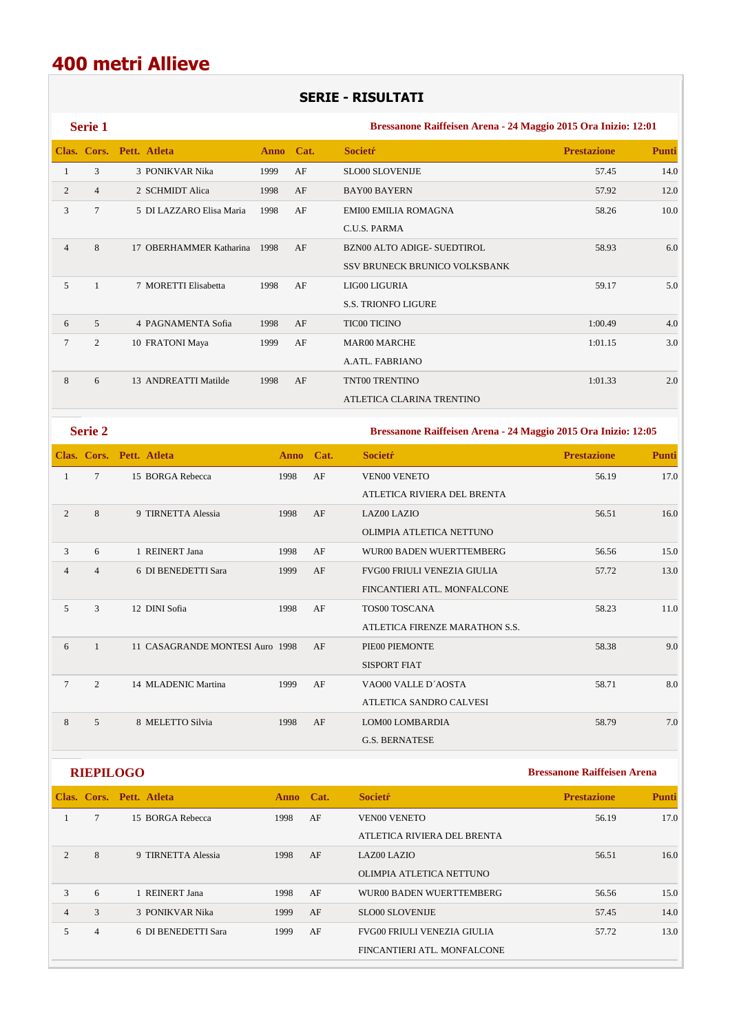## **SERIE - RISULTATI**

|                | <b>Serie 1</b> |                          |           |    | Bressanone Raiffeisen Arena - 24 Maggio 2015 Ora Inizio: 12:01 |                    |              |  |
|----------------|----------------|--------------------------|-----------|----|----------------------------------------------------------------|--------------------|--------------|--|
|                |                | Clas. Cors. Pett. Atleta | Anno Cat. |    | <b>Societr</b>                                                 | <b>Prestazione</b> | <b>Punti</b> |  |
| 1              | 3              | 3 PONIKVAR Nika          | 1999      | AF | <b>SLO00 SLOVENIJE</b>                                         | 57.45              | 14.0         |  |
| 2              | $\overline{4}$ | 2 SCHMIDT Alica          | 1998      | AF | <b>BAY00 BAYERN</b>                                            | 57.92              | 12.0         |  |
| 3              | 7              | 5 DI LAZZARO Elisa Maria | 1998      | AF | <b>EMI00 EMILIA ROMAGNA</b>                                    | 58.26              | 10.0         |  |
|                |                |                          |           |    | C.U.S. PARMA                                                   |                    |              |  |
| $\overline{4}$ | 8              | 17 OBERHAMMER Katharina  | 1998      | AF | BZN00 ALTO ADIGE- SUEDTIROL                                    | 58.93              | 6.0          |  |
|                |                |                          |           |    | SSV BRUNECK BRUNICO VOLKSBANK                                  |                    |              |  |
| 5              |                | 7 MORETTI Elisabetta     | 1998      | AF | LIG00 LIGURIA                                                  | 59.17              | 5.0          |  |
|                |                |                          |           |    | <b>S.S. TRIONFO LIGURE</b>                                     |                    |              |  |
| 6              | 5              | 4 PAGNAMENTA Sofia       | 1998      | AF | <b>TIC00 TICINO</b>                                            | 1:00.49            | 4.0          |  |
| $\tau$         | 2              | 10 FRATONI Maya          | 1999      | AF | <b>MAR00 MARCHE</b>                                            | 1:01.15            | 3.0          |  |
|                |                |                          |           |    | A.ATL. FABRIANO                                                |                    |              |  |
| 8              | 6              | 13 ANDREATTI Matilde     | 1998      | AF | <b>TNT00 TRENTINO</b>                                          | 1:01.33            | 2.0          |  |
|                |                |                          |           |    | ATLETICA CLARINA TRENTINO                                      |                    |              |  |

**Serie 2 Bressanone Raiffeisen Arena - 24 Maggio 2015 Ora Inizio: 12:05** 

|                |                | Clas. Cors. Pett. Atleta        | <b>Anno</b> | Cat. | <b>Societr</b>                     | <b>Prestazione</b> | <b>Punti</b> |
|----------------|----------------|---------------------------------|-------------|------|------------------------------------|--------------------|--------------|
| 1              | $\tau$         | 15 BORGA Rebecca                | 1998        | AF   | <b>VEN00 VENETO</b>                | 56.19              | 17.0         |
|                |                |                                 |             |      | ATLETICA RIVIERA DEL BRENTA        |                    |              |
| $\overline{2}$ | 8              | 9 TIRNETTA Alessia              | 1998        | AF   | LAZ00 LAZIO                        | 56.51              | 16.0         |
|                |                |                                 |             |      | OLIMPIA ATLETICA NETTUNO           |                    |              |
| 3              | 6              | 1 REINERT Jana                  | 1998        | AF   | WUR00 BADEN WUERTTEMBERG           | 56.56              | 15.0         |
| $\overline{4}$ | $\overline{4}$ | 6 DI BENEDETTI Sara             | 1999        | AF   | <b>FVG00 FRIULI VENEZIA GIULIA</b> | 57.72              | 13.0         |
|                |                |                                 |             |      | FINCANTIERI ATL. MONFALCONE        |                    |              |
| 5              | 3              | 12 DINI Sofia                   | 1998        | AF   | <b>TOS00 TOSCANA</b>               | 58.23              | 11.0         |
|                |                |                                 |             |      | ATLETICA FIRENZE MARATHON S.S.     |                    |              |
| 6              | $\overline{1}$ | 11 CASAGRANDE MONTESI Auro 1998 |             | AF   | PIE00 PIEMONTE                     | 58.38              | 9.0          |
|                |                |                                 |             |      | <b>SISPORT FIAT</b>                |                    |              |
| 7              | 2              | 14 MLADENIC Martina             | 1999        | AF   | VAO00 VALLE D'AOSTA                | 58.71              | 8.0          |
|                |                |                                 |             |      | ATLETICA SANDRO CALVESI            |                    |              |
| 8              | $\overline{5}$ | 8 MELETTO Silvia                | 1998        | AF   | LOM00 LOMBARDIA                    | 58.79              | 7.0          |
|                |                |                                 |             |      | <b>G.S. BERNATESE</b>              |                    |              |

| IEPIL OG |  |  |
|----------|--|--|
|          |  |  |

|                |                | Clas. Cors. Pett. Atleta | Anno Cat. |    | <b>Societr</b>                     | <b>Prestazione</b> | <b>Punti</b> |
|----------------|----------------|--------------------------|-----------|----|------------------------------------|--------------------|--------------|
|                | 7              | 15 BORGA Rebecca         | 1998      | AF | <b>VEN00 VENETO</b>                | 56.19              | 17.0         |
|                |                |                          |           |    | ATLETICA RIVIERA DEL BRENTA        |                    |              |
| $\overline{c}$ | 8              | 9 TIRNETTA Alessia       | 1998      | AF | <b>LAZ00 LAZIO</b>                 | 56.51              | 16.0         |
|                |                |                          |           |    | OLIMPIA ATLETICA NETTUNO           |                    |              |
| 3              | 6              | REINERT Jana             | 1998      | AF | WUR00 BADEN WUERTTEMBERG           | 56.56              | 15.0         |
| 4              | 3              | <b>3 PONIKVAR Nika</b>   | 1999      | AF | <b>SLO00 SLOVENIJE</b>             | 57.45              | 14.0         |
|                | $\overline{4}$ | 6 DI BENEDETTI Sara      | 1999      | AF | <b>FVG00 FRIULI VENEZIA GIULIA</b> | 57.72              | 13.0         |
|                |                |                          |           |    | FINCANTIERI ATL. MONFALCONE        |                    |              |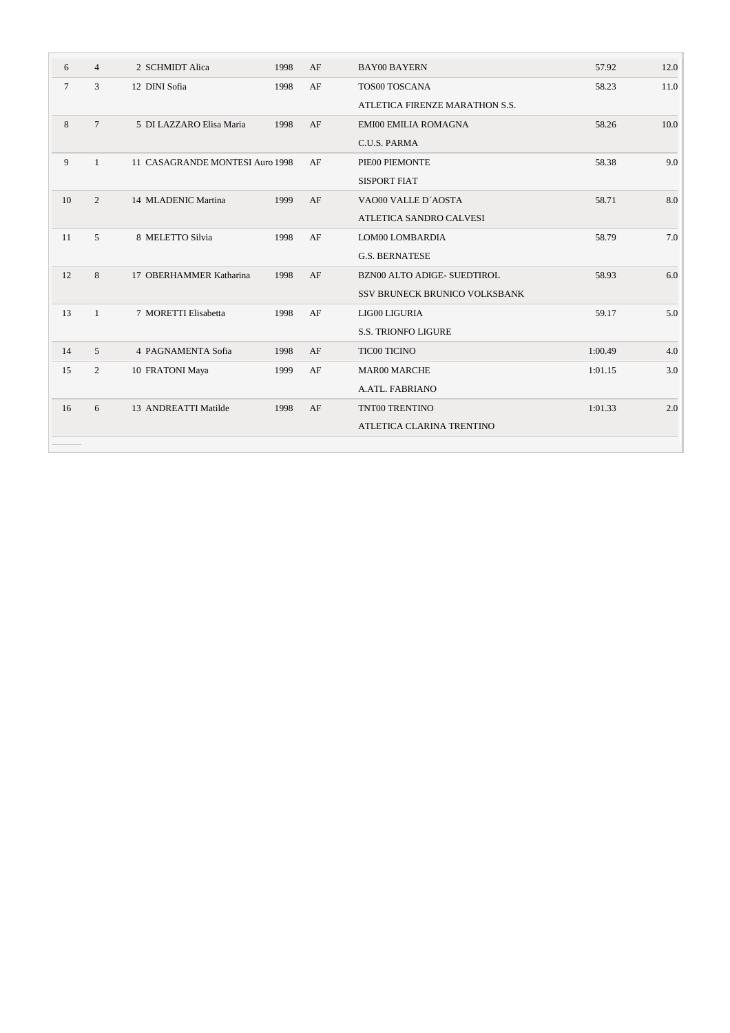| 6      | $\overline{4}$ | 2 SCHMIDT Alica                 | 1998 | AF | <b>BAY00 BAYERN</b>                | 57.92   | 12.0 |
|--------|----------------|---------------------------------|------|----|------------------------------------|---------|------|
| $\tau$ | 3              | 12 DINI Sofia                   | 1998 | AF | TOS00 TOSCANA                      | 58.23   | 11.0 |
|        |                |                                 |      |    | ATLETICA FIRENZE MARATHON S.S.     |         |      |
| 8      | $\tau$         | 5 DI LAZZARO Elisa Maria        | 1998 | AF | <b>EMI00 EMILIA ROMAGNA</b>        | 58.26   | 10.0 |
|        |                |                                 |      |    | C.U.S. PARMA                       |         |      |
| 9      | 1              | 11 CASAGRANDE MONTESI Auro 1998 |      | AF | PIE00 PIEMONTE                     | 58.38   | 9.0  |
|        |                |                                 |      |    | <b>SISPORT FIAT</b>                |         |      |
| 10     | 2              | 14 MLADENIC Martina             | 1999 | AF | VAO00 VALLE D'AOSTA                | 58.71   | 8.0  |
|        |                |                                 |      |    | ATLETICA SANDRO CALVESI            |         |      |
| 11     | 5              | 8 MELETTO Silvia                | 1998 | AF | LOM00 LOMBARDIA                    | 58.79   | 7.0  |
|        |                |                                 |      |    | <b>G.S. BERNATESE</b>              |         |      |
| 12     | 8              | 17 OBERHAMMER Katharina         | 1998 | AF | <b>BZN00 ALTO ADIGE- SUEDTIROL</b> | 58.93   | 6.0  |
|        |                |                                 |      |    | SSV BRUNECK BRUNICO VOLKSBANK      |         |      |
| 13     | $\mathbf{1}$   | 7 MORETTI Elisabetta            | 1998 | AF | LIG00 LIGURIA                      | 59.17   | 5.0  |
|        |                |                                 |      |    | <b>S.S. TRIONFO LIGURE</b>         |         |      |
| 14     | $\overline{5}$ | 4 PAGNAMENTA Sofia              | 1998 | AF | <b>TIC00 TICINO</b>                | 1:00.49 | 4.0  |
| 15     | 2              | 10 FRATONI Maya                 | 1999 | AF | <b>MAR00 MARCHE</b>                | 1:01.15 | 3.0  |
|        |                |                                 |      |    | A.ATL. FABRIANO                    |         |      |
| 16     | 6              | 13 ANDREATTI Matilde            | 1998 | AF | TNT00 TRENTINO                     | 1:01.33 | 2.0  |
|        |                |                                 |      |    | ATLETICA CLARINA TRENTINO          |         |      |
|        |                |                                 |      |    |                                    |         |      |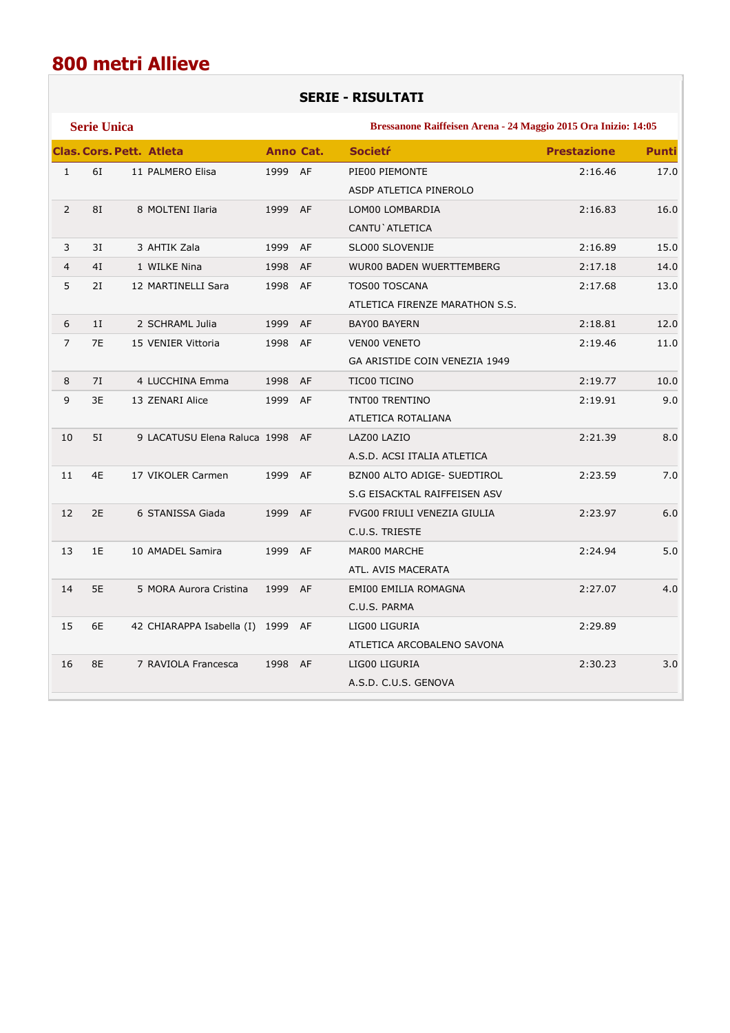## **SERIE - RISULTATI**

|                | <b>Serie Unica</b> |                                 | Bressanone Raiffeisen Arena - 24 Maggio 2015 Ora Inizio: 14:05 |                  |                                 |                    |              |  |
|----------------|--------------------|---------------------------------|----------------------------------------------------------------|------------------|---------------------------------|--------------------|--------------|--|
|                |                    | <b>Clas. Cors. Pett. Atleta</b> |                                                                | <b>Anno Cat.</b> | <b>Societr</b>                  | <b>Prestazione</b> | <b>Punti</b> |  |
| $\mathbf{1}$   | 61                 | 11 PALMERO Elisa                | 1999 AF                                                        |                  | PIE00 PIEMONTE                  | 2:16.46            | 17.0         |  |
|                |                    |                                 |                                                                |                  | ASDP ATLETICA PINEROLO          |                    |              |  |
| $\overline{2}$ | 81                 | 8 MOLTENI Ilaria                | 1999 AF                                                        |                  | LOM00 LOMBARDIA                 | 2:16.83            | 16.0         |  |
|                |                    |                                 |                                                                |                  | CANTU ` ATLETICA                |                    |              |  |
| 3              | 3I                 | 3 AHTIK Zala                    | 1999 AF                                                        |                  | SLO00 SLOVENIJE                 | 2:16.89            | 15.0         |  |
| $\overline{4}$ | 4I                 | 1 WILKE Nina                    | 1998 AF                                                        |                  | <b>WUR00 BADEN WUERTTEMBERG</b> | 2:17.18            | 14.0         |  |
| 5              | 2I                 | 12 MARTINELLI Sara              | 1998 AF                                                        |                  | <b>TOS00 TOSCANA</b>            | 2:17.68            | 13.0         |  |
|                |                    |                                 |                                                                |                  | ATLETICA FIRENZE MARATHON S.S.  |                    |              |  |
| 6              | 1I                 | 2 SCHRAML Julia                 | 1999                                                           | AF               | <b>BAY00 BAYERN</b>             | 2:18.81            | 12.0         |  |
| $\overline{7}$ | 7E                 | 15 VENIER Vittoria              | 1998 AF                                                        |                  | VEN00 VENETO                    | 2:19.46            | 11.0         |  |
|                |                    |                                 |                                                                |                  | GA ARISTIDE COIN VENEZIA 1949   |                    |              |  |
| 8              | 7I                 | 4 LUCCHINA Emma                 | 1998 AF                                                        |                  | TIC00 TICINO                    | 2:19.77            | 10.0         |  |
| 9              | 3E                 | 13 ZENARI Alice                 | 1999 AF                                                        |                  | TNT00 TRENTINO                  | 2:19.91            | 9.0          |  |
|                |                    |                                 |                                                                |                  | ATLETICA ROTALIANA              |                    |              |  |
| 10             | 51                 | 9 LACATUSU Elena Raluca 1998 AF |                                                                |                  | LAZ00 LAZIO                     | 2:21.39            | 8.0          |  |
|                |                    |                                 |                                                                |                  | A.S.D. ACSI ITALIA ATLETICA     |                    |              |  |
| 11             | 4E                 | 17 VIKOLER Carmen               | 1999 AF                                                        |                  | BZN00 ALTO ADIGE- SUEDTIROL     | 2:23.59            | 7.0          |  |
|                |                    |                                 |                                                                |                  | S.G EISACKTAL RAIFFEISEN ASV    |                    |              |  |
| 12             | 2E                 | 6 STANISSA Giada                | 1999 AF                                                        |                  | FVG00 FRIULI VENEZIA GIULIA     | 2:23.97            | 6.0          |  |
|                |                    |                                 |                                                                |                  | C.U.S. TRIESTE                  |                    |              |  |
| 13             | 1E                 | 10 AMADEL Samira                | 1999 AF                                                        |                  | MAR00 MARCHE                    | 2:24.94            | 5.0          |  |
|                |                    |                                 |                                                                |                  | ATL. AVIS MACERATA              |                    |              |  |
| 14             | 5E                 | 5 MORA Aurora Cristina          | 1999 AF                                                        |                  | EMI00 EMILIA ROMAGNA            | 2:27.07            | 4.0          |  |
|                |                    |                                 |                                                                |                  | C.U.S. PARMA                    |                    |              |  |
| 15             | 6E                 | 42 CHIARAPPA Isabella (I)       | 1999 AF                                                        |                  | LIG00 LIGURIA                   | 2:29.89            |              |  |
|                |                    |                                 |                                                                |                  | ATLETICA ARCOBALENO SAVONA      |                    |              |  |
| 16             | 8E                 | 7 RAVIOLA Francesca             | 1998 AF                                                        |                  | LIG00 LIGURIA                   | 2:30.23            | 3.0          |  |
|                |                    |                                 |                                                                |                  | A.S.D. C.U.S. GENOVA            |                    |              |  |
|                |                    |                                 |                                                                |                  |                                 |                    |              |  |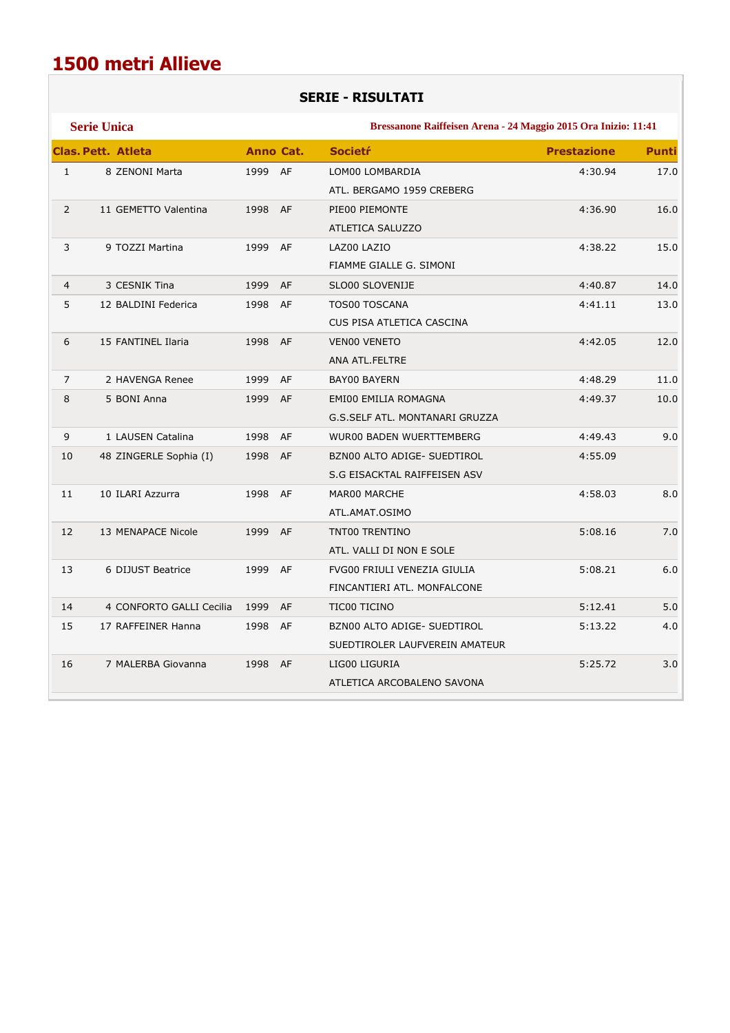## **SERIE - RISULTATI**

|                | <b>Serie Unica</b>        |                  |           | Bressanone Raiffeisen Arena - 24 Maggio 2015 Ora Inizio: 11:41 |                    |              |  |
|----------------|---------------------------|------------------|-----------|----------------------------------------------------------------|--------------------|--------------|--|
|                | <b>Clas. Pett. Atleta</b> | <b>Anno Cat.</b> |           | <b>Societr</b>                                                 | <b>Prestazione</b> | <b>Punti</b> |  |
| $\mathbf{1}$   | 8 ZENONI Marta            | 1999 AF          |           | LOM00 LOMBARDIA                                                | 4:30.94            | 17.0         |  |
|                |                           |                  |           | ATL. BERGAMO 1959 CREBERG                                      |                    |              |  |
| $\overline{2}$ | 11 GEMETTO Valentina      | 1998             | <b>AF</b> | PIE00 PIEMONTE                                                 | 4:36.90            | 16.0         |  |
|                |                           |                  |           | <b>ATLETICA SALUZZO</b>                                        |                    |              |  |
| 3              | 9 TOZZI Martina           | 1999 AF          |           | LAZ00 LAZIO                                                    | 4:38.22            | 15.0         |  |
|                |                           |                  |           | FIAMME GIALLE G. SIMONI                                        |                    |              |  |
| $\overline{4}$ | 3 CESNIK Tina             | 1999             | AF        | SLO00 SLOVENIJE                                                | 4:40.87            | 14.0         |  |
| 5              | 12 BALDINI Federica       | 1998             | AF        | TOS00 TOSCANA                                                  | 4:41.11            | 13.0         |  |
|                |                           |                  |           | CUS PISA ATLETICA CASCINA                                      |                    |              |  |
| 6              | 15 FANTINEL Ilaria        | 1998 AF          |           | <b>VENOO VENETO</b>                                            | 4:42.05            | 12.0         |  |
|                |                           |                  |           | ANA ATL.FELTRE                                                 |                    |              |  |
| $\overline{7}$ | 2 HAVENGA Renee           | 1999             | AF        | BAY00 BAYERN                                                   | 4:48.29            | 11.0         |  |
| 8              | 5 BONI Anna               | 1999 AF          |           | EMI00 EMILIA ROMAGNA                                           | 4:49.37            | 10.0         |  |
|                |                           |                  |           | G.S.SELF ATL. MONTANARI GRUZZA                                 |                    |              |  |
| 9              | 1 LAUSEN Catalina         | 1998             | AF        | <b>WUR00 BADEN WUERTTEMBERG</b>                                | 4:49.43            | 9.0          |  |
| 10             | 48 ZINGERLE Sophia (I)    | 1998             | AF        | BZN00 ALTO ADIGE- SUEDTIROL                                    | 4:55.09            |              |  |
|                |                           |                  |           | S.G EISACKTAL RAIFFEISEN ASV                                   |                    |              |  |
| 11             | 10 ILARI Azzurra          | 1998 AF          |           | MAR00 MARCHE                                                   | 4:58.03            | 8.0          |  |
|                |                           |                  |           | ATL.AMAT.OSIMO                                                 |                    |              |  |
| 12             | 13 MENAPACE Nicole        | 1999 AF          |           | TNT00 TRENTINO                                                 | 5:08.16            | 7.0          |  |
|                |                           |                  |           | ATL. VALLI DI NON E SOLE                                       |                    |              |  |
| 13             | 6 DIJUST Beatrice         | 1999 AF          |           | FVG00 FRIULI VENEZIA GIULIA                                    | 5:08.21            | 6.0          |  |
|                |                           |                  |           | FINCANTIERI ATL. MONFALCONE                                    |                    |              |  |
| 14             | 4 CONFORTO GALLI Cecilia  | 1999             | AF        | TIC00 TICINO                                                   | 5:12.41            | 5.0          |  |
| 15             | 17 RAFFEINER Hanna        | 1998             | AF        | BZN00 ALTO ADIGE- SUEDTIROL                                    | 5:13.22            | 4.0          |  |
|                |                           |                  |           | SUEDTIROLER LAUFVEREIN AMATEUR                                 |                    |              |  |
| 16             | 7 MALERBA Giovanna        | 1998 AF          |           | LIG00 LIGURIA                                                  | 5:25.72            | 3.0          |  |
|                |                           |                  |           | ATLETICA ARCOBALENO SAVONA                                     |                    |              |  |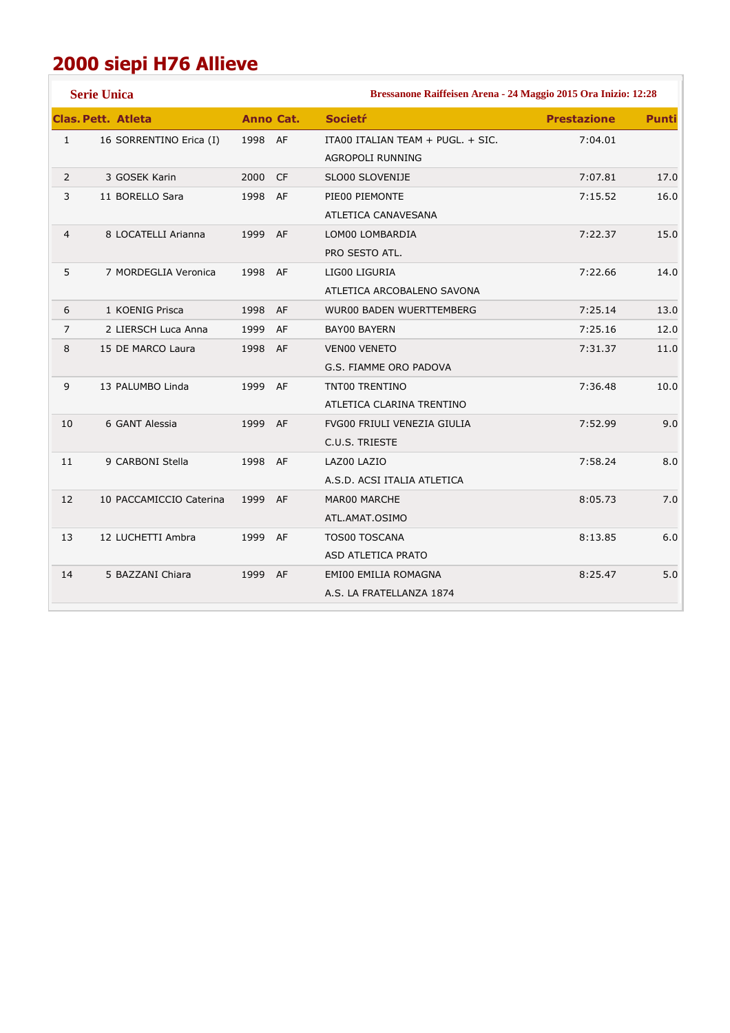# **2000 siepi H76 Allieve**

|                | <b>Serie Unica</b>        |                  |    | Bressanone Raiffeisen Arena - 24 Maggio 2015 Ora Inizio: 12:28 |                    |              |  |
|----------------|---------------------------|------------------|----|----------------------------------------------------------------|--------------------|--------------|--|
|                | <b>Clas. Pett. Atleta</b> | <b>Anno Cat.</b> |    | <b>Societr</b>                                                 | <b>Prestazione</b> | <b>Punti</b> |  |
| $\mathbf{1}$   | 16 SORRENTINO Erica (I)   | 1998 AF          |    | ITA00 ITALIAN TEAM + PUGL. + SIC.                              | 7:04.01            |              |  |
|                |                           |                  |    | AGROPOLI RUNNING                                               |                    |              |  |
| $\overline{2}$ | 3 GOSEK Karin             | 2000 CF          |    | SLO00 SLOVENIJE                                                | 7:07.81            | 17.0         |  |
| 3              | 11 BORELLO Sara           | 1998 AF          |    | PIE00 PIEMONTE                                                 | 7:15.52            | 16.0         |  |
|                |                           |                  |    | ATLETICA CANAVESANA                                            |                    |              |  |
| $\overline{4}$ | 8 LOCATELLI Arianna       | 1999 AF          |    | LOM00 LOMBARDIA                                                | 7:22.37            | 15.0         |  |
|                |                           |                  |    | PRO SESTO ATL.                                                 |                    |              |  |
| 5              | 7 MORDEGLIA Veronica      | 1998 AF          |    | LIG00 LIGURIA                                                  | 7:22.66            | 14.0         |  |
|                |                           |                  |    | ATLETICA ARCOBALENO SAVONA                                     |                    |              |  |
| 6              | 1 KOENIG Prisca           | 1998 AF          |    | <b>WUR00 BADEN WUERTTEMBERG</b>                                | 7:25.14            | 13.0         |  |
| $\overline{7}$ | 2 LIERSCH Luca Anna       | 1999             | AF | <b>BAY00 BAYERN</b>                                            | 7:25.16            | 12.0         |  |
| 8              | 15 DE MARCO Laura         | 1998 AF          |    | VEN00 VENETO                                                   | 7:31.37            | 11.0         |  |
|                |                           |                  |    | G.S. FIAMME ORO PADOVA                                         |                    |              |  |
| 9              | 13 PALUMBO Linda          | 1999             | AF | TNT00 TRENTINO                                                 | 7:36.48            | 10.0         |  |
|                |                           |                  |    | ATLETICA CLARINA TRENTINO                                      |                    |              |  |
| 10             | 6 GANT Alessia            | 1999 AF          |    | FVG00 FRIULI VENEZIA GIULIA                                    | 7:52.99            | 9.0          |  |
|                |                           |                  |    | C.U.S. TRIESTE                                                 |                    |              |  |
| 11             | 9 CARBONI Stella          | 1998 AF          |    | LAZ00 LAZIO                                                    | 7:58.24            | 8.0          |  |
|                |                           |                  |    | A.S.D. ACSI ITALIA ATLETICA                                    |                    |              |  |
| 12             | 10 PACCAMICCIO Caterina   | 1999 AF          |    | MAR00 MARCHE                                                   | 8:05.73            | 7.0          |  |
|                |                           |                  |    | ATL.AMAT.OSIMO                                                 |                    |              |  |
| 13             | 12 LUCHETTI Ambra         | 1999 AF          |    | <b>TOS00 TOSCANA</b>                                           | 8:13.85            | 6.0          |  |
|                |                           |                  |    | ASD ATLETICA PRATO                                             |                    |              |  |
| 14             | 5 BAZZANI Chiara          | 1999 AF          |    | EMI00 EMILIA ROMAGNA                                           | 8:25.47            | 5.0          |  |
|                |                           |                  |    | A.S. LA FRATELLANZA 1874                                       |                    |              |  |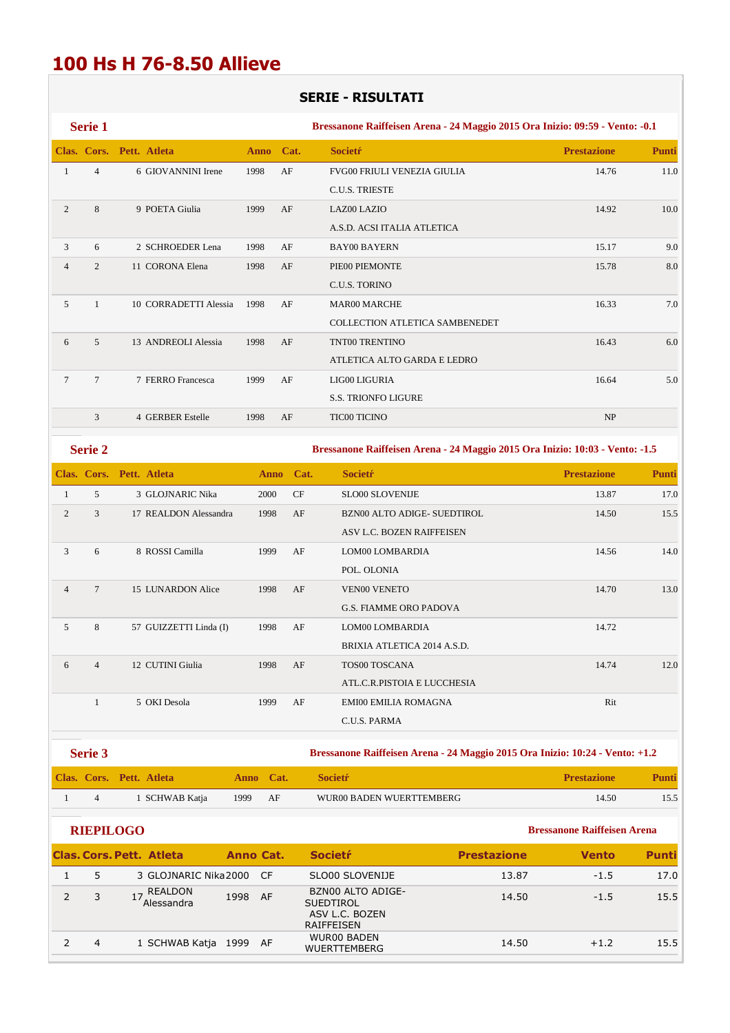## **100 Hs H 76-8.50 Allieve**

## **SERIE - RISULTATI**

|                | <b>Serie 1</b>  |                          |             |      | Bressanone Raiffeisen Arena - 24 Maggio 2015 Ora Inizio: 09:59 - Vento: -0.1 |                    |              |  |  |
|----------------|-----------------|--------------------------|-------------|------|------------------------------------------------------------------------------|--------------------|--------------|--|--|
|                |                 | Clas. Cors. Pett. Atleta | <b>Anno</b> | Cat. | <b>Societr</b>                                                               | <b>Prestazione</b> | <b>Punti</b> |  |  |
|                | $\overline{4}$  | 6 GIOVANNINI Irene       | 1998        | AF   | FVG00 FRIULI VENEZIA GIULIA                                                  | 14.76              | 11.0         |  |  |
|                |                 |                          |             |      | <b>C.U.S. TRIESTE</b>                                                        |                    |              |  |  |
| 2              | 8               | 9 POETA Giulia           | 1999        | AF   | LAZ00 LAZIO                                                                  | 14.92              | 10.0         |  |  |
|                |                 |                          |             |      | A.S.D. ACSI ITALIA ATLETICA                                                  |                    |              |  |  |
| 3              | 6               | 2 SCHROEDER Lena         | 1998        | AF   | <b>BAY00 BAYERN</b>                                                          | 15.17              | 9.0          |  |  |
| $\overline{4}$ | 2               | 11 CORONA Elena          | 1998        | AF   | PIE00 PIEMONTE                                                               | 15.78              | 8.0          |  |  |
|                |                 |                          |             |      | <b>C.U.S. TORINO</b>                                                         |                    |              |  |  |
| 5              | $\mathbf{1}$    | 10 CORRADETTI Alessia    | 1998        | AF   | <b>MAR00 MARCHE</b>                                                          | 16.33              | 7.0          |  |  |
|                |                 |                          |             |      | <b>COLLECTION ATLETICA SAMBENEDET</b>                                        |                    |              |  |  |
| 6              | $\overline{5}$  | 13 ANDREOLI Alessia      | 1998        | AF   | TNT00 TRENTINO                                                               | 16.43              | 6.0          |  |  |
|                |                 |                          |             |      | ATLETICA ALTO GARDA E LEDRO                                                  |                    |              |  |  |
| 7              | $7\phantom{.0}$ | 7 FERRO Francesca        | 1999        | AF   | LIG00 LIGURIA                                                                | 16.64              | 5.0          |  |  |
|                |                 |                          |             |      | <b>S.S. TRIONFO LIGURE</b>                                                   |                    |              |  |  |
|                | 3               | 4 GERBER Estelle         | 1998        | AF   | <b>TIC00 TICINO</b>                                                          | NP                 |              |  |  |
|                | Serie 2         |                          |             |      | Bressanone Raiffeisen Arena - 24 Maggio 2015 Ora Inizio: 10:03 - Vento: -1.5 |                    |              |  |  |
|                |                 | Clas. Cors. Pett. Atleta | <b>Anno</b> | Cat. | <b>Societr</b>                                                               | <b>Prestazione</b> | Punti        |  |  |

|                |                 | Clas. Cols. I the Amelia | <i>Family</i> | -vai. | <b>DUCILLI</b>                | 1 TUBULIUM | 1 unu |
|----------------|-----------------|--------------------------|---------------|-------|-------------------------------|------------|-------|
| 1              | $\mathfrak{F}$  | 3 GLOJNARIC Nika         | 2000          | CF    | <b>SLO00 SLOVENIJE</b>        | 13.87      | 17.0  |
| 2              | 3               | 17 REALDON Alessandra    | 1998          | AF    | BZN00 ALTO ADIGE- SUEDTIROL   | 14.50      | 15.5  |
|                |                 |                          |               |       | ASV L.C. BOZEN RAIFFEISEN     |            |       |
| 3              | 6               | 8 ROSSI Camilla          | 1999          | AF    | LOM00 LOMBARDIA               | 14.56      | 14.0  |
|                |                 |                          |               |       | POL. OLONIA                   |            |       |
| $\overline{4}$ | $7\phantom{.0}$ | 15 LUNARDON Alice        | 1998          | AF    | <b>VEN00 VENETO</b>           | 14.70      | 13.0  |
|                |                 |                          |               |       | <b>G.S. FIAMME ORO PADOVA</b> |            |       |
| 5              | 8               | 57 GUIZZETTI Linda (I)   | 1998          | AF    | LOM00 LOMBARDIA               | 14.72      |       |
|                |                 |                          |               |       | BRIXIA ATLETICA 2014 A.S.D.   |            |       |
| 6              | $\overline{4}$  | 12 CUTINI Giulia         | 1998          | AF    | <b>TOS00 TOSCANA</b>          | 14.74      | 12.0  |
|                |                 |                          |               |       | ATL.C.R.PISTOIA E LUCCHESIA   |            |       |
|                |                 | 5 OKI Desola             | 1999          | AF    | <b>EMI00 EMILIA ROMAGNA</b>   | Rit        |       |
|                |                 |                          |               |       | C.U.S. PARMA                  |            |       |
|                |                 |                          |               |       |                               |            |       |

**Serie 3 Bressanone Raiffeisen Arena - 24 Maggio 2015 Ora Inizio: 10:24 - Vento: +1.2** 

|  | Clas. Cors. Pett. Atleta |             | Anno Cat. | <b>Societr</b>           | <b>Prestazione</b> | Punti |
|--|--------------------------|-------------|-----------|--------------------------|--------------------|-------|
|  | 1 SCHWAB Katja           | $\sim$ 1999 | AF        | WUR00 BADEN WUERTTEMBERG | 14.50              |       |

| ш | IEPIL OG |  |  |
|---|----------|--|--|
|   |          |  |  |

|   | <b>Clas, Cors, Pett. Atleta</b> | Anno Cat. |     | <b>Societr</b>                                                        | <b>Prestazione</b> | <b>Vento</b> | Punti |
|---|---------------------------------|-----------|-----|-----------------------------------------------------------------------|--------------------|--------------|-------|
|   | 3 GLOJNARIC Nika2000            |           | -CF | SLO00 SLOVENIJE                                                       | 13.87              | $-1.5$       | 17.0  |
|   | REALDON<br>Alessandra           | 1998      | AF  | BZN00 ALTO ADIGE-<br><b>SUEDTIROL</b><br>ASV L.C. BOZEN<br>RAIFFEISEN | 14.50              | $-1.5$       | 15.5  |
| 4 | 1 SCHWAB Katja                  | 1999      | AF  | <b>WUR00 BADEN</b><br><b>WUERTTEMBERG</b>                             | 14.50              | $+1.2$       | 15.5  |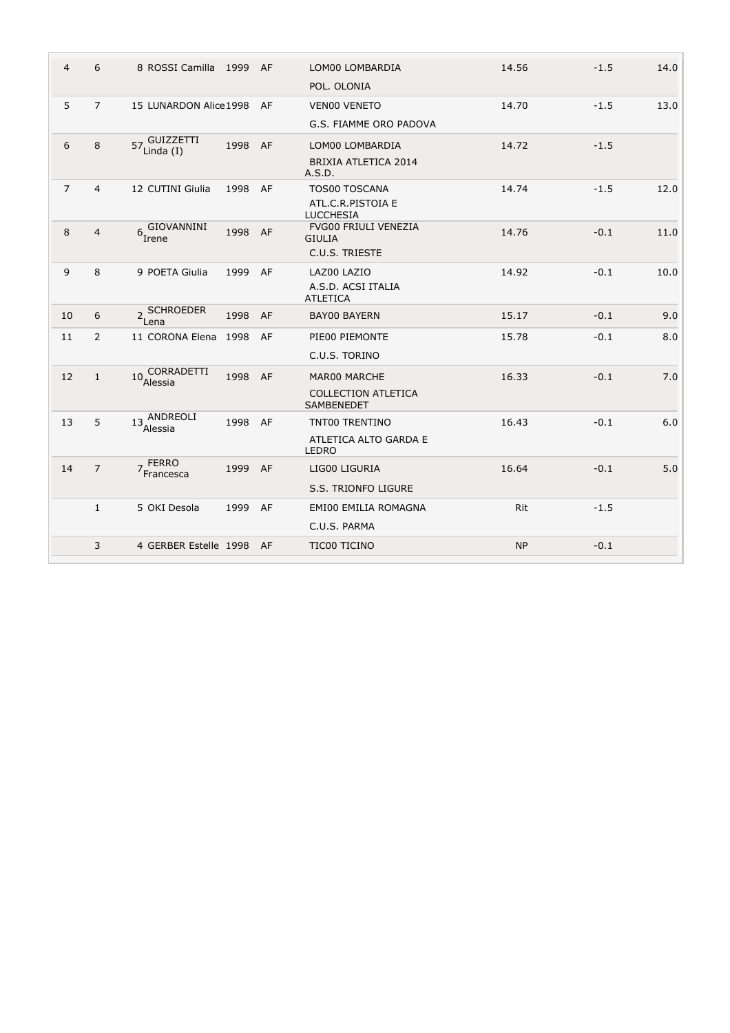| $\overline{4}$    | 6              | 8 ROSSI Camilla 1999 AF              |         |    | LOM00 LOMBARDIA                       | 14.56     | $-1.5$ | 14.0 |
|-------------------|----------------|--------------------------------------|---------|----|---------------------------------------|-----------|--------|------|
|                   |                |                                      |         |    | POL. OLONIA                           |           |        |      |
| 5                 | $\overline{7}$ | 15 LUNARDON Alice 1998               |         | AF | <b>VEN00 VENETO</b>                   | 14.70     | $-1.5$ | 13.0 |
|                   |                |                                      |         |    | G.S. FIAMME ORO PADOVA                |           |        |      |
| 6                 | 8              | 57. GUIZZETTI<br>Linda $(I)$         | 1998    | AF | LOM00 LOMBARDIA                       | 14.72     | $-1.5$ |      |
|                   |                |                                      |         |    | BRIXIA ATLETICA 2014<br>A.S.D.        |           |        |      |
| $\overline{7}$    | $\overline{4}$ | 12 CUTINI Giulia                     | 1998    | AF | <b>TOS00 TOSCANA</b>                  | 14.74     | $-1.5$ | 12.0 |
|                   |                |                                      |         |    | ATL.C.R.PISTOIA E<br><b>LUCCHESIA</b> |           |        |      |
| 8                 | $\overline{4}$ | 6, GIOVANNINI                        | 1998 AF |    | <b>FVG00 FRIULI VENEZIA</b>           | 14.76     | $-0.1$ | 11.0 |
|                   |                | ´Irene                               |         |    | <b>GIULIA</b>                         |           |        |      |
|                   |                |                                      |         |    | C.U.S. TRIESTE                        |           |        |      |
| 9                 | 8              | 9 POETA Giulia                       | 1999    | AF | LAZ00 LAZIO                           | 14.92     | $-0.1$ | 10.0 |
|                   |                |                                      |         |    | A.S.D. ACSI ITALIA<br><b>ATLETICA</b> |           |        |      |
| 10                | 6              | <b>SCHROEDER</b><br>2 <sup>3CH</sup> | 1998    | AF | <b>BAY00 BAYERN</b>                   | 15.17     | $-0.1$ | 9.0  |
| 11                | $\overline{2}$ | 11 CORONA Elena 1998                 |         | AF | PIE00 PIEMONTE                        | 15.78     | $-0.1$ | 8.0  |
|                   |                |                                      |         |    | C.U.S. TORINO                         |           |        |      |
| $12 \overline{ }$ | $\mathbf{1}$   | 10 CORRADETTI<br>Alessia             | 1998    | AF | MAR00 MARCHE                          | 16.33     | $-0.1$ | 7.0  |
|                   |                |                                      |         |    | <b>COLLECTION ATLETICA</b>            |           |        |      |
|                   |                |                                      |         |    | <b>SAMBENEDET</b>                     |           |        |      |
| 13                | 5              | 13 ANDREOLI<br>Alessia               | 1998 AF |    | TNT00 TRENTINO                        | 16.43     | $-0.1$ | 6.0  |
|                   |                |                                      |         |    | ATLETICA ALTO GARDA E<br><b>LEDRO</b> |           |        |      |
| 14                | $\overline{7}$ | <b>FERRO</b><br>7 FERRU<br>Francesca | 1999    | AF | LIG00 LIGURIA                         | 16.64     | $-0.1$ | 5.0  |
|                   |                |                                      |         |    | <b>S.S. TRIONFO LIGURE</b>            |           |        |      |
|                   | $\mathbf{1}$   | 5 OKI Desola                         | 1999    | AF | EMI00 EMILIA ROMAGNA                  | Rit       | $-1.5$ |      |
|                   |                |                                      |         |    | C.U.S. PARMA                          |           |        |      |
|                   | 3              | 4 GERBER Estelle 1998 AF             |         |    | TIC00 TICINO                          | <b>NP</b> | $-0.1$ |      |
|                   |                |                                      |         |    |                                       |           |        |      |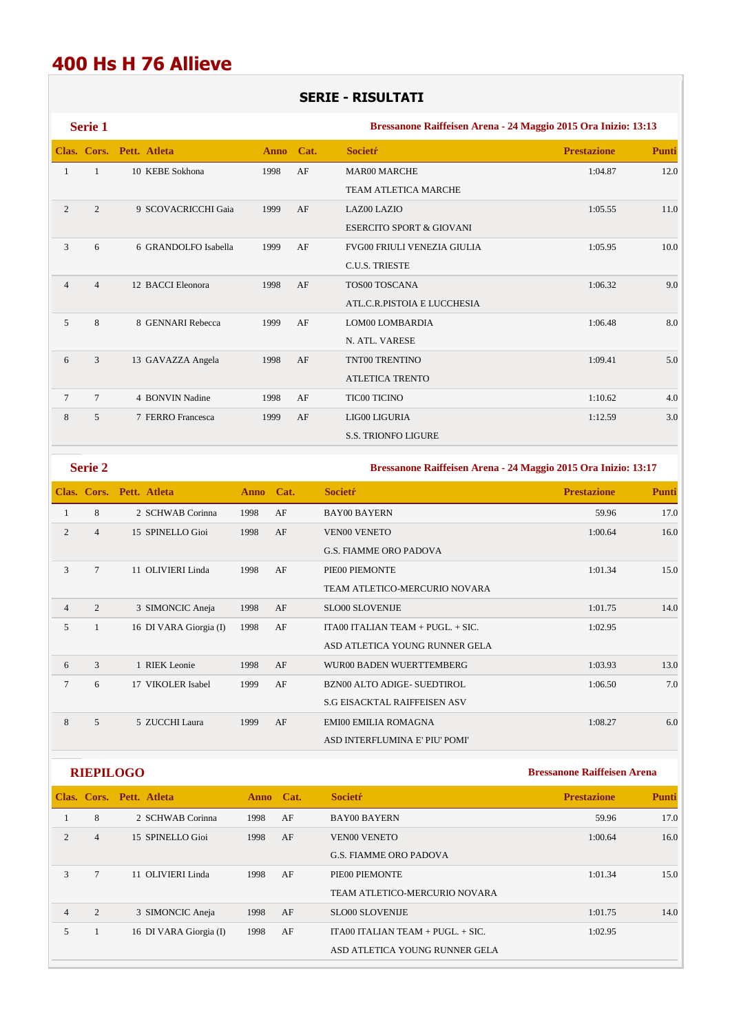## **400 Hs H 76 Allieve**

## **SERIE - RISULTATI**

|                | Serie 1        |                          |             |      | Bressanone Raiffeisen Arena - 24 Maggio 2015 Ora Inizio: 13:13 |                    |              |  |  |
|----------------|----------------|--------------------------|-------------|------|----------------------------------------------------------------|--------------------|--------------|--|--|
|                |                | Clas. Cors. Pett. Atleta | <b>Anno</b> | Cat. | <b>Societr</b>                                                 | <b>Prestazione</b> | <b>Punti</b> |  |  |
|                | 1              | 10 KEBE Sokhona          | 1998        | AF   | <b>MAR00 MARCHE</b>                                            | 1:04.87            | 12.0         |  |  |
|                |                |                          |             |      | <b>TEAM ATLETICA MARCHE</b>                                    |                    |              |  |  |
| $\overline{2}$ | 2              | 9 SCOVACRICCHI Gaia      | 1999        | AF   | LAZ00 LAZIO                                                    | 1:05.55            | 11.0         |  |  |
|                |                |                          |             |      | <b>ESERCITO SPORT &amp; GIOVANI</b>                            |                    |              |  |  |
| 3              | 6              | 6 GRANDOLFO Isabella     | 1999        | AF   | <b>FVG00 FRIULI VENEZIA GIULIA</b>                             | 1:05.95            | 10.0         |  |  |
|                |                |                          |             |      | <b>C.U.S. TRIESTE</b>                                          |                    |              |  |  |
| $\overline{4}$ | $\overline{4}$ | 12 BACCI Eleonora        | 1998        | AF   | TOS00 TOSCANA                                                  | 1:06.32            | 9.0          |  |  |
|                |                |                          |             |      | ATL.C.R.PISTOIA E LUCCHESIA                                    |                    |              |  |  |
| 5              | 8              | 8 GENNARI Rebecca        | 1999        | AF   | LOM00 LOMBARDIA                                                | 1:06.48            | 8.0          |  |  |
|                |                |                          |             |      | N. ATL. VARESE                                                 |                    |              |  |  |
| 6              | 3              | 13 GAVAZZA Angela        | 1998        | AF   | TNT00 TRENTINO                                                 | 1:09.41            | 5.0          |  |  |
|                |                |                          |             |      | <b>ATLETICA TRENTO</b>                                         |                    |              |  |  |
| $\overline{7}$ | $\overline{7}$ | 4 BONVIN Nadine          | 1998        | AF   | <b>TIC00 TICINO</b>                                            | 1:10.62            | 4.0          |  |  |
| 8              | 5              | 7 FERRO Francesca        | 1999        | AF   | LIG00 LIGURIA                                                  | 1:12.59            | 3.0          |  |  |
|                |                |                          |             |      | <b>S.S. TRIONFO LIGURE</b>                                     |                    |              |  |  |

**Serie 2 Bressanone Raiffeisen Arena - 24 Maggio 2015 Ora Inizio: 13:17** 

|                |                | Clas. Cors. Pett. Atleta | Anno Cat. |    | <b>Societr</b>                      | <b>Prestazione</b> | <b>Punti</b> |
|----------------|----------------|--------------------------|-----------|----|-------------------------------------|--------------------|--------------|
| 1              | 8              | 2 SCHWAB Corinna         | 1998      | AF | <b>BAY00 BAYERN</b>                 | 59.96              | 17.0         |
| 2              | $\overline{4}$ | 15 SPINELLO Gioi         | 1998      | AF | <b>VEN00 VENETO</b>                 | 1:00.64            | 16.0         |
|                |                |                          |           |    | <b>G.S. FIAMME ORO PADOVA</b>       |                    |              |
| 3              | $\tau$         | 11 OLIVIERI Linda        | 1998      | AF | PIE00 PIEMONTE                      | 1:01.34            | 15.0         |
|                |                |                          |           |    | TEAM ATLETICO-MERCURIO NOVARA       |                    |              |
| $\overline{4}$ | $\overline{2}$ | 3 SIMONCIC Aneja         | 1998      | AF | <b>SLO00 SLOVENIJE</b>              | 1:01.75            | 14.0         |
| 5              |                | 16 DI VARA Giorgia (I)   | 1998      | AF | ITA00 ITALIAN TEAM + $PUGL. + SIC.$ | 1:02.95            |              |
|                |                |                          |           |    | ASD ATLETICA YOUNG RUNNER GELA      |                    |              |
| 6              | 3              | 1 RIEK Leonie            | 1998      | AF | WUR00 BADEN WUERTTEMBERG            | 1:03.93            | 13.0         |
| $\overline{7}$ | 6              | 17 VIKOLER Isabel        | 1999      | AF | <b>BZN00 ALTO ADIGE- SUEDTIROL</b>  | 1:06.50            | 7.0          |
|                |                |                          |           |    | <b>S.G EISACKTAL RAIFFEISEN ASV</b> |                    |              |
| 8              | 5              | 5 ZUCCHI Laura           | 1999      | AF | <b>EMI00 EMILIA ROMAGNA</b>         | 1:08.27            | 6.0          |
|                |                |                          |           |    | ASD INTERFLUMINA E' PIU' POMI'      |                    |              |

| <b>RIEPILOGO</b> |  |  |
|------------------|--|--|
|                  |  |  |

|                |                | Clas. Cors. Pett. Atleta | Anno Cat. |    | <b>Societr</b>                        | <b>Prestazione</b> | <b>Punti</b> |
|----------------|----------------|--------------------------|-----------|----|---------------------------------------|--------------------|--------------|
|                | 8              | 2 SCHWAB Corinna         | 1998      | AF | <b>BAY00 BAYERN</b>                   | 59.96              | 17.0         |
| $\mathfrak{D}$ | $\overline{4}$ | 15 SPINELLO Gioi         | 1998      | AF | <b>VEN00 VENETO</b>                   | 1:00.64            | 16.0         |
|                |                |                          |           |    | <b>G.S. FIAMME ORO PADOVA</b>         |                    |              |
| 3              | $\tau$         | 11 OLIVIERI Linda        | 1998      | AF | PIE00 PIEMONTE                        | 1:01.34            | 15.0         |
|                |                |                          |           |    | TEAM ATLETICO-MERCURIO NOVARA         |                    |              |
| 4              | 2              | 3 SIMONCIC Aneja         | 1998      | AF | <b>SLO00 SLOVENIJE</b>                | 1:01.75            | 14.0         |
| 5              |                | 16 DI VARA Giorgia (I)   | 1998      | AF | ITA00 ITALIAN TEAM $+$ PUGL. $+$ SIC. | 1:02.95            |              |
|                |                |                          |           |    | ASD ATLETICA YOUNG RUNNER GELA        |                    |              |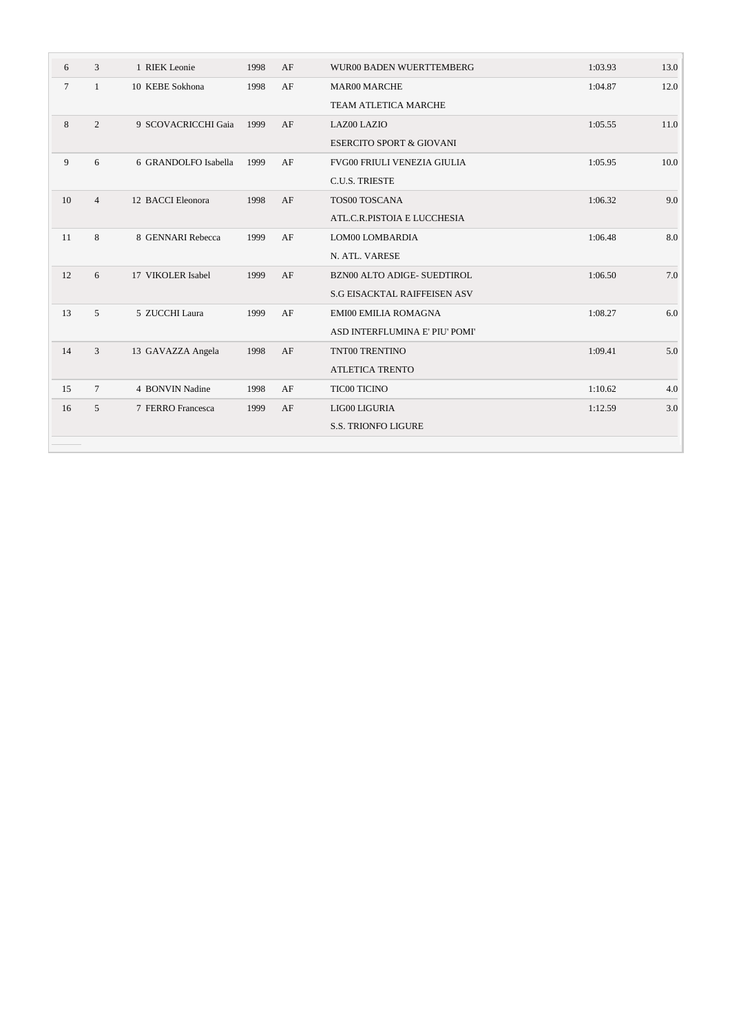| 6      | 3              | 1 RIEK Leonie        | 1998 | AF | WUR00 BADEN WUERTTEMBERG            | 1:03.93 | 13.0 |
|--------|----------------|----------------------|------|----|-------------------------------------|---------|------|
| $\tau$ | $\mathbf{1}$   | 10 KEBE Sokhona      | 1998 | AF | <b>MAR00 MARCHE</b>                 | 1:04.87 | 12.0 |
|        |                |                      |      |    | <b>TEAM ATLETICA MARCHE</b>         |         |      |
| 8      | 2              | 9 SCOVACRICCHI Gaia  | 1999 | AF | LAZ00 LAZIO                         | 1:05.55 | 11.0 |
|        |                |                      |      |    | <b>ESERCITO SPORT &amp; GIOVANI</b> |         |      |
| 9      | 6              | 6 GRANDOLFO Isabella | 1999 | AF | <b>FVG00 FRIULI VENEZIA GIULIA</b>  | 1:05.95 | 10.0 |
|        |                |                      |      |    | <b>C.U.S. TRIESTE</b>               |         |      |
| 10     | $\overline{4}$ | 12 BACCI Eleonora    | 1998 | AF | TOS00 TOSCANA                       | 1:06.32 | 9.0  |
|        |                |                      |      |    | ATL.C.R.PISTOIA E LUCCHESIA         |         |      |
| 11     | 8              | 8 GENNARI Rebecca    | 1999 | AF | LOM00 LOMBARDIA                     | 1:06.48 | 8.0  |
|        |                |                      |      |    | N. ATL. VARESE                      |         |      |
| 12     | 6              | 17 VIKOLER Isabel    | 1999 | AF | BZN00 ALTO ADIGE- SUEDTIROL         | 1:06.50 | 7.0  |
|        |                |                      |      |    | <b>S.G EISACKTAL RAIFFEISEN ASV</b> |         |      |
| 13     | $\overline{5}$ | 5 ZUCCHI Laura       | 1999 | AF | <b>EMI00 EMILIA ROMAGNA</b>         | 1:08.27 | 6.0  |
|        |                |                      |      |    | ASD INTERFLUMINA E' PIU' POMI'      |         |      |
| 14     | 3              | 13 GAVAZZA Angela    | 1998 | AF | TNT00 TRENTINO                      | 1:09.41 | 5.0  |
|        |                |                      |      |    | <b>ATLETICA TRENTO</b>              |         |      |
| 15     | $\tau$         | 4 BONVIN Nadine      | 1998 | AF | TIC00 TICINO                        | 1:10.62 | 4.0  |
| 16     | 5              | 7 FERRO Francesca    | 1999 | AF | LIG00 LIGURIA                       | 1:12.59 | 3.0  |
|        |                |                      |      |    | <b>S.S. TRIONFO LIGURE</b>          |         |      |
|        |                |                      |      |    |                                     |         |      |

 $\sim$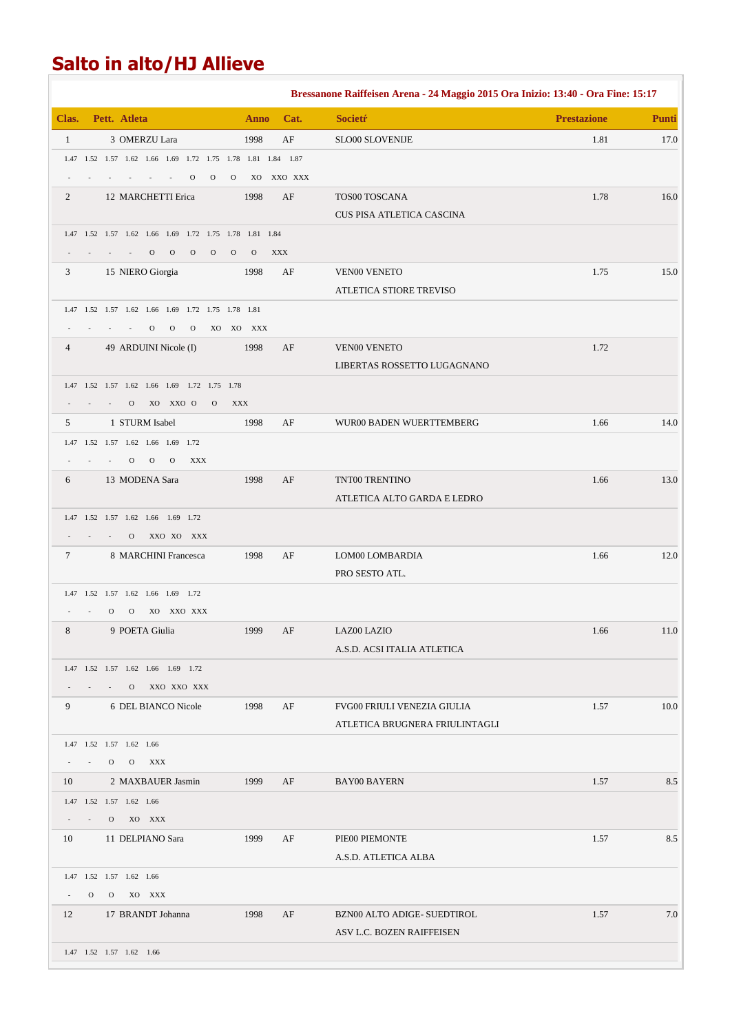# **Salto in alto/HJ Allieve**

|              |              |                                                        |                      |              |              |              |               |               |                                                             | Bressanone Raiffeisen Arena - 24 Maggio 2015 Ora Inizio: 13:40 - Ora Fine: 15:17 |                    |              |
|--------------|--------------|--------------------------------------------------------|----------------------|--------------|--------------|--------------|---------------|---------------|-------------------------------------------------------------|----------------------------------------------------------------------------------|--------------------|--------------|
| Clas.        |              | Pett. Atleta                                           |                      |              |              |              |               | <b>Anno</b>   | Cat.                                                        | <b>Societr</b>                                                                   | <b>Prestazione</b> | <b>Punti</b> |
| $\mathbf{1}$ |              |                                                        | 3 OMERZU Lara        |              |              |              |               | 1998          | AF                                                          | SLO00 SLOVENIJE                                                                  | 1.81               | 17.0         |
|              |              |                                                        |                      |              |              |              |               |               | 1.47 1.52 1.57 1.62 1.66 1.69 1.72 1.75 1.78 1.81 1.84 1.87 |                                                                                  |                    |              |
|              |              |                                                        |                      |              | $\mathbf{O}$ | $\mathbf{O}$ | $\mathbf{O}$  |               | XO XXO XXX                                                  |                                                                                  |                    |              |
| 2            |              | 12 MARCHETTI Erica                                     |                      |              |              |              |               | 1998          | AF                                                          | TOS00 TOSCANA                                                                    | 1.78               | 16.0         |
|              |              |                                                        |                      |              |              |              |               |               |                                                             | CUS PISA ATLETICA CASCINA                                                        |                    |              |
|              |              | 1.47 1.52 1.57 1.62 1.66 1.69 1.72 1.75 1.78 1.81 1.84 |                      |              |              |              |               |               |                                                             |                                                                                  |                    |              |
|              |              |                                                        | $\mathcal{O}$        | $\mathbf{O}$ | $\mathbf{O}$ | $\mathbf{O}$ | $\mathcal{O}$ | $\mathcal{O}$ | <b>XXX</b>                                                  |                                                                                  |                    |              |
| 3            |              | 15 NIERO Giorgia                                       |                      |              |              |              |               | 1998          | AF                                                          | <b>VEN00 VENETO</b><br>ATLETICA STIORE TREVISO                                   | 1.75               | 15.0         |
|              |              | 1.47 1.52 1.57 1.62 1.66 1.69 1.72 1.75 1.78 1.81      |                      |              |              |              |               |               |                                                             |                                                                                  |                    |              |
|              |              |                                                        | $\Omega$             | $\mathbf{O}$ | $\mathbf{O}$ |              |               | XO XO XXX     |                                                             |                                                                                  |                    |              |
| 4            |              | 49 ARDUINI Nicole (I)                                  |                      |              |              |              |               | 1998          | AF                                                          | <b>VEN00 VENETO</b>                                                              | 1.72               |              |
|              |              |                                                        |                      |              |              |              |               |               |                                                             | LIBERTAS ROSSETTO LUGAGNANO                                                      |                    |              |
|              |              | 1.47 1.52 1.57 1.62 1.66 1.69 1.72 1.75 1.78           |                      |              |              |              |               |               |                                                             |                                                                                  |                    |              |
|              |              | $\Omega$                                               |                      | XO XXO O     |              | $\mathbf{O}$ | <b>XXX</b>    |               |                                                             |                                                                                  |                    |              |
| 5            |              |                                                        | 1 STURM Isabel       |              |              |              |               | 1998          | AF                                                          | WUR00 BADEN WUERTTEMBERG                                                         | 1.66               | 14.0         |
|              |              | 1.47 1.52 1.57 1.62 1.66 1.69 1.72                     |                      |              |              |              |               |               |                                                             |                                                                                  |                    |              |
|              |              | $\mathbf{O}$                                           | $\mathbf{O}$         | $\mathbf{O}$ | <b>XXX</b>   |              |               |               |                                                             |                                                                                  |                    |              |
| 6            |              | 13 MODENA Sara                                         |                      |              |              |              |               | 1998          | AF                                                          | TNT00 TRENTINO                                                                   | 1.66               | 13.0         |
|              |              |                                                        |                      |              |              |              |               |               |                                                             | ATLETICA ALTO GARDA E LEDRO                                                      |                    |              |
|              |              | 1.47 1.52 1.57 1.62 1.66 1.69 1.72                     |                      |              |              |              |               |               |                                                             |                                                                                  |                    |              |
|              |              | $\Omega$                                               |                      | XXO XO XXX   |              |              |               |               |                                                             |                                                                                  |                    |              |
| 7            |              |                                                        | 8 MARCHINI Francesca |              |              |              |               | 1998          | AF                                                          | LOM00 LOMBARDIA                                                                  | 1.66               | 12.0         |
|              |              |                                                        |                      |              |              |              |               |               |                                                             | PRO SESTO ATL.                                                                   |                    |              |
|              |              | 1.47 1.52 1.57 1.62 1.66 1.69 1.72                     |                      |              |              |              |               |               |                                                             |                                                                                  |                    |              |
|              |              | $\mathbf{O}$<br>$\mathbf{O}$                           |                      | XO XXO XXX   |              |              |               |               |                                                             |                                                                                  |                    |              |
| 8            |              |                                                        | 9 POETA Giulia       |              |              |              |               | 1999          | AF                                                          | <b>LAZ00 LAZIO</b>                                                               | 1.66               | 11.0         |
|              |              |                                                        |                      |              |              |              |               |               |                                                             | A.S.D. ACSI ITALIA ATLETICA                                                      |                    |              |
|              |              | 1.47 1.52 1.57 1.62 1.66 1.69 1.72<br>$\mathbf{O}$     |                      | XXO XXO XXX  |              |              |               |               |                                                             |                                                                                  |                    |              |
| 9            |              |                                                        | 6 DEL BIANCO Nicole  |              |              |              |               | 1998          | AF                                                          | FVG00 FRIULI VENEZIA GIULIA                                                      | 1.57               | 10.0         |
|              |              |                                                        |                      |              |              |              |               |               |                                                             | ATLETICA BRUGNERA FRIULINTAGLI                                                   |                    |              |
|              |              | 1.47 1.52 1.57 1.62 1.66                               |                      |              |              |              |               |               |                                                             |                                                                                  |                    |              |
|              |              | $\mathbf{O}$<br>$\mathbf{O}$                           | XXX                  |              |              |              |               |               |                                                             |                                                                                  |                    |              |
| 10           |              |                                                        | 2 MAXBAUER Jasmin    |              |              |              |               | 1999          | AF                                                          | <b>BAY00 BAYERN</b>                                                              | 1.57               | 8.5          |
|              |              | 1.47 1.52 1.57 1.62 1.66                               |                      |              |              |              |               |               |                                                             |                                                                                  |                    |              |
|              |              | $\mathbf{O}$                                           | XO XXX               |              |              |              |               |               |                                                             |                                                                                  |                    |              |
| 10           |              | 11 DELPIANO Sara                                       |                      |              |              |              |               | 1999          | AF                                                          | PIE00 PIEMONTE                                                                   | 1.57               | 8.5          |
|              |              |                                                        |                      |              |              |              |               |               |                                                             | A.S.D. ATLETICA ALBA                                                             |                    |              |
|              |              | 1.47 1.52 1.57 1.62 1.66                               |                      |              |              |              |               |               |                                                             |                                                                                  |                    |              |
| $\sim$       | $\mathbf{O}$ | $\overline{O}$                                         | XO XXX               |              |              |              |               |               |                                                             |                                                                                  |                    |              |
| 12           |              | 17 BRANDT Johanna                                      |                      |              |              |              |               | 1998          | AF                                                          | BZN00 ALTO ADIGE- SUEDTIROL                                                      | 1.57               | 7.0          |
|              |              |                                                        |                      |              |              |              |               |               |                                                             | ASV L.C. BOZEN RAIFFEISEN                                                        |                    |              |
|              |              | 1.47 1.52 1.57 1.62 1.66                               |                      |              |              |              |               |               |                                                             |                                                                                  |                    |              |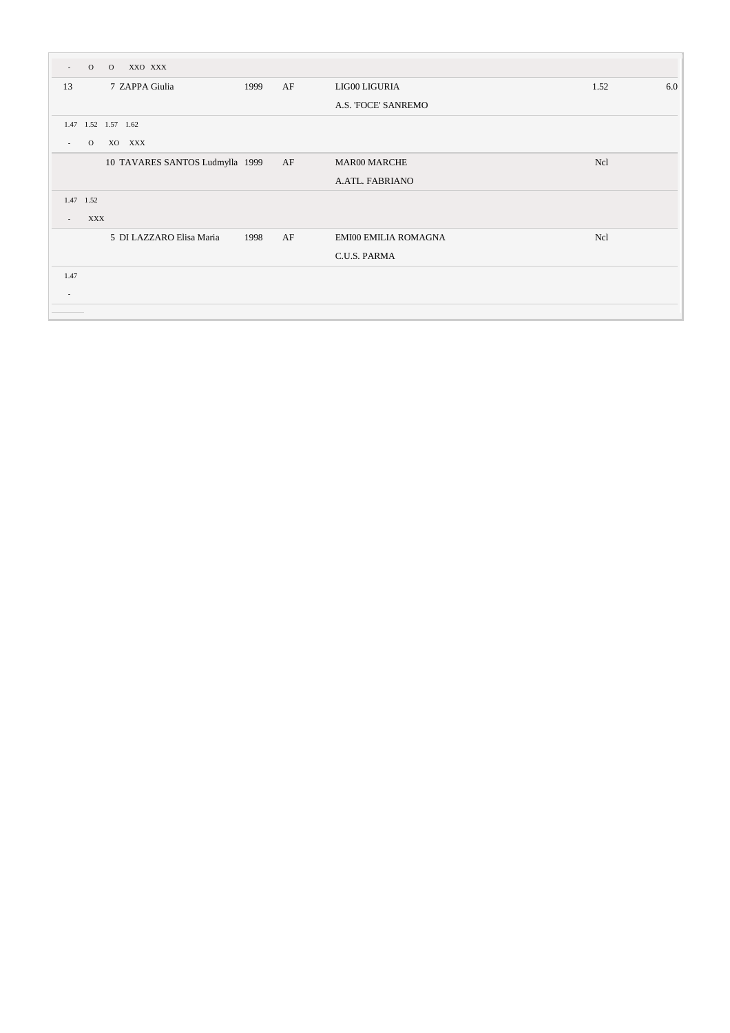| $\mathbf{O}$<br>$\overline{\phantom{a}}$ | $\overline{O}$<br>XXO XXX       |      |    |                             |            |     |
|------------------------------------------|---------------------------------|------|----|-----------------------------|------------|-----|
| 13                                       | 7 ZAPPA Giulia                  | 1999 | AF | LIG00 LIGURIA               | 1.52       | 6.0 |
|                                          |                                 |      |    | A.S. FOCE' SANREMO          |            |     |
|                                          | 1.47 1.52 1.57 1.62             |      |    |                             |            |     |
| $\mathbf{O}$<br>$\sim$                   | XO XXX                          |      |    |                             |            |     |
|                                          | 10 TAVARES SANTOS Ludmylla 1999 |      | AF | <b>MAR00 MARCHE</b>         | <b>Ncl</b> |     |
|                                          |                                 |      |    | A.ATL. FABRIANO             |            |     |
| 1.47 1.52                                |                                 |      |    |                             |            |     |
| $\overline{a}$                           | <b>XXX</b>                      |      |    |                             |            |     |
|                                          | 5 DI LAZZARO Elisa Maria        | 1998 | AF | <b>EMI00 EMILIA ROMAGNA</b> | <b>Ncl</b> |     |
|                                          |                                 |      |    | C.U.S. PARMA                |            |     |
| 1.47                                     |                                 |      |    |                             |            |     |
| ٠                                        |                                 |      |    |                             |            |     |
|                                          |                                 |      |    |                             |            |     |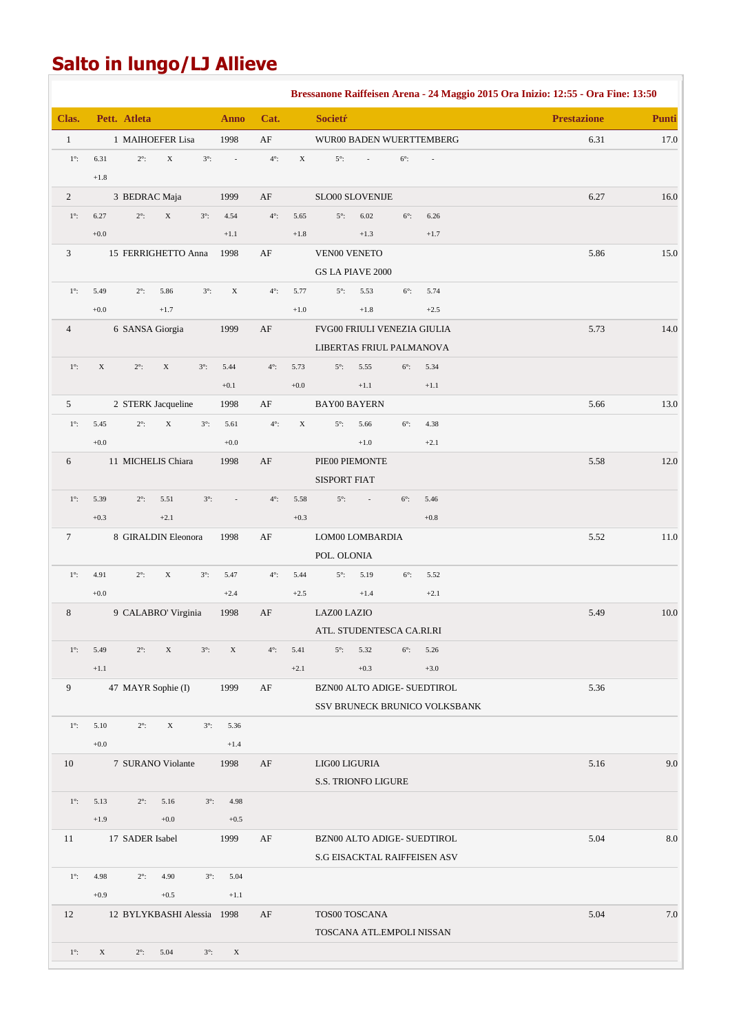# **Salto in lungo/LJ Allieve**

|                |                  |                            |             |             |                          |               |             |                              |                |             |                               | Bressanone Raiffeisen Arena - 24 Maggio 2015 Ora Inizio: 12:55 - Ora Fine: 13:50 |          |
|----------------|------------------|----------------------------|-------------|-------------|--------------------------|---------------|-------------|------------------------------|----------------|-------------|-------------------------------|----------------------------------------------------------------------------------|----------|
| Clas.          |                  | Pett. Atleta               |             |             | <b>Anno</b>              | Cat.          |             | <b>Societŕ</b>               |                |             |                               | <b>Prestazione</b>                                                               | Punti    |
| $\mathbf{1}$   |                  | 1 MAIHOEFER Lisa           |             |             | 1998                     | AF            |             |                              |                |             | WUR00 BADEN WUERTTEMBERG      | 6.31                                                                             | 17.0     |
| $1^\circ$ :    | 6.31<br>$+1.8\,$ | $2^\circ$ :                | $\mathbf X$ | $3^\circ$ : | $\overline{\phantom{a}}$ | $4^\circ$ :   | $\mathbf X$ | $5^\circ$ :                  | $\Box$         | $6^\circ$ : |                               |                                                                                  |          |
| $\overline{2}$ |                  | 3 BEDRAC Maja              |             |             | 1999                     | AF            |             | SLO00 SLOVENIJE              |                |             |                               | 6.27                                                                             | 16.0     |
| $1^\circ$ :    | 6.27             | $2^{\circ}$ :              | $\mathbf X$ | $3^\circ$ : | 4.54                     | $4^{\circ}$ : | 5.65        | $5^\circ$ :                  | 6.02           | $6^\circ$ : | 6.26                          |                                                                                  |          |
|                | $+0.0$           |                            |             |             | $+1.1$                   |               | $+1.8$      |                              | $+1.3$         |             | $+1.7$                        |                                                                                  |          |
| 3              |                  | 15 FERRIGHETTO Anna        |             |             | 1998                     | AF            |             | <b>VEN00 VENETO</b>          |                |             |                               | 5.86                                                                             | 15.0     |
|                |                  |                            |             |             |                          |               |             | <b>GS LA PIAVE 2000</b>      |                |             |                               |                                                                                  |          |
| $1^\circ$ :    | 5.49             | $2^\circ$ :                | 5.86        | $3^\circ$ : | $\mathbf X$              | $4^\circ$ :   | 5.77        | $5^\circ$ :                  | 5.53           | $6^\circ$ : | 5.74                          |                                                                                  |          |
|                | $+0.0$           |                            | $+1.7$      |             |                          |               | $+1.0$      |                              | $+1.8$         |             | $+2.5$                        |                                                                                  |          |
| $\overline{4}$ |                  | 6 SANSA Giorgia            |             |             | 1999                     | $\rm AF$      |             | FVG00 FRIULI VENEZIA GIULIA  |                |             |                               | 5.73                                                                             | 14.0     |
|                |                  |                            |             |             |                          |               |             | LIBERTAS FRIUL PALMANOVA     |                |             |                               |                                                                                  |          |
| $1^\circ$ :    | $\mathbf X$      | $2^\circ$ :                | $\mathbf X$ | $3^\circ$ : | 5.44                     | $4^\circ$ :   | 5.73        | $5^\circ$ :                  | 5.55           | $6^\circ$ : | 5.34                          |                                                                                  |          |
|                |                  |                            |             |             | $+0.1$                   |               | $+0.0$      |                              | $+1.1$         |             | $+1.1$                        |                                                                                  |          |
| 5              |                  | 2 STERK Jacqueline         |             |             | 1998                     | AF            |             | <b>BAY00 BAYERN</b>          |                |             |                               | 5.66                                                                             | 13.0     |
| $1^\circ$ :    | 5.45<br>$+0.0$   | $2^\circ$ :                | $\mathbf X$ | $3^\circ$ : | 5.61<br>$+0.0$           | $4^\circ$ :   | $\mathbf X$ | $5^\circ$ :                  | 5.66<br>$+1.0$ | $6^\circ$ : | 4.38                          |                                                                                  |          |
| 6              |                  | 11 MICHELIS Chiara         |             |             | 1998                     | AF            |             | PIE00 PIEMONTE               |                |             | $+2.1$                        | 5.58                                                                             | $12.0\,$ |
|                |                  |                            |             |             |                          |               |             | <b>SISPORT FIAT</b>          |                |             |                               |                                                                                  |          |
| $1^\circ$ :    | 5.39             | $2^\circ$ :                | 5.51        | $3^\circ$ : | ÷,                       | $4^\circ$ :   | 5.58        | $5^\circ$ :                  | $\mathcal{L}$  | $6^\circ$ : | 5.46                          |                                                                                  |          |
|                | $+0.3$           |                            | $+2.1$      |             |                          |               | $+0.3$      |                              |                |             | $+0.8$                        |                                                                                  |          |
| $\tau$         |                  | 8 GIRALDIN Eleonora        |             |             | 1998                     | AF            |             | LOM00 LOMBARDIA              |                |             |                               | 5.52                                                                             | 11.0     |
|                |                  |                            |             |             |                          |               |             | POL. OLONIA                  |                |             |                               |                                                                                  |          |
| $1^\circ$ :    | 4.91             | $2^\circ$ :                | X           | $3^\circ$ : | 5.47                     | $4^\circ$ :   | 5.44        | $5^\circ$ :                  | 5.19           | $6^\circ$ : | 5.52                          |                                                                                  |          |
|                | $+0.0$           |                            |             |             | $+2.4$                   |               | $+2.5$      |                              | $+1.4$         |             | $+2.1$                        |                                                                                  |          |
| 8              |                  | 9 CALABRO' Virginia        |             |             | 1998                     | AF            |             | LAZ00 LAZIO                  |                |             |                               | 5.49                                                                             | $10.0\,$ |
|                |                  |                            |             |             |                          |               |             | ATL. STUDENTESCA CA.RI.RI    |                |             |                               |                                                                                  |          |
| $1^\circ$ :    | 5.49             | $2^\circ$ :                | X           | $3^\circ$ : | $\mathbf X$              | $4^\circ$ :   | 5.41        | $5^\circ$ :                  | 5.32           | $6^\circ$ : | 5.26                          |                                                                                  |          |
|                | $+1.1$           |                            |             |             |                          |               | $+2.1$      |                              | $+0.3$         |             | $+3.0$                        |                                                                                  |          |
| 9              |                  | 47 MAYR Sophie (I)         |             |             | 1999                     | AF            |             | BZN00 ALTO ADIGE- SUEDTIROL  |                |             |                               | 5.36                                                                             |          |
|                |                  |                            |             |             |                          |               |             |                              |                |             | SSV BRUNECK BRUNICO VOLKSBANK |                                                                                  |          |
| $1^\circ$ :    | 5.10             | $2^\circ$ :                | $\mathbf X$ | $3^\circ$ : | 5.36                     |               |             |                              |                |             |                               |                                                                                  |          |
| 10             | $+0.0$           | 7 SURANO Violante          |             |             | $+1.4$<br>1998           | AF            |             | LIG00 LIGURIA                |                |             |                               | 5.16                                                                             | 9.0      |
|                |                  |                            |             |             |                          |               |             | S.S. TRIONFO LIGURE          |                |             |                               |                                                                                  |          |
| $1^\circ$ :    | 5.13             | $2^\circ$ :                | 5.16        | $3^\circ$ : | 4.98                     |               |             |                              |                |             |                               |                                                                                  |          |
|                | $+1.9$           |                            | $+0.0$      |             | $+0.5$                   |               |             |                              |                |             |                               |                                                                                  |          |
| 11             |                  | 17 SADER Isabel            |             |             | 1999                     | AF            |             | BZN00 ALTO ADIGE- SUEDTIROL  |                |             |                               | 5.04                                                                             | $8.0\,$  |
|                |                  |                            |             |             |                          |               |             | S.G EISACKTAL RAIFFEISEN ASV |                |             |                               |                                                                                  |          |
| $1^\circ$ :    | 4.98             | $2^\circ$ :                | 4.90        | $3^\circ$ : | 5.04                     |               |             |                              |                |             |                               |                                                                                  |          |
|                | $+0.9$           |                            | $+0.5$      |             | $+1.1$                   |               |             |                              |                |             |                               |                                                                                  |          |
| 12             |                  | 12 BYLYKBASHI Alessia 1998 |             |             |                          | AF            |             | TOS00 TOSCANA                |                |             |                               | 5.04                                                                             | $7.0\,$  |
|                |                  |                            |             |             |                          |               |             | TOSCANA ATL.EMPOLI NISSAN    |                |             |                               |                                                                                  |          |
| $1^\circ$ :    | X                | $2^\circ$ :                | 5.04        | $3^\circ$ : | $\mathbf X$              |               |             |                              |                |             |                               |                                                                                  |          |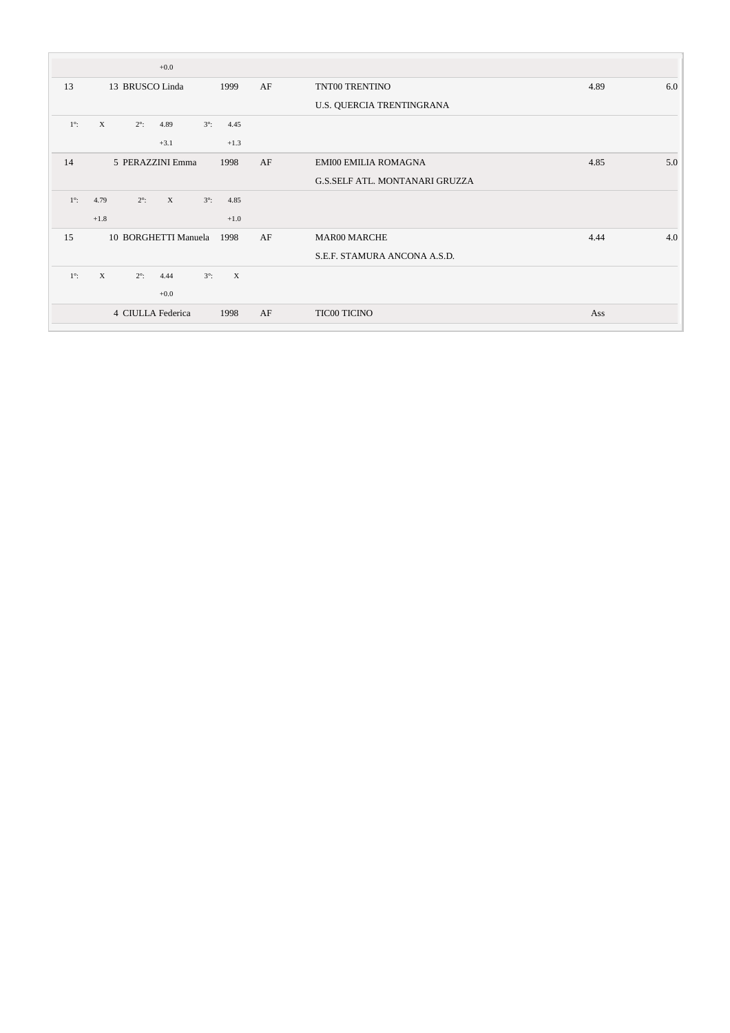|             | $+0.0$                                             |              |    |                                       |             |
|-------------|----------------------------------------------------|--------------|----|---------------------------------------|-------------|
| 13          | 13 BRUSCO Linda                                    | 1999         | AF | TNT00 TRENTINO                        | 4.89<br>6.0 |
|             |                                                    |              |    | U.S. QUERCIA TRENTINGRANA             |             |
| $1^\circ$ : | $\mathbf{X}$<br>$2^\circ$ :<br>4.89<br>$3^\circ$ : | 4.45         |    |                                       |             |
|             | $+3.1$                                             | $+1.3$       |    |                                       |             |
| 14          | 5 PERAZZINI Emma                                   | 1998         | AF | EMI00 EMILIA ROMAGNA                  | 4.85<br>5.0 |
|             |                                                    |              |    | <b>G.S.SELF ATL. MONTANARI GRUZZA</b> |             |
| $1^\circ$ : | 4.79<br>$2^\circ$ :<br>X<br>$3^\circ$ :            | 4.85         |    |                                       |             |
|             | $+1.8$                                             | $+1.0$       |    |                                       |             |
| 15          | 10 BORGHETTI Manuela                               | 1998         | AF | <b>MAR00 MARCHE</b>                   | 4.0<br>4.44 |
|             |                                                    |              |    | S.E.F. STAMURA ANCONA A.S.D.          |             |
| $1^\circ$ : | $\mathbf{X}$<br>$2^\circ$ :<br>$3^\circ$ :<br>4.44 | $\mathbf{X}$ |    |                                       |             |
|             | $+0.0$                                             |              |    |                                       |             |
|             | 4 CIULLA Federica                                  | 1998         | AF | <b>TIC00 TICINO</b>                   | Ass         |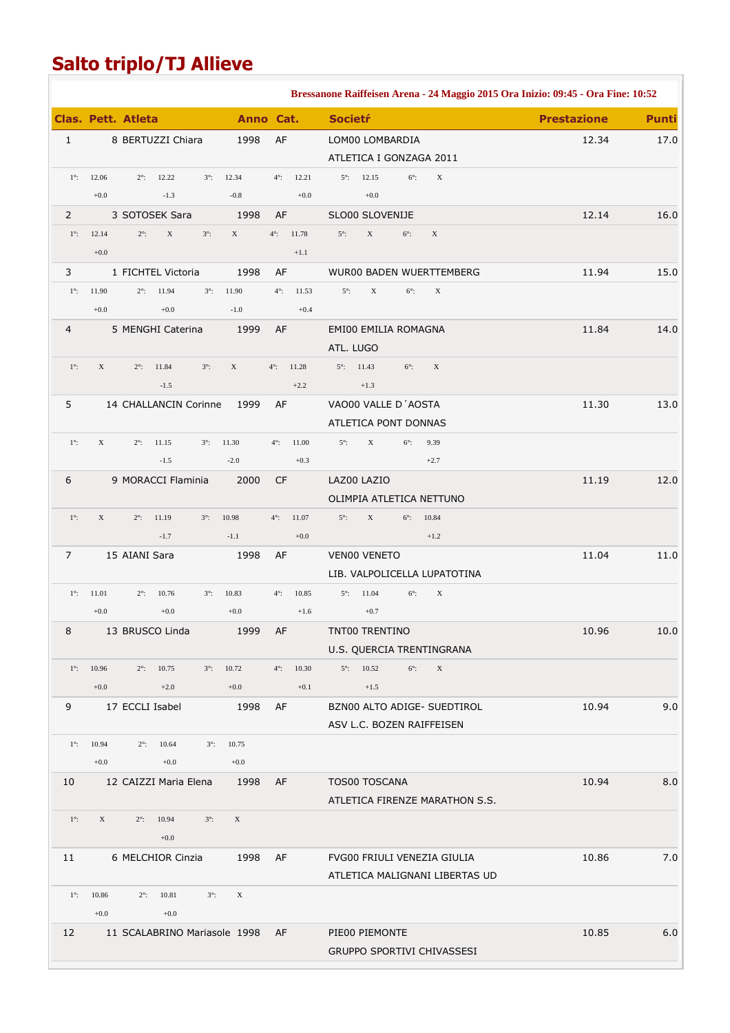# **Salto triplo/TJ Allieve**

|                |                                                                  |                           |                      | Bressanone Raiffeisen Arena - 24 Maggio 2015 Ora Inizio: 09:45 - Ora Fine: 10:52 |                                    |
|----------------|------------------------------------------------------------------|---------------------------|----------------------|----------------------------------------------------------------------------------|------------------------------------|
|                | <b>Clas. Pett. Atleta</b>                                        |                           | Anno Cat.            | <b>Societŕ</b>                                                                   | <b>Prestazione</b><br><b>Punti</b> |
| $\mathbf{1}$   | 8 BERTUZZI Chiara                                                | 1998                      | AF                   | LOM00 LOMBARDIA                                                                  | 17.0<br>12.34                      |
|                |                                                                  |                           |                      | ATLETICA I GONZAGA 2011                                                          |                                    |
| $1^\circ$ :    | 12.06<br>$2^\circ$ :<br>12.22<br>$3^\circ$ :                     | 12.34                     | $4^\circ$ :<br>12.21 | $6^\circ$ :<br>$\mathbf X$<br>$5^{\circ}$ : 12.15                                |                                    |
|                | $+0.0$<br>$-1.3$                                                 | $-0.8$                    | $+0.0$               | $+0.0$                                                                           |                                    |
| $\overline{2}$ | 3 SOTOSEK Sara                                                   | 1998                      | AF                   | SLO00 SLOVENIJE                                                                  | 12.14<br>16.0                      |
| $1^\circ$ :    | $2^\circ$ :<br>$\mathbf X$<br>12.14<br>$3^\circ$ :               | $\boldsymbol{\mathrm{X}}$ | $4^\circ$ :<br>11.78 | $\mathbf X$<br>$5^\circ$ :<br>$6^\circ$ :<br>$\mathbf X$                         |                                    |
|                | $+0.0$                                                           |                           | $+1.1$               |                                                                                  |                                    |
| 3              | 1 FICHTEL Victoria                                               | 1998                      | AF                   | WUR00 BADEN WUERTTEMBERG                                                         | 11.94<br>15.0                      |
| $1^\circ$ :    | 11.94<br>11.90<br>$2^\circ$ :<br>$3^\circ$ :                     | 11.90                     | $4^\circ$ :<br>11.53 | $\mathbf X$<br>$5^\circ$ :<br>$6^\circ$ :<br>$\mathbf X$                         |                                    |
|                | $+0.0$<br>$+0.0$                                                 | $-1.0$                    | $+0.4$               |                                                                                  |                                    |
| 4              | 5 MENGHI Caterina                                                | 1999                      | AF                   | EMI00 EMILIA ROMAGNA                                                             | 11.84<br>14.0                      |
| $1^\circ$ :    | $\mathbf X$<br>11.84<br>$3^\circ$ :<br>$2^\circ$ :               | $\mathbf X$               | 11.28<br>$4^\circ$ : | ATL. LUGO<br>$5^\circ$ :<br>11.43<br>$6^\circ$ :<br>$\mathbf X$                  |                                    |
|                | $-1.5$                                                           |                           | $+2.2$               | $+1.3$                                                                           |                                    |
| 5              | 14 CHALLANCIN Corinne                                            | 1999                      | AF                   | VAO00 VALLE D'AOSTA                                                              | 11.30<br>13.0                      |
|                |                                                                  |                           |                      | ATLETICA PONT DONNAS                                                             |                                    |
| $1^\circ$ :    | $\mathbf X$<br>11.15<br>$2^\circ$ :<br>$3^\circ$ :               | 11.30                     | $4^\circ$ :<br>11.00 | $5^\circ$ :<br>X<br>$6^\circ$ :<br>9.39                                          |                                    |
|                | $-1.5$                                                           | $-2.0$                    | $+0.3$               | $+2.7$                                                                           |                                    |
| 6              | 9 MORACCI Flaminia                                               | 2000                      | <b>CF</b>            | LAZ00 LAZIO                                                                      | 11.19<br>12.0                      |
|                |                                                                  |                           |                      | OLIMPIA ATLETICA NETTUNO                                                         |                                    |
| $1^\circ$ :    | $\mathbf X$<br>11.19<br>$2^\circ$ :<br>$3^\circ$ :               | 10.98                     | $4^\circ$ :<br>11.07 | $5^\circ$ :<br>$\mathbf X$<br>$6^\circ$ :<br>10.84                               |                                    |
|                | $-1.7$                                                           | $-1.1$                    | $+0.0$               | $+1.2$                                                                           |                                    |
| 7              | 15 AIANI Sara                                                    | 1998                      | AF                   | VEN00 VENETO                                                                     | 11.04<br>11.0                      |
|                |                                                                  |                           |                      | LIB. VALPOLICELLA LUPATOTINA                                                     |                                    |
| $1^\circ$ :    | 11.01<br>$2^\circ$ :<br>10.76<br>$3^\circ$ :                     | 10.83                     | $4^\circ$ :<br>10.85 | $5^{\circ}$ : 11.04<br>$\mathbf X$<br>$6^\circ$ :                                |                                    |
|                | $+0.0$<br>$+0.0$                                                 | $+0.0$                    | $+1.6$               | $+0.7$                                                                           |                                    |
| 8              | 13 BRUSCO Linda                                                  | 1999                      | AF                   | TNT00 TRENTINO                                                                   | 10.96<br>10.0                      |
|                |                                                                  |                           |                      | U.S. QUERCIA TRENTINGRANA                                                        |                                    |
| $1^\circ$ :    | 10.96<br>10.75<br>$2^\circ$ :<br>$3^\circ$ :                     | 10.72                     | 10.30<br>$4^\circ$ : | $5^{\circ}$ : 10.52<br>$6^\circ$ :<br>$\mathbf X$                                |                                    |
|                | $+0.0$<br>$+2.0$                                                 | $+0.0$                    | $+0.1$               | $+1.5$                                                                           |                                    |
| 9              | 17 ECCLI Isabel                                                  | 1998                      | AF                   | BZN00 ALTO ADIGE- SUEDTIROL                                                      | 9.0<br>10.94                       |
|                |                                                                  |                           |                      | ASV L.C. BOZEN RAIFFEISEN                                                        |                                    |
| $1^\circ$ :    | 10.94<br>$2^\circ$ :<br>10.64<br>$3^\circ$ :<br>$+0.0$<br>$+0.0$ | 10.75<br>$+0.0$           |                      |                                                                                  |                                    |
| 10             | 12 CAIZZI Maria Elena                                            | 1998                      | AF                   | TOS00 TOSCANA                                                                    | 8.0<br>10.94                       |
|                |                                                                  |                           |                      | ATLETICA FIRENZE MARATHON S.S.                                                   |                                    |
| $1^\circ$ :    | $\mathbf X$<br>10.94<br>$3^\circ$ :<br>$2^\circ$ :               | $\mathbf X$               |                      |                                                                                  |                                    |
|                | $+0.0$                                                           |                           |                      |                                                                                  |                                    |
| 11             | 6 MELCHIOR Cinzia                                                | 1998                      | AF                   | FVG00 FRIULI VENEZIA GIULIA                                                      | 7.0<br>10.86                       |
|                |                                                                  |                           |                      | ATLETICA MALIGNANI LIBERTAS UD                                                   |                                    |
| $1^\circ$ :    | 10.86<br>$2^\circ$ :<br>10.81<br>$3^\circ$ :                     | $\mathbf X$               |                      |                                                                                  |                                    |
|                | $+0.0$<br>$+0.0$                                                 |                           |                      |                                                                                  |                                    |
| 12             | 11 SCALABRINO Mariasole 1998                                     |                           | AF                   | PIE00 PIEMONTE                                                                   | 6.0<br>10.85                       |
|                |                                                                  |                           |                      | GRUPPO SPORTIVI CHIVASSESI                                                       |                                    |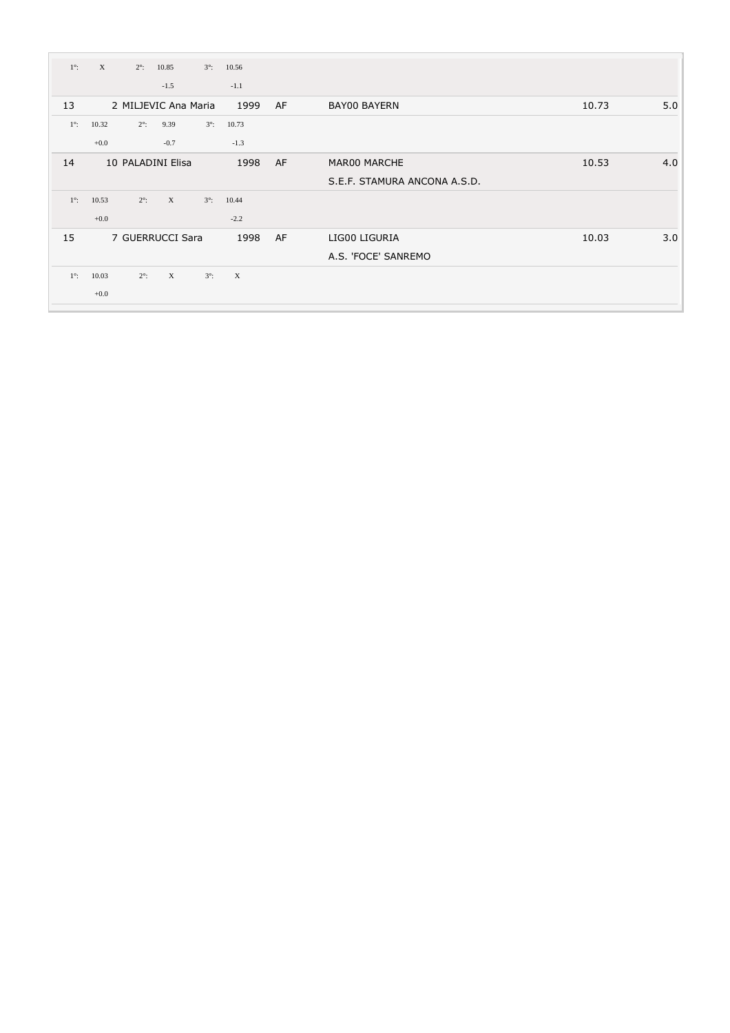| $1^\circ$ : | $\mathbf{X}$ | $2^\circ$ : | 10.85                | $3^\circ$ : | 10.56        |    |                              |       |     |
|-------------|--------------|-------------|----------------------|-------------|--------------|----|------------------------------|-------|-----|
|             |              |             | $-1.5$               |             | $-1.1$       |    |                              |       |     |
| 13          |              |             | 2 MILJEVIC Ana Maria |             | 1999         | AF | <b>BAY00 BAYERN</b>          | 10.73 | 5.0 |
| $1^\circ$ : | 10.32        | $2^\circ$ : | 9.39                 | $3^\circ$ : | 10.73        |    |                              |       |     |
|             | $+0.0$       |             | $-0.7$               |             | $-1.3$       |    |                              |       |     |
| 14          |              |             | 10 PALADINI Elisa    |             | 1998         | AF | MAR00 MARCHE                 | 10.53 | 4.0 |
|             |              |             |                      |             |              |    | S.E.F. STAMURA ANCONA A.S.D. |       |     |
| $1^\circ$ : | 10.53        | $2^\circ$ : | X                    | $3^\circ$ : | 10.44        |    |                              |       |     |
|             | $+0.0$       |             |                      |             | $-2.2$       |    |                              |       |     |
| 15          |              |             | 7 GUERRUCCI Sara     |             | 1998         | AF | LIG00 LIGURIA                | 10.03 | 3.0 |
|             |              |             |                      |             |              |    | A.S. 'FOCE' SANREMO          |       |     |
| $1^\circ$ : | 10.03        | $2^\circ$ : | $\mathbf{X}$         | $3^\circ$ : | $\mathbf{X}$ |    |                              |       |     |
|             | $+0.0$       |             |                      |             |              |    |                              |       |     |
|             |              |             |                      |             |              |    |                              |       |     |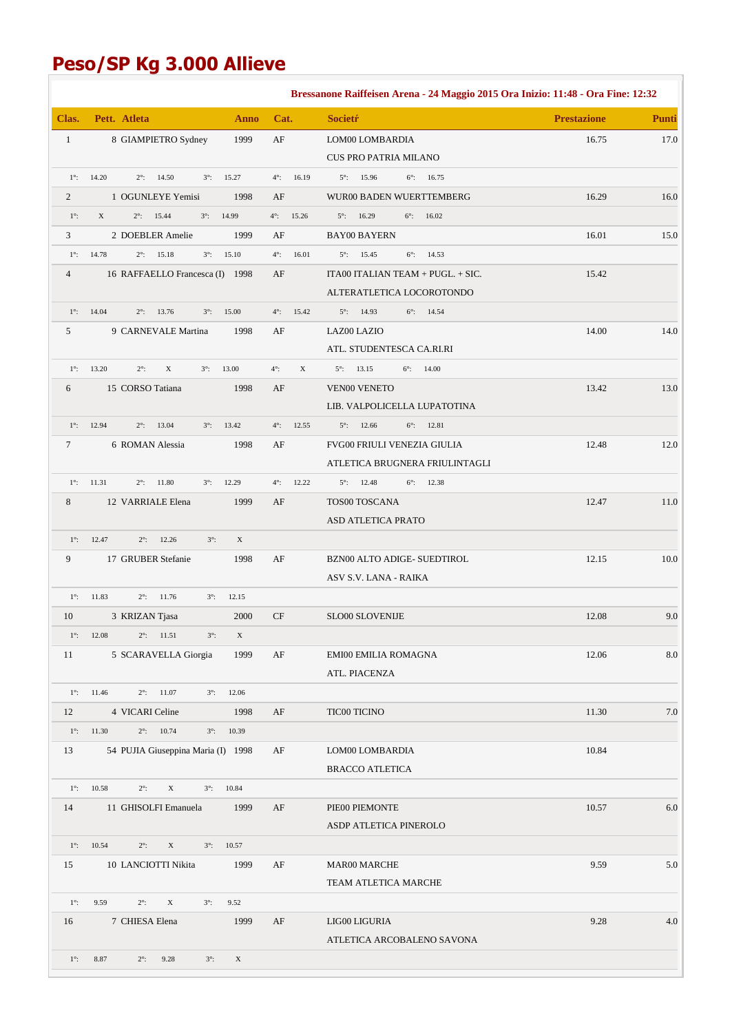# **Peso/SP Kg 3.000 Allieve**

|              |                                                           |             |                      | Bressanone Raiffeisen Arena - 24 Maggio 2015 Ora Inizio: 11:48 - Ora Fine: 12:32 |                    |              |
|--------------|-----------------------------------------------------------|-------------|----------------------|----------------------------------------------------------------------------------|--------------------|--------------|
| Clas.        | Pett. Atleta                                              | <b>Anno</b> | Cat.                 | <b>Societr</b>                                                                   | <b>Prestazione</b> | <b>Punti</b> |
| $\mathbf{1}$ | 8 GIAMPIETRO Sydney                                       | 1999        | AF                   | LOM00 LOMBARDIA                                                                  | 16.75              | 17.0         |
|              |                                                           |             |                      | CUS PRO PATRIA MILANO                                                            |                    |              |
| $1^\circ$ :  | 14.20<br>$2^\circ$ :<br>14.50<br>$3^\circ$ :              | 15.27       | $4^\circ$ :<br>16.19 | $5^\circ$ :<br>15.96<br>$6^\circ$ :<br>16.75                                     |                    |              |
| 2            | 1 OGUNLEYE Yemisi                                         | 1998        | AF                   | WUR00 BADEN WUERTTEMBERG                                                         | 16.29              | 16.0         |
| $1^\circ$ :  | X<br>$2^\circ$ :<br>15.44<br>$3^\circ$ :                  | 14.99       | $4^\circ$ :<br>15.26 | $5^{\circ}$ : 16.29<br>$6^{\circ}$ : 16.02                                       |                    |              |
| 3            | 2 DOEBLER Amelie                                          | 1999        | AF                   | <b>BAY00 BAYERN</b>                                                              | 16.01              | 15.0         |
| $1^\circ$ :  | 14.78<br>$2^\circ$ :<br>15.18<br>$3^\circ$ :              | 15.10       | $4^\circ$ :<br>16.01 | $5^\circ$ :<br>15.45<br>$6^\circ$ :<br>14.53                                     |                    |              |
| 4            | 16 RAFFAELLO Francesca (I) 1998                           |             | AF                   | ITA00 ITALIAN TEAM + PUGL. + SIC.                                                | 15.42              |              |
|              |                                                           |             |                      | ALTERATLETICA LOCOROTONDO                                                        |                    |              |
| $1^\circ$ :  | 14.04<br>$2^\circ$ :<br>13.76<br>$3^\circ$ :              | 15.00       | $4^\circ$ :<br>15.42 | $5^{\circ}$ : 14.93<br>$6^\circ$ : 14.54                                         |                    |              |
| 5            | 9 CARNEVALE Martina                                       | 1998        | AF                   | LAZ00 LAZIO<br>ATL. STUDENTESCA CA.RI.RI                                         | 14.00              | 14.0         |
| $1^\circ$ :  | 13.20<br>$2^\circ$ :<br>X<br>$3^\circ$ :                  | 13.00       | $4^\circ$ :<br>X     | $5^{\circ}$ : 13.15<br>$6^{\circ}$ : 14.00                                       |                    |              |
| 6            | 15 CORSO Tatiana                                          | 1998        | AF                   | <b>VEN00 VENETO</b>                                                              | 13.42              | 13.0         |
|              |                                                           |             |                      | LIB. VALPOLICELLA LUPATOTINA                                                     |                    |              |
| $1^\circ$ :  | 12.94<br>$2^\circ$ :<br>13.04<br>$3^\circ$ :              | 13.42       | $4^\circ$ :<br>12.55 | $5^{\circ}$ : 12.66<br>$6^\circ$ :<br>12.81                                      |                    |              |
| $\tau$       | 6 ROMAN Alessia                                           | 1998        | AF                   | <b>FVG00 FRIULI VENEZIA GIULIA</b>                                               | 12.48              | 12.0         |
|              |                                                           |             |                      | ATLETICA BRUGNERA FRIULINTAGLI                                                   |                    |              |
| $1^\circ$ :  | 11.31<br>$2^\circ$ :<br>11.80<br>$3^\circ$ :              | 12.29       | $4^\circ$ :<br>12.22 | $5^{\circ}$ : 12.48<br>$6^\circ$ :<br>12.38                                      |                    |              |
| 8            | 12 VARRIALE Elena                                         | 1999        | AF                   | TOS00 TOSCANA                                                                    | 12.47              | $11.0\,$     |
|              |                                                           |             |                      | ASD ATLETICA PRATO                                                               |                    |              |
| $1^\circ$ :  | 12.47<br>$2^\circ$ :<br>12.26<br>$3^\circ$ :              | $\mathbf X$ |                      |                                                                                  |                    |              |
| 9            | 17 GRUBER Stefanie                                        | 1998        | AF                   | BZN00 ALTO ADIGE- SUEDTIROL                                                      | 12.15              | 10.0         |
|              |                                                           |             |                      | ASV S.V. LANA - RAIKA                                                            |                    |              |
|              | $1^{\circ}$ : 11.83<br>$2^{\circ}$ : 11.76<br>$3^\circ$ : | 12.15       |                      |                                                                                  |                    |              |
| 10           | 3 KRIZAN Tjasa                                            | 2000        | CF                   | SLO00 SLOVENIJE                                                                  | 12.08              | 9.0          |
|              | $1^{\circ}$ : 12.08<br>$2^{\circ}$ : 11.51<br>$3^\circ$ : | X           |                      |                                                                                  |                    |              |
| 11           | 5 SCARAVELLA Giorgia                                      | 1999        | AF                   | EMI00 EMILIA ROMAGNA                                                             | 12.06              | $\ \ 8.0$    |
|              |                                                           |             |                      | ATL. PIACENZA                                                                    |                    |              |
|              | $1^{\circ}$ : 11.46<br>$2^{\circ}$ : 11.07<br>$3^\circ$ : | 12.06       |                      |                                                                                  |                    |              |
| 12           | 4 VICARI Celine                                           | 1998        | AF                   | TIC00 TICINO                                                                     | 11.30              | $7.0\,$      |
| $1^\circ$ :  | 11.30<br>$2^{\circ}$ : 10.74<br>$3^\circ$ :               | 10.39       |                      |                                                                                  |                    |              |
| 13           | 54 PUJIA Giuseppina Maria (I) 1998                        |             | AF                   | LOM00 LOMBARDIA<br><b>BRACCO ATLETICA</b>                                        | 10.84              |              |
| $1^\circ$ :  | 10.58<br>$2^\circ$ :<br>$\mathbf X$<br>$3^\circ$ :        | 10.84       |                      |                                                                                  |                    |              |
| 14           | 11 GHISOLFI Emanuela                                      | 1999        | AF                   | PIE00 PIEMONTE                                                                   | 10.57              | 6.0          |
|              |                                                           |             |                      | ASDP ATLETICA PINEROLO                                                           |                    |              |
| $1^\circ$ :  | 10.54<br>$2^\circ$ :<br>$\mathbf X$<br>$3^\circ$ :        | 10.57       |                      |                                                                                  |                    |              |
| 15           | 10 LANCIOTTI Nikita                                       | 1999        | AF                   | <b>MAR00 MARCHE</b>                                                              | 9.59               | 5.0          |
|              |                                                           |             |                      | TEAM ATLETICA MARCHE                                                             |                    |              |
| $1^\circ$ :  | 9.59<br>$2^\circ$ :<br>$\mathbf X$<br>$3^\circ$ :         | 9.52        |                      |                                                                                  |                    |              |
| 16           | 7 CHIESA Elena                                            | 1999        | AF                   | LIG00 LIGURIA                                                                    | 9.28               | 4.0          |
|              |                                                           |             |                      | ATLETICA ARCOBALENO SAVONA                                                       |                    |              |
| $1^\circ$ :  | 8.87<br>$2^\circ$ :<br>9.28<br>$3^\circ$ :                | X           |                      |                                                                                  |                    |              |
|              |                                                           |             |                      |                                                                                  |                    |              |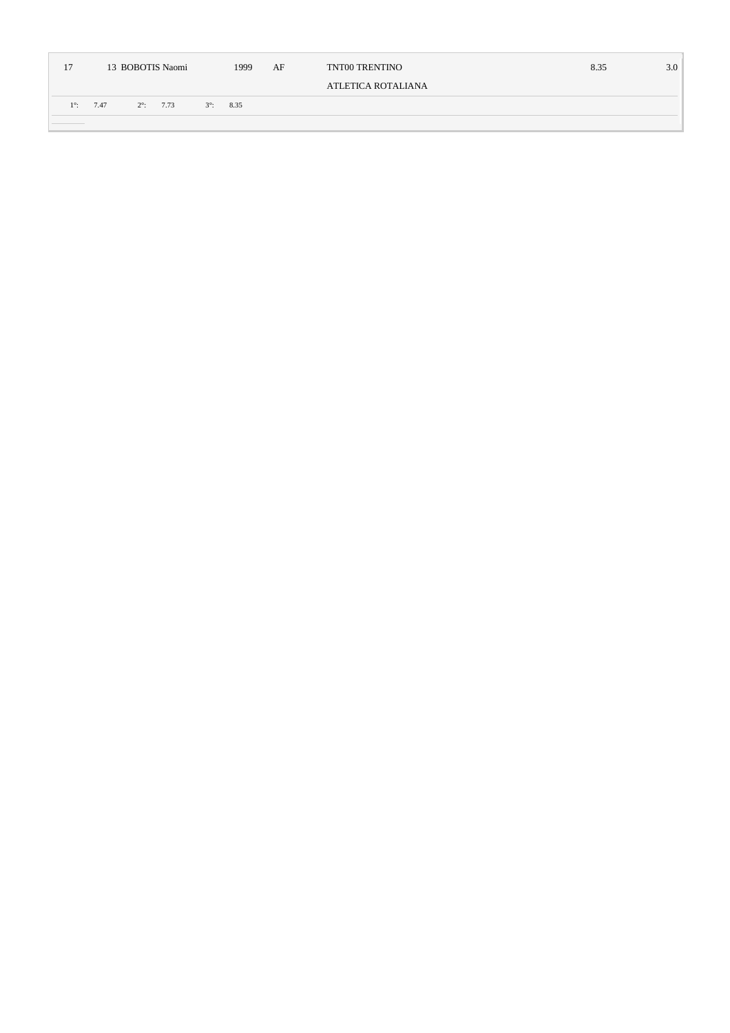| 17        | 13 BOBOTIS Naomi<br>1999 |             |      |             |      | AF | TNT00 TRENTINO     | 8.35 | 3.0 |
|-----------|--------------------------|-------------|------|-------------|------|----|--------------------|------|-----|
|           |                          |             |      |             |      |    | ATLETICA ROTALIANA |      |     |
| $1^\circ$ | 7.47                     | $2^\circ$ : | 7.73 | $3^\circ$ : | 8.35 |    |                    |      |     |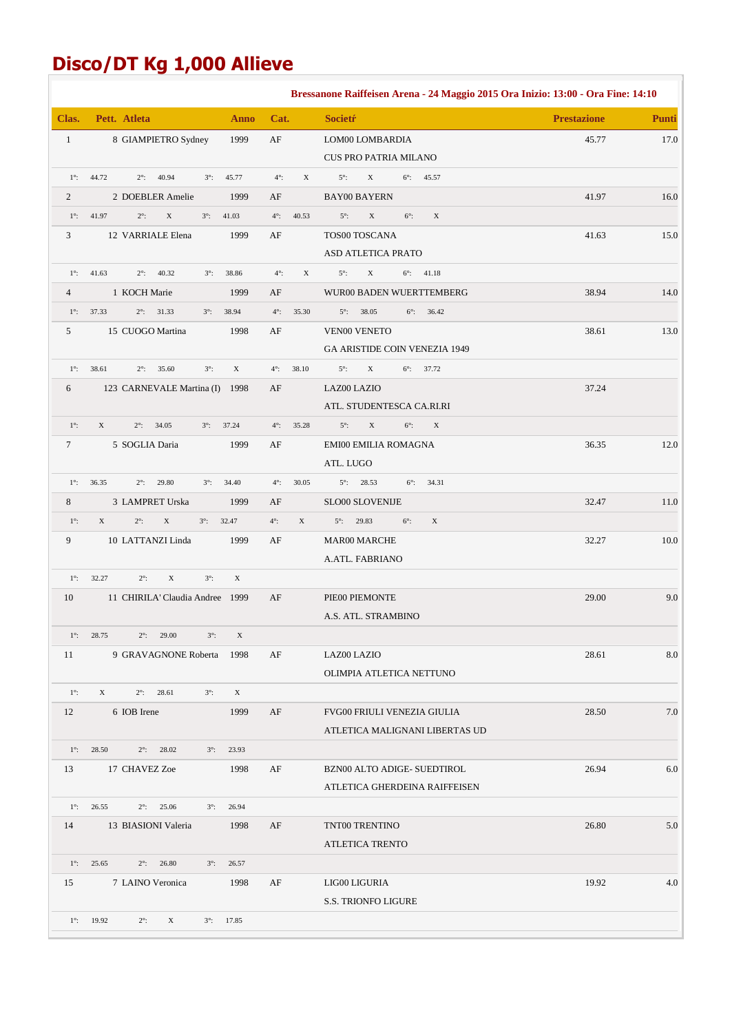# **Disco/DT Kg 1,000 Allieve**

|              |                                                                          |                            | Bressanone Raiffeisen Arena - 24 Maggio 2015 Ora Inizio: 13:00 - Ora Fine: 14:10 |                    |              |
|--------------|--------------------------------------------------------------------------|----------------------------|----------------------------------------------------------------------------------|--------------------|--------------|
| Clas.        | Pett. Atleta<br><b>Anno</b>                                              | Cat.                       | <b>Societr</b>                                                                   | <b>Prestazione</b> | <b>Punti</b> |
| $\mathbf{1}$ | 8 GIAMPIETRO Sydney<br>1999                                              | $\rm AF$                   | LOM00 LOMBARDIA                                                                  | 45.77              | 17.0         |
|              |                                                                          |                            | CUS PRO PATRIA MILANO                                                            |                    |              |
| $1^\circ$ :  | 40.94<br>44.72<br>$2^\circ$ :<br>$3^\circ$ :<br>45.77                    | $4^\circ$ :<br>$\mathbf X$ | $5^\circ$ :<br>X<br>$6^\circ$ :<br>45.57                                         |                    |              |
| 2            | 2 DOEBLER Amelie<br>1999                                                 | AF                         | <b>BAY00 BAYERN</b>                                                              | 41.97              | 16.0         |
| $1^\circ$ :  | 41.97<br>$2^\circ$ :<br>$\mathbf X$<br>$3^\circ$ :<br>41.03              | $4^\circ$ :<br>40.53       | $\mathbf X$<br>$5^\circ$ :<br>$6^\circ$ :<br>$\mathbf X$                         |                    |              |
| 3            | 1999<br>12 VARRIALE Elena                                                | AF                         | TOS00 TOSCANA                                                                    | 41.63              | 15.0         |
|              |                                                                          |                            | <b>ASD ATLETICA PRATO</b>                                                        |                    |              |
| $1^\circ$ :  | 40.32<br>41.63<br>$2^\circ$ :<br>$3^\circ$ :<br>38.86                    | $4^\circ$ :<br>$\mathbf X$ | $5^\circ$ :<br>X<br>$6^{\circ}$ : 41.18                                          |                    |              |
| 4            | 1 KOCH Marie<br>1999                                                     | AF                         | WUR00 BADEN WUERTTEMBERG                                                         | 38.94              | 14.0         |
| $1^\circ$ :  | 38.94<br>37.33<br>$2^\circ$ :<br>31.33<br>$3^\circ$ :                    | $4^\circ$ :<br>35.30       | $5^{\circ}$ : 38.05<br>$6^\circ$ : 36.42                                         |                    |              |
| 5            | 1998<br>15 CUOGO Martina                                                 | AF                         | <b>VEN00 VENETO</b>                                                              | 38.61              | 13.0         |
|              |                                                                          |                            | GA ARISTIDE COIN VENEZIA 1949                                                    |                    |              |
| $1^\circ$ :  | 38.61<br>$\mathbf X$<br>$2^\circ$ :<br>35.60<br>$3^\circ$ :              | $4^\circ$ :<br>38.10       | $5^\circ$ :<br>X<br>$6^\circ$ : 37.72                                            |                    |              |
| 6            | 123 CARNEVALE Martina (I) 1998                                           | AF                         | LAZ00 LAZIO                                                                      | 37.24              |              |
|              |                                                                          |                            | ATL. STUDENTESCA CA.RI.RI                                                        |                    |              |
| $1^\circ$ :  | X<br>$2^\circ$ :<br>34.05<br>$3^\circ$ :<br>37.24                        | $4^\circ$ :<br>35.28       | $5^\circ$ :<br>$\mathbf X$<br>$6^\circ$ :<br>$\boldsymbol{\mathrm{X}}$           |                    |              |
| $\tau$       | 1999<br>5 SOGLIA Daria                                                   | AF                         | EMI00 EMILIA ROMAGNA                                                             | 36.35              | 12.0         |
|              |                                                                          |                            | ATL. LUGO                                                                        |                    |              |
| $1^\circ$ :  | 36.35<br>$2^\circ$ :<br>29.80<br>$3^\circ$ :<br>34.40                    | $4^\circ$ :<br>30.05       | $5^\circ$ :<br>28.53<br>$6^\circ$ :<br>34.31                                     |                    |              |
| 8            | 3 LAMPRET Urska<br>1999                                                  | AF                         | SLO00 SLOVENIJE                                                                  | 32.47              | 11.0         |
| $1^\circ$ :  | $\mathbf X$<br>$\mathbf X$<br>$2^\circ$ :<br>$3^\circ$ :<br>32.47        | $4^\circ$ :<br>$\mathbf X$ | $5^{\circ}$ : 29.83<br>$6^\circ$ :<br>$\mathbf X$                                |                    |              |
| 9            | 10 LATTANZI Linda<br>1999                                                | AF                         | MAR00 MARCHE                                                                     | 32.27              | 10.0         |
|              |                                                                          |                            | A.ATL. FABRIANO                                                                  |                    |              |
| $1^\circ$ :  | 32.27<br>$2^\circ$ :<br>X<br>$3^\circ$ :<br>X                            |                            |                                                                                  |                    |              |
| 10           | 11 CHIRILA' Claudia Andree 1999                                          | AF                         | PIE00 PIEMONTE                                                                   | 29.00              | 9.0          |
|              |                                                                          |                            | A.S. ATL. STRAMBINO                                                              |                    |              |
|              | $1^{\circ}$ : 28.75<br>$2^{\circ}$ : 29.00<br>$3^\circ$ :<br>$\mathbf X$ |                            |                                                                                  |                    |              |
| 11           | 9 GRAVAGNONE Roberta 1998                                                | AF                         | LAZ00 LAZIO                                                                      | 28.61              | 8.0          |
|              |                                                                          |                            | OLIMPIA ATLETICA NETTUNO                                                         |                    |              |
| $1^\circ$ :  | X<br>$2^{\circ}$ : 28.61<br>$3^\circ$ :<br>X                             |                            |                                                                                  |                    |              |
| 12           | 6 IOB Irene<br>1999                                                      | AF                         | FVG00 FRIULI VENEZIA GIULIA                                                      | 28.50              | 7.0          |
|              |                                                                          |                            | ATLETICA MALIGNANI LIBERTAS UD                                                   |                    |              |
| $1^\circ$ :  | 28.50<br>$2^{\circ}$ : 28.02<br>$3^\circ$ :<br>23.93                     |                            |                                                                                  |                    |              |
| 13           | 17 CHAVEZ Zoe<br>1998                                                    | AF                         | BZN00 ALTO ADIGE- SUEDTIROL                                                      | 26.94              | 6.0          |
|              |                                                                          |                            | ATLETICA GHERDEINA RAIFFEISEN                                                    |                    |              |
| $1^\circ$ :  | 26.55<br>$2^{\circ}$ : 25.06<br>26.94<br>$3^\circ$ :                     |                            |                                                                                  |                    |              |
| 14           | 13 BIASIONI Valeria<br>1998                                              | AF                         | TNT00 TRENTINO                                                                   | 26.80              | 5.0          |
|              |                                                                          |                            | ATLETICA TRENTO                                                                  |                    |              |
| $1^\circ$ :  | 25.65<br>$2^{\circ}$ : 26.80<br>26.57<br>$3^\circ$ :                     |                            |                                                                                  |                    |              |
| 15           | 7 LAINO Veronica<br>1998                                                 | AF                         | LIG00 LIGURIA                                                                    | 19.92              | 4.0          |
|              |                                                                          |                            | S.S. TRIONFO LIGURE                                                              |                    |              |
|              | $1^{\circ}$ : 19.92<br>$2^\circ$ :<br>X<br>$3^{\circ}$ : 17.85           |                            |                                                                                  |                    |              |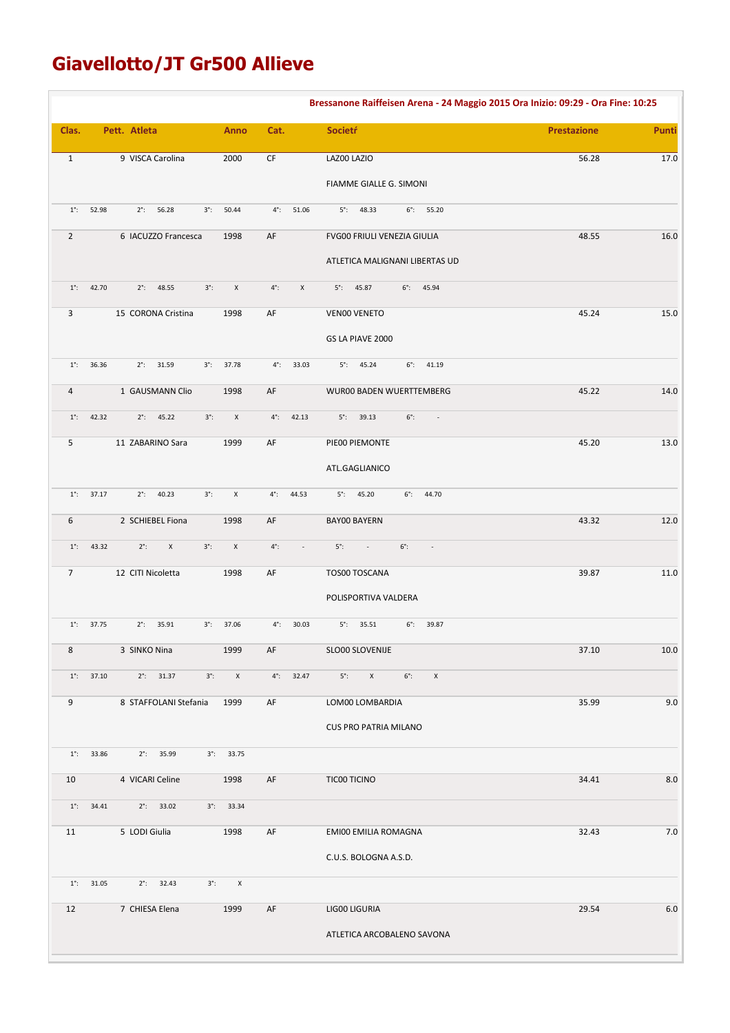# **Giavellotto/JT Gr500 Allieve**

|                 |                     |                            |             |                     |                        |                          | Bressanone Raiffeisen Arena - 24 Maggio 2015 Ora Inizio: 09:29 - Ora Fine: 10:25 |                    |          |
|-----------------|---------------------|----------------------------|-------------|---------------------|------------------------|--------------------------|----------------------------------------------------------------------------------|--------------------|----------|
| Clas.           |                     | Pett. Atleta               |             | <b>Anno</b>         | Cat.                   |                          | Societŕ                                                                          | <b>Prestazione</b> | Punti    |
| $\mathbf{1}$    |                     | 9 VISCA Carolina           |             | 2000                | $\mathsf{C}\mathsf{F}$ |                          | LAZ00 LAZIO                                                                      | 56.28              | 17.0     |
|                 |                     |                            |             |                     |                        |                          | FIAMME GIALLE G. SIMONI                                                          |                    |          |
| $1^\circ$ :     | 52.98               | $2^{\circ}$ : 56.28        | $3^\circ$ : | 50.44               | $4^\circ$ :            | 51.06                    | $5^{\circ}$ : 48.33<br>$6^\circ$ : 55.20                                         |                    |          |
| $\overline{2}$  |                     | 6 IACUZZO Francesca        |             | 1998                | AF                     |                          | FVG00 FRIULI VENEZIA GIULIA                                                      | 48.55              | 16.0     |
|                 |                     |                            |             |                     |                        |                          | ATLETICA MALIGNANI LIBERTAS UD                                                   |                    |          |
| $1^\circ$ :     | 42.70               | $2^{\circ}$ :<br>48.55     | $3^\circ$ : | $\mathsf X$         | $4^\circ$ :            | $\mathsf X$              | $6^\circ$ :<br>$5^\circ$ :<br>45.87<br>45.94                                     |                    |          |
| 3               |                     | 15 CORONA Cristina         |             | 1998                | AF                     |                          | VEN00 VENETO                                                                     | 45.24              | 15.0     |
|                 |                     |                            |             |                     |                        |                          | GS LA PIAVE 2000                                                                 |                    |          |
| $1^\circ$ :     | 36.36               | $2^{\circ}$ :<br>31.59     | $3^\circ$ : | 37.78               | $4^\circ$ :            | 33.03                    | $5^{\circ}$ : 45.24<br>$6^\circ$ :<br>41.19                                      |                    |          |
| 4               |                     | 1 GAUSMANN Clio            |             | 1998                | AF                     |                          | WUR00 BADEN WUERTTEMBERG                                                         | 45.22              | 14.0     |
| $1^\circ$ :     | 42.32               | $2^{\circ}$ : 45.22        | $3^\circ$ : | $\mathsf X$         | $4^\circ$ :            | 42.13                    | $6^\circ$ :<br>$5^{\circ}$ : 39.13<br>$\sim 100$                                 |                    |          |
| 5               |                     | 11 ZABARINO Sara           |             | 1999                | AF                     |                          | PIE00 PIEMONTE                                                                   | 45.20              | 13.0     |
|                 |                     |                            |             |                     |                        |                          | ATL.GAGLIANICO                                                                   |                    |          |
| $1^\circ$ :     | 37.17               | $2^\circ$ :<br>40.23       | $3^\circ$ : | X                   | $4^\circ$ :            | 44.53                    | $5^{\circ}$ : 45.20<br>$6^\circ$ :<br>44.70                                      |                    |          |
| 6               |                     | 2 SCHIEBEL Fiona           |             | 1998                | AF                     |                          | <b>BAYOO BAYERN</b>                                                              | 43.32              | 12.0     |
| $1^\circ$ :     | 43.32               | $2^\circ$ :<br>$\mathsf X$ | $3^\circ$ : | $\mathsf X$         | $4^\circ$ :            | $\overline{\phantom{a}}$ | $5^\circ$ :<br>$6^\circ$ :<br>$\sim$<br>$\sim$                                   |                    |          |
| $7\overline{ }$ |                     | 12 CITI Nicoletta          |             | 1998                | AF                     |                          | TOS00 TOSCANA                                                                    | 39.87              | 11.0     |
|                 |                     |                            |             |                     |                        |                          | POLISPORTIVA VALDERA                                                             |                    |          |
|                 | $1^{\circ}$ : 37.75 | $2^{\circ}$ :<br>35.91     | $3^\circ$ : | 37.06               | $4^\circ$ :            | 30.03                    | $5^\circ$ :<br>35.51<br>$6^\circ$ :<br>39.87                                     |                    |          |
| 8               |                     | 3 SINKO Nina               |             | 1999                | AF                     |                          | SLO00 SLOVENIJE                                                                  | 37.10              | $10.0\,$ |
|                 | $1^{\circ}$ : 37.10 | $2^{\circ}$ : 31.37        | $3^\circ$ : | $\,$ X              |                        | $4^{\circ}$ : 32.47      | $5^\circ$ :<br>$\mathsf{X}$<br>$6^\circ$ :<br>$\pmb{\chi}$                       |                    |          |
| 9               |                     | 8 STAFFOLANI Stefania      |             | 1999                | AF                     |                          | LOM00 LOMBARDIA                                                                  | 35.99              | 9.0      |
|                 |                     |                            |             |                     |                        |                          | <b>CUS PRO PATRIA MILANO</b>                                                     |                    |          |
| $1^\circ$ :     | 33.86               | $2^{\circ}$ : 35.99        |             | $3^{\circ}$ : 33.75 |                        |                          |                                                                                  |                    |          |
| 10              |                     | 4 VICARI Celine            |             | 1998                | AF                     |                          | TIC00 TICINO                                                                     | 34.41              | 8.0      |
| $1^\circ$ :     | 34.41               | $2^{\circ}$ : 33.02        |             | $3^{\circ}$ : 33.34 |                        |                          |                                                                                  |                    |          |
| 11              |                     | 5 LODI Giulia              |             | 1998                | AF                     |                          | EMI00 EMILIA ROMAGNA                                                             | 32.43              | 7.0      |
|                 |                     |                            |             |                     |                        |                          | C.U.S. BOLOGNA A.S.D.                                                            |                    |          |
| $1^\circ$ :     | 31.05               | 32.43<br>$2^\circ$ :       | $3^\circ$ : | X                   |                        |                          |                                                                                  |                    |          |
| 12              |                     | 7 CHIESA Elena             |             | 1999                | AF                     |                          | LIG00 LIGURIA                                                                    | 29.54              | $6.0$    |
|                 |                     |                            |             |                     |                        |                          | ATLETICA ARCOBALENO SAVONA                                                       |                    |          |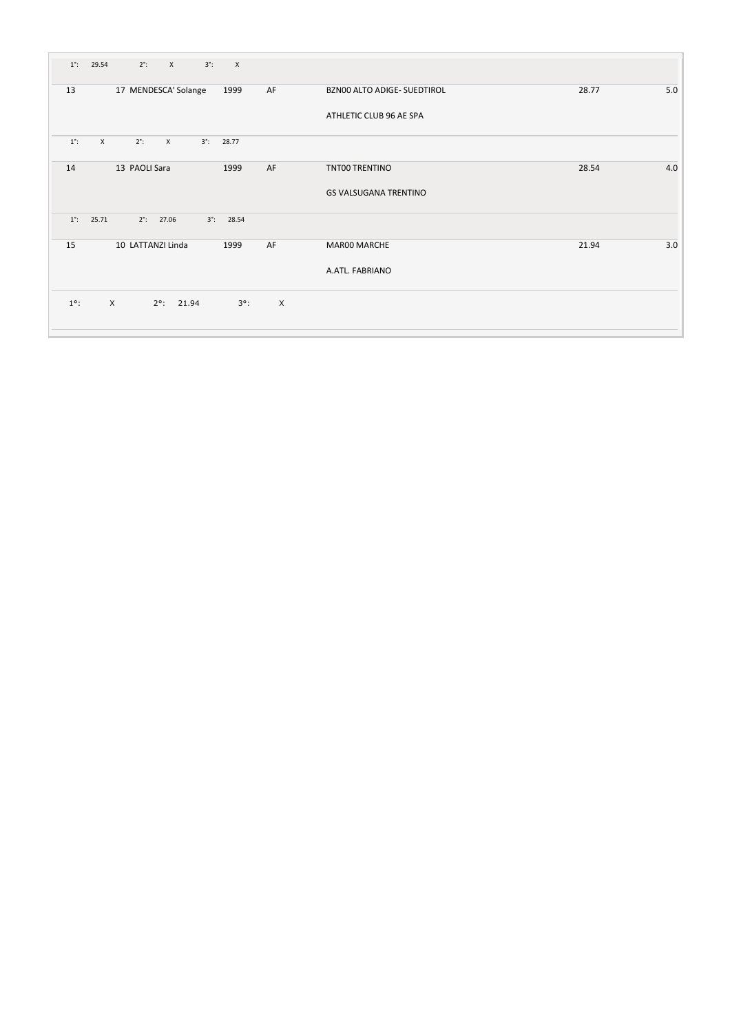| $1^\circ$ : | 29.54        |          | $2^\circ$ :          | $\mathsf{X}$        | $3^\circ$ : | $\mathsf{X}$        |                           |                              |       |     |
|-------------|--------------|----------|----------------------|---------------------|-------------|---------------------|---------------------------|------------------------------|-------|-----|
| 13          |              |          | 17 MENDESCA' Solange |                     |             | 1999                | AF                        | BZN00 ALTO ADIGE- SUEDTIROL  | 28.77 | 5.0 |
|             |              |          |                      |                     |             |                     |                           | ATHLETIC CLUB 96 AE SPA      |       |     |
| $1^\circ$ : | $\mathsf{x}$ |          | $2^\circ$ :          | $\mathsf{x}$        | $3^\circ$ : | 28.77               |                           |                              |       |     |
| 14          |              |          | 13 PAOLI Sara        |                     |             | 1999                | AF                        | TNT00 TRENTINO               | 28.54 | 4.0 |
|             |              |          |                      |                     |             |                     |                           | <b>GS VALSUGANA TRENTINO</b> |       |     |
| $1^\circ$ : | 25.71        |          | $2^{\circ}$ : 27.06  |                     |             | $3^{\circ}$ : 28.54 |                           |                              |       |     |
| 15          |              |          | 10 LATTANZI Linda    |                     |             | 1999                | AF                        | MAR00 MARCHE                 | 21.94 | 3.0 |
|             |              |          |                      |                     |             |                     |                           | A.ATL. FABRIANO              |       |     |
| $1^\circ$ : |              | $\times$ |                      | $2^{\circ}$ : 21.94 |             | $3^\circ$ :         | $\boldsymbol{\mathsf{X}}$ |                              |       |     |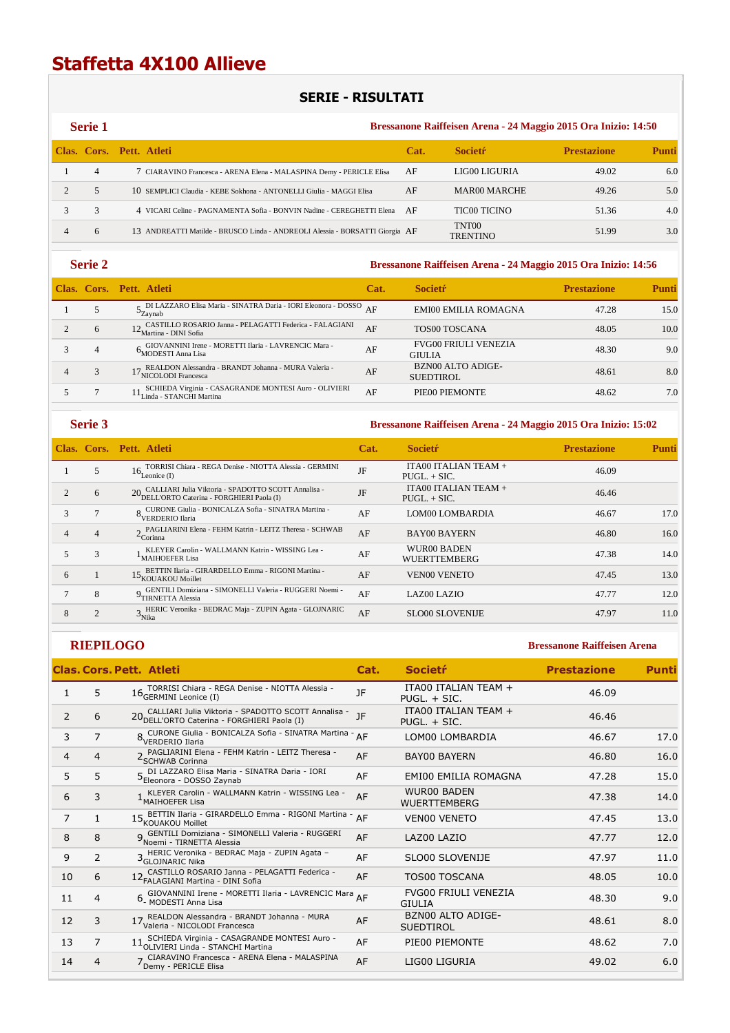# **Staffetta 4X100 Allieve**

## **SERIE - RISULTATI**

| <b>Serie 1</b> |                                                                              | Bressanone Raiffeisen Arena - 24 Maggio 2015 Ora Inizio: 14:50 |                          |                    |              |  |  |  |
|----------------|------------------------------------------------------------------------------|----------------------------------------------------------------|--------------------------|--------------------|--------------|--|--|--|
|                | Clas. Cors. Pett. Atleti                                                     | Cat.                                                           | <b>Societr</b>           | <b>Prestazione</b> | <b>Punti</b> |  |  |  |
| 4              | 7 CIARAVINO Francesca - ARENA Elena - MALASPINA Demy - PERICLE Elisa         | AF                                                             | LIG00 LIGURIA            | 49.02              | 6.0          |  |  |  |
| 5              | 10 SEMPLICI Claudia - KEBE Sokhona - ANTONELLI Giulia - MAGGI Elisa          | AF                                                             | MAR00 MARCHE             | 49.26              | 5.0          |  |  |  |
|                | 4 VICARI Celine - PAGNAMENTA Sofia - BONVIN Nadine - CEREGHETTI Elena        | - AF                                                           | <b>TIC00 TICINO</b>      | 51.36              | 4.0          |  |  |  |
| 6              | 13 ANDREATTI Matilde - BRUSCO Linda - ANDREOLI Alessia - BORSATTI Giorgia AF |                                                                | TNT00<br><b>TRENTINO</b> | 51.99              | 3.0          |  |  |  |

## **Serie 2 Bressanone Raiffeisen Arena - 24 Maggio 2015 Ora Inizio: 14:56**

|   | Clas. Cors. Pett. Atleti                                                                                                                     | Cat. | <b>Societr</b>                               | <b>Prestazione</b> | Punti |
|---|----------------------------------------------------------------------------------------------------------------------------------------------|------|----------------------------------------------|--------------------|-------|
|   | $\overline{\phantom{S}}$ DI LAZZARO Elisa Maria - SINATRA Daria - IORI Eleonora - DOSSO $\overline{\rm AF}$<br>$\mathcal{C}_{\text{Zavnab}}$ |      | <b>EMI00 EMILIA ROMAGNA</b>                  | 47.28              | 15.0  |
| 6 | $12$ CASTILLO ROSARIO Janna - PELAGATTI Federica - FALAGIANI Martina - DINI Sofia                                                            | AF   | TOS00 TOSCANA                                | 48.05              | 10.0  |
| 4 | GIOVANNINI Irene - MORETTI Ilaria - LAVRENCIC Mara -<br><sup>O</sup> MODESTI Anna Lisa                                                       | AF   | <b>FVG00 FRIULI VENEZIA</b><br><b>GIULIA</b> | 48.30              | 9.0   |
|   | 17 REALDON Alessandra - BRANDT Johanna - MURA Valeria -<br>NICOLODI Francesca                                                                | AF   | <b>BZN00 ALTO ADIGE-</b><br><b>SUEDTIROL</b> | 48.61              | 8.0   |
|   | SCHIEDA Virginia - CASAGRANDE MONTESI Auro - OLIVIERI<br>Linda - STANCHI Martina                                                             | AF   | PIE00 PIEMONTE                               | 48.62              | 7.0   |

## **Serie 3 Bressanone Raiffeisen Arena - 24 Maggio 2015 Ora Inizio: 15:02**

|   |   | Clas. Cors. Pett. Atleti                                                                           | Cat. | <b>Societr</b>                         | <b>Prestazione</b> | Punti |
|---|---|----------------------------------------------------------------------------------------------------|------|----------------------------------------|--------------------|-------|
|   | 5 | TORRISI Chiara - REGA Denise - NIOTTA Alessia - GERMINI<br>$16_{L$ eonice (I)                      | JF   | ITA00 ITALIAN TEAM +<br>$PUGL. + SIC.$ | 46.09              |       |
|   | 6 | 20 CALLIARI Julia Viktoria - SPADOTTO SCOTT Annalisa -<br>DELL'ORTO Caterina - FORGHIERI Paola (I) | JF   | ITA00 ITALIAN TEAM +<br>$PUGL. + SIC.$ | 46.46              |       |
| 3 |   | o CURONE Giulia - BONICALZA Sofia - SINATRA Martina -<br><sup>O</sup> VERDERIO Ilaria              | AF   | LOM00 LOMBARDIA                        | 46.67              | 17.0  |
|   | 4 | A PAGLIARINI Elena - FEHM Katrin - LEITZ Theresa - SCHWAB<br>$\epsilon$ Corinna                    | AF   | <b>BAY00 BAYERN</b>                    | 46.80              | 16.0  |
|   | 3 | KLEYER Carolin - WALLMANN Katrin - WISSING Lea -<br><sup>1</sup> MAIHOEFER Lisa                    | AF   | WUR00 BADEN<br><b>WUERTTEMBERG</b>     | 47.38              | 14.0  |
| 6 |   | BETTIN Ilaria - GIRARDELLO Emma - RIGONI Martina -<br>15 <sub>KOUAKOU</sub> Moillet                | AF   | <b>VEN00 VENETO</b>                    | 47.45              | 13.0  |
|   | 8 | GENTILI Domiziana - SIMONELLI Valeria - RUGGERI Noemi -<br>TIRNETTA Alessia                        | AF   | <b>LAZ00 LAZIO</b>                     | 47.77              | 12.0  |
| 8 |   | HERIC Veronika - BEDRAC Maja - ZUPIN Agata - GLOJNARIC<br>$\mathcal{P}_{\text{Nika}}$              | AF   | <b>SLO00 SLOVENIJE</b>                 | 47.97              | 11.0  |

|    |                | <b>Clas. Cors. Pett. Atleti</b>                                                                       | Cat. | <b>Societr</b>                               | <b>Prestazione</b> | <b>Punti</b> |
|----|----------------|-------------------------------------------------------------------------------------------------------|------|----------------------------------------------|--------------------|--------------|
|    | 5              | 16 TORRISI Chiara - REGA Denise - NIOTTA Alessia -<br>16 GERMINI Leonice (I)                          | JF   | ITA00 ITALIAN TEAM +<br>PUGL, + SIC.         | 46.09              |              |
| 2  | 6              | 20 CALLIARI Julia Viktoria - SPADOTTO SCOTT Annalisa -<br>20 DELL'ORTO Caterina - FORGHIERI Paola (I) | JF   | ITA00 ITALIAN TEAM +<br>PUGL. + SIC.         | 46.46              |              |
| 3  | 7              | 8 CURONE Giulia - BONICALZA Sofia - SINATRA Martina - AF<br>VERDERIO Ilaria                           |      | LOM00 LOMBARDIA                              | 46.67              | 17.0         |
| 4  | 4              | 2 PAGLIARINI Elena - FEHM Katrin - LEITZ Theresa -<br>2 SCHWAB Corinna                                | AF   | <b>BAY00 BAYERN</b>                          | 46.80              | 16.0         |
| 5  | 5              | 5 DI LAZZARO Elisa Maria - SINATRA Daria - IORI<br>Eleonora - DOSSO Zaynab                            | AF   | <b>EMI00 EMILIA ROMAGNA</b>                  | 47.28              | 15.0         |
| 6  | 3              | KLEYER Carolin - WALLMANN Katrin - WISSING Lea -<br><sup>1</sup> MAIHOEFER Lisa                       | AF   | <b>WUR00 BADEN</b><br><b>WUERTTEMBERG</b>    | 47.38              | 14.0         |
| 7  | $\mathbf{1}$   | 15 BETTIN Ilaria - GIRARDELLO Emma - RIGONI Martina<br>15 KOUAKOU Moillet                             | AF   | <b>VENOO VENETO</b>                          | 47.45              | 13.0         |
| 8  | 8              | 9 GENTILI Domiziana - SIMONELLI Valeria - RUGGERI<br>Noemi - TIRNETTA Alessia                         | AF   | LAZ00 LAZIO                                  | 47.77              | 12.0         |
| 9  | $\overline{2}$ | 3 HERIC Veronika - BEDRAC Maja - ZUPIN Agata -<br>3 GLOJNARIC Nika                                    | AF   | SLO00 SLOVENIJE                              | 47.97              | 11.0         |
| 10 | 6              | 12 CASTILLO ROSARIO Janna - PELAGATTI Federica -<br>12 FALAGIANI Martina - DINI Sofia                 | AF   | <b>TOS00 TOSCANA</b>                         | 48.05              | 10.0         |
| 11 | 4              | 6 GIOVANNINI Irene - MORETTI Ilaria - LAVRENCIC Mara AF                                               |      | <b>FVG00 FRIULI VENEZIA</b><br><b>GIULIA</b> | 48.30              | 9.0          |
| 12 | 3              | 17 REALDON Alessandra - BRANDT Johanna - MURA<br>17 Valeria - NICOLODI Francesca                      | AF   | BZN00 ALTO ADIGE-<br><b>SUEDTIROL</b>        | 48.61              | 8.0          |
| 13 | $\overline{7}$ | 11 SCHIEDA Virginia - CASAGRANDE MONTESI Auro -<br>11 OLIVIERI Linda - STANCHI Martina                | AF   | PIE00 PIEMONTE                               | 48.62              | 7.0          |
| 14 | 4              | 7 CIARAVINO Francesca - ARENA Elena - MALASPINA<br>Demy - PERICLE Elisa                               | AF   | LIG00 LIGURIA                                | 49.02              | 6.0          |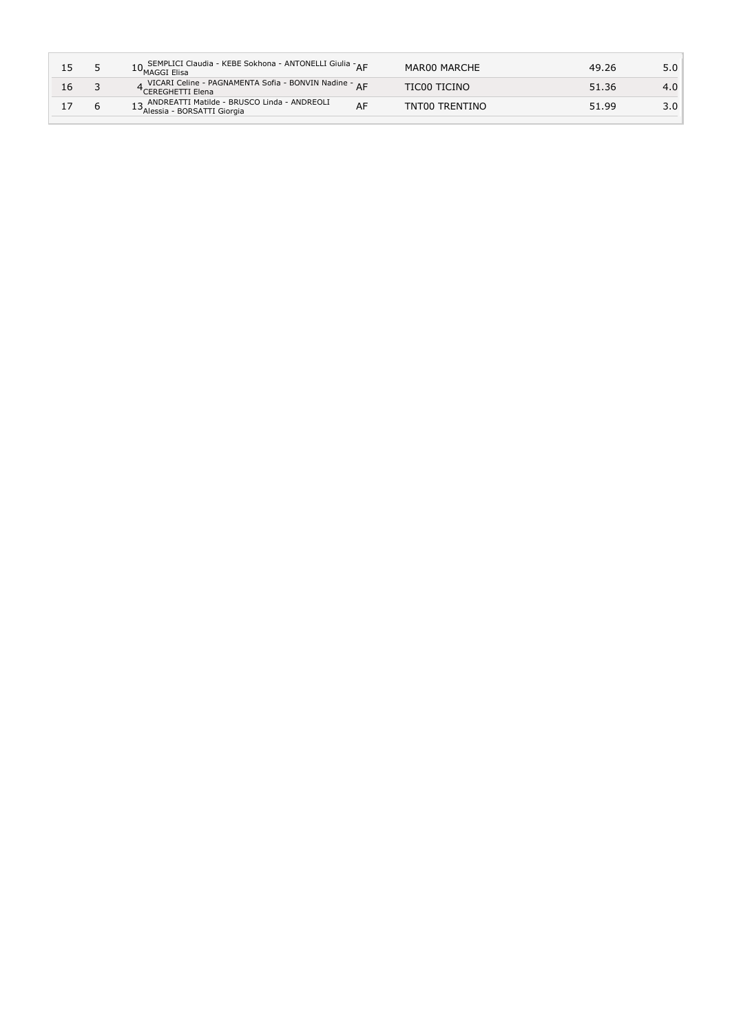| 15 | 10 SEMPLICI Claudia - KEBE Sokhona - ANTONELLI Giulia - AF<br>10 MAGGI Elisa                         | MAR00 MARCHE   | 49.26 | 5.0 |
|----|------------------------------------------------------------------------------------------------------|----------------|-------|-----|
| 16 | A VICARI Celine - PAGNAMENTA Sofia - BONVIN Nadine - <sub>A F</sub><br><sup>†</sup> CEREGHETTI Elena | TIC00 TICINO   | 51.36 | 4.0 |
|    | 13 ANDREATTI Matilde - BRUSCO Linda - ANDREOLI<br>13 Alessia - BORSATTI Giorgia                      | TNT00 TRENTINO | 51.99 | 3.0 |
|    |                                                                                                      |                |       |     |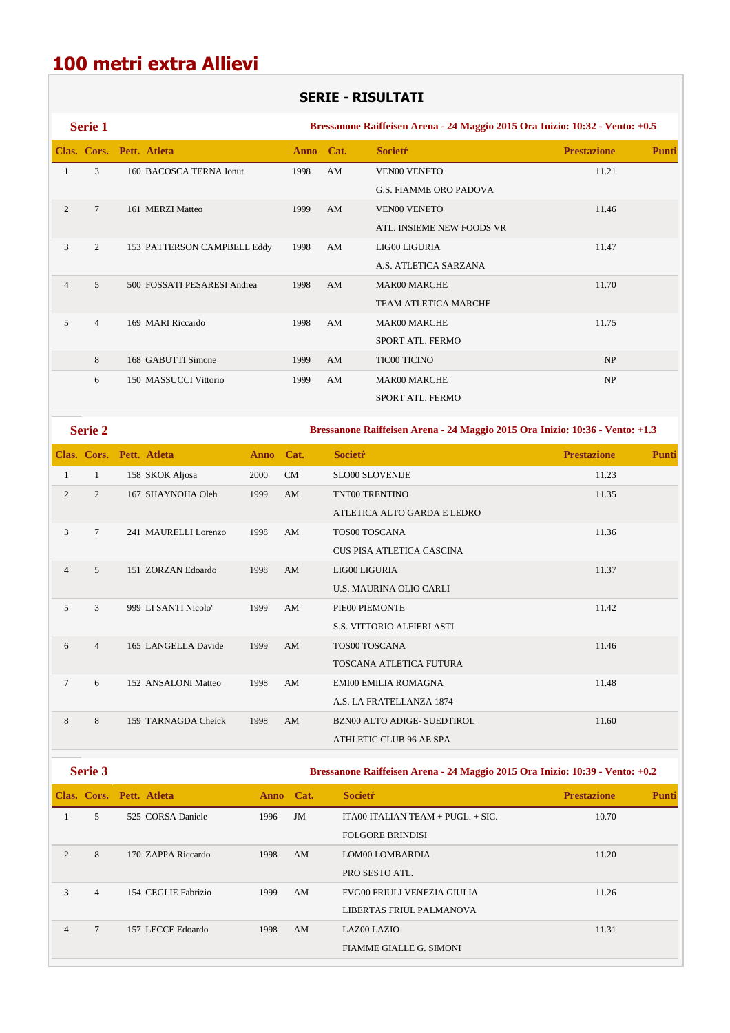## **100 metri extra Allievi**

## **SERIE - RISULTATI**

**Serie 1 Bressanone Raiffeisen Arena - 24 Maggio 2015 Ora Inizio: 10:32 - Vento: +0.5 Clas. Cors. Pett. Atleta Anno Cat. Societŕ Prestazione Punti** 1 3 160 BACOSCA TERNA Ionut 1998 AM VEN00 VENETO 11.21 G.S. FIAMME ORO PADOVA 2 7 161 MERZI Matteo 1999 AM VEN00 VENETO 11.46 ATL. INSIEME NEW FOODS VR 3 2 153 PATTERSON CAMPBELL Eddy 1998 AM LIG00 LIGURIA 11.47 A.S. ATLETICA SARZANA 4 5 500 FOSSATI PESARESI Andrea 1998 AM MAR00 MARCHE 11.70 TEAM ATLETICA MARCHE 5 4 169 MARI Riccardo 1998 AM MAR00 MARCHE 11.75 SPORT ATL. FERMO 8 168 GABUTTI Simone 1999 AM TIC00 TICINO NP 6 150 MASSUCCI Vittorio 1999 AM MAR00 MARCHE NP SPORT ATL. FERMO

**Serie 2 Bressanone Raiffeisen Arena - 24 Maggio 2015 Ora Inizio: 10:36 - Vento: +1.3** 

|                |                | Clas. Cors. Pett. Atleta | Anno Cat. |    | <b>Societr</b>                     | <b>Prestazione</b> | <b>Punti</b> |
|----------------|----------------|--------------------------|-----------|----|------------------------------------|--------------------|--------------|
| 1              | 1              | 158 SKOK Aljosa          | 2000      | CM | <b>SLO00 SLOVENIJE</b>             | 11.23              |              |
| 2              | $\overline{c}$ | 167 SHAYNOHA Oleh        | 1999      | AM | TNT00 TRENTINO                     | 11.35              |              |
|                |                |                          |           |    | ATLETICA ALTO GARDA E LEDRO        |                    |              |
| 3              | $\overline{7}$ | 241 MAURELLI Lorenzo     | 1998      | AM | TOS00 TOSCANA                      | 11.36              |              |
|                |                |                          |           |    | CUS PISA ATLETICA CASCINA          |                    |              |
| $\overline{4}$ | 5              | 151 ZORZAN Edoardo       | 1998      | AM | LIG00 LIGURIA                      | 11.37              |              |
|                |                |                          |           |    | <b>U.S. MAURINA OLIO CARLI</b>     |                    |              |
| 5              | 3              | 999 LI SANTI Nicolo'     | 1999      | AM | PIE00 PIEMONTE                     | 11.42              |              |
|                |                |                          |           |    | <b>S.S. VITTORIO ALFIERI ASTI</b>  |                    |              |
| 6              | $\overline{4}$ | 165 LANGELLA Davide      | 1999      | AM | TOS00 TOSCANA                      | 11.46              |              |
|                |                |                          |           |    | TOSCANA ATLETICA FUTURA            |                    |              |
| $\tau$         | 6              | 152 ANSALONI Matteo      | 1998      | AM | <b>EMI00 EMILIA ROMAGNA</b>        | 11.48              |              |
|                |                |                          |           |    | A.S. LA FRATELLANZA 1874           |                    |              |
| 8              | 8              | 159 TARNAGDA Cheick      | 1998      | AM | <b>BZN00 ALTO ADIGE- SUEDTIROL</b> | 11.60              |              |
|                |                |                          |           |    | ATHLETIC CLUB 96 AE SPA            |                    |              |

**Serie 3 Bressanone Raiffeisen Arena - 24 Maggio 2015 Ora Inizio: 10:39 - Vento: +0.2** 

|                |                 | Clas. Cors. Pett. Atleta | Anno Cat. |    | <b>Societr</b>                      | <b>Prestazione</b> | <b>Punti</b> |
|----------------|-----------------|--------------------------|-----------|----|-------------------------------------|--------------------|--------------|
|                | 5               | 525 CORSA Daniele        | 1996      | JM | ITA00 ITALIAN TEAM + $PUGL + SIC$ . | 10.70              |              |
|                |                 |                          |           |    | <b>FOLGORE BRINDISI</b>             |                    |              |
| $\overline{2}$ | 8               | 170 ZAPPA Riccardo       | 1998      | AM | LOM00 LOMBARDIA                     | 11.20              |              |
|                |                 |                          |           |    | PRO SESTO ATL.                      |                    |              |
| 3              | $\overline{4}$  | 154 CEGLIE Fabrizio      | 1999      | AM | <b>FVG00 FRIULI VENEZIA GIULIA</b>  | 11.26              |              |
|                |                 |                          |           |    | LIBERTAS FRIUL PALMANOVA            |                    |              |
| 4              | $7\phantom{.0}$ | 157 LECCE Edoardo        | 1998      | AM | LAZ00 LAZIO                         | 11.31              |              |
|                |                 |                          |           |    | <b>FIAMME GIALLE G. SIMONI</b>      |                    |              |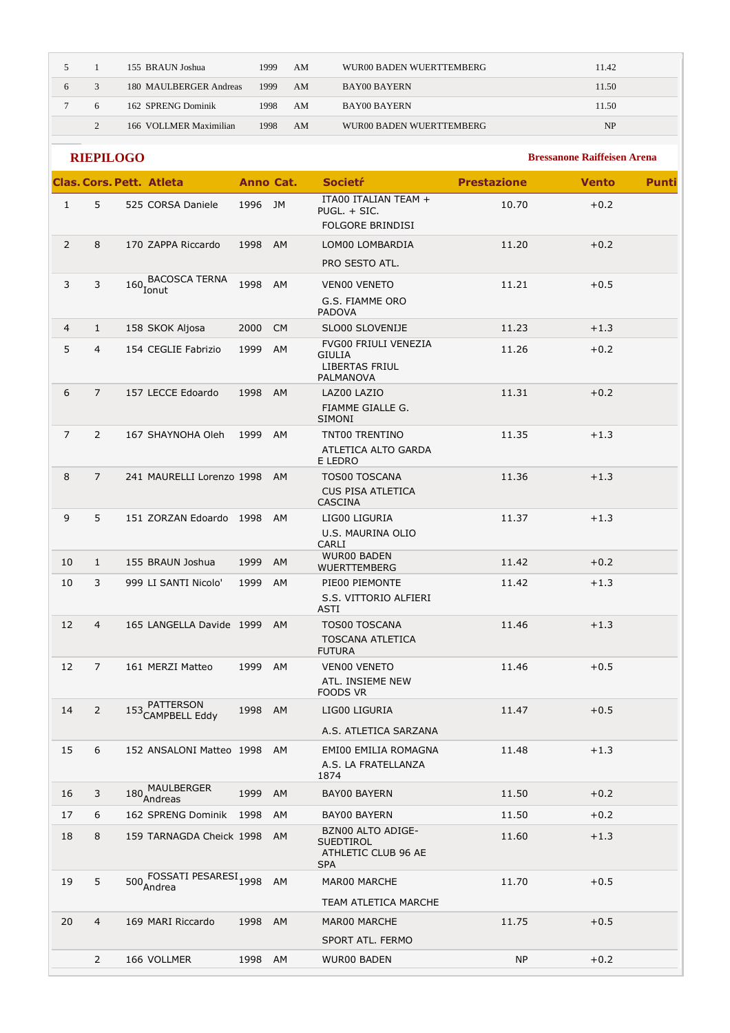|   |   | 155 BRAUN Joshua       | 1999 | AM | WUR00 BADEN WUERTTEMBERG | 11.42     |
|---|---|------------------------|------|----|--------------------------|-----------|
| 6 |   | 180 MAULBERGER Andreas | 1999 | AM | <b>BAY00 BAYERN</b>      | 11.50     |
|   | 6 | 162 SPRENG Dominik     | 1998 | AM | <b>BAY00 BAYERN</b>      | 11.50     |
|   |   | 166 VOLLMER Maximilian | 1998 | AM | WUR00 BADEN WUERTTEMBERG | <b>NP</b> |

|                | <b>RIEPILOGO</b> |                                 |                  |           |                                                                                    |                    | <b>Bressanone Raiffeisen Arena</b> |              |
|----------------|------------------|---------------------------------|------------------|-----------|------------------------------------------------------------------------------------|--------------------|------------------------------------|--------------|
|                |                  | <b>Clas, Cors, Pett. Atleta</b> | <b>Anno Cat.</b> |           | <b>Societŕ</b>                                                                     | <b>Prestazione</b> | <b>Vento</b>                       | <b>Punti</b> |
| $\mathbf{1}$   | 5                | 525 CORSA Daniele               | 1996             | JM        | ITA00 ITALIAN TEAM +<br>PUGL. + SIC.<br><b>FOLGORE BRINDISI</b>                    | 10.70              | $+0.2$                             |              |
| $\overline{2}$ | 8                | 170 ZAPPA Riccardo              | 1998             | AM        | LOM00 LOMBARDIA<br>PRO SESTO ATL.                                                  | 11.20              | $+0.2$                             |              |
| 3              | 3                | 160 BACOSCA TERNA               | 1998             |           |                                                                                    | 11.21              |                                    |              |
|                |                  |                                 |                  | AM        | <b>VEN00 VENETO</b><br>G.S. FIAMME ORO<br><b>PADOVA</b>                            |                    | $+0.5$                             |              |
| $\overline{4}$ | $\mathbf{1}$     | 158 SKOK Aljosa                 | 2000             | <b>CM</b> | SLO00 SLOVENIJE                                                                    | 11.23              | $+1.3$                             |              |
| 5              | $\overline{4}$   | 154 CEGLIE Fabrizio             | 1999             | AM        | <b>FVG00 FRIULI VENEZIA</b><br><b>GIULIA</b><br><b>LIBERTAS FRIUL</b><br>PALMANOVA | 11.26              | $+0.2$                             |              |
| 6              | $\overline{7}$   | 157 LECCE Edoardo               | 1998             | <b>AM</b> | LAZ00 LAZIO<br>FIAMME GIALLE G.<br><b>SIMONI</b>                                   | 11.31              | $+0.2$                             |              |
| $\overline{7}$ | $\overline{2}$   | 167 SHAYNOHA Oleh               | 1999             | AM        | TNT00 TRENTINO<br>ATLETICA ALTO GARDA<br>E LEDRO                                   | 11.35              | $+1.3$                             |              |
| 8              | $\overline{7}$   | 241 MAURELLI Lorenzo 1998       |                  | AM        | TOS00 TOSCANA<br><b>CUS PISA ATLETICA</b><br><b>CASCINA</b>                        | 11.36              | $+1.3$                             |              |
| 9              | 5                | 151 ZORZAN Edoardo 1998         |                  | AM        | LIG00 LIGURIA<br>U.S. MAURINA OLIO<br>CARLI                                        | 11.37              | $+1.3$                             |              |
| 10             | $\mathbf{1}$     | 155 BRAUN Joshua                | 1999             | AM        | <b>WUR00 BADEN</b><br><b>WUERTTEMBERG</b>                                          | 11.42              | $+0.2$                             |              |
| 10             | 3                | 999 LI SANTI Nicolo'            | 1999             | AM        | PIE00 PIEMONTE<br>S.S. VITTORIO ALFIERI<br>ASTI                                    | 11.42              | $+1.3$                             |              |
| 12             | $\overline{4}$   | 165 LANGELLA Davide 1999        |                  | <b>AM</b> | <b>TOS00 TOSCANA</b><br><b>TOSCANA ATLETICA</b><br><b>FUTURA</b>                   | 11.46              | $+1.3$                             |              |
| 12             | $\overline{7}$   | 161 MERZI Matteo                | 1999             | AM        | <b>VENOO VENETO</b><br>ATL. INSIEME NEW<br><b>FOODS VR</b>                         | 11.46              | $+0.5$                             |              |
| 14             | $\overline{2}$   | 153 PATTERSON<br>CAMPBELL Eddy  | 1998 AM          |           | LIG00 LIGURIA<br>A.S. ATLETICA SARZANA                                             | 11.47              | $+0.5$                             |              |
| 15             | 6                | 152 ANSALONI Matteo 1998 AM     |                  |           | EMI00 EMILIA ROMAGNA<br>A.S. LA FRATELLANZA<br>1874                                | 11.48              | $+1.3$                             |              |
| 16             | 3                | 180 MAULBERGER<br>Andreas       | 1999             | AM        | BAY00 BAYERN                                                                       | 11.50              | $+0.2$                             |              |
| 17             | 6                | 162 SPRENG Dominik              | 1998             | AM        | <b>BAY00 BAYERN</b>                                                                | 11.50              | $+0.2$                             |              |
| 18             | 8                | 159 TARNAGDA Cheick 1998 AM     |                  |           | BZN00 ALTO ADIGE-<br><b>SUEDTIROL</b><br>ATHLETIC CLUB 96 AE<br><b>SPA</b>         | 11.60              | $+1.3$                             |              |
| 19             | 5                | 500 FOSSATI PESARESI 1998       |                  | AM        | MAR00 MARCHE                                                                       | 11.70              | $+0.5$                             |              |
|                |                  |                                 |                  |           | TEAM ATLETICA MARCHE                                                               |                    |                                    |              |
| 20             | 4                | 169 MARI Riccardo               | 1998 AM          |           | MAR00 MARCHE<br>SPORT ATL. FERMO                                                   | 11.75              | $+0.5$                             |              |
|                | $\overline{2}$   | 166 VOLLMER                     | 1998             | AM        | WUR00 BADEN                                                                        | NP.                | $+0.2$                             |              |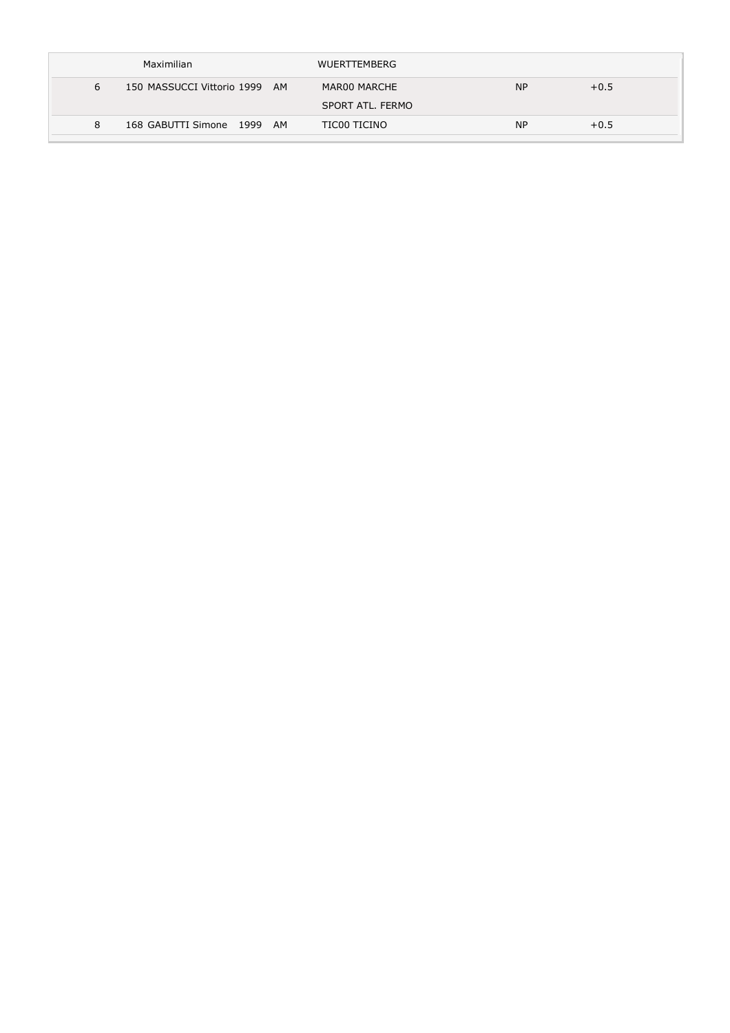| Maximilian                         | <b>WUERTTEMBERG</b>              |           |        |
|------------------------------------|----------------------------------|-----------|--------|
| 150 MASSUCCI Vittorio 1999 AM<br>6 | MAR00 MARCHE<br>SPORT ATL. FERMO | <b>NP</b> | $+0.5$ |
| 168 GABUTTI Simone 1999 AM<br>8    | TIC00 TICINO                     | <b>NP</b> | $+0.5$ |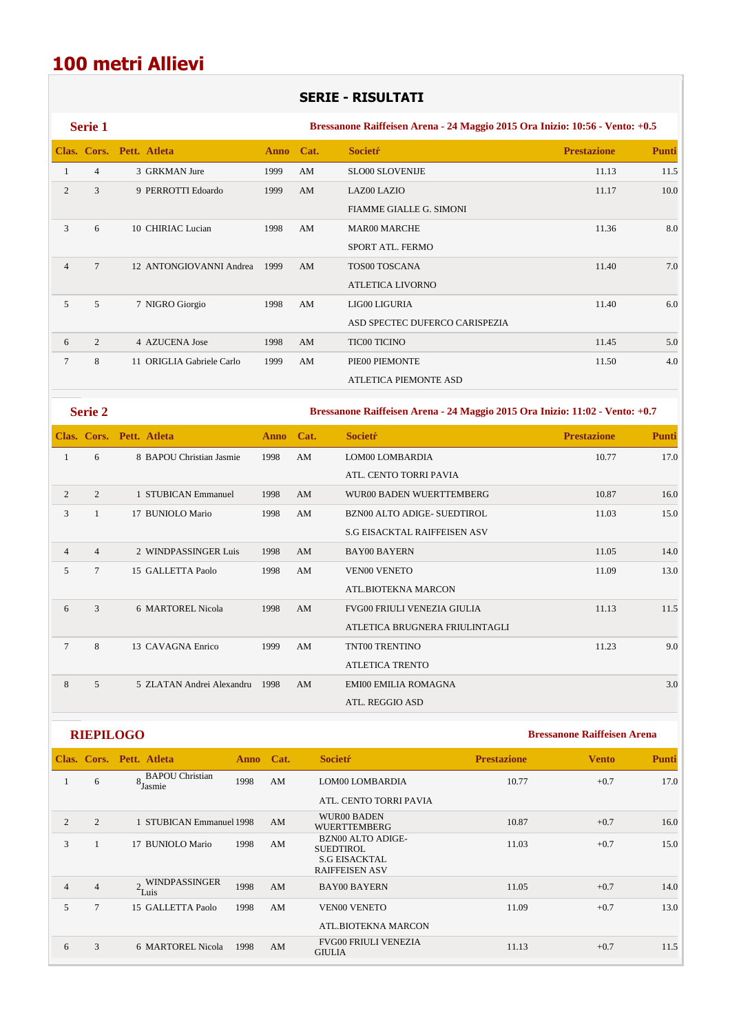## **SERIE - RISULTATI**

|                 | <b>Serie 1</b> |                           |           |    |                                | Bressanone Raiffeisen Arena - 24 Maggio 2015 Ora Inizio: 10:56 - Vento: +0.5 |              |  |  |
|-----------------|----------------|---------------------------|-----------|----|--------------------------------|------------------------------------------------------------------------------|--------------|--|--|
|                 |                | Clas. Cors. Pett. Atleta  | Anno Cat. |    | <b>Societr</b>                 | <b>Prestazione</b>                                                           | <b>Punti</b> |  |  |
|                 | $\overline{4}$ | 3 GRKMAN Jure             | 1999      | AM | <b>SLO00 SLOVENIJE</b>         | 11.13                                                                        | 11.5         |  |  |
| 2               | 3              | 9 PERROTTI Edoardo        | 1999      | AM | <b>LAZ00 LAZIO</b>             | 11.17                                                                        | 10.0         |  |  |
|                 |                |                           |           |    | <b>FIAMME GIALLE G. SIMONI</b> |                                                                              |              |  |  |
| 3               | 6              | 10 CHIRIAC Lucian         | 1998      | AM | <b>MAR00 MARCHE</b>            | 11.36                                                                        | 8.0          |  |  |
|                 |                |                           |           |    | SPORT ATL. FERMO               |                                                                              |              |  |  |
| $\overline{4}$  | $\tau$         | 12 ANTONGIOVANNI Andrea   | 1999      | AM | TOS00 TOSCANA                  | 11.40                                                                        | 7.0          |  |  |
|                 |                |                           |           |    | <b>ATLETICA LIVORNO</b>        |                                                                              |              |  |  |
| 5               | 5              | 7 NIGRO Giorgio           | 1998      | AM | LIG00 LIGURIA                  | 11.40                                                                        | 6.0          |  |  |
|                 |                |                           |           |    | ASD SPECTEC DUFERCO CARISPEZIA |                                                                              |              |  |  |
| 6               | 2              | 4 AZUCENA Jose            | 1998      | AM | <b>TIC00 TICINO</b>            | 11.45                                                                        | 5.0          |  |  |
| $7\phantom{.0}$ | 8              | 11 ORIGLIA Gabriele Carlo | 1999      | AM | PIE00 PIEMONTE                 | 11.50                                                                        | 4.0          |  |  |
|                 |                |                           |           |    | <b>ATLETICA PIEMONTE ASD</b>   |                                                                              |              |  |  |

**Serie 2 Bressanone Raiffeisen Arena - 24 Maggio 2015 Ora Inizio: 11:02 - Vento: +0.7** 

|                |                | Clas. Cors. Pett. Atleta  | <b>Anno</b> | Cat. | <b>Societr</b>                      | <b>Prestazione</b> | <b>Punti</b> |
|----------------|----------------|---------------------------|-------------|------|-------------------------------------|--------------------|--------------|
| 1              | 6              | 8 BAPOU Christian Jasmie  | 1998        | AM   | LOM00 LOMBARDIA                     | 10.77              | 17.0         |
|                |                |                           |             |      | ATL. CENTO TORRI PAVIA              |                    |              |
| 2              | $\overline{2}$ | 1 STUBICAN Emmanuel       | 1998        | AM   | WUR00 BADEN WUERTTEMBERG            | 10.87              | 16.0         |
| 3              |                | 17 BUNIOLO Mario          | 1998        | AM   | BZN00 ALTO ADIGE- SUEDTIROL         | 11.03              | 15.0         |
|                |                |                           |             |      | <b>S.G EISACKTAL RAIFFEISEN ASV</b> |                    |              |
| $\overline{4}$ | $\overline{4}$ | 2 WINDPASSINGER Luis      | 1998        | AM   | <b>BAY00 BAYERN</b>                 | 11.05              | 14.0         |
| 5              | 7              | 15 GALLETTA Paolo         | 1998        | AM   | <b>VEN00 VENETO</b>                 | 11.09              | 13.0         |
|                |                |                           |             |      | ATL.BIOTEKNA MARCON                 |                    |              |
| 6              | 3              | 6 MARTOREL Nicola         | 1998        | AM   | <b>FVG00 FRIULI VENEZIA GIULIA</b>  | 11.13              | 11.5         |
|                |                |                           |             |      | ATLETICA BRUGNERA FRIULINTAGLI      |                    |              |
| $\tau$         | 8              | 13 CAVAGNA Enrico         | 1999        | AM   | <b>TNT00 TRENTINO</b>               | 11.23              | 9.0          |
|                |                |                           |             |      | <b>ATLETICA TRENTO</b>              |                    |              |
| 8              | 5              | 5 ZLATAN Andrei Alexandru | 1998        | AM   | <b>EMI00 EMILIA ROMAGNA</b>         |                    | 3.0          |
|                |                |                           |             |      | ATL. REGGIO ASD                     |                    |              |

|                |                | Clas. Cors. Pett. Atleta                            | <b>Anno</b> | Cat. | <b>Societr</b>                                | <b>Prestazione</b> | <b>Vento</b> | <b>Punti</b> |
|----------------|----------------|-----------------------------------------------------|-------------|------|-----------------------------------------------|--------------------|--------------|--------------|
|                | 6              | <b>BAPOU</b> Christian<br>$\overline{8}$<br>'Jasmie | 1998        | AM   | LOM00 LOMBARDIA                               | 10.77              | $+0.7$       | 17.0         |
|                |                |                                                     |             |      | ATL. CENTO TORRI PAVIA                        |                    |              |              |
| $\overline{2}$ | 2              | 1 STUBICAN Emmanuel 1998                            |             | AM   | <b>WUR00 BADEN</b><br><b>WUERTTEMBERG</b>     | 10.87              | $+0.7$       | 16.0         |
| 3              |                | 17 BUNIOLO Mario                                    | 1998        | AM   | <b>BZN00 ALTO ADIGE-</b><br>SUEDTIROL         | 11.03              | $+0.7$       | 15.0         |
|                |                |                                                     |             |      | <b>S.G EISACKTAL</b><br><b>RAIFFEISEN ASV</b> |                    |              |              |
| $\overline{4}$ | $\overline{4}$ | <b>WINDPASSINGER</b><br>$\epsilon$ Luis             | 1998        | AM   | <b>BAY00 BAYERN</b>                           | 11.05              | $+0.7$       | 14.0         |
| 5              | $\tau$         | 15 GALLETTA Paolo                                   | 1998        | AM   | <b>VEN00 VENETO</b>                           | 11.09              | $+0.7$       | 13.0         |
|                |                |                                                     |             |      | ATL.BIOTEKNA MARCON                           |                    |              |              |
| 6              | 3              | 6 MARTOREL Nicola                                   | 1998        | AM   | <b>FVG00 FRIULI VENEZIA</b><br><b>GIULIA</b>  | 11.13              | $+0.7$       | 11.5         |
|                |                |                                                     |             |      |                                               |                    |              |              |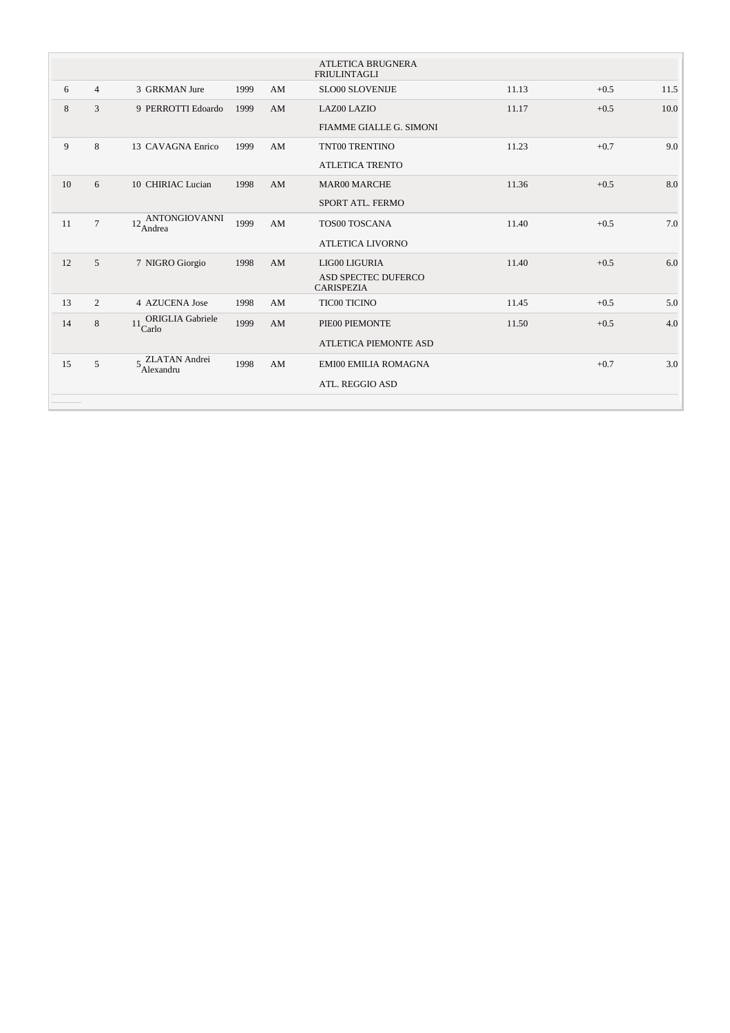|    |                |                                                |      |    | <b>ATLETICA BRUGNERA</b><br><b>FRIULINTAGLI</b> |       |        |      |
|----|----------------|------------------------------------------------|------|----|-------------------------------------------------|-------|--------|------|
| 6  | $\overline{4}$ | 3 GRKMAN Jure                                  | 1999 | AM | <b>SLO00 SLOVENIJE</b>                          | 11.13 | $+0.5$ | 11.5 |
| 8  | 3              | 9 PERROTTI Edoardo                             | 1999 | AM | LAZ00 LAZIO                                     | 11.17 | $+0.5$ | 10.0 |
|    |                |                                                |      |    | FIAMME GIALLE G. SIMONI                         |       |        |      |
| 9  | 8              | 13 CAVAGNA Enrico                              | 1999 | AM | TNT00 TRENTINO                                  | 11.23 | $+0.7$ | 9.0  |
|    |                |                                                |      |    | <b>ATLETICA TRENTO</b>                          |       |        |      |
| 10 | 6              | 10 CHIRIAC Lucian                              | 1998 | AM | <b>MAR00 MARCHE</b>                             | 11.36 | $+0.5$ | 8.0  |
|    |                |                                                |      |    | SPORT ATL. FERMO                                |       |        |      |
| 11 | $\overline{7}$ | $12\frac{\text{ANTONGIOVANNI}}{\text{Andrea}}$ | 1999 | AM | TOS00 TOSCANA                                   | 11.40 | $+0.5$ | 7.0  |
|    |                |                                                |      |    | <b>ATLETICA LIVORNO</b>                         |       |        |      |
| 12 | 5              | 7 NIGRO Giorgio                                | 1998 | AM | LIG00 LIGURIA                                   | 11.40 | $+0.5$ | 6.0  |
|    |                |                                                |      |    | ASD SPECTEC DUFERCO<br><b>CARISPEZIA</b>        |       |        |      |
| 13 | 2              | 4 AZUCENA Jose                                 | 1998 | AM | TIC00 TICINO                                    | 11.45 | $+0.5$ | 5.0  |
| 14 | $\,8\,$        | ORIGLIA Gabriele<br>$11$ Carlo                 | 1999 | AM | PIE00 PIEMONTE                                  | 11.50 | $+0.5$ | 4.0  |
|    |                |                                                |      |    | <b>ATLETICA PIEMONTE ASD</b>                    |       |        |      |
| 15 | 5              | $5$ ZLATAN Andrei $5$ Alexandru                | 1998 | AM | <b>EMI00 EMILIA ROMAGNA</b>                     |       | $+0.7$ | 3.0  |
|    |                |                                                |      |    |                                                 |       |        |      |
|    |                |                                                |      |    | ATL. REGGIO ASD                                 |       |        |      |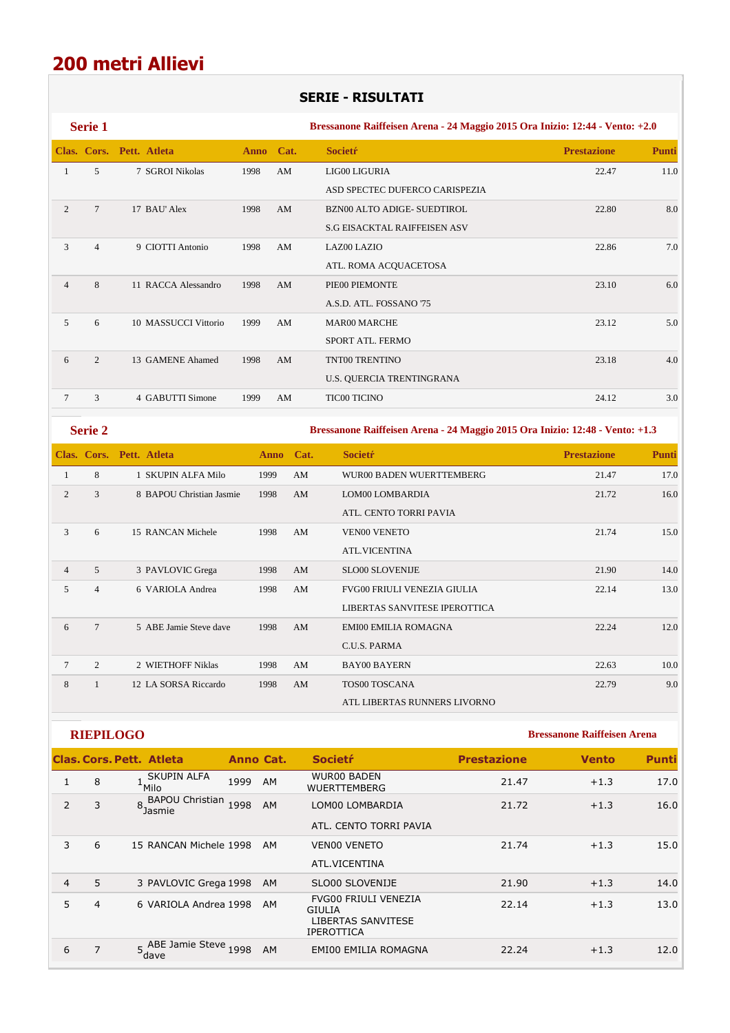## **SERIE - RISULTATI**

|                | Serie 1        |                          |             |             |      | Bressanone Raiffeisen Arena - 24 Maggio 2015 Ora Inizio: 12:44 - Vento: +2.0 |                    |              |
|----------------|----------------|--------------------------|-------------|-------------|------|------------------------------------------------------------------------------|--------------------|--------------|
|                |                | Clas. Cors. Pett. Atleta | <b>Anno</b> | Cat.        |      | <b>Societr</b>                                                               | <b>Prestazione</b> | <b>Punti</b> |
| $\mathbf{1}$   | 5              | 7 SGROI Nikolas          | 1998        | AM          |      | LIG00 LIGURIA                                                                | 22.47              | 11.0         |
|                |                |                          |             |             |      | ASD SPECTEC DUFERCO CARISPEZIA                                               |                    |              |
| 2              | $\overline{7}$ | 17 BAU' Alex             | 1998        | AM          |      | BZN00 ALTO ADIGE- SUEDTIROL                                                  | 22.80              | 8.0          |
|                |                |                          |             |             |      | <b>S.G EISACKTAL RAIFFEISEN ASV</b>                                          |                    |              |
| 3              | $\overline{4}$ | 9 CIOTTI Antonio         | 1998        | AM          |      | LAZ00 LAZIO                                                                  | 22.86              | 7.0          |
|                |                |                          |             |             |      | ATL. ROMA ACQUACETOSA                                                        |                    |              |
| $\overline{4}$ | 8              | 11 RACCA Alessandro      | 1998        | AM          |      | PIE00 PIEMONTE                                                               | 23.10              | 6.0          |
|                |                |                          |             |             |      | A.S.D. ATL. FOSSANO '75                                                      |                    |              |
| 5              | 6              | 10 MASSUCCI Vittorio     | 1999        | AM          |      | MAR00 MARCHE                                                                 | 23.12              | 5.0          |
|                |                |                          |             |             |      | SPORT ATL. FERMO                                                             |                    |              |
| 6              | $\overline{c}$ | 13 GAMENE Ahamed         | 1998        | AM          |      | TNT00 TRENTINO                                                               | 23.18              | 4.0          |
|                |                |                          |             |             |      | U.S. QUERCIA TRENTINGRANA                                                    |                    |              |
| $\tau$         | 3              | 4 GABUTTI Simone         | 1999        | AM          |      | <b>TIC00 TICINO</b>                                                          | 24.12              | 3.0          |
|                | <b>Serie 2</b> |                          |             |             |      | Bressanone Raiffeisen Arena - 24 Maggio 2015 Ora Inizio: 12:48 - Vento: +1.3 |                    |              |
|                |                | Clas. Cors. Pett. Atleta |             | <b>Anno</b> | Cat. | <b>Societr</b>                                                               | <b>Prestazione</b> | <b>Punti</b> |
| $\mathbf{1}$   | 8              | 1 SKUPIN ALFA Milo       | 1999        |             | AM   | WUR00 BADEN WUERTTEMBERG                                                     | 21.47              | 17.0         |
| $\overline{c}$ | 3              | 8 BAPOU Christian Jasmie | 1998        |             | AM   | LOM00 LOMBARDIA                                                              | 21.72              | 16.0         |
|                |                |                          |             |             |      | ATL. CENTO TORRI PAVIA                                                       |                    |              |
| $\mathfrak{Z}$ | 6              | 15 RANCAN Michele        | 1998        |             | AM   | <b>VEN00 VENETO</b>                                                          | 21.74              | 15.0         |
|                |                |                          |             |             |      | ATL.VICENTINA                                                                |                    |              |
| $\overline{4}$ | 5              | 3 PAVLOVIC Grega         | 1998        |             | AM   | <b>SLO00 SLOVENIJE</b>                                                       | 21.90              | 14.0         |
| 5              | $\overline{4}$ | 6 VARIOLA Andrea         | 1998        |             | AM   | FVG00 FRIULI VENEZIA GIULIA                                                  | 22.14              | 13.0         |
|                |                |                          |             |             |      | LIBERTAS SANVITESE IPEROTTICA                                                |                    |              |
| 6              | $\tau$         | 5 ABE Jamie Steve dave   | 1998        |             | AM   | <b>EMI00 EMILIA ROMAGNA</b>                                                  | 22.24              | 12.0         |
|                |                |                          |             |             |      | C.U.S. PARMA                                                                 |                    |              |
| 7              | $\mathfrak{2}$ | 2 WIETHOFF Niklas        | 1998        |             | AM   | <b>BAY00 BAYERN</b>                                                          | 22.63              | 10.0         |

**RIEPILOGO Bressanone Raiffeisen Arena** 

|   |   | Clas. Cors. Pett. Atleta         | Anno Cat. |           | <b>Societr</b>                                                                          | <b>Prestazione</b> | <b>Vento</b> | <b>Punti</b> |
|---|---|----------------------------------|-----------|-----------|-----------------------------------------------------------------------------------------|--------------------|--------------|--------------|
|   | 8 | SKUPIN ALFA<br><sup>+</sup> Milo | 1999      | AM        | <b>WUR00 BADEN</b><br><b>WUERTTEMBERG</b>                                               | 21.47              | $+1.3$       | 17.0         |
| 2 | 3 | 8, BAPOU Christian<br>Jasmie     | 1998      | AM        | LOM00 LOMBARDIA                                                                         | 21.72              | $+1.3$       | 16.0         |
|   |   |                                  |           |           | ATL. CENTO TORRI PAVIA                                                                  |                    |              |              |
| 3 | 6 | 15 RANCAN Michele 1998           |           | AM        | <b>VENOO VENETO</b>                                                                     | 21.74              | $+1.3$       | 15.0         |
|   |   |                                  |           |           | ATL.VICENTINA                                                                           |                    |              |              |
| 4 | 5 | 3 PAVLOVIC Grega 1998            |           | <b>AM</b> | SLO00 SLOVENIJE                                                                         | 21.90              | $+1.3$       | 14.0         |
| 5 | 4 | 6 VARIOLA Andrea 1998            |           | AM        | <b>FVG00 FRIULI VENEZIA</b><br><b>GIULIA</b><br>LIBERTAS SANVITESE<br><b>IPEROTTICA</b> | 22.14              | $+1.3$       | 13.0         |
| 6 | 7 | 5. ABE Jamie Steve 1998<br>dave  |           | AM        | EMI00 EMILIA ROMAGNA                                                                    | 22.24              | $+1.3$       | 12.0         |

8 1 12 LA SORSA Riccardo 1998 AM TOS00 TOSCANA 22.79 9.0

ATL LIBERTAS RUNNERS LIVORNO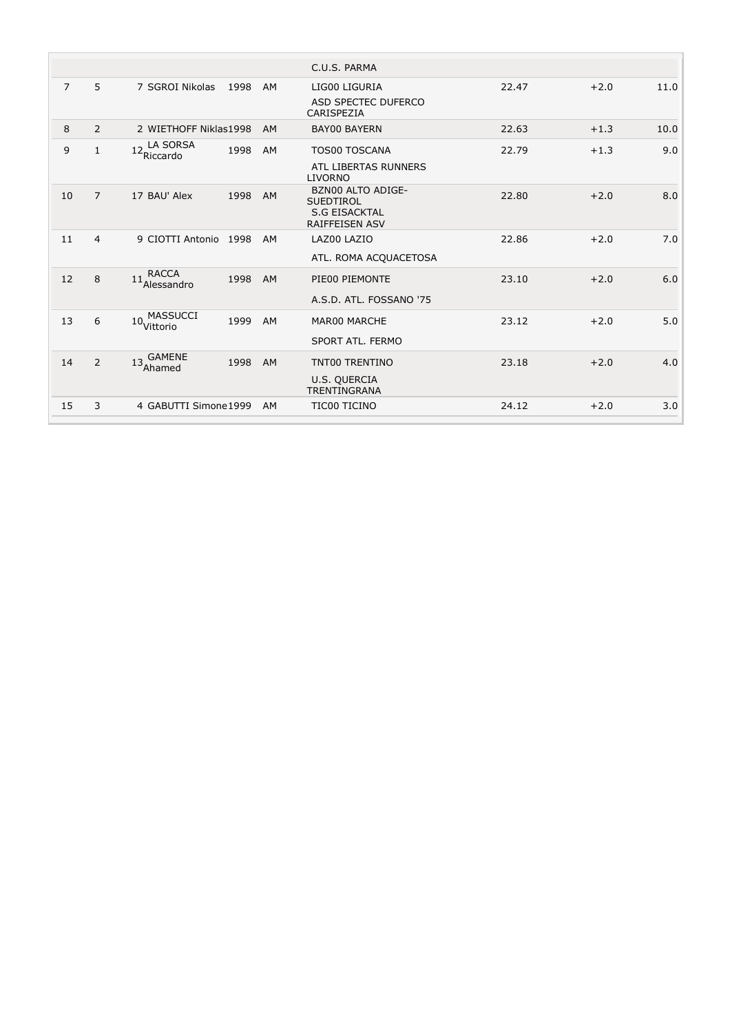|                |                |                                               |           | C.U.S. PARMA                                                                           |       |        |      |
|----------------|----------------|-----------------------------------------------|-----------|----------------------------------------------------------------------------------------|-------|--------|------|
| $\overline{7}$ | 5              | 7 SGROI Nikolas<br>1998                       | AM        | LIG00 LIGURIA<br>ASD SPECTEC DUFERCO<br>CARISPEZIA                                     | 22.47 | $+2.0$ | 11.0 |
| 8              | $\overline{2}$ | 2 WIETHOFF Niklas1998                         | <b>AM</b> | <b>BAY00 BAYERN</b>                                                                    | 22.63 | $+1.3$ | 10.0 |
| 9              | $\mathbf{1}$   | LA SORSA<br>12.<br>1998<br><b>Riccardo</b>    | AM        | <b>TOS00 TOSCANA</b>                                                                   | 22.79 | $+1.3$ | 9.0  |
|                |                |                                               |           | ATL LIBERTAS RUNNERS<br><b>LIVORNO</b>                                                 |       |        |      |
| 10             | $\overline{7}$ | 17 BAU' Alex<br>1998                          | AM        | BZN00 ALTO ADIGE-<br><b>SUEDTIROL</b><br><b>S.G EISACKTAL</b><br><b>RAIFFEISEN ASV</b> | 22.80 | $+2.0$ | 8.0  |
| 11             | $\overline{4}$ | 9 CIOTTI Antonio 1998                         | AM        | LAZ00 LAZIO                                                                            | 22.86 | $+2.0$ | 7.0  |
|                |                |                                               |           | ATL. ROMA ACQUACETOSA                                                                  |       |        |      |
| 12             | 8              | <b>RACCA</b><br>11<br>1998<br>Alessandro      | <b>AM</b> | PIE00 PIEMONTE                                                                         | 23.10 | $+2.0$ | 6.0  |
|                |                |                                               |           | A.S.D. ATL. FOSSANO '75                                                                |       |        |      |
| 13             | 6              | <b>MASSUCCI</b><br>10.<br>1999<br>Vittorio    | AM        | MAR00 MARCHE                                                                           | 23.12 | $+2.0$ | 5.0  |
|                |                |                                               |           | SPORT ATL. FERMO                                                                       |       |        |      |
| 14             | $\overline{2}$ | <b>GAMENE</b><br>13 <sub>Ahamed</sub><br>1998 | AM        | <b>TNT00 TRENTINO</b>                                                                  | 23.18 | $+2.0$ | 4.0  |
|                |                |                                               |           | <b>U.S. QUERCIA</b><br><b>TRENTINGRANA</b>                                             |       |        |      |
| 15             | 3              | 4 GABUTTI Simone 1999                         | AM        | TIC00 TICINO                                                                           | 24.12 | $+2.0$ | 3.0  |

 $\sim$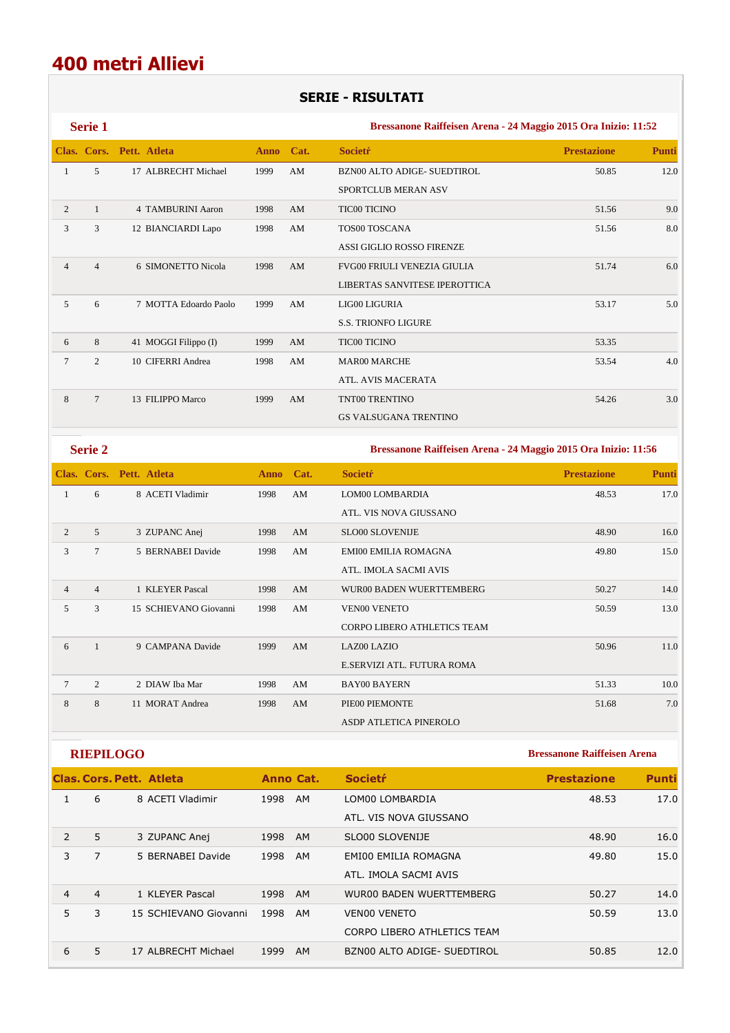## **SERIE - RISULTATI**

|                | <b>Serie 1</b> |                          |           |    | Bressanone Raiffeisen Arena - 24 Maggio 2015 Ora Inizio: 11:52 |                    |              |  |  |
|----------------|----------------|--------------------------|-----------|----|----------------------------------------------------------------|--------------------|--------------|--|--|
|                |                | Clas. Cors. Pett. Atleta | Anno Cat. |    | <b>Societr</b>                                                 | <b>Prestazione</b> | <b>Punti</b> |  |  |
| 1              | 5              | 17 ALBRECHT Michael      | 1999      | AM | <b>BZN00 ALTO ADIGE- SUEDTIROL</b>                             | 50.85              | 12.0         |  |  |
|                |                |                          |           |    | <b>SPORTCLUB MERAN ASV</b>                                     |                    |              |  |  |
| 2              |                | 4 TAMBURINI Aaron        | 1998      | AM | <b>TIC00 TICINO</b>                                            | 51.56              | 9.0          |  |  |
| 3              | 3              | 12 BIANCIARDI Lapo       | 1998      | AM | <b>TOS00 TOSCANA</b>                                           | 51.56              | 8.0          |  |  |
|                |                |                          |           |    | <b>ASSI GIGLIO ROSSO FIRENZE</b>                               |                    |              |  |  |
| $\overline{4}$ | $\overline{4}$ | 6 SIMONETTO Nicola       | 1998      | AM | <b>FVG00 FRIULI VENEZIA GIULIA</b>                             | 51.74              | 6.0          |  |  |
|                |                |                          |           |    | LIBERTAS SANVITESE IPEROTTICA                                  |                    |              |  |  |
| 5              | 6              | 7 MOTTA Edoardo Paolo    | 1999      | AM | LIG00 LIGURIA                                                  | 53.17              | 5.0          |  |  |
|                |                |                          |           |    | <b>S.S. TRIONFO LIGURE</b>                                     |                    |              |  |  |
| 6              | 8              | 41 MOGGI Filippo (I)     | 1999      | AM | <b>TIC00 TICINO</b>                                            | 53.35              |              |  |  |
| 7              | $\overline{c}$ | 10 CIFERRI Andrea        | 1998      | AM | <b>MAR00 MARCHE</b>                                            | 53.54              | 4.0          |  |  |
|                |                |                          |           |    | <b>ATL. AVIS MACERATA</b>                                      |                    |              |  |  |
| 8              | $\overline{7}$ | 13 FILIPPO Marco         | 1999      | AM | TNT00 TRENTINO                                                 | 54.26              | 3.0          |  |  |
|                |                |                          |           |    | <b>GS VALSUGANA TRENTINO</b>                                   |                    |              |  |  |

**Serie 2 Bressanone Raiffeisen Arena - 24 Maggio 2015 Ora Inizio: 11:56 Clas. Cors. Pett. Atleta Anno Cat. Societŕ Prestazione Punti** 1 6 8 ACETI Vladimir 1998 AM LOM00 LOMBARDIA 48.53 17.0 ATL. VIS NOVA GIUSSANO 2 5 3 ZUPANC Anej 1998 AM SLO00 SLOVENIJE 48.90 16.0 3 7 5 BERNABEI Davide 1998 AM EMI00 EMILIA ROMAGNA 49.80 15.0 ATL. IMOLA SACMI AVIS 4 4 1 KLEYER Pascal 1998 AM WUR00 BADEN WUERTTEMBERG 50.27 14.0 5 3 15 SCHIEVANO Giovanni 1998 AM VEN00 VENETO 50.59 13.0 CORPO LIBERO ATHLETICS TEAM 6 1 9 CAMPANA Davide 1999 AM LAZ00 LAZIO 50.96 11.0 E.SERVIZI ATL. FUTURA ROMA 7 2 2 DIAW Iba Mar 1998 AM BAY00 BAYERN 51.33 10.0 8 8 11 MORAT Andrea 1998 AM PIE00 PIEMONTE 51.68 7.0 ASDP ATLETICA PINEROLO

**RIEPILOGO Bressanone Raiffeisen Arena Clas. Cors. Pett. Atleta Anno Cat. Societŕ Prestazione Punti** 1 6 8 ACETI Vladimir 1998 AM LOM00 LOMBARDIA 48.53 17.0 ATL. VIS NOVA GIUSSANO 2 5 3 ZUPANC Anej 1998 AM SLO00 SLOVENIJE 48.90 16.0 3 7 5 BERNABEI Davide 1998 AM EMI00 EMILIA ROMAGNA 1 49.80 15.0 ATL. IMOLA SACMI AVIS 4 4 1 KLEYER Pascal 1998 AM WUR00 BADEN WUERTTEMBERG 50.27 14.0 5 3 15 SCHIEVANO Giovanni 1998 AM VEN00 VENETO 50.59 50.59 13.0 CORPO LIBERO ATHLETICS TEAM 6 5 17 ALBRECHT Michael 1999 AM BZN00 ALTO ADIGE- SUEDTIROL 50.85 12.0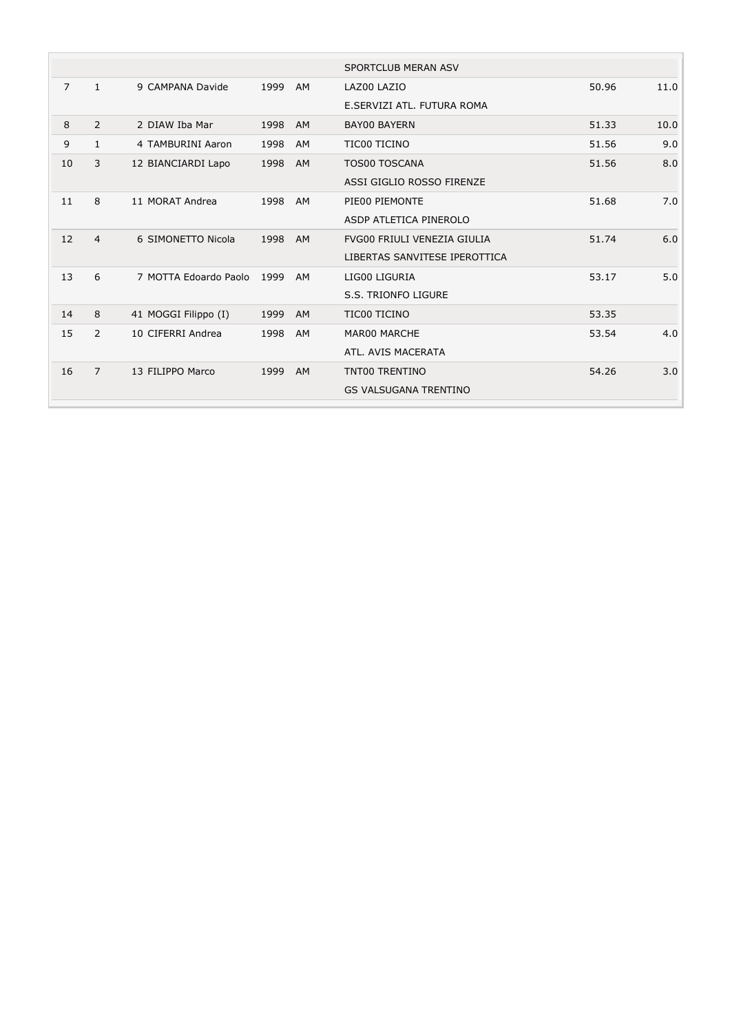|    |                |                       |      |           | <b>SPORTCLUB MERAN ASV</b>    |       |      |
|----|----------------|-----------------------|------|-----------|-------------------------------|-------|------|
| 7  | $\mathbf{1}$   | 9 CAMPANA Davide      | 1999 | AM        | LAZ00 LAZIO                   | 50.96 | 11.0 |
|    |                |                       |      |           | E.SERVIZI ATL. FUTURA ROMA    |       |      |
| 8  | $\overline{2}$ | 2 DIAW Iba Mar        | 1998 | <b>AM</b> | <b>BAY00 BAYERN</b>           | 51.33 | 10.0 |
| 9  | 1              | 4 TAMBURINI Aaron     | 1998 | AM        | TIC00 TICINO                  | 51.56 | 9.0  |
| 10 | 3              | 12 BIANCIARDI Lapo    | 1998 | AM        | <b>TOS00 TOSCANA</b>          | 51.56 | 8.0  |
|    |                |                       |      |           | ASSI GIGLIO ROSSO FIRENZE     |       |      |
| 11 | 8              | 11 MORAT Andrea       | 1998 | AM        | PIE00 PIEMONTE                | 51.68 | 7.0  |
|    |                |                       |      |           | ASDP ATLETICA PINEROLO        |       |      |
| 12 | $\overline{4}$ | 6 SIMONETTO Nicola    | 1998 | AM        | FVG00 FRIULI VENEZIA GIULIA   | 51.74 | 6.0  |
|    |                |                       |      |           | LIBERTAS SANVITESE IPEROTTICA |       |      |
| 13 | 6              | 7 MOTTA Edoardo Paolo | 1999 | AM        | LIG00 LIGURIA                 | 53.17 | 5.0  |
|    |                |                       |      |           | <b>S.S. TRIONFO LIGURE</b>    |       |      |
| 14 | 8              | 41 MOGGI Filippo (I)  | 1999 | AM        | TIC00 TICINO                  | 53.35 |      |
| 15 | $\overline{2}$ | 10 CIFERRI Andrea     | 1998 | AM        | MAR00 MARCHE                  | 53.54 | 4.0  |
|    |                |                       |      |           | ATL. AVIS MACERATA            |       |      |
| 16 | $\overline{7}$ | 13 FILIPPO Marco      | 1999 | AM        | TNT00 TRENTINO                | 54.26 | 3.0  |
|    |                |                       |      |           | <b>GS VALSUGANA TRENTINO</b>  |       |      |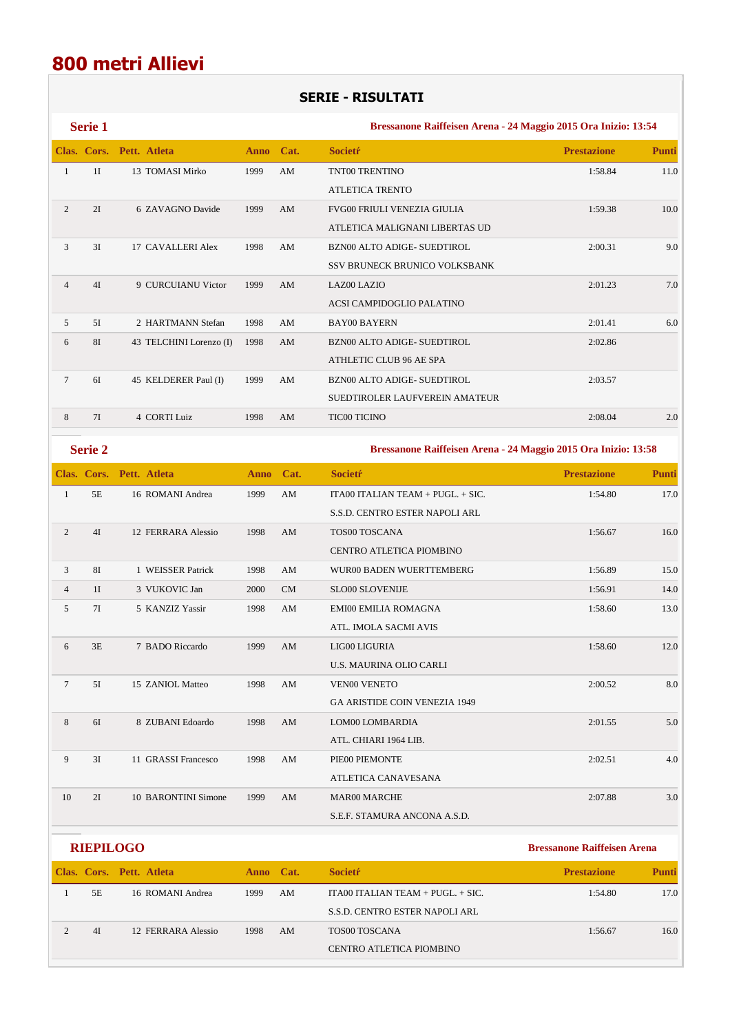## **SERIE - RISULTATI**

|                | <b>Serie 1</b> |                          |             |                        | Bressanone Raiffeisen Arena - 24 Maggio 2015 Ora Inizio: 13:54 |                    |              |  |  |
|----------------|----------------|--------------------------|-------------|------------------------|----------------------------------------------------------------|--------------------|--------------|--|--|
|                | Clas. Cors.    | Pett. Atleta             | <b>Anno</b> | Cat.                   | <b>Societr</b>                                                 | <b>Prestazione</b> | <b>Punti</b> |  |  |
| $\mathbf{1}$   | 1I             | 13 TOMASI Mirko          | 1999        | AM                     | TNT00 TRENTINO                                                 | 1:58.84            | 11.0         |  |  |
|                |                |                          |             |                        | <b>ATLETICA TRENTO</b>                                         |                    |              |  |  |
| 2              | 2I             | 6 ZAVAGNO Davide         | 1999        | AM                     | <b>FVG00 FRIULI VENEZIA GIULIA</b>                             | 1:59.38            | 10.0         |  |  |
|                |                |                          |             |                        | ATLETICA MALIGNANI LIBERTAS UD                                 |                    |              |  |  |
| 3              | 3I             | 17 CAVALLERI Alex        | 1998        | AM                     | BZN00 ALTO ADIGE- SUEDTIROL                                    | 2:00.31            | 9.0          |  |  |
|                |                |                          |             |                        | SSV BRUNECK BRUNICO VOLKSBANK                                  |                    |              |  |  |
| $\overline{4}$ | 4I             | 9 CURCUIANU Victor       | 1999        | AM                     | LAZ00 LAZIO                                                    | 2:01.23            | 7.0          |  |  |
|                |                |                          |             |                        | ACSI CAMPIDOGLIO PALATINO                                      |                    |              |  |  |
| 5              | 5I             | 2 HARTMANN Stefan        | 1998        | AM                     | <b>BAY00 BAYERN</b>                                            | 2:01.41            | 6.0          |  |  |
| 6              | 81             | 43 TELCHINI Lorenzo (I)  | 1998        | AM                     | BZN00 ALTO ADIGE- SUEDTIROL                                    | 2:02.86            |              |  |  |
|                |                |                          |             |                        | ATHLETIC CLUB 96 AE SPA                                        |                    |              |  |  |
| $\tau$         | 6I             | 45 KELDERER Paul (I)     | 1999        | AM                     | BZN00 ALTO ADIGE- SUEDTIROL                                    | 2:03.57            |              |  |  |
|                |                |                          |             |                        | SUEDTIROLER LAUFVEREIN AMATEUR                                 |                    |              |  |  |
| 8              | 7I             | 4 CORTI Luiz             | 1998        | AM                     | <b>TIC00 TICINO</b>                                            | 2:08.04            | 2.0          |  |  |
|                | <b>Serie 2</b> |                          |             |                        | Bressanone Raiffeisen Arena - 24 Maggio 2015 Ora Inizio: 13:58 |                    |              |  |  |
|                |                | Clas. Cors. Pett. Atleta | <b>Anno</b> | Cat.                   | <b>Societr</b>                                                 | <b>Prestazione</b> | <b>Punti</b> |  |  |
| $\mathbf{1}$   | $5E$           | 16 ROMANI Andrea         | 1999        | $\mathbf{A}\mathbf{M}$ | ITA00 ITALIAN TEAM + PUGL. + SIC.                              | 1:54.80            | 17.0         |  |  |
|                |                |                          |             |                        | S.S.D. CENTRO ESTER NAPOLI ARL                                 |                    |              |  |  |
| $\overline{2}$ | 4I             | 12 FERRARA Alessio       | 1998        | AM                     | TOS00 TOSCANA                                                  | 1:56.67            | 16.0         |  |  |
|                |                |                          |             |                        | CENTRO ATLETICA PIOMBINO                                       |                    |              |  |  |
| 3              | <b>81</b>      | 1 WEISSER Patrick        | 1998        | AM                     | WUR00 BADEN WUERTTEMBERG                                       | 1:56.89            | 15.0         |  |  |
| $\overline{4}$ | 1I             | 3 VUKOVIC Jan            | 2000        | <b>CM</b>              | <b>SLO00 SLOVENIJE</b>                                         | 1:56.91            | 14.0         |  |  |

| 5              | 7I | 5 KANZIZ Yassir     | 1998 | AM | EMI00 EMILIA ROMAGNA                 | 1:58.60 | 13.0 |
|----------------|----|---------------------|------|----|--------------------------------------|---------|------|
|                |    |                     |      |    | ATL. IMOLA SACMI AVIS                |         |      |
| 6              | 3E | 7 BADO Riccardo     | 1999 | AM | LIG00 LIGURIA                        | 1:58.60 | 12.0 |
|                |    |                     |      |    | <b>U.S. MAURINA OLIO CARLI</b>       |         |      |
| $\overline{7}$ | 5I | 15 ZANIOL Matteo    | 1998 | AM | <b>VEN00 VENETO</b>                  | 2:00.52 | 8.0  |
|                |    |                     |      |    | <b>GA ARISTIDE COIN VENEZIA 1949</b> |         |      |
| 8              | 6I | 8 ZUBANI Edoardo    | 1998 | AM | LOM00 LOMBARDIA                      | 2:01.55 | 5.0  |
|                |    |                     |      |    | ATL. CHIARI 1964 LIB.                |         |      |
| 9              | 3I | 11 GRASSI Francesco | 1998 | AM | PIE00 PIEMONTE                       | 2:02.51 | 4.0  |
|                |    |                     |      |    | ATLETICA CANAVESANA                  |         |      |
| 10             | 2I | 10 BARONTINI Simone | 1999 | AM | <b>MAR00 MARCHE</b>                  | 2:07.88 | 3.0  |
|                |    |                     |      |    | S.E.F. STAMURA ANCONA A.S.D.         |         |      |

| <b>RIEPILOGO</b> |    |                          |           |    |                                     | <b>Bressanone Raiffeisen Arena</b> |       |  |
|------------------|----|--------------------------|-----------|----|-------------------------------------|------------------------------------|-------|--|
|                  |    | Clas. Cors. Pett. Atleta | Anno Cat. |    | <b>Societr</b>                      | <b>Prestazione</b>                 | Punti |  |
|                  | 5E | 16 ROMANI Andrea         | 1999      | AM | ITA00 ITALIAN TEAM + PUGL. $+$ SIC. | 1:54.80                            | 17.0  |  |
|                  |    |                          |           |    | S.S.D. CENTRO ESTER NAPOLI ARL      |                                    |       |  |
|                  | 4I | 12 FERRARA Alessio       | 1998      | AM | TOS00 TOSCANA                       | 1:56.67                            | 16.0  |  |
|                  |    |                          |           |    | CENTRO ATLETICA PIOMBINO            |                                    |       |  |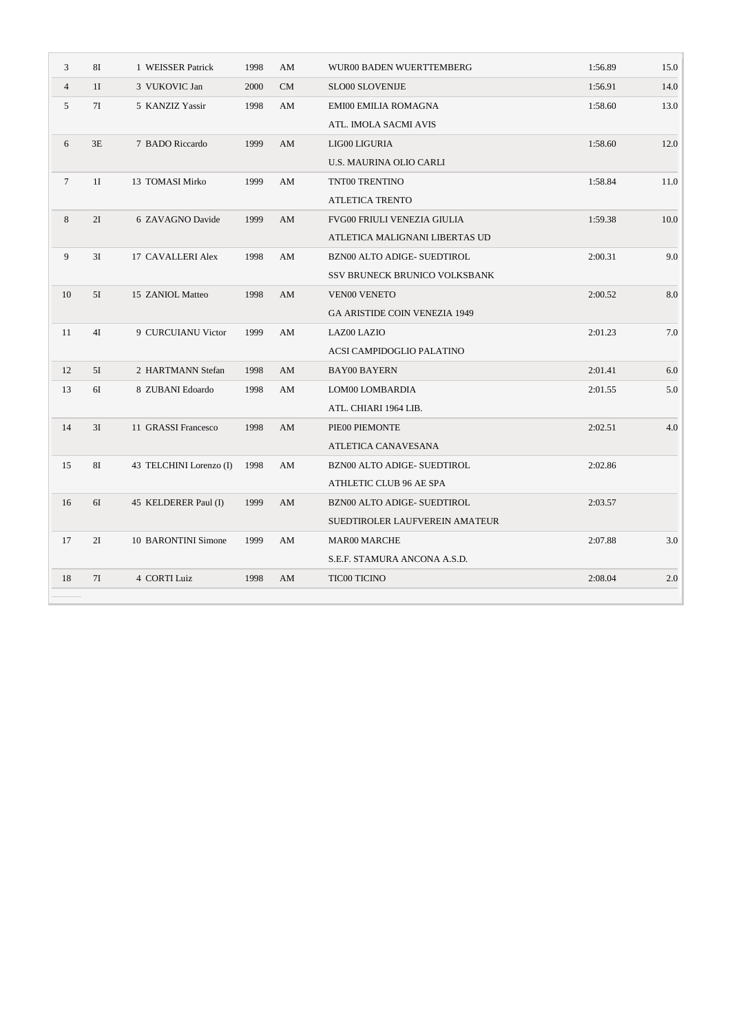| $\mathfrak{Z}$  | 81             | 1 WEISSER Patrick       | 1998 | AM        | WUR00 BADEN WUERTTEMBERG       | 1:56.89 | 15.0 |
|-----------------|----------------|-------------------------|------|-----------|--------------------------------|---------|------|
| $\overline{4}$  | 1 <sub>I</sub> | 3 VUKOVIC Jan           | 2000 | <b>CM</b> | SLO00 SLOVENIJE                | 1:56.91 | 14.0 |
| 5               | 7I             | 5 KANZIZ Yassir         | 1998 | AM        | EMI00 EMILIA ROMAGNA           | 1:58.60 | 13.0 |
|                 |                |                         |      |           | ATL. IMOLA SACMI AVIS          |         |      |
| 6               | 3E             | 7 BADO Riccardo         | 1999 | AM        | LIG00 LIGURIA                  | 1:58.60 | 12.0 |
|                 |                |                         |      |           | U.S. MAURINA OLIO CARLI        |         |      |
| $7\phantom{.0}$ | 1I             | 13 TOMASI Mirko         | 1999 | AM        | TNT00 TRENTINO                 | 1:58.84 | 11.0 |
|                 |                |                         |      |           | ATLETICA TRENTO                |         |      |
| 8               | 2I             | 6 ZAVAGNO Davide        | 1999 | AM        | FVG00 FRIULI VENEZIA GIULIA    | 1:59.38 | 10.0 |
|                 |                |                         |      |           | ATLETICA MALIGNANI LIBERTAS UD |         |      |
| 9               | 3I             | 17 CAVALLERI Alex       | 1998 | AM        | BZN00 ALTO ADIGE- SUEDTIROL    | 2:00.31 | 9.0  |
|                 |                |                         |      |           | SSV BRUNECK BRUNICO VOLKSBANK  |         |      |
| 10              | 5I             | 15 ZANIOL Matteo        | 1998 | AM        | <b>VEN00 VENETO</b>            | 2:00.52 | 8.0  |
|                 |                |                         |      |           | GA ARISTIDE COIN VENEZIA 1949  |         |      |
| 11              | 4I             | 9 CURCUIANU Victor      | 1999 | AM        | LAZ00 LAZIO                    | 2:01.23 | 7.0  |
|                 |                |                         |      |           | ACSI CAMPIDOGLIO PALATINO      |         |      |
| 12              | 5I             | 2 HARTMANN Stefan       | 1998 | AM        | <b>BAY00 BAYERN</b>            | 2:01.41 | 6.0  |
| 13              | 6I             | 8 ZUBANI Edoardo        | 1998 | AM        | LOM00 LOMBARDIA                | 2:01.55 | 5.0  |
|                 |                |                         |      |           | ATL. CHIARI 1964 LIB.          |         |      |
| 14              | 3I             | 11 GRASSI Francesco     | 1998 | AM        | PIE00 PIEMONTE                 | 2:02.51 | 4.0  |
|                 |                |                         |      |           | ATLETICA CANAVESANA            |         |      |
| 15              | <b>8I</b>      | 43 TELCHINI Lorenzo (I) | 1998 | AM        | BZN00 ALTO ADIGE- SUEDTIROL    | 2:02.86 |      |
|                 |                |                         |      |           | ATHLETIC CLUB 96 AE SPA        |         |      |
| 16              | 6I             | 45 KELDERER Paul (I)    | 1999 | AM        | BZN00 ALTO ADIGE- SUEDTIROL    | 2:03.57 |      |
|                 |                |                         |      |           | SUEDTIROLER LAUFVEREIN AMATEUR |         |      |
| 17              | 2I             | 10 BARONTINI Simone     | 1999 | AM        | <b>MAR00 MARCHE</b>            | 2:07.88 | 3.0  |
|                 |                |                         |      |           | S.E.F. STAMURA ANCONA A.S.D.   |         |      |
| 18              | 7I             | 4 CORTI Luiz            | 1998 | AM        | <b>TIC00 TICINO</b>            | 2:08.04 | 2.0  |
|                 |                |                         |      |           |                                |         |      |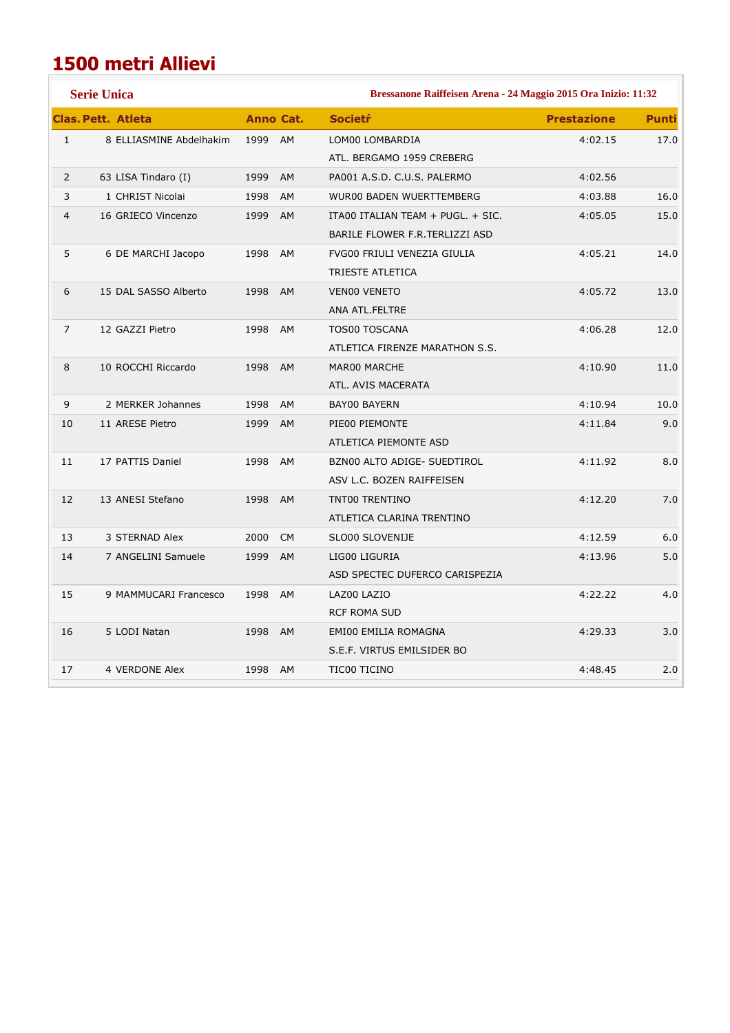## **1500 metri Allievi**

|                | <b>Serie Unica</b>        |         |                  | Bressanone Raiffeisen Arena - 24 Maggio 2015 Ora Inizio: 11:32 |                    |              |  |  |  |
|----------------|---------------------------|---------|------------------|----------------------------------------------------------------|--------------------|--------------|--|--|--|
|                | <b>Clas. Pett. Atleta</b> |         | <b>Anno Cat.</b> | <b>Societr</b>                                                 | <b>Prestazione</b> | <b>Punti</b> |  |  |  |
| $\mathbf{1}$   | 8 ELLIASMINE Abdelhakim   | 1999 AM |                  | LOM00 LOMBARDIA                                                | 4:02.15            | 17.0         |  |  |  |
|                |                           |         |                  | ATL. BERGAMO 1959 CREBERG                                      |                    |              |  |  |  |
| $\overline{2}$ | 63 LISA Tindaro (I)       | 1999    | AM               | PA001 A.S.D. C.U.S. PALERMO                                    | 4:02.56            |              |  |  |  |
| 3              | 1 CHRIST Nicolai          | 1998    | AM               | <b>WUR00 BADEN WUERTTEMBERG</b>                                | 4:03.88            | 16.0         |  |  |  |
| $\overline{4}$ | 16 GRIECO Vincenzo        | 1999 AM |                  | ITA00 ITALIAN TEAM + PUGL. + SIC.                              | 4:05.05            | 15.0         |  |  |  |
|                |                           |         |                  | BARILE FLOWER F.R.TERLIZZI ASD                                 |                    |              |  |  |  |
| 5              | 6 DE MARCHI Jacopo        | 1998    | <b>AM</b>        | FVG00 FRIULI VENEZIA GIULIA                                    | 4:05.21            | 14.0         |  |  |  |
|                |                           |         |                  | TRIESTE ATLETICA                                               |                    |              |  |  |  |
| 6              | 15 DAL SASSO Alberto      | 1998    | AM               | <b>VENOO VENETO</b>                                            | 4:05.72            | 13.0         |  |  |  |
|                |                           |         |                  | ANA ATL.FELTRE                                                 |                    |              |  |  |  |
| $\overline{7}$ | 12 GAZZI Pietro           | 1998    | <b>AM</b>        | <b>TOS00 TOSCANA</b>                                           | 4:06.28            | 12.0         |  |  |  |
|                |                           |         |                  | ATLETICA FIRENZE MARATHON S.S.                                 |                    |              |  |  |  |
| 8              | 10 ROCCHI Riccardo        | 1998    | AM               | MAR00 MARCHE                                                   | 4:10.90            | 11.0         |  |  |  |
|                |                           |         |                  | ATL. AVIS MACERATA                                             |                    |              |  |  |  |
| 9              | 2 MERKER Johannes         | 1998    | <b>AM</b>        | <b>BAY00 BAYERN</b>                                            | 4:10.94            | 10.0         |  |  |  |
| 10             | 11 ARESE Pietro           | 1999    | AM               | PIE00 PIEMONTE                                                 | 4:11.84            | 9.0          |  |  |  |
|                |                           |         |                  | ATLETICA PIEMONTE ASD                                          |                    |              |  |  |  |
| 11             | 17 PATTIS Daniel          | 1998    | AM               | BZN00 ALTO ADIGE- SUEDTIROL                                    | 4:11.92            | 8.0          |  |  |  |
|                |                           |         |                  | ASV L.C. BOZEN RAIFFEISEN                                      |                    |              |  |  |  |
| 12             | 13 ANESI Stefano          | 1998    | <b>AM</b>        | TNT00 TRENTINO                                                 | 4:12.20            | 7.0          |  |  |  |
|                |                           |         |                  | ATLETICA CLARINA TRENTINO                                      |                    |              |  |  |  |
| 13             | 3 STERNAD Alex            | 2000    | <b>CM</b>        | SLO00 SLOVENIJE                                                | 4:12.59            | 6.0          |  |  |  |
| 14             | 7 ANGELINI Samuele        | 1999    | <b>AM</b>        | LIG00 LIGURIA                                                  | 4:13.96            | 5.0          |  |  |  |
|                |                           |         |                  | ASD SPECTEC DUFERCO CARISPEZIA                                 |                    |              |  |  |  |
| 15             | 9 MAMMUCARI Francesco     | 1998    | <b>AM</b>        | LAZ00 LAZIO                                                    | 4:22.22            | 4.0          |  |  |  |
|                |                           |         |                  | <b>RCF ROMA SUD</b>                                            |                    |              |  |  |  |
| 16             | 5 LODI Natan              | 1998 AM |                  | EMI00 EMILIA ROMAGNA                                           | 4:29.33            | 3.0          |  |  |  |
|                |                           |         |                  | S.E.F. VIRTUS EMILSIDER BO                                     |                    |              |  |  |  |
| 17             | 4 VERDONE Alex            | 1998 AM |                  | TIC00 TICINO                                                   | 4:48.45            | 2.0          |  |  |  |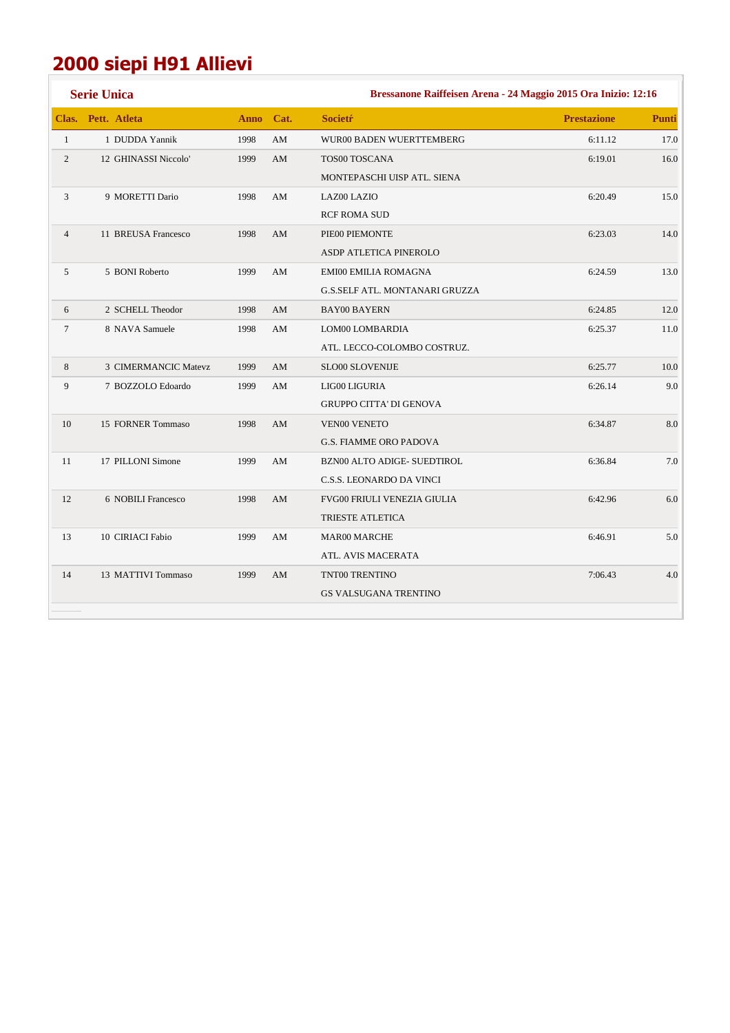## **2000 siepi H91 Allievi**

|                | <b>Serie Unica</b>   |             | Bressanone Raiffeisen Arena - 24 Maggio 2015 Ora Inizio: 12:16 |                                |                    |              |  |  |  |
|----------------|----------------------|-------------|----------------------------------------------------------------|--------------------------------|--------------------|--------------|--|--|--|
| Clas.          | Pett. Atleta         | <b>Anno</b> | Cat.                                                           | <b>Societr</b>                 | <b>Prestazione</b> | <b>Punti</b> |  |  |  |
| $\mathbf{1}$   | 1 DUDDA Yannik       | 1998        | ${\rm AM}$                                                     | WUR00 BADEN WUERTTEMBERG       | 6:11.12            | 17.0         |  |  |  |
| $\overline{2}$ | 12 GHINASSI Niccolo' | 1999        | AM                                                             | <b>TOS00 TOSCANA</b>           | 6:19.01            | 16.0         |  |  |  |
|                |                      |             |                                                                | MONTEPASCHI UISP ATL. SIENA    |                    |              |  |  |  |
| 3              | 9 MORETTI Dario      | 1998        | AM                                                             | LAZ00 LAZIO                    | 6:20.49            | 15.0         |  |  |  |
|                |                      |             |                                                                | <b>RCF ROMA SUD</b>            |                    |              |  |  |  |
| $\overline{4}$ | 11 BREUSA Francesco  | 1998        | AM                                                             | PIE00 PIEMONTE                 | 6:23.03            | 14.0         |  |  |  |
|                |                      |             |                                                                | ASDP ATLETICA PINEROLO         |                    |              |  |  |  |
| 5              | 5 BONI Roberto       | 1999        | AM                                                             | <b>EMI00 EMILIA ROMAGNA</b>    | 6:24.59            | 13.0         |  |  |  |
|                |                      |             |                                                                | G.S.SELF ATL. MONTANARI GRUZZA |                    |              |  |  |  |
| 6              | 2 SCHELL Theodor     | 1998        | AM                                                             | <b>BAY00 BAYERN</b>            | 6:24.85            | 12.0         |  |  |  |
| $\tau$         | 8 NAVA Samuele       | 1998        | AM                                                             | LOM00 LOMBARDIA                | 6:25.37            | 11.0         |  |  |  |
|                |                      |             |                                                                | ATL. LECCO-COLOMBO COSTRUZ.    |                    |              |  |  |  |
| 8              | 3 CIMERMANCIC Matevz | 1999        | AM                                                             | SLO00 SLOVENIJE                | 6:25.77            | 10.0         |  |  |  |
| 9              | 7 BOZZOLO Edoardo    | 1999        | AM                                                             | LIG00 LIGURIA                  | 6:26.14            | 9.0          |  |  |  |
|                |                      |             |                                                                | <b>GRUPPO CITTA' DI GENOVA</b> |                    |              |  |  |  |
| 10             | 15 FORNER Tommaso    | 1998        | AM                                                             | <b>VEN00 VENETO</b>            | 6:34.87            | 8.0          |  |  |  |
|                |                      |             |                                                                | <b>G.S. FIAMME ORO PADOVA</b>  |                    |              |  |  |  |
| 11             | 17 PILLONI Simone    | 1999        | AM                                                             | BZN00 ALTO ADIGE- SUEDTIROL    | 6:36.84            | 7.0          |  |  |  |
|                |                      |             |                                                                | C.S.S. LEONARDO DA VINCI       |                    |              |  |  |  |
| 12             | 6 NOBILI Francesco   | 1998        | AM                                                             | FVG00 FRIULI VENEZIA GIULIA    | 6:42.96            | 6.0          |  |  |  |
|                |                      |             |                                                                | TRIESTE ATLETICA               |                    |              |  |  |  |
| 13             | 10 CIRIACI Fabio     | 1999        | AM                                                             | <b>MAR00 MARCHE</b>            | 6:46.91            | 5.0          |  |  |  |
|                |                      |             |                                                                | ATL. AVIS MACERATA             |                    |              |  |  |  |
| 14             | 13 MATTIVI Tommaso   | 1999        | AM                                                             | TNT00 TRENTINO                 | 7:06.43            | 4.0          |  |  |  |
|                |                      |             |                                                                | <b>GS VALSUGANA TRENTINO</b>   |                    |              |  |  |  |
|                |                      |             |                                                                |                                |                    |              |  |  |  |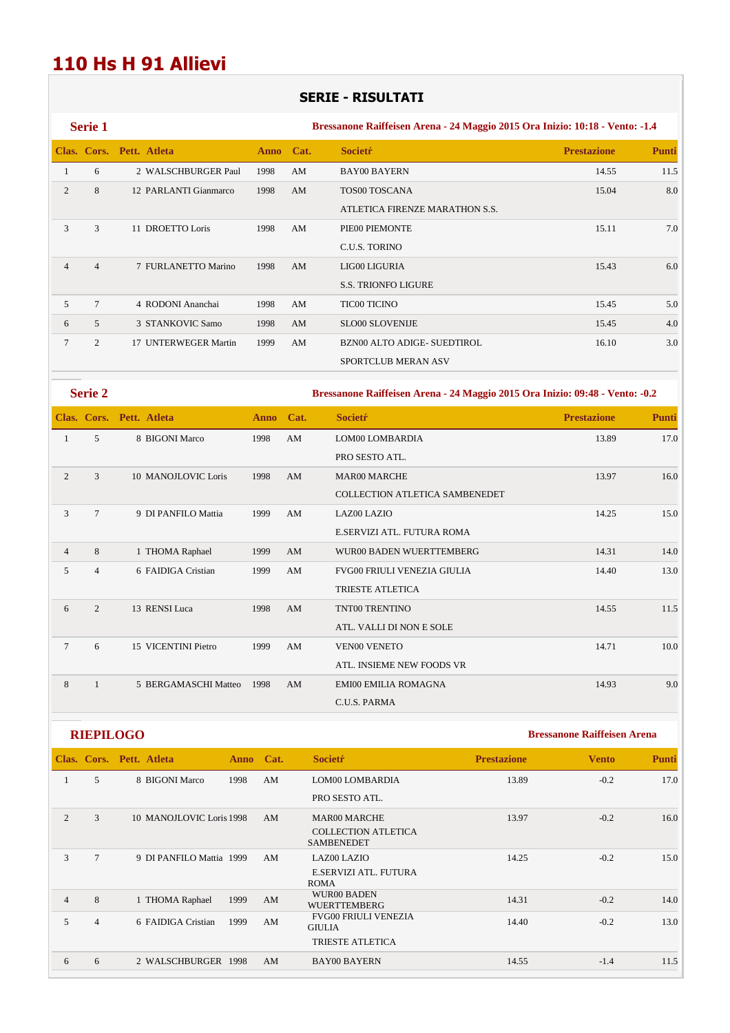## **110 Hs H 91 Allievi**

### **SERIE - RISULTATI**

|                | <b>Serie 1</b>  |                          |             |                        | Bressanone Raiffeisen Arena - 24 Maggio 2015 Ora Inizio: 10:18 - Vento: -1.4 |                    |              |
|----------------|-----------------|--------------------------|-------------|------------------------|------------------------------------------------------------------------------|--------------------|--------------|
|                |                 | Clas. Cors. Pett. Atleta | <b>Anno</b> | Cat.                   | <b>Societr</b>                                                               | <b>Prestazione</b> | <b>Punti</b> |
| $\mathbf{1}$   | 6               | 2 WALSCHBURGER Paul      | 1998        | $\mathbf{A}\mathbf{M}$ | <b>BAY00 BAYERN</b>                                                          | 14.55              | 11.5         |
| 2              | 8               | 12 PARLANTI Gianmarco    | 1998        | AM                     | TOS00 TOSCANA                                                                | 15.04              | 8.0          |
|                |                 |                          |             |                        | ATLETICA FIRENZE MARATHON S.S.                                               |                    |              |
| 3              | 3               | 11 DROETTO Loris         | 1998        | AM                     | PIE00 PIEMONTE                                                               | 15.11              | 7.0          |
|                |                 |                          |             |                        | C.U.S. TORINO                                                                |                    |              |
| $\overline{4}$ | $\overline{4}$  | 7 FURLANETTO Marino      | 1998        | AM                     | LIG00 LIGURIA                                                                | 15.43              | 6.0          |
|                |                 |                          |             |                        | <b>S.S. TRIONFO LIGURE</b>                                                   |                    |              |
| 5              | $7\phantom{.0}$ | 4 RODONI Ananchai        | 1998        | AM                     | <b>TIC00 TICINO</b>                                                          | 15.45              | 5.0          |
| 6              | 5               | 3 STANKOVIC Samo         | 1998        | AM                     | <b>SLO00 SLOVENIJE</b>                                                       | 15.45              | 4.0          |
| $\tau$         | 2               | 17 UNTERWEGER Martin     | 1999        | AM                     | BZN00 ALTO ADIGE- SUEDTIROL                                                  | 16.10              | 3.0          |
|                |                 |                          |             |                        | SPORTCLUB MERAN ASV                                                          |                    |              |
|                | <b>Serie 2</b>  |                          |             |                        | Bressanone Raiffeisen Arena - 24 Maggio 2015 Ora Inizio: 09:48 - Vento: -0.2 |                    |              |
|                |                 | Clas. Cors. Pett. Atleta | <b>Anno</b> | Cat.                   | <b>Societr</b>                                                               | <b>Prestazione</b> | Punti        |
| $\mathbf{1}$   | $\mathfrak{F}$  | 8 BIGONI Marco           | 1998        | $\mathbf{A}\mathbf{M}$ | LOM00 LOMBARDIA                                                              | 13.89              | 17.0         |
|                |                 |                          |             |                        | PRO SESTO ATL.                                                               |                    |              |
| 2              | 3               | 10 MANOJLOVIC Loris      | 1998        | AM                     | <b>MAR00 MARCHE</b>                                                          | 13.97              | 16.0         |
|                |                 |                          |             |                        | COLLECTION ATLETICA SAMBENEDET                                               |                    |              |
| 3              | $\overline{7}$  | 9 DI PANFILO Mattia      | 1999        | AM                     | <b>LAZ00 LAZIO</b>                                                           | 14.25              | 15.0         |
|                |                 |                          |             |                        | E.SERVIZI ATL. FUTURA ROMA                                                   |                    |              |
| $\overline{4}$ | 8               | 1 THOMA Raphael          | 1999        | AM                     | WUR00 BADEN WUERTTEMBERG                                                     | 14.31              | 14.0         |
| 5              | $\overline{4}$  | 6 FAIDIGA Cristian       | 1999        | AM                     | FVG00 FRIULI VENEZIA GIULIA                                                  | 14.40              |              |
|                |                 |                          |             |                        |                                                                              |                    | 13.0         |
|                |                 |                          |             |                        | <b>TRIESTE ATLETICA</b>                                                      |                    |              |

| 6 |   | 13 RENSI Luca        | 1998 | AM | TNT00 TRENTINO              | 14.55 | 11.5 |
|---|---|----------------------|------|----|-----------------------------|-------|------|
|   |   |                      |      |    | ATL. VALLI DI NON E SOLE    |       |      |
|   | 6 | 15 VICENTINI Pietro  | 1999 | AM | <b>VEN00 VENETO</b>         | 14.71 | 10.0 |
|   |   |                      |      |    | ATL. INSIEME NEW FOODS VR   |       |      |
| 8 |   | 5 BERGAMASCHI Matteo | 1998 | AM | <b>EMI00 EMILIA ROMAGNA</b> | 14.93 | 9.0  |
|   |   |                      |      |    | C.U.S. PARMA                |       |      |

|                | <b>RIEPILOGO</b> |                          |      |      |                                                 | <b>Bressanone Raiffeisen Arena</b> |              |       |
|----------------|------------------|--------------------------|------|------|-------------------------------------------------|------------------------------------|--------------|-------|
|                |                  | Clas. Cors. Pett. Atleta | Anno | Cat. | <b>Societr</b>                                  | <b>Prestazione</b>                 | <b>Vento</b> | Punti |
| 1              | 5                | 8 BIGONI Marco           | 1998 | AM   | LOM00 LOMBARDIA                                 | 13.89                              | $-0.2$       | 17.0  |
|                |                  |                          |      |      | PRO SESTO ATL.                                  |                                    |              |       |
| $\overline{c}$ | 3                | 10 MANOJLOVIC Loris 1998 |      | AM   | <b>MAR00 MARCHE</b>                             | 13.97                              | $-0.2$       | 16.0  |
|                |                  |                          |      |      | <b>COLLECTION ATLETICA</b><br><b>SAMBENEDET</b> |                                    |              |       |
| 3              | $7\phantom{.0}$  | 9 DI PANFILO Mattia 1999 |      | AM   | <b>LAZ00 LAZIO</b>                              | 14.25                              | $-0.2$       | 15.0  |
|                |                  |                          |      |      | E.SERVIZI ATL. FUTURA<br><b>ROMA</b>            |                                    |              |       |
| $\overline{4}$ | 8                | 1 THOMA Raphael          | 1999 | AM   | WUR00 BADEN<br><b>WUERTTEMBERG</b>              | 14.31                              | $-0.2$       | 14.0  |
| 5              | $\overline{4}$   | 6 FAIDIGA Cristian       | 1999 | AM   | <b>FVG00 FRIULI VENEZIA</b><br><b>GIULIA</b>    | 14.40                              | $-0.2$       | 13.0  |
|                |                  |                          |      |      | <b>TRIESTE ATLETICA</b>                         |                                    |              |       |
| 6              | 6                | 2 WALSCHBURGER 1998      |      | AM   | <b>BAY00 BAYERN</b>                             | 14.55                              | $-1.4$       | 11.5  |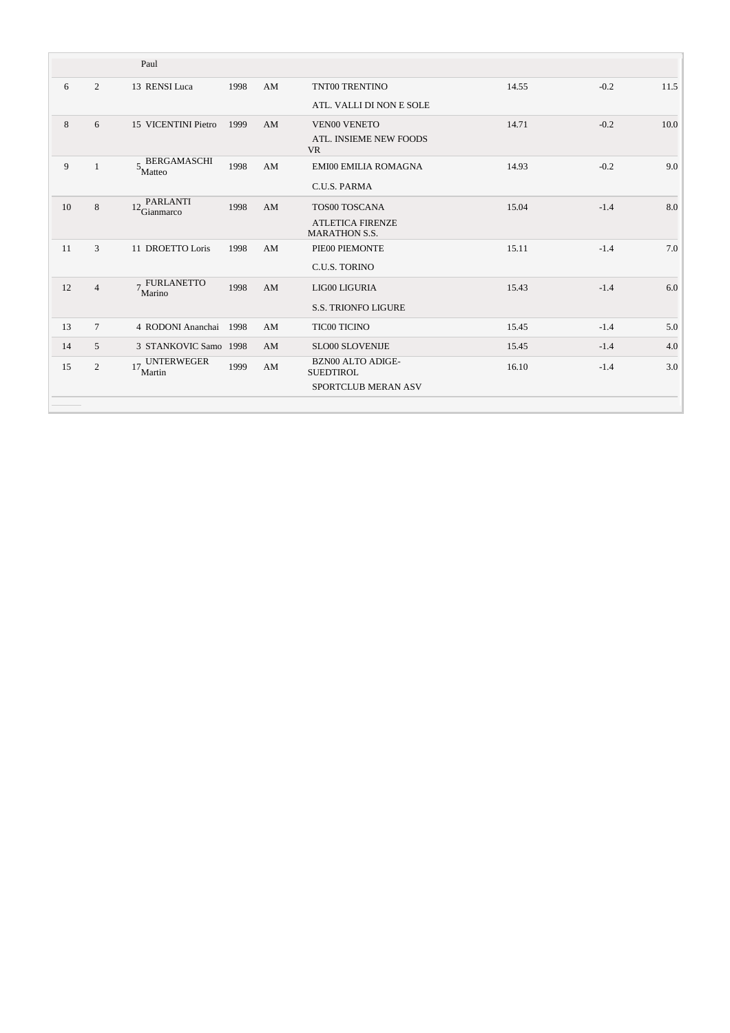|    |                | Paul                                                          |      |    |                                                 |       |        |      |
|----|----------------|---------------------------------------------------------------|------|----|-------------------------------------------------|-------|--------|------|
| 6  | $\overline{2}$ | 13 RENSI Luca                                                 | 1998 | AM | TNT00 TRENTINO                                  | 14.55 | $-0.2$ | 11.5 |
|    |                |                                                               |      |    | ATL. VALLI DI NON E SOLE                        |       |        |      |
| 8  | 6              | 15 VICENTINI Pietro                                           | 1999 | AM | <b>VEN00 VENETO</b>                             | 14.71 | $-0.2$ | 10.0 |
|    |                |                                                               |      |    | ATL. INSIEME NEW FOODS<br><b>VR</b>             |       |        |      |
| 9  | $\mathbf{1}$   | $5\!\!\!{\phantom{a}},{\phantom{a} {\rm BERGAMASCHI}}$ Matteo | 1998 | AM | <b>EMI00 EMILIA ROMAGNA</b>                     | 14.93 | $-0.2$ | 9.0  |
|    |                |                                                               |      |    | C.U.S. PARMA                                    |       |        |      |
| 10 | 8              | PARLANTI<br>12<br>Gianmarco                                   | 1998 | AM | <b>TOS00 TOSCANA</b>                            | 15.04 | $-1.4$ | 8.0  |
|    |                |                                                               |      |    | <b>ATLETICA FIRENZE</b><br><b>MARATHON S.S.</b> |       |        |      |
| 11 | 3              | 11 DROETTO Loris                                              | 1998 | AM | PIE00 PIEMONTE                                  | 15.11 | $-1.4$ | 7.0  |
|    |                |                                                               |      |    | C.U.S. TORINO                                   |       |        |      |
| 12 | $\overline{4}$ | <b>FURLANETTO</b><br>$\overline{7}$<br>Marino                 | 1998 | AM | LIG00 LIGURIA                                   | 15.43 | $-1.4$ | 6.0  |
|    |                |                                                               |      |    | <b>S.S. TRIONFO LIGURE</b>                      |       |        |      |
| 13 | $\tau$         | 4 RODONI Ananchai                                             | 1998 | AM | <b>TIC00 TICINO</b>                             | 15.45 | $-1.4$ | 5.0  |
| 14 | $\overline{5}$ | 3 STANKOVIC Samo 1998                                         |      | AM | <b>SLO00 SLOVENIJE</b>                          | 15.45 | $-1.4$ | 4.0  |
| 15 | 2              | <b>UNTERWEGER</b><br>17<br>Martin                             | 1999 | AM | <b>BZN00 ALTO ADIGE-</b><br><b>SUEDTIROL</b>    | 16.10 | $-1.4$ | 3.0  |
|    |                |                                                               |      |    | SPORTCLUB MERAN ASV                             |       |        |      |
|    |                |                                                               |      |    |                                                 |       |        |      |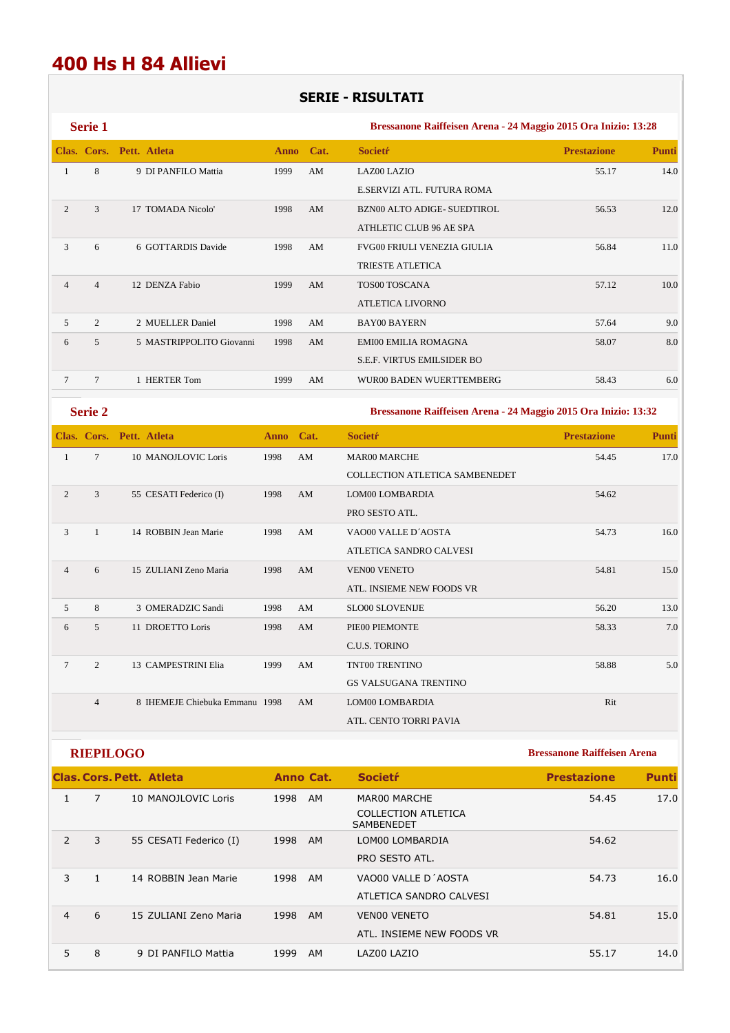### **400 Hs H 84 Allievi**

#### **SERIE - RISULTATI**

|   | <b>Serie 1</b> |                          |           |    | Bressanone Raiffeisen Arena - 24 Maggio 2015 Ora Inizio: 13:28 |                    |              |  |  |  |
|---|----------------|--------------------------|-----------|----|----------------------------------------------------------------|--------------------|--------------|--|--|--|
|   |                | Clas. Cors. Pett. Atleta | Anno Cat. |    | <b>Societr</b>                                                 | <b>Prestazione</b> | <b>Punti</b> |  |  |  |
|   | 8              | 9 DI PANFILO Mattia      | 1999      | AM | <b>LAZ00 LAZIO</b>                                             | 55.17              | 14.0         |  |  |  |
|   |                |                          |           |    | E.SERVIZI ATL. FUTURA ROMA                                     |                    |              |  |  |  |
|   | 3              | 17 TOMADA Nicolo'        | 1998      | AM | <b>BZN00 ALTO ADIGE- SUEDTIROL</b>                             | 56.53              | 12.0         |  |  |  |
|   |                |                          |           |    | ATHLETIC CLUB 96 AE SPA                                        |                    |              |  |  |  |
| 3 | 6              | 6 GOTTARDIS Davide       | 1998      | AM | <b>FVG00 FRIULI VENEZIA GIULIA</b>                             | 56.84              | 11.0         |  |  |  |
|   |                |                          |           |    | <b>TRIESTE ATLETICA</b>                                        |                    |              |  |  |  |
|   | 4              | 12 DENZA Fabio           | 1999      | AM | <b>TOS00 TOSCANA</b>                                           | 57.12              | 10.0         |  |  |  |
|   |                |                          |           |    | ATLETICA LIVORNO                                               |                    |              |  |  |  |

5 2 2 MUELLER Daniel 1998 AM BAY00 BAYERN 57.64 9.0 6 5 5 MASTRIPPOLITO Giovanni 1998 AM EMI00 EMILIA ROMAGNA 58.07 8.0

7 7 1 HERTER Tom 1999 AM WUR00 BADEN WUERTTEMBERG 58.43 6.0

S.E.F. VIRTUS EMILSIDER BO

#### **Serie 2 Bressanone Raiffeisen Arena - 24 Maggio 2015 Ora Inizio: 13:32**

|                |                 | Clas. Cors. Pett. Atleta       | Anno Cat. |    | <b>Societr</b>                        | <b>Prestazione</b> | <b>Punti</b> |
|----------------|-----------------|--------------------------------|-----------|----|---------------------------------------|--------------------|--------------|
| 1              | $7\phantom{.0}$ | 10 MANOJI OVIC Loris           | 1998      | AM | <b>MAR00 MARCHE</b>                   | 54.45              | 17.0         |
|                |                 |                                |           |    | <b>COLLECTION ATLETICA SAMBENEDET</b> |                    |              |
| 2              | 3               | 55 CESATI Federico (I)         | 1998      | AM | <b>LOM00 LOMBARDIA</b>                | 54.62              |              |
|                |                 |                                |           |    | PRO SESTO ATL.                        |                    |              |
| 3              | 1               | 14 ROBBIN Jean Marie           | 1998      | AM | VAO00 VALLE D'AOSTA                   | 54.73              | 16.0         |
|                |                 |                                |           |    | ATLETICA SANDRO CALVESI               |                    |              |
| $\overline{4}$ | 6               | 15 ZULIANI Zeno Maria          | 1998      | AM | <b>VEN00 VENETO</b>                   | 54.81              | 15.0         |
|                |                 |                                |           |    | ATL. INSIEME NEW FOODS VR             |                    |              |
| 5              | 8               | 3 OMERADZIC Sandi              | 1998      | AM | SLO00 SLOVENLIE                       | 56.20              | 13.0         |
| 6              | 5               | 11 DROETTO Loris               | 1998      | AM | PIE00 PIEMONTE                        | 58.33              | 7.0          |
|                |                 |                                |           |    | C.U.S. TORINO                         |                    |              |
| 7              | $\overline{c}$  | 13 CAMPESTRINI Elia            | 1999      | AM | TNT00 TRENTINO                        | 58.88              | 5.0          |
|                |                 |                                |           |    | <b>GS VALSUGANA TRENTINO</b>          |                    |              |
|                | $\overline{4}$  | 8 IHEMEJE Chiebuka Emmanu 1998 |           | AM | LOM00 LOMBARDIA                       | Rit                |              |
|                |                 |                                |           |    | ATL. CENTO TORRI PAVIA                |                    |              |

**RIEPILOGO Bressanone Raiffeisen Arena** 

|                |   | <b>Clas, Cors, Pett. Atleta</b> | Anno Cat.   | Societr <sup>.</sup>                     | <b>Prestazione</b> | <b>Punti</b> |
|----------------|---|---------------------------------|-------------|------------------------------------------|--------------------|--------------|
|                | 7 | 10 MANOJLOVIC Loris             | 1998<br>AM  | MAR00 MARCHE                             | 54.45              | 17.0         |
|                |   |                                 |             | COLLECTION ATLETICA<br><b>SAMBENEDET</b> |                    |              |
| $\overline{2}$ | 3 | 55 CESATI Federico (I)          | 1998<br>AM. | LOM00 LOMBARDIA                          | 54.62              |              |
|                |   |                                 |             | PRO SESTO ATL.                           |                    |              |
| 3              |   | 14 ROBBIN Jean Marie            | 1998<br>AM  | VAO00 VALLE D'AOSTA                      | 54.73              | 16.0         |
|                |   |                                 |             | ATLETICA SANDRO CALVESI                  |                    |              |
| 4              | 6 | 15 ZULIANI Zeno Maria           | 1998<br>AM  | <b>VENOO VENETO</b>                      | 54.81              | 15.0         |
|                |   |                                 |             | ATL. INSIEME NEW FOODS VR                |                    |              |
| 5              | 8 | 9 DI PANFILO Mattia             | 1999<br>AM  | LAZ00 LAZIO                              | 55.17              | 14.0         |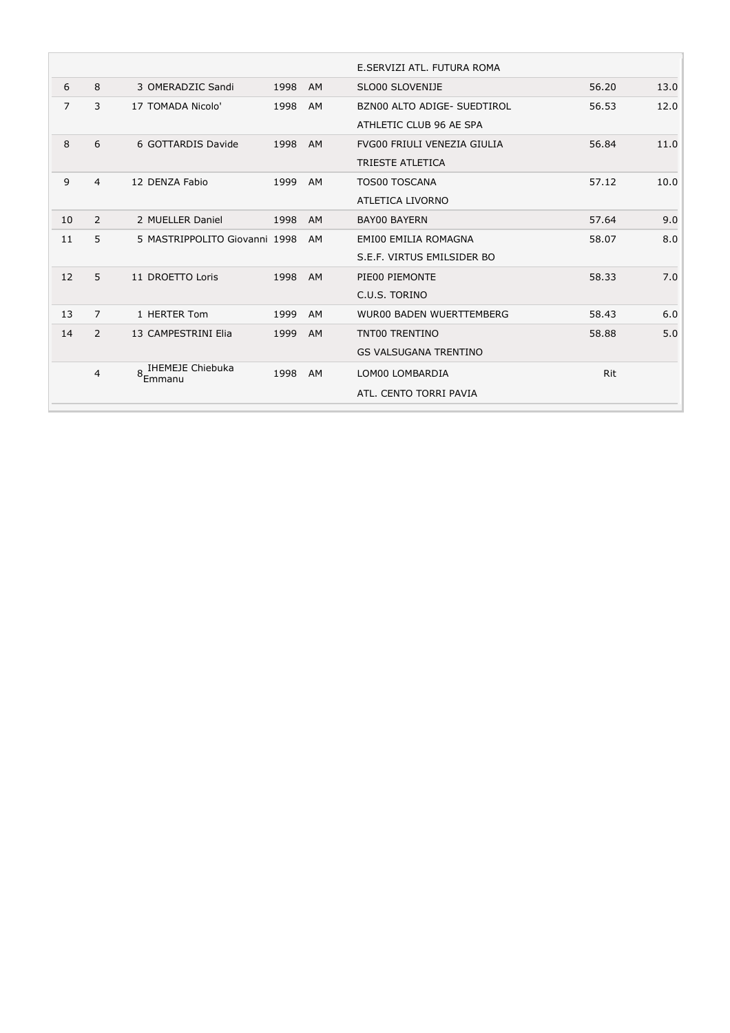|                |                |                               |      |           | E.SERVIZI ATL. FUTURA ROMA                             |            |      |
|----------------|----------------|-------------------------------|------|-----------|--------------------------------------------------------|------------|------|
| 6              | 8              | 3 OMERADZIC Sandi             | 1998 | AM        | SLO00 SLOVENIJE                                        | 56.20      | 13.0 |
| $\overline{7}$ | 3              | 17 TOMADA Nicolo'             | 1998 | AM        | BZN00 ALTO ADIGE- SUEDTIROL<br>ATHLETIC CLUB 96 AE SPA | 56.53      | 12.0 |
| 8              | 6              | 6 GOTTARDIS Davide            | 1998 | <b>AM</b> | FVG00 FRIULI VENEZIA GIULIA<br><b>TRIESTE ATLETICA</b> | 56.84      | 11.0 |
| 9              | 4              | 12 DENZA Fabio                | 1999 | AM        | <b>TOS00 TOSCANA</b><br>ATLETICA LIVORNO               | 57.12      | 10.0 |
| 10             | 2              | 2 MUELLER Daniel              | 1998 | <b>AM</b> | <b>BAY00 BAYERN</b>                                    | 57.64      | 9.0  |
| 11             | 5              | 5 MASTRIPPOLITO Giovanni 1998 |      | AM        | EMI00 EMILIA ROMAGNA<br>S.E.F. VIRTUS EMILSIDER BO     | 58.07      | 8.0  |
| 12             | 5              | 11 DROETTO Loris              | 1998 | <b>AM</b> | PIE00 PIEMONTE<br>C.U.S. TORINO                        | 58.33      | 7.0  |
| 13             | 7              | 1 HERTER Tom                  | 1999 | AM        | <b>WUR00 BADEN WUERTTEMBERG</b>                        | 58.43      | 6.0  |
| 14             | $\overline{2}$ | 13 CAMPESTRINI Elia           | 1999 | AM        | TNT00 TRENTINO<br><b>GS VALSUGANA TRENTINO</b>         | 58.88      | 5.0  |
|                | 4              | 8-IHEMEJE Chiebuka<br>Emmanu  | 1998 | AM        | LOM00 LOMBARDIA<br>ATL. CENTO TORRI PAVIA              | <b>Rit</b> |      |
|                |                |                               |      |           |                                                        |            |      |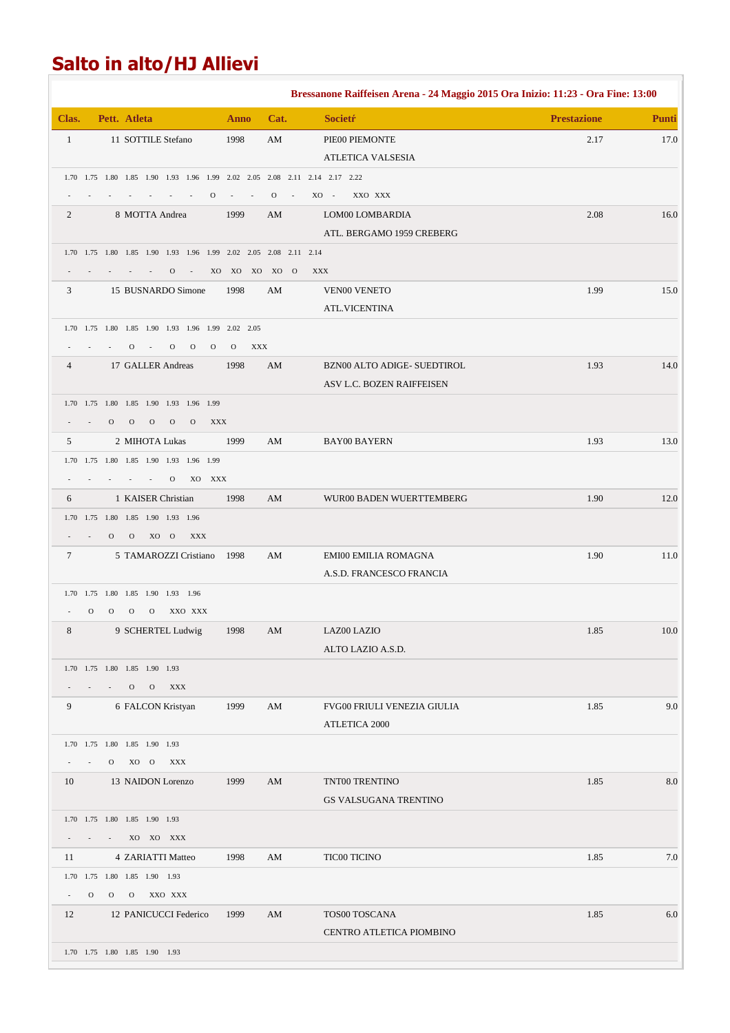## **Salto in alto/HJ Allievi**

|                |               |              |                                                |                         |               |                                                |              |                                                                              |            |              |        | Bressanone Raiffeisen Arena - 24 Maggio 2015 Ora Inizio: 11:23 - Ora Fine: 13:00 |                    |              |  |  |
|----------------|---------------|--------------|------------------------------------------------|-------------------------|---------------|------------------------------------------------|--------------|------------------------------------------------------------------------------|------------|--------------|--------|----------------------------------------------------------------------------------|--------------------|--------------|--|--|
| Clas.          |               |              | Pett. Atleta                                   |                         |               |                                                |              | Anno                                                                         |            | Cat.         |        | <b>Societr</b>                                                                   | <b>Prestazione</b> | <b>Punti</b> |  |  |
| $\mathbf{1}$   |               |              | 11 SOTTILE Stefano                             |                         |               |                                                |              | 1998                                                                         |            | AM           |        | PIE00 PIEMONTE                                                                   | 2.17               | 17.0         |  |  |
|                |               |              |                                                |                         |               |                                                |              |                                                                              |            |              |        | ATLETICA VALSESIA                                                                |                    |              |  |  |
|                |               |              |                                                |                         |               |                                                |              |                                                                              |            |              |        | 1.70 1.75 1.80 1.85 1.90 1.93 1.96 1.99 2.02 2.05 2.08 2.11 2.14 2.17 2.22       |                    |              |  |  |
|                |               |              |                                                |                         |               |                                                | $\Omega$     | $\sim$                                                                       | $\sim$     | $\mathbf{O}$ | $\sim$ | $XO -$<br>XXO XXX                                                                |                    |              |  |  |
| 2              |               |              | 8 MOTTA Andrea                                 |                         |               |                                                |              | 1999                                                                         |            | AM           |        | LOM00 LOMBARDIA                                                                  | 2.08               | 16.0         |  |  |
|                |               |              |                                                |                         |               |                                                |              |                                                                              |            |              |        | ATL. BERGAMO 1959 CREBERG                                                        |                    |              |  |  |
|                |               |              |                                                |                         |               |                                                |              | 1.70  1.75  1.80  1.85  1.90  1.93  1.96  1.99  2.02  2.05  2.08  2.11  2.14 |            |              |        |                                                                                  |                    |              |  |  |
|                |               |              |                                                |                         | $\mathbf{O}$  |                                                |              | XO XO XO XO O                                                                |            |              |        | XXX                                                                              |                    |              |  |  |
| 3              |               |              |                                                |                         |               | 15 BUSNARDO Simone                             |              | 1998                                                                         |            | AM           |        | <b>VEN00 VENETO</b>                                                              | 1.99               | 15.0         |  |  |
|                |               |              |                                                |                         |               |                                                |              |                                                                              |            |              |        | <b>ATL.VICENTINA</b>                                                             |                    |              |  |  |
|                |               |              |                                                |                         |               |                                                |              | 1.70 1.75 1.80 1.85 1.90 1.93 1.96 1.99 2.02 2.05                            |            |              |        |                                                                                  |                    |              |  |  |
|                |               |              | $\mathbf{O}$                                   | $\sim 100$ km s $^{-1}$ | $\mathbf{O}$  | $\mathcal{O}$                                  | $\mathbf{O}$ | $\rm{O}$                                                                     | <b>XXX</b> |              |        |                                                                                  |                    |              |  |  |
| $\overline{4}$ |               |              | 17 GALLER Andreas                              |                         |               |                                                |              | 1998                                                                         |            | AM           |        | BZN00 ALTO ADIGE- SUEDTIROL                                                      | 1.93               | 14.0         |  |  |
|                |               |              |                                                |                         |               |                                                |              |                                                                              |            |              |        | ASV L.C. BOZEN RAIFFEISEN                                                        |                    |              |  |  |
|                |               |              |                                                |                         |               | 1.70  1.75  1.80  1.85  1.90  1.93  1.96  1.99 |              |                                                                              |            |              |        |                                                                                  |                    |              |  |  |
|                |               | $\mathbf{O}$ | $\mathbf{O}$                                   | $\rm{O}$                | $\mathcal{O}$ | $\mathbf{O}$                                   | XXX          |                                                                              |            |              |        |                                                                                  |                    |              |  |  |
| 5              |               |              | 2 MIHOTA Lukas                                 |                         |               |                                                |              | 1999                                                                         |            | AM           |        | <b>BAY00 BAYERN</b>                                                              | 1.93               | 13.0         |  |  |
|                |               |              |                                                |                         |               | 1.70  1.75  1.80  1.85  1.90  1.93  1.96  1.99 |              |                                                                              |            |              |        |                                                                                  |                    |              |  |  |
|                |               |              |                                                | $\sim$                  | $\mathbf{O}$  |                                                | XO XXX       |                                                                              |            |              |        |                                                                                  |                    |              |  |  |
| 6              |               |              | 1 KAISER Christian                             |                         |               |                                                |              | 1998                                                                         |            | AM           |        | WUR00 BADEN WUERTTEMBERG                                                         | 1.90               | 12.0         |  |  |
|                |               |              | 1.70  1.75  1.80  1.85  1.90  1.93  1.96       |                         |               |                                                |              |                                                                              |            |              |        |                                                                                  |                    |              |  |  |
|                |               | $\mathbf{O}$ | $\mathbf{O}$                                   |                         | XO O          | <b>XXX</b>                                     |              |                                                                              |            |              |        |                                                                                  |                    |              |  |  |
| $\tau$         |               |              |                                                |                         |               | 5 TAMAROZZI Cristiano                          |              | 1998                                                                         |            | AM           |        | EMI00 EMILIA ROMAGNA<br>A.S.D. FRANCESCO FRANCIA                                 | 1.90               | 11.0         |  |  |
|                |               |              | 1.70   1.75   1.80   1.85   1.90   1.93   1.96 |                         |               |                                                |              |                                                                              |            |              |        |                                                                                  |                    |              |  |  |
|                | $\mathcal{O}$ | $\mathbf{O}$ | $\mathcal{O}$                                  | $\mathbf{O}$            |               | XXO XXX                                        |              |                                                                              |            |              |        |                                                                                  |                    |              |  |  |
| 8              |               |              |                                                |                         |               | 9 SCHERTEL Ludwig                              |              | 1998                                                                         |            | AM           |        | LAZ00 LAZIO                                                                      | 1.85               | 10.0         |  |  |
|                |               |              |                                                |                         |               |                                                |              |                                                                              |            |              |        | ALTO LAZIO A.S.D.                                                                |                    |              |  |  |
|                |               |              | 1.70   1.75   1.80   1.85   1.90   1.93        |                         |               |                                                |              |                                                                              |            |              |        |                                                                                  |                    |              |  |  |
|                |               |              | $\Omega$                                       | $\mathbf{O}$            | <b>XXX</b>    |                                                |              |                                                                              |            |              |        |                                                                                  |                    |              |  |  |
| 9              |               |              | 6 FALCON Kristyan                              |                         |               |                                                |              | 1999                                                                         |            | AM           |        | FVG00 FRIULI VENEZIA GIULIA                                                      | 1.85               | 9.0          |  |  |
|                |               |              |                                                |                         |               |                                                |              |                                                                              |            |              |        | ATLETICA 2000                                                                    |                    |              |  |  |
|                |               |              | 1.70   1.75   1.80   1.85   1.90   1.93        |                         |               |                                                |              |                                                                              |            |              |        |                                                                                  |                    |              |  |  |
|                | $\sim$        | $\mathbf{O}$ |                                                | XO O                    | <b>XXX</b>    |                                                |              |                                                                              |            |              |        |                                                                                  |                    |              |  |  |
| 10             |               |              | 13 NAIDON Lorenzo                              |                         |               |                                                |              | 1999                                                                         |            | AM           |        | TNT00 TRENTINO                                                                   | 1.85               | 8.0          |  |  |
|                |               |              |                                                |                         |               |                                                |              |                                                                              |            |              |        | GS VALSUGANA TRENTINO                                                            |                    |              |  |  |
|                |               |              | 1.70   1.75   1.80   1.85   1.90   1.93        |                         |               |                                                |              |                                                                              |            |              |        |                                                                                  |                    |              |  |  |
|                |               |              |                                                |                         | XO XO XXX     |                                                |              |                                                                              |            |              |        |                                                                                  |                    |              |  |  |
| 11             |               |              | 4 ZARIATTI Matteo                              |                         |               |                                                |              | 1998                                                                         |            | AM           |        | <b>TIC00 TICINO</b>                                                              | 1.85               | 7.0          |  |  |
|                |               |              | 1.70   1.75   1.80   1.85   1.90   1.93        |                         |               |                                                |              |                                                                              |            |              |        |                                                                                  |                    |              |  |  |
| $\sim$         | $\mathbf{O}$  | $\mathbf{O}$ | $\mathbf{O}$                                   |                         | XXO XXX       |                                                |              |                                                                              |            |              |        |                                                                                  |                    |              |  |  |
| 12             |               |              |                                                |                         |               | 12 PANICUCCI Federico                          |              | 1999                                                                         |            | AM           |        | TOS00 TOSCANA                                                                    | 1.85               | 6.0          |  |  |
|                |               |              |                                                |                         |               |                                                |              |                                                                              |            |              |        | CENTRO ATLETICA PIOMBINO                                                         |                    |              |  |  |
|                |               |              | 1.70 1.75 1.80 1.85 1.90 1.93                  |                         |               |                                                |              |                                                                              |            |              |        |                                                                                  |                    |              |  |  |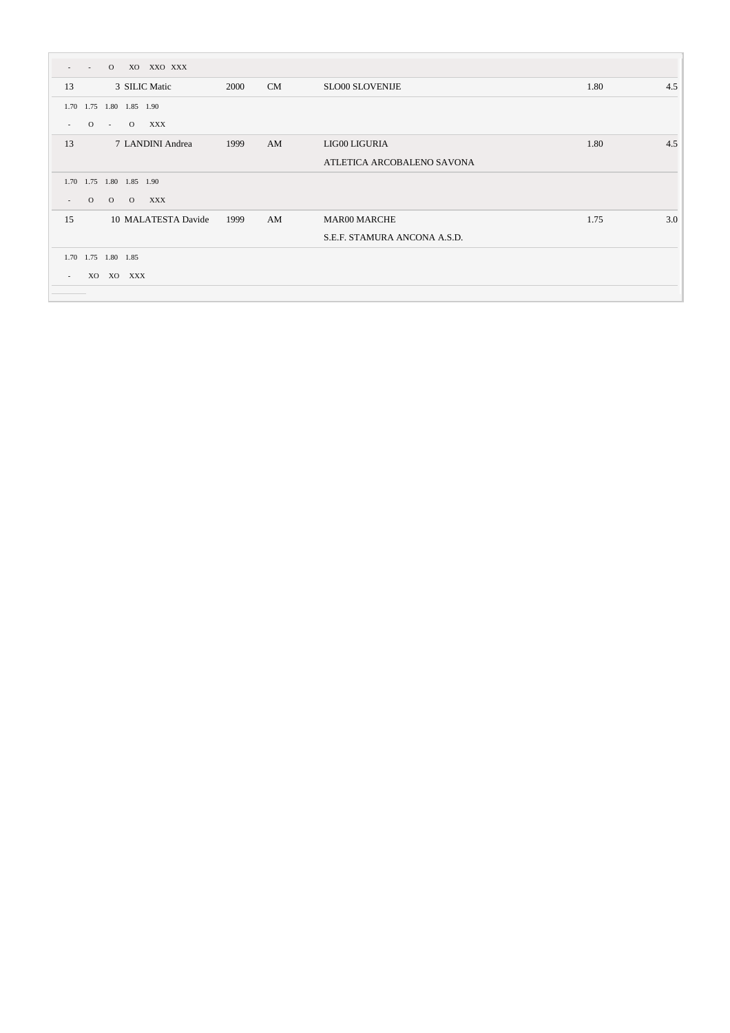| $\Omega$<br>$\sim$                                     | XO XXO XXX                  |    |                              |      |     |
|--------------------------------------------------------|-----------------------------|----|------------------------------|------|-----|
| 3 SILIC Matic<br>13                                    | 2000                        | CM | <b>SLO00 SLOVENIJE</b>       | 1.80 | 4.5 |
| 1.75<br>1.80 1.85 1.90<br>1.70                         |                             |    |                              |      |     |
| $\overline{O}$<br>$\Omega$<br>$\sim 10^{-1}$<br>$\sim$ | XXX                         |    |                              |      |     |
| 13                                                     | 7 LANDINI Andrea<br>1999    | AM | LIG00 LIGURIA                | 1.80 | 4.5 |
|                                                        |                             |    | ATLETICA ARCOBALENO SAVONA   |      |     |
| 1.75 1.80 1.85 1.90<br>1.70                            |                             |    |                              |      |     |
| $\Omega$<br>$\overline{O}$<br>$\Omega$<br>$\sim$       | XXX                         |    |                              |      |     |
| 15                                                     | 10 MALATESTA Davide<br>1999 | AM | <b>MAR00 MARCHE</b>          | 1.75 | 3.0 |
|                                                        |                             |    | S.E.F. STAMURA ANCONA A.S.D. |      |     |
| 1.70 1.75 1.80 1.85                                    |                             |    |                              |      |     |
| XO<br>XO XXX<br>$\sim$                                 |                             |    |                              |      |     |
|                                                        |                             |    |                              |      |     |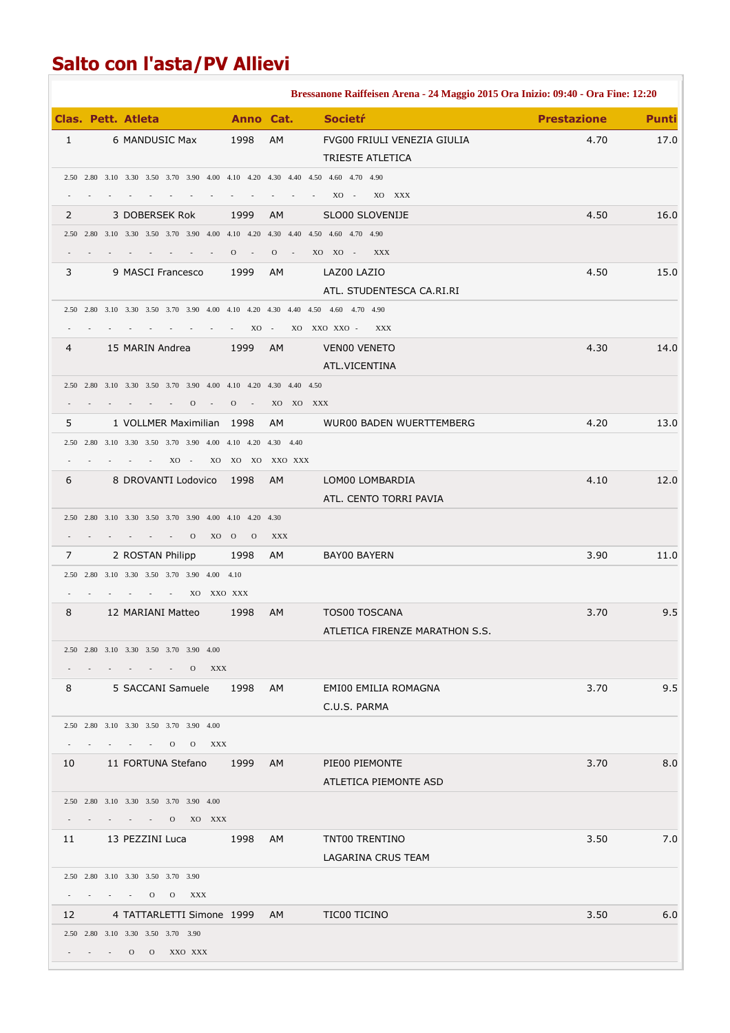## **Salto con l'asta/PV Allievi**

|              |  |                                                                                           |                            |                              | Bressanone Raiffeisen Arena - 24 Maggio 2015 Ora Inizio: 09:40 - Ora Fine: 12:20 |                    |              |
|--------------|--|-------------------------------------------------------------------------------------------|----------------------------|------------------------------|----------------------------------------------------------------------------------|--------------------|--------------|
|              |  | Clas. Pett. Atleta                                                                        | Anno Cat.                  |                              | <b>Societŕ</b>                                                                   | <b>Prestazione</b> | <b>Punti</b> |
| $\mathbf{1}$ |  | 6 MANDUSIC Max                                                                            | 1998                       | AM                           | FVG00 FRIULI VENEZIA GIULIA                                                      | 4.70               | 17.0         |
|              |  |                                                                                           |                            |                              | TRIESTE ATLETICA                                                                 |                    |              |
|              |  | 2.50 2.80 3.10 3.30 3.50 3.70 3.90 4.00 4.10 4.20 4.30 4.40 4.50 4.60 4.70 4.90           |                            |                              |                                                                                  |                    |              |
|              |  |                                                                                           |                            |                              | $XO -$<br>XO XXX                                                                 |                    |              |
| 2            |  | 3 DOBERSEK Rok                                                                            | 1999                       | <b>AM</b>                    | SLO00 SLOVENIJE                                                                  | 4.50               | 16.0         |
|              |  | 2.50 2.80 3.10 3.30 3.50 3.70 3.90 4.00 4.10 4.20 4.30 4.40 4.50 4.60 4.70 4.90           |                            |                              |                                                                                  |                    |              |
|              |  |                                                                                           | $O \qquad -$               | $\overline{O}$<br>$\sim 100$ | XO XO -<br>XXX                                                                   |                    |              |
| 3            |  | 9 MASCI Francesco                                                                         | 1999                       | AM.                          | LAZ00 LAZIO                                                                      | 4.50               | 15.0         |
|              |  | 2.50 2.80 3.10 3.30 3.50 3.70 3.90 4.00 4.10 4.20 4.30 4.40 4.50 4.60 4.70 4.90           |                            |                              | ATL. STUDENTESCA CA.RI.RI                                                        |                    |              |
|              |  |                                                                                           | XO -                       |                              | XO XXO XXO -<br>XXX                                                              |                    |              |
| 4            |  | 15 MARIN Andrea                                                                           | 1999                       | AM                           | <b>VENOO VENETO</b>                                                              | 4.30               | 14.0         |
|              |  |                                                                                           |                            |                              | ATL.VICENTINA                                                                    |                    |              |
|              |  | 2.50 2.80 3.10 3.30 3.50 3.70 3.90 4.00 4.10 4.20 4.30 4.40 4.50                          |                            |                              |                                                                                  |                    |              |
|              |  | $\mathcal{O}$                                                                             | $\mathbf{O}$<br>$\sim$ $-$ |                              | XO XO XXX                                                                        |                    |              |
| 5            |  | 1 VOLLMER Maximilian 1998                                                                 |                            | AM.                          | WUR00 BADEN WUERTTEMBERG                                                         | 4.20               | 13.0         |
|              |  | 2.50 2.80 3.10 3.30 3.50 3.70 3.90 4.00 4.10 4.20 4.30 4.40                               |                            |                              |                                                                                  |                    |              |
|              |  | $XO -$<br>$\sim$                                                                          | XO XO XO XXO XXX           |                              |                                                                                  |                    |              |
| 6            |  | 8 DROVANTI Lodovico                                                                       | 1998                       | AM                           | LOM00 LOMBARDIA                                                                  | 4.10               | 12.0         |
|              |  |                                                                                           |                            |                              | ATL. CENTO TORRI PAVIA                                                           |                    |              |
|              |  | 2.50 2.80 3.10 3.30 3.50 3.70 3.90 4.00 4.10 4.20 4.30                                    |                            |                              |                                                                                  |                    |              |
|              |  | $\mathbf{O}$<br>XO O                                                                      | $\Omega$                   | <b>XXX</b>                   |                                                                                  |                    |              |
| 7            |  | 2 ROSTAN Philipp                                                                          | 1998                       | AM                           | BAY00 BAYERN                                                                     | 3.90               | 11.0         |
|              |  | 2.50 2.80 3.10 3.30 3.50 3.70 3.90 4.00 4.10<br>XO XXO XXX<br><b>Contractor</b><br>$\sim$ |                            |                              |                                                                                  |                    |              |
| 8            |  | 12 MARIANI Matteo                                                                         | 1998                       | AM                           | <b>TOS00 TOSCANA</b>                                                             | 3.70               | 9.5          |
|              |  |                                                                                           |                            |                              | ATLETICA FIRENZE MARATHON S.S.                                                   |                    |              |
|              |  | 2.50 2.80 3.10 3.30 3.50 3.70 3.90 4.00                                                   |                            |                              |                                                                                  |                    |              |
|              |  | $  0$ $XXX$                                                                               |                            |                              |                                                                                  |                    |              |
| 8            |  | 5 SACCANI Samuele 1998 AM                                                                 |                            |                              | EMI00 EMILIA ROMAGNA                                                             | 3.70               | 9.5          |
|              |  |                                                                                           |                            |                              | C.U.S. PARMA                                                                     |                    |              |
|              |  | 2.50 2.80 3.10 3.30 3.50 3.70 3.90 4.00                                                   |                            |                              |                                                                                  |                    |              |
|              |  | $    0$ 0 $XXX$                                                                           |                            |                              |                                                                                  |                    |              |
|              |  | 10 11 FORTUNA Stefano 1999 AM PIE00 PIEMONTE                                              |                            |                              |                                                                                  | 3.70               | 8.0          |
|              |  |                                                                                           |                            |                              | ATLETICA PIEMONTE ASD                                                            |                    |              |
|              |  | 2.50 2.80 3.10 3.30 3.50 3.70 3.90 4.00                                                   |                            |                              |                                                                                  |                    |              |
|              |  | $   0$ XO XXX                                                                             |                            |                              |                                                                                  |                    |              |
|              |  | 11 13 PEZZINI Luca 1998 AM                                                                |                            |                              | TNT00 TRENTINO                                                                   | 3.50               | 7.0          |
|              |  |                                                                                           |                            |                              | LAGARINA CRUS TEAM                                                               |                    |              |
|              |  | 2.50 2.80 3.10 3.30 3.50 3.70 3.90<br>$  0$ $0$ $XXX$                                     |                            |                              |                                                                                  |                    |              |
| 12           |  | 4 TATTARLETTI Simone 1999 AM TIC00 TICINO                                                 |                            |                              |                                                                                  | 3.50               | 6.0          |
|              |  | 2.50 2.80 3.10 3.30 3.50 3.70 3.90                                                        |                            |                              |                                                                                  |                    |              |
|              |  | $  0$ $0$ XXO XXX                                                                         |                            |                              |                                                                                  |                    |              |
|              |  |                                                                                           |                            |                              |                                                                                  |                    |              |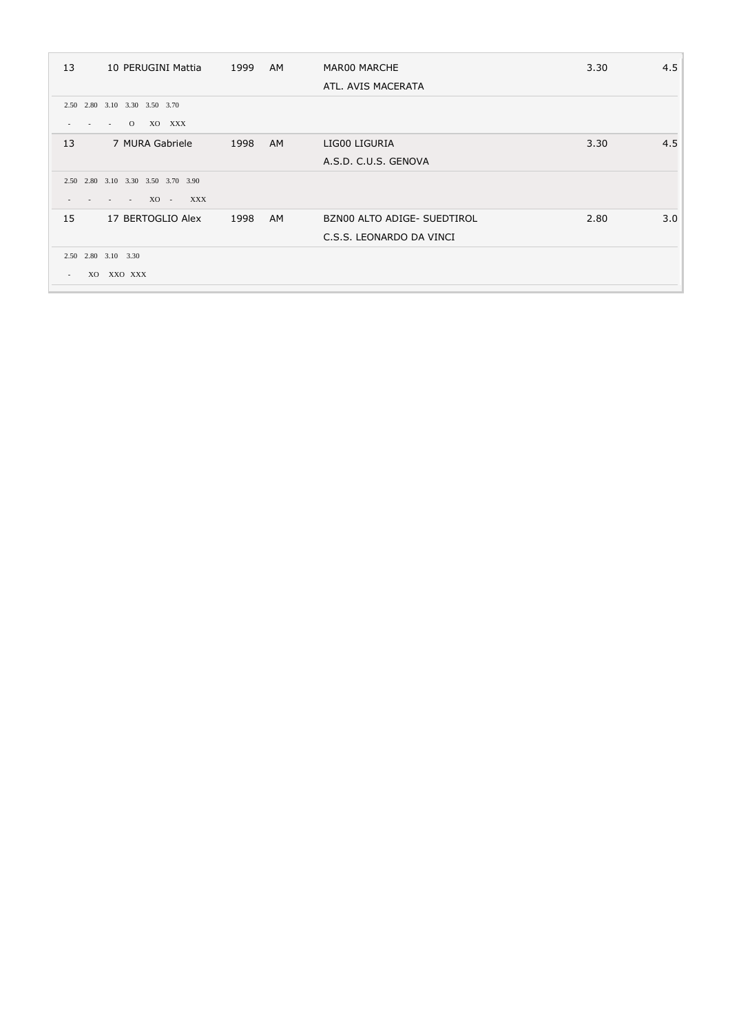| 13             | 10 PERUGINI Mattia                  | 1999 | AM.       | MAR00 MARCHE                | 3.30 | 4.5 |
|----------------|-------------------------------------|------|-----------|-----------------------------|------|-----|
|                |                                     |      |           | ATL. AVIS MACERATA          |      |     |
|                | 2.50 2.80 3.10 3.30 3.50 3.70       |      |           |                             |      |     |
|                | $\overline{O}$<br>XO XXX<br>$\sim$  |      |           |                             |      |     |
| 13             | 7 MURA Gabriele                     | 1998 | AM.       | LIG00 LIGURIA               | 3.30 | 4.5 |
|                |                                     |      |           | A.S.D. C.U.S. GENOVA        |      |     |
|                | 2.50 2.80 3.10 3.30 3.50 3.70 3.90  |      |           |                             |      |     |
|                | XO - XXX<br>$\sim 100$ km s $^{-1}$ |      |           |                             |      |     |
| 15             | 17 BERTOGLIO Alex                   | 1998 | <b>AM</b> | BZN00 ALTO ADIGE- SUEDTIROL | 2.80 | 3.0 |
|                |                                     |      |           | C.S.S. LEONARDO DA VINCI    |      |     |
|                | 2.50 2.80 3.10 3.30                 |      |           |                             |      |     |
| X <sub>O</sub> | XXO XXX                             |      |           |                             |      |     |
|                |                                     |      |           |                             |      |     |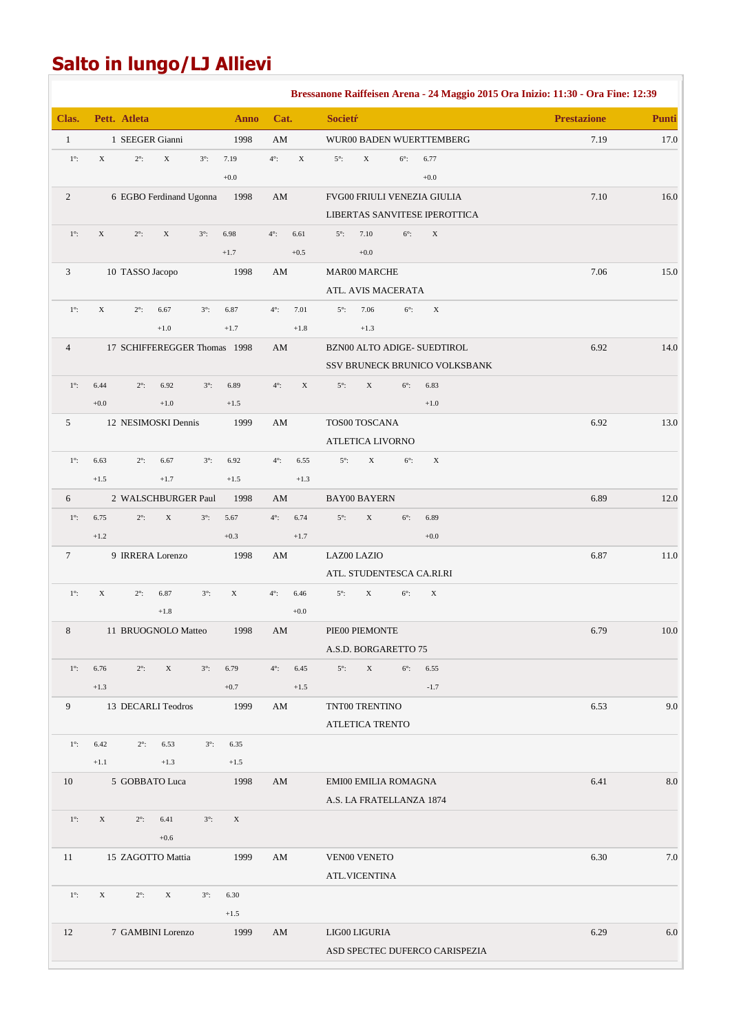## **Salto in lungo/LJ Allievi**

|                |                                              |                            |                |                        |                |                |                         |                                     |                                | Bressanone Raiffeisen Arena - 24 Maggio 2015 Ora Inizio: 11:30 - Ora Fine: 12:39 |              |
|----------------|----------------------------------------------|----------------------------|----------------|------------------------|----------------|----------------|-------------------------|-------------------------------------|--------------------------------|----------------------------------------------------------------------------------|--------------|
| Clas.          | Pett. Atleta                                 |                            | <b>Anno</b>    | Cat.                   |                | <b>Societŕ</b> |                         |                                     |                                | <b>Prestazione</b>                                                               | <b>Punti</b> |
| $\mathbf{1}$   | 1 SEEGER Gianni                              |                            | 1998           | AM                     |                |                |                         |                                     | WUR00 BADEN WUERTTEMBERG       | 7.19                                                                             | 17.0         |
| $1^{\circ}$    | $\mathbf X$<br>$2^\circ$ :<br>$\mathbf X$    | $3^\circ$ :                | 7.19           | $4^\circ$ :            | $\mathbf X$    | $5^\circ$ :    | $\mathbf X$             | $6^\circ$ :                         | 6.77                           |                                                                                  |              |
|                |                                              |                            | $+0.0$         |                        |                |                |                         |                                     | $+0.0$                         |                                                                                  |              |
| $\overline{2}$ | 6 EGBO Ferdinand Ugonna                      |                            | 1998           | $\mathbf{A}\mathbf{M}$ |                |                |                         |                                     | FVG00 FRIULI VENEZIA GIULIA    | 7.10                                                                             | $16.0\,$     |
|                |                                              |                            |                |                        |                |                |                         |                                     | LIBERTAS SANVITESE IPEROTTICA  |                                                                                  |              |
| $1^\circ$ :    | $\mathbf X$<br>$2^\circ$ :<br>$\mathbf X$    | $3^\circ$ :                | 6.98           | $4^\circ$ :            | 6.61           | $5^\circ$ :    | 7.10                    | $6^\circ$ :                         | $\mathbf X$                    |                                                                                  |              |
|                |                                              |                            | $+1.7$         |                        | $+0.5$         |                | $+0.0$                  |                                     |                                |                                                                                  |              |
| 3              | 10 TASSO Jacopo                              |                            | 1998           | AM                     |                |                | <b>MAR00 MARCHE</b>     |                                     |                                | 7.06                                                                             | 15.0         |
|                |                                              |                            |                | $4^\circ$ :            |                |                |                         | ATL. AVIS MACERATA                  |                                |                                                                                  |              |
| $1^\circ$ :    | $\mathbf X$<br>$2^\circ$ :<br>6.67<br>$+1.0$ | $3^\circ$ :                | 6.87<br>$+1.7$ |                        | 7.01<br>$+1.8$ | $5^\circ$ :    | 7.06<br>$+1.3$          | $6^\circ$ :                         | $\mathbf X$                    |                                                                                  |              |
| 4              | 17 SCHIFFEREGGER Thomas 1998                 |                            |                | $\mathbf{A}\mathbf{M}$ |                |                |                         |                                     | BZN00 ALTO ADIGE- SUEDTIROL    | 6.92                                                                             | 14.0         |
|                |                                              |                            |                |                        |                |                |                         |                                     | SSV BRUNECK BRUNICO VOLKSBANK  |                                                                                  |              |
| $1^\circ$ :    | 6.44<br>$2^\circ$ :<br>6.92                  | $3^\circ$ :                | 6.89           | $4^\circ$ :            | $\mathbf X$    | $5^\circ$ :    | $\mathbf X$             | $6^\circ$ :                         | 6.83                           |                                                                                  |              |
|                | $+1.0$<br>$+0.0$                             |                            | $+1.5$         |                        |                |                |                         |                                     | $+1.0$                         |                                                                                  |              |
| $\mathfrak{S}$ | 12 NESIMOSKI Dennis                          |                            | 1999           | $\mathbf{A}\mathbf{M}$ |                |                | TOS00 TOSCANA           |                                     |                                | 6.92                                                                             | 13.0         |
|                |                                              |                            |                |                        |                |                | <b>ATLETICA LIVORNO</b> |                                     |                                |                                                                                  |              |
| $1^\circ$ :    | 6.63<br>$2^\circ$ :<br>6.67                  | $3^\circ$ :                | 6.92           | $4^\circ$ :            | 6.55           | $5^\circ$ :    | $\mathbf X$             | $6^\circ$ :                         | $\mathbf X$                    |                                                                                  |              |
|                | $+1.5$<br>$+1.7$                             |                            | $+1.5$         |                        | $+1.3$         |                |                         |                                     |                                |                                                                                  |              |
| 6              | 2 WALSCHBURGER Paul                          |                            | 1998           | AM                     |                |                | <b>BAY00 BAYERN</b>     |                                     |                                | 6.89                                                                             | 12.0         |
| $1^\circ$ :    | 6.75<br>$2^\circ$ :                          | $\mathbf X$<br>$3^\circ$ : | 5.67           | $4^\circ$ :            | 6.74           | $5^\circ$ :    | $\mathbf X$             | $6^\circ$ :                         | 6.89                           |                                                                                  |              |
|                | $+1.2$                                       |                            | $+0.3$         |                        | $+1.7$         |                |                         |                                     | $+0.0$                         |                                                                                  |              |
| $\tau$         | 9 IRRERA Lorenzo                             |                            | 1998           | $\mathbf{A}\mathbf{M}$ |                | LAZ00 LAZIO    |                         |                                     |                                | 6.87                                                                             | 11.0         |
|                |                                              |                            |                |                        |                |                |                         |                                     | ATL. STUDENTESCA CA.RI.RI      |                                                                                  |              |
| $1^\circ$ :    | $\mathbf X$<br>$2^\circ$ :<br>6.87           | $3^\circ$ :                | $\mathbf X$    | $4^\circ$ :            | 6.46           | $5^\circ$ :    | $\mathbf X$             | $6^\circ$ :                         | $\mathbf X$                    |                                                                                  |              |
|                | $+1.8$                                       |                            |                |                        | $+0.0$         |                |                         |                                     |                                |                                                                                  |              |
| 8              | 11 BRUOGNOLO Matteo                          |                            | 1998           | AM                     |                |                | PIE00 PIEMONTE          |                                     |                                | 6.79                                                                             | 10.0         |
| $1^\circ$ :    |                                              | $3^\circ$ :                |                | $4^\circ$ :            |                | $5^\circ$ :    | $\mathbf X$             | A.S.D. BORGARETTO 75<br>$6^\circ$ : |                                |                                                                                  |              |
|                | 6.76<br>$2^\circ$ :<br>$+1.3$                | $\mathbf X$                | 6.79<br>$+0.7$ |                        | 6.45<br>$+1.5$ |                |                         |                                     | 6.55<br>$-1.7$                 |                                                                                  |              |
| 9              | 13 DECARLI Teodros                           |                            | 1999           | AM                     |                |                | TNT00 TRENTINO          |                                     |                                | 6.53                                                                             | 9.0          |
|                |                                              |                            |                |                        |                |                | ATLETICA TRENTO         |                                     |                                |                                                                                  |              |
| $1^\circ$ :    | 6.42<br>$2^\circ$ :<br>6.53                  | $3^\circ$ :                | 6.35           |                        |                |                |                         |                                     |                                |                                                                                  |              |
|                | $+1.1$<br>$+1.3$                             |                            | $+1.5$         |                        |                |                |                         |                                     |                                |                                                                                  |              |
| 10             | 5 GOBBATO Luca                               |                            | 1998           | AM                     |                |                |                         | EMI00 EMILIA ROMAGNA                |                                | 6.41                                                                             | 8.0          |
|                |                                              |                            |                |                        |                |                |                         | A.S. LA FRATELLANZA 1874            |                                |                                                                                  |              |
| $1^\circ$ :    | $\mathbf X$<br>$2^\circ$ :<br>6.41           | $3^\circ$ :                | $\mathbf X$    |                        |                |                |                         |                                     |                                |                                                                                  |              |
|                | $+0.6$                                       |                            |                |                        |                |                |                         |                                     |                                |                                                                                  |              |
| 11             | 15 ZAGOTTO Mattia                            |                            | 1999           | AM                     |                |                | VEN00 VENETO            |                                     |                                | 6.30                                                                             | 7.0          |
|                |                                              |                            |                |                        |                |                | ATL.VICENTINA           |                                     |                                |                                                                                  |              |
| $1^\circ$ :    | $\mathbf X$<br>$\mathbf X$<br>$2^\circ$ :    | $3^\circ$ :                | 6.30           |                        |                |                |                         |                                     |                                |                                                                                  |              |
|                |                                              |                            | $+1.5$         |                        |                |                |                         |                                     |                                |                                                                                  |              |
| 12             | 7 GAMBINI Lorenzo                            |                            | 1999           | AM                     |                |                | LIG00 LIGURIA           |                                     |                                | 6.29                                                                             | 6.0          |
|                |                                              |                            |                |                        |                |                |                         |                                     | ASD SPECTEC DUFERCO CARISPEZIA |                                                                                  |              |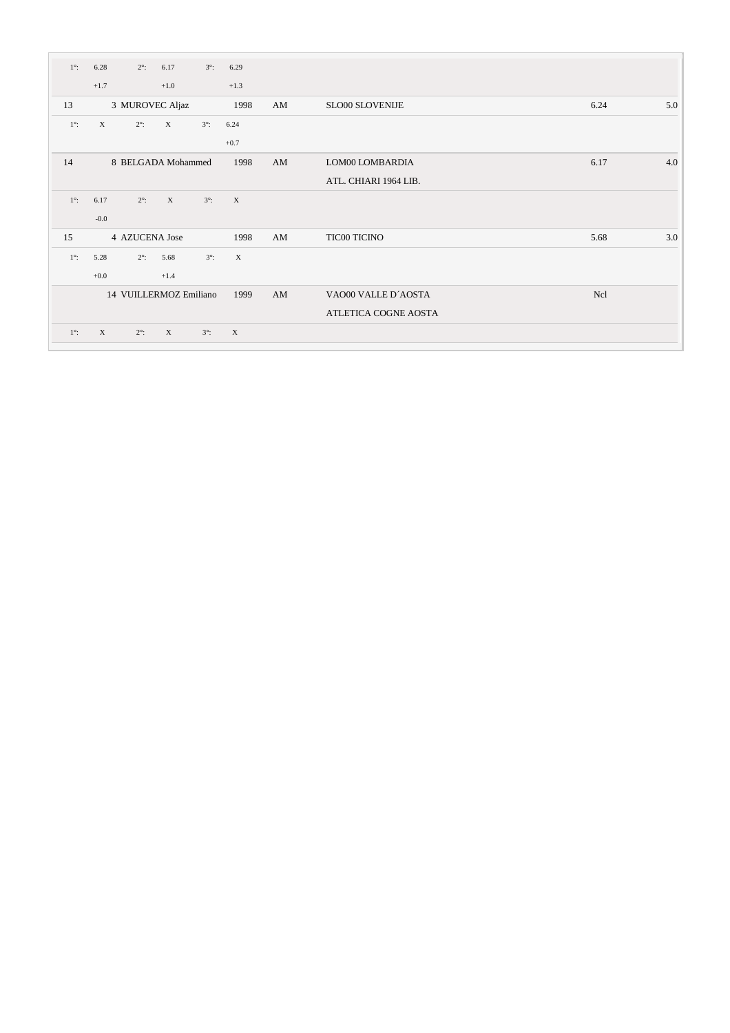| $1^\circ$ : | 6.28        | $2^\circ$ :    | 6.17                      | $3^\circ$ : | 6.29        |    |                        |            |     |
|-------------|-------------|----------------|---------------------------|-------------|-------------|----|------------------------|------------|-----|
|             | $+1.7$      |                | $+1.0$                    |             | $+1.3$      |    |                        |            |     |
| 13          |             |                | 3 MUROVEC Aljaz           |             | 1998        | AM | <b>SLO00 SLOVENIJE</b> | 6.24       | 5.0 |
| $1^\circ$ : | $\mathbf X$ | $2^\circ$ :    | $\mathbf X$               | $3^\circ$ : | 6.24        |    |                        |            |     |
|             |             |                |                           |             | $+0.7$      |    |                        |            |     |
| 14          |             |                | 8 BELGADA Mohammed        |             | 1998        | AM | LOM00 LOMBARDIA        | 6.17       | 4.0 |
|             |             |                |                           |             |             |    | ATL. CHIARI 1964 LIB.  |            |     |
| $1^\circ$ : | 6.17        | $2^\circ$ :    | $\boldsymbol{\mathrm{X}}$ | $3^\circ$ : | $\mathbf X$ |    |                        |            |     |
|             | $-0.0$      |                |                           |             |             |    |                        |            |     |
| 15          |             | 4 AZUCENA Jose |                           |             | 1998        | AM | <b>TIC00 TICINO</b>    | 5.68       | 3.0 |
| $1^\circ$ : | 5.28        | $2^\circ$ :    | 5.68                      | $3^\circ$ : | $\mathbf X$ |    |                        |            |     |
|             | $+0.0$      |                | $+1.4$                    |             |             |    |                        |            |     |
|             |             |                | 14 VUILLERMOZ Emiliano    |             | 1999        | AM | VAO00 VALLE D'AOSTA    | <b>Ncl</b> |     |
|             |             |                |                           |             |             |    | ATLETICA COGNE AOSTA   |            |     |
| $1^\circ$ : | $\mathbf X$ | $2^\circ$ :    | $\mathbf X$               | $3^\circ$ : | $\mathbf X$ |    |                        |            |     |
|             |             |                |                           |             |             |    |                        |            |     |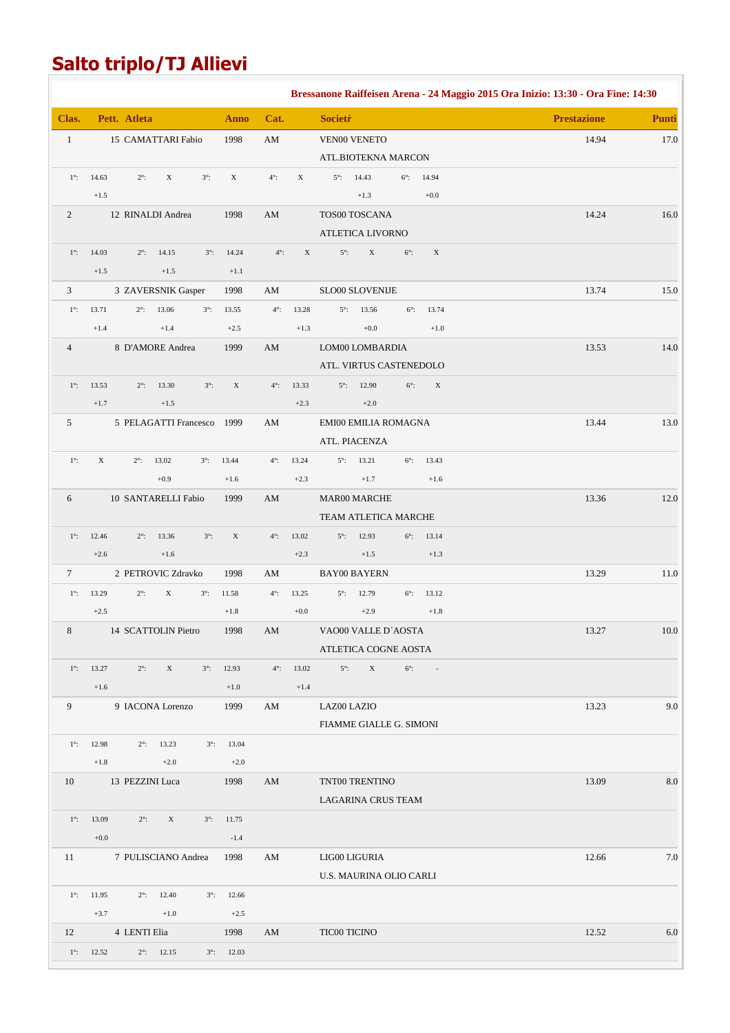## **Salto triplo/TJ Allievi**

|                  |                     |                       |                     |             |                     |                        |                           |                            |             |                     | Bressanone Raiffeisen Arena - 24 Maggio 2015 Ora Inizio: 13:30 - Ora Fine: 14:30 |              |
|------------------|---------------------|-----------------------|---------------------|-------------|---------------------|------------------------|---------------------------|----------------------------|-------------|---------------------|----------------------------------------------------------------------------------|--------------|
| Clas.            |                     | Pett. Atleta          |                     |             | <b>Anno</b>         | Cat.                   |                           | <b>Societŕ</b>             |             |                     | <b>Prestazione</b>                                                               | <b>Punti</b> |
| $\mathbf{1}$     |                     | 15 CAMATTARI Fabio    |                     |             | 1998                | $\mathbf{A}\mathbf{M}$ |                           | VEN00 VENETO               |             |                     | 14.94                                                                            | 17.0         |
|                  |                     |                       |                     |             |                     |                        |                           | ATL.BIOTEKNA MARCON        |             |                     |                                                                                  |              |
| $1^\circ$ :      | 14.63               | $2^\circ$ :           | $\mathbf X$         | $3^\circ$ : | X                   | $4^\circ$ :            | $\boldsymbol{\mathrm{X}}$ | $5^\circ$ :<br>14.43       |             | $6^{\circ}$ : 14.94 |                                                                                  |              |
|                  | $+1.5$              |                       |                     |             |                     |                        |                           | $+1.3$                     |             | $+0.0$              |                                                                                  |              |
| $\boldsymbol{2}$ |                     | 12 RINALDI Andrea     |                     |             | 1998                | AM                     |                           | TOS00 TOSCANA              |             |                     | 14.24                                                                            | $16.0\,$     |
|                  |                     |                       |                     |             |                     |                        |                           | ATLETICA LIVORNO           |             |                     |                                                                                  |              |
| $1^\circ$ :      | 14.03               | $2^\circ$ :           | 14.15               | $3^\circ$ : | 14.24               | $4^\circ$ :            | $\mathbf X$               | $5^\circ$ :<br>$\mathbf X$ | $6^\circ$ : | $\mathbf X$         |                                                                                  |              |
|                  | $+1.5$              |                       | $+1.5$              |             | $+1.1$              |                        |                           |                            |             |                     |                                                                                  |              |
| 3                |                     | 3 ZAVERSNIK Gasper    |                     |             | 1998                | AM                     |                           | SLO00 SLOVENIJE            |             |                     | 13.74                                                                            | 15.0         |
| $1^\circ$ :      | 13.71               | $2^\circ$ :           | 13.06               | $3^\circ$ : | 13.55               | $4^\circ$ :            | 13.28                     | $5^\circ$ :<br>13.56       | $6^\circ$ : | 13.74               |                                                                                  |              |
|                  | $+1.4$              |                       | $+1.4$              |             | $+2.5$              |                        | $+1.3$                    | $+0.0$                     |             | $+1.0$              |                                                                                  |              |
| $\overline{4}$   |                     | 8 D'AMORE Andrea      |                     |             | 1999                | AM                     |                           | LOM00 LOMBARDIA            |             |                     | 13.53                                                                            | 14.0         |
|                  |                     |                       |                     |             |                     |                        |                           | ATL. VIRTUS CASTENEDOLO    |             |                     |                                                                                  |              |
| $1^\circ$ :      | 13.53               | $2^\circ$ :           | 13.30               | $3^\circ$ : | $\mathbf X$         | $4^\circ$ :            | 13.33                     | $5^\circ$ :<br>12.90       | $6^\circ$ : | $\mathbf X$         |                                                                                  |              |
|                  | $+1.7$              |                       | $+1.5$              |             |                     |                        | $+2.3$                    | $+2.0$                     |             |                     |                                                                                  |              |
| 5                |                     | 5 PELAGATTI Francesco |                     |             | 1999                | $\mathbf{A}\mathbf{M}$ |                           | EMI00 EMILIA ROMAGNA       |             |                     | 13.44                                                                            | 13.0         |
|                  |                     |                       |                     |             |                     |                        |                           | ATL. PIACENZA              |             |                     |                                                                                  |              |
| $1^\circ$ :      | $\mathbf X$         | $2^\circ$ :           | 13.02               | $3^\circ$ : | 13.44               | $4^\circ$ :            | 13.24                     | $5^\circ$ :<br>13.21       | $6^\circ$ : | 13.43               |                                                                                  |              |
|                  |                     |                       | $+0.9$              |             | $+1.6$              |                        | $+2.3$                    | $+1.7$                     |             | $+1.6$              |                                                                                  |              |
| 6                |                     | 10 SANTARELLI Fabio   |                     |             | 1999                | $\mathbf{A}\mathbf{M}$ |                           | MAR00 MARCHE               |             |                     | 13.36                                                                            | $12.0\,$     |
|                  |                     |                       |                     |             |                     |                        |                           | TEAM ATLETICA MARCHE       |             |                     |                                                                                  |              |
| $1^\circ$ :      | 12.46               | $2^\circ$ :           | 13.36               | $3^\circ$ : | $\mathbf X$         | $4^\circ$ :            | 13.02                     | $5^\circ$ :<br>12.93       | $6^\circ$ : | 13.14               |                                                                                  |              |
|                  | $+2.6$              |                       | $+1.6$              |             |                     |                        | $+2.3$                    | $+1.5$                     |             | $+1.3$              |                                                                                  |              |
| $\tau$           |                     | 2 PETROVIC Zdravko    |                     |             | 1998                | $\mathbf{A}\mathbf{M}$ |                           | <b>BAY00 BAYERN</b>        |             |                     | 13.29                                                                            | $11.0\,$     |
| $1^\circ$ :      | 13.29               | $2^\circ$ :           | $\mathbf X$         | $3^\circ$ : | 11.58               | $4^\circ$ :            | 13.25                     | $5^\circ$ :<br>12.79       | $6^\circ$ : | 13.12               |                                                                                  |              |
|                  | $+2.5$              |                       |                     |             | $+1.8$              |                        | $+0.0$                    | $+2.9$                     |             | $+1.8\,$            |                                                                                  |              |
| $\,8\,$          |                     | 14 SCATTOLIN Pietro   |                     |             | 1998                | AM                     |                           | VAO00 VALLE D'AOSTA        |             |                     | 13.27                                                                            | 10.0         |
|                  |                     |                       |                     |             |                     |                        |                           | ATLETICA COGNE AOSTA       |             |                     |                                                                                  |              |
|                  | $1^{\circ}$ : 13.27 | $2^\circ$ :           | $\mathbf X$         | $3^\circ$ : | 12.93               | $4^\circ$ :            | 13.02                     | $\mathbf X$<br>$5^\circ$ : | $6^\circ$ : | $\sim 100$          |                                                                                  |              |
|                  | $+1.6$              |                       |                     |             | $+1.0$              |                        | $+1.4$                    |                            |             |                     |                                                                                  |              |
| 9                |                     | 9 IACONA Lorenzo      |                     |             | 1999                | AM                     |                           | LAZ00 LAZIO                |             |                     | 13.23                                                                            | 9.0          |
|                  |                     |                       |                     |             |                     |                        |                           | FIAMME GIALLE G. SIMONI    |             |                     |                                                                                  |              |
|                  | $1^{\circ}$ : 12.98 |                       | $2^{\circ}$ : 13.23 | $3^\circ$ : | 13.04               |                        |                           |                            |             |                     |                                                                                  |              |
|                  | $+1.8$              |                       | $+2.0$              |             | $+2.0$              |                        |                           |                            |             |                     |                                                                                  |              |
| 10               |                     | 13 PEZZINI Luca       |                     |             | 1998                | AM                     |                           | TNT00 TRENTINO             |             |                     | 13.09                                                                            | 8.0          |
|                  |                     |                       |                     |             |                     |                        |                           | LAGARINA CRUS TEAM         |             |                     |                                                                                  |              |
| $1^\circ$ :      | 13.09               | $2^\circ$ :           | X                   | $3^\circ$ : | 11.75               |                        |                           |                            |             |                     |                                                                                  |              |
|                  | $+0.0$              |                       |                     |             | $-1.4$              |                        |                           |                            |             |                     |                                                                                  |              |
| 11               |                     | 7 PULISCIANO Andrea   |                     |             | 1998                | AM                     |                           | LIG00 LIGURIA              |             |                     | 12.66                                                                            | 7.0          |
|                  |                     |                       |                     |             |                     |                        |                           | U.S. MAURINA OLIO CARLI    |             |                     |                                                                                  |              |
|                  | $1^{\circ}$ : 11.95 |                       | $2^{\circ}$ : 12.40 | $3^\circ$ : | 12.66               |                        |                           |                            |             |                     |                                                                                  |              |
|                  | $+3.7$              |                       | $+1.0$              |             | $+2.5$              |                        |                           |                            |             |                     |                                                                                  |              |
| 12               |                     | 4 LENTI Elia          |                     |             | 1998                | AM                     |                           | <b>TIC00 TICINO</b>        |             |                     | 12.52                                                                            | 6.0          |
| $1^\circ$ :      | 12.52               |                       | $2^{\circ}$ : 12.15 |             | $3^{\circ}$ : 12.03 |                        |                           |                            |             |                     |                                                                                  |              |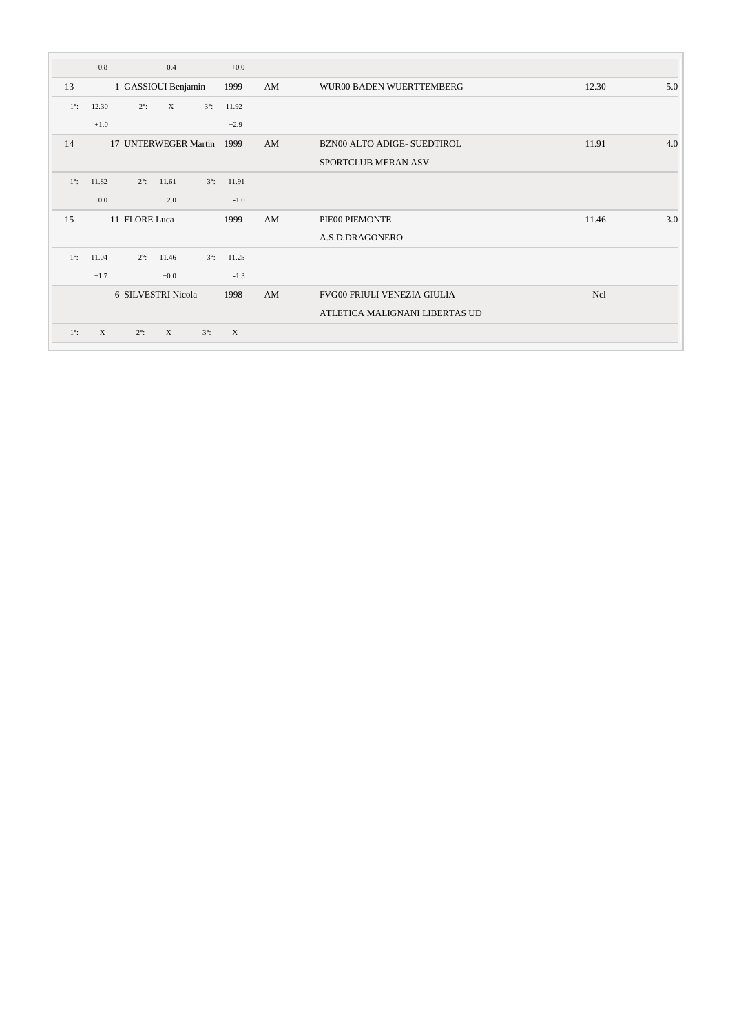|             | $+0.8$      | $+0.4$                      |             | $+0.0$       |    |                                    |              |
|-------------|-------------|-----------------------------|-------------|--------------|----|------------------------------------|--------------|
| 13          |             | 1 GASSIOUI Benjamin         |             | 1999         | AM | WUR00 BADEN WUERTTEMBERG           | 12.30<br>5.0 |
| $1^\circ$ : | 12.30       | $2^\circ$ :<br>$\mathbf X$  | $3^\circ$ : | 11.92        |    |                                    |              |
|             | $+1.0$      |                             |             | $+2.9$       |    |                                    |              |
| 14          |             | 17 UNTERWEGER Martin        |             | 1999         | AM | <b>BZN00 ALTO ADIGE- SUEDTIROL</b> | 11.91<br>4.0 |
|             |             |                             |             |              |    | SPORTCLUB MERAN ASV                |              |
| $1^\circ$ : | 11.82       | $2^\circ$ :<br>11.61        | $3^\circ$ : | 11.91        |    |                                    |              |
|             | $+0.0$      | $+2.0$                      |             | $-1.0$       |    |                                    |              |
| 15          |             | 11 FLORE Luca               |             | 1999         | AM | PIE00 PIEMONTE                     | 11.46<br>3.0 |
|             |             |                             |             |              |    | A.S.D.DRAGONERO                    |              |
| $1^\circ$ : | 11.04       | $2^\circ$ :<br>11.46        | $3^\circ$ : | 11.25        |    |                                    |              |
|             | $+1.7$      | $+0.0$                      |             | $-1.3$       |    |                                    |              |
|             |             | 6 SILVESTRI Nicola          |             | 1998         | AM | FVG00 FRIULI VENEZIA GIULIA        | <b>Ncl</b>   |
|             |             |                             |             |              |    | ATLETICA MALIGNANI LIBERTAS UD     |              |
| $1^\circ$ : | $\mathbf X$ | $\mathbf{X}$<br>$2^\circ$ : | $3^\circ$ : | $\mathbf{X}$ |    |                                    |              |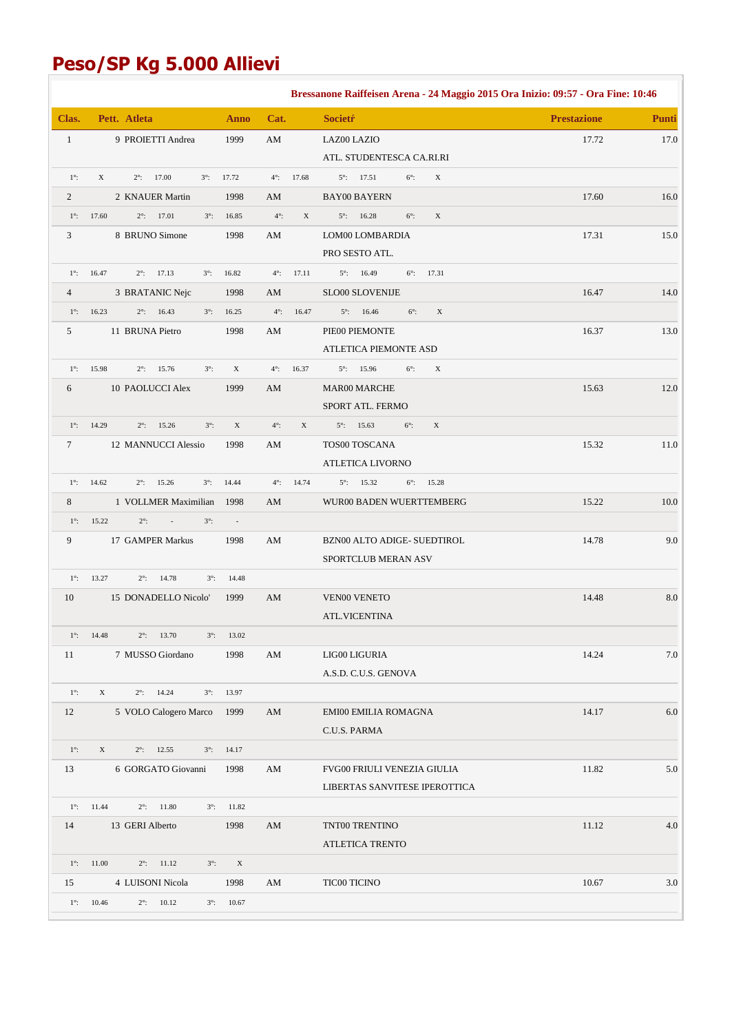# **Peso/SP Kg 5.000 Allievi**

|                |                                                           |                           |                        |             | Bressanone Raiffeisen Arena - 24 Maggio 2015 Ora Inizio: 09:57 - Ora Fine: 10:46 |                    |              |
|----------------|-----------------------------------------------------------|---------------------------|------------------------|-------------|----------------------------------------------------------------------------------|--------------------|--------------|
| Clas.          | Pett. Atleta                                              | <b>Anno</b>               | Cat.                   |             | <b>Societr</b>                                                                   | <b>Prestazione</b> | <b>Punti</b> |
| $\mathbf{1}$   | 9 PROIETTI Andrea                                         | 1999                      | $\mathbf{A}\mathbf{M}$ |             | LAZ00 LAZIO                                                                      | 17.72              | 17.0         |
|                |                                                           |                           |                        |             | ATL. STUDENTESCA CA.RI.RI                                                        |                    |              |
| $1^\circ$ :    | X<br>17.00<br>$3^\circ$ :<br>$2^{\circ}$ :                | 17.72                     | $4^\circ$ :            | 17.68       | $5^\circ$ :<br>17.51<br>$6^\circ$ :<br>X                                         |                    |              |
| 2              | 2 KNAUER Martin                                           | 1998                      | AM                     |             | <b>BAY00 BAYERN</b>                                                              | 17.60              | 16.0         |
| $1^\circ$ :    | 17.60<br>$2^{\circ}$ : 17.01<br>$3^\circ$ :               | 16.85                     | $4^\circ$ :            | $\mathbf X$ | $5^\circ$ :<br>16.28<br>$6^\circ$ :<br>$\mathbf X$                               |                    |              |
| 3              | 8 BRUNO Simone                                            | 1998                      | AM                     |             | LOM00 LOMBARDIA                                                                  | 17.31              | 15.0         |
|                |                                                           |                           |                        |             | PRO SESTO ATL.                                                                   |                    |              |
| $1^\circ$ :    | $2^{\circ}$ : 17.13<br>16.47<br>$3^\circ$ :               | 16.82                     | $4^\circ$ :            | 17.11       | $5^{\circ}$ : 16.49<br>$6^{\circ}$ : 17.31                                       |                    |              |
| $\overline{4}$ | 3 BRATANIC Nejc                                           | 1998                      | AM                     |             | SLO00 SLOVENIJE                                                                  | 16.47              | 14.0         |
| $1^\circ$ :    | 16.23<br>$2^\circ$ :<br>16.43<br>$3^\circ$ :              | 16.25                     | $4^\circ$ :            | 16.47       | $5^\circ$ :<br>16.46<br>$6^\circ$ :<br>$\mathbf X$                               |                    |              |
| 5              | 11 BRUNA Pietro                                           | 1998                      | AM                     |             | PIE00 PIEMONTE                                                                   | 16.37              | 13.0         |
|                |                                                           |                           |                        |             | ATLETICA PIEMONTE ASD                                                            |                    |              |
| $1^\circ$ :    | 15.98<br>15.76<br>$3^\circ$ :<br>$2^\circ$ :              | $\mathbf X$               | $4^\circ$ :            | 16.37       | 15.96<br>$6^\circ$ :<br>$\mathbf X$<br>$5^\circ$ :                               |                    |              |
| 6              | 10 PAOLUCCI Alex                                          | 1999                      | AM                     |             | <b>MAR00 MARCHE</b>                                                              | 15.63              | 12.0         |
|                |                                                           |                           |                        |             | SPORT ATL. FERMO                                                                 |                    |              |
| $1^\circ$ :    | 14.29<br>$2^\circ$ :<br>15.26<br>$3^\circ$ :              | $\mathbf X$               | $4^\circ$ :            | X           | $5^\circ$ :<br>15.63<br>$6^\circ$ :<br>$\mathbf X$                               |                    |              |
| $\tau$         | 12 MANNUCCI Alessio                                       | 1998                      | AM                     |             | TOS00 TOSCANA                                                                    | 15.32              | 11.0         |
|                |                                                           |                           |                        |             | ATLETICA LIVORNO                                                                 |                    |              |
| $1^\circ$ :    | 14.62<br>$2^\circ$ :<br>15.26<br>$3^\circ$ :              | 14.44                     | $4^\circ$ :            | 14.74       | 15.32<br>15.28<br>$5^\circ$ :<br>$6^\circ$ :                                     |                    |              |
| 8              | 1 VOLLMER Maximilian                                      | 1998                      | AM                     |             | WUR00 BADEN WUERTTEMBERG                                                         | 15.22              | 10.0         |
| $1^\circ$ :    | $2^\circ$ :<br>15.22<br>$\mathbb{Z}^2$<br>$3^\circ$ :     | $\sim$                    |                        |             |                                                                                  |                    |              |
| 9              | 17 GAMPER Markus                                          | 1998                      | AM                     |             | BZN00 ALTO ADIGE- SUEDTIROL                                                      | 14.78              | 9.0          |
|                |                                                           |                           |                        |             | SPORTCLUB MERAN ASV                                                              |                    |              |
| $1^\circ$ :    | 13.27<br>$2^{\circ}$ : 14.78<br>$3^\circ$ :               | 14.48                     |                        |             |                                                                                  |                    |              |
| 10             | 15 DONADELLO Nicolo'                                      | 1999                      | AM                     |             | <b>VEN00 VENETO</b>                                                              | 14.48              | $\ \ 8.0$    |
|                |                                                           |                           |                        |             | <b>ATL.VICENTINA</b>                                                             |                    |              |
|                | $1^{\circ}$ : 14.48<br>$2^{\circ}$ : 13.70<br>$3^\circ$ : | 13.02                     |                        |             |                                                                                  |                    |              |
| 11             | 7 MUSSO Giordano                                          | 1998                      | AM                     |             | LIG00 LIGURIA                                                                    | 14.24              | 7.0          |
|                |                                                           |                           |                        |             | A.S.D. C.U.S. GENOVA                                                             |                    |              |
| $1^\circ$ :    | $2^{\circ}$ : 14.24<br>X<br>$3^\circ$ :                   | 13.97                     |                        |             |                                                                                  |                    |              |
| 12             | 5 VOLO Calogero Marco                                     | 1999                      | AM                     |             | EMI00 EMILIA ROMAGNA                                                             | 14.17              | $6.0\,$      |
|                |                                                           |                           |                        |             | C.U.S. PARMA                                                                     |                    |              |
| $1^\circ$ :    | X<br>$2^{\circ}$ : 12.55<br>$3^\circ$ :                   | 14.17                     |                        |             |                                                                                  |                    |              |
| 13             | 6 GORGATO Giovanni                                        | 1998                      | AM                     |             | FVG00 FRIULI VENEZIA GIULIA                                                      | 11.82              | 5.0          |
|                |                                                           |                           |                        |             | LIBERTAS SANVITESE IPEROTTICA                                                    |                    |              |
|                | $1^{\circ}$ : 11.44<br>$2^{\circ}$ : 11.80<br>$3^\circ$ : | 11.82                     |                        |             |                                                                                  |                    |              |
| 14             | 13 GERI Alberto                                           | 1998                      | AM                     |             | TNT00 TRENTINO                                                                   | 11.12              | 4.0          |
|                |                                                           |                           |                        |             | ATLETICA TRENTO                                                                  |                    |              |
| $1^\circ$ :    | 11.00<br>$2^{\circ}$ : 11.12<br>$3^\circ$ :               | $\boldsymbol{\mathrm{X}}$ |                        |             |                                                                                  |                    |              |
| 15             | 4 LUISONI Nicola                                          | 1998                      | AM                     |             | TIC00 TICINO                                                                     | 10.67              | 3.0          |
| $1^\circ$ :    | 10.46<br>$2^{\circ}$ : 10.12                              | $3^{\circ}$ : 10.67       |                        |             |                                                                                  |                    |              |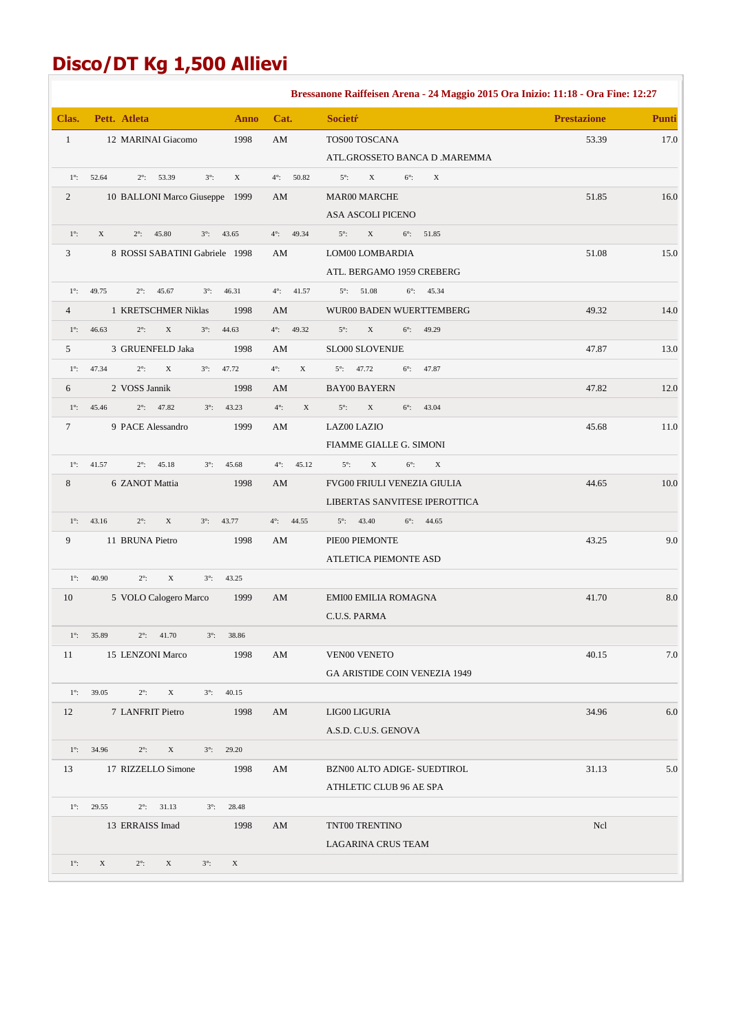# **Disco/DT Kg 1,500 Allievi**

|                |                                                                   |                            | Bressanone Raiffeisen Arena - 24 Maggio 2015 Ora Inizio: 11:18 - Ora Fine: 12:27 |                    |              |
|----------------|-------------------------------------------------------------------|----------------------------|----------------------------------------------------------------------------------|--------------------|--------------|
| Clas.          | Pett. Atleta<br><b>Anno</b>                                       | Cat.                       | <b>Societr</b>                                                                   | <b>Prestazione</b> | <b>Punti</b> |
| $\mathbf{1}$   | 1998<br>12 MARINAI Giacomo                                        | AM                         | TOS00 TOSCANA                                                                    | 53.39              | 17.0         |
|                |                                                                   |                            | ATL.GROSSETO BANCA D .MAREMMA                                                    |                    |              |
| $1^\circ$ :    | 52.64<br>$2^\circ$ :<br>53.39<br>$3^\circ$ :<br>X                 | $4^\circ$ :<br>50.82       | $5^\circ$ :<br>$\mathbf X$<br>$6^\circ$ :<br>$\mathbf X$                         |                    |              |
| 2              | 10 BALLONI Marco Giuseppe 1999                                    | AM                         | MAR00 MARCHE                                                                     | 51.85              | 16.0         |
|                |                                                                   |                            | ASA ASCOLI PICENO                                                                |                    |              |
| $1^\circ$ :    | X<br>$2^\circ$ :<br>45.80<br>$3^\circ$ :<br>43.65                 | 49.34<br>$4^\circ$ :       | $5^\circ$ :<br>$\mathbf X$<br>$6^{\circ}$ : 51.85                                |                    |              |
| $\mathfrak{Z}$ | 8 ROSSI SABATINI Gabriele 1998                                    | AM                         | LOM00 LOMBARDIA                                                                  | 51.08              | 15.0         |
|                |                                                                   |                            | ATL. BERGAMO 1959 CREBERG                                                        |                    |              |
| $1^\circ$ :    | 49.75<br>$2^\circ$ :<br>45.67<br>$3^\circ$ :<br>46.31             | $4^\circ$ :<br>41.57       | $5^{\circ}$ : 51.08<br>$6^\circ$ : 45.34                                         |                    |              |
| $\overline{4}$ | 1 KRETSCHMER Niklas<br>1998                                       | AM                         | WUR00 BADEN WUERTTEMBERG                                                         | 49.32              | 14.0         |
| $1^\circ$ :    | 46.63<br>$2^\circ$ :<br>$\mathbf X$<br>$3^\circ$ :<br>44.63       | 49.32<br>$4^\circ$ :       | $5^\circ$ :<br>$\mathbf X$<br>$6^\circ$ :<br>49.29                               |                    |              |
| 5              | 3 GRUENFELD Jaka<br>1998                                          | AM                         | <b>SLO00 SLOVENIJE</b>                                                           | 47.87              | 13.0         |
| $1^\circ$ :    | 47.34<br>$2^\circ$ :<br>$\mathbf X$<br>$3^\circ$ :<br>47.72       | $4^\circ$ :<br>X           | $5^\circ$ :<br>47.72<br>$6^\circ$ :<br>47.87                                     |                    |              |
| 6              | 2 VOSS Jannik<br>1998                                             | AM                         | <b>BAY00 BAYERN</b>                                                              | 47.82              | 12.0         |
| $1^\circ$ :    | 47.82<br>45.46<br>$2^\circ$ :<br>$3^\circ$ :<br>43.23             | $4^\circ$ :<br>$\mathbf X$ | $\mathbf X$<br>$5^\circ$ :<br>$6^\circ$ :<br>43.04                               |                    |              |
| $\tau$         | 9 PACE Alessandro<br>1999                                         | AM                         | LAZ00 LAZIO                                                                      | 45.68              | 11.0         |
|                |                                                                   |                            | FIAMME GIALLE G. SIMONI                                                          |                    |              |
| $1^\circ$ :    | 41.57<br>$2^\circ$ :<br>45.18<br>$3^\circ$ :<br>45.68             | $4^{\circ}$ : $45.12$      | $6^\circ$ :<br>$5^\circ$ :<br>X<br>$\mathbf X$                                   |                    |              |
| $\,8\,$        | 6 ZANOT Mattia<br>1998                                            | AM                         | FVG00 FRIULI VENEZIA GIULIA                                                      | 44.65              | 10.0         |
|                |                                                                   |                            | LIBERTAS SANVITESE IPEROTTICA                                                    |                    |              |
| $1^\circ$ :    | 43.16<br>$2^\circ$ :<br>$\mathbf X$<br>$3^\circ$ :<br>43.77       | $4^\circ$ :<br>44.55       | $5^{\circ}$ : 43.40<br>$6^{\circ}$ : 44.65                                       |                    |              |
| 9              | 11 BRUNA Pietro<br>1998                                           | AM                         | PIE00 PIEMONTE                                                                   | 43.25              | 9.0          |
|                |                                                                   |                            | <b>ATLETICA PIEMONTE ASD</b>                                                     |                    |              |
| $1^\circ$ :    | 40.90<br>$\mathbf X$<br>$2^\circ$ :<br>$3^\circ$ :<br>43.25       |                            |                                                                                  |                    |              |
| 10             | 5 VOLO Calogero Marco<br>1999                                     | AM                         | EMI00 EMILIA ROMAGNA                                                             | 41.70              | $8.0\,$      |
|                |                                                                   |                            | C.U.S. PARMA                                                                     |                    |              |
|                | $1^{\circ}$ : 35.89<br>$2^{\circ}$ : 41.70<br>$3^{\circ}$ : 38.86 |                            |                                                                                  |                    |              |
| 11             | 15 LENZONI Marco<br>1998                                          | AM                         | <b>VEN00 VENETO</b>                                                              | 40.15              | 7.0          |
|                |                                                                   |                            | <b>GA ARISTIDE COIN VENEZIA 1949</b>                                             |                    |              |
|                | $1^{\circ}$ : 39.05<br>$2^\circ$ :<br>X<br>40.15<br>$3^\circ$ :   |                            |                                                                                  |                    |              |
| 12             | 7 LANFRIT Pietro<br>1998                                          | AM                         | LIG00 LIGURIA                                                                    | 34.96              | 6.0          |
|                |                                                                   |                            | A.S.D. C.U.S. GENOVA                                                             |                    |              |
| $1^\circ$ :    | 34.96<br>$2^\circ$ :<br>X<br>$3^\circ$ :<br>29.20                 |                            |                                                                                  |                    |              |
| 13             | 17 RIZZELLO Simone<br>1998                                        | AM                         | BZN00 ALTO ADIGE- SUEDTIROL                                                      | 31.13              | 5.0          |
|                |                                                                   |                            | ATHLETIC CLUB 96 AE SPA                                                          |                    |              |
| $1^\circ$ :    | 29.55<br>$2^{\circ}$ : 31.13<br>$3^{\circ}$ : 28.48               |                            |                                                                                  |                    |              |
|                | 13 ERRAISS Imad<br>1998                                           | AM                         | TNT00 TRENTINO                                                                   | Ncl                |              |
|                |                                                                   |                            | LAGARINA CRUS TEAM                                                               |                    |              |
| $1^\circ$ :    | X<br>$2^\circ$ :<br>$\mathbf X$<br>$3^\circ$ :<br>X               |                            |                                                                                  |                    |              |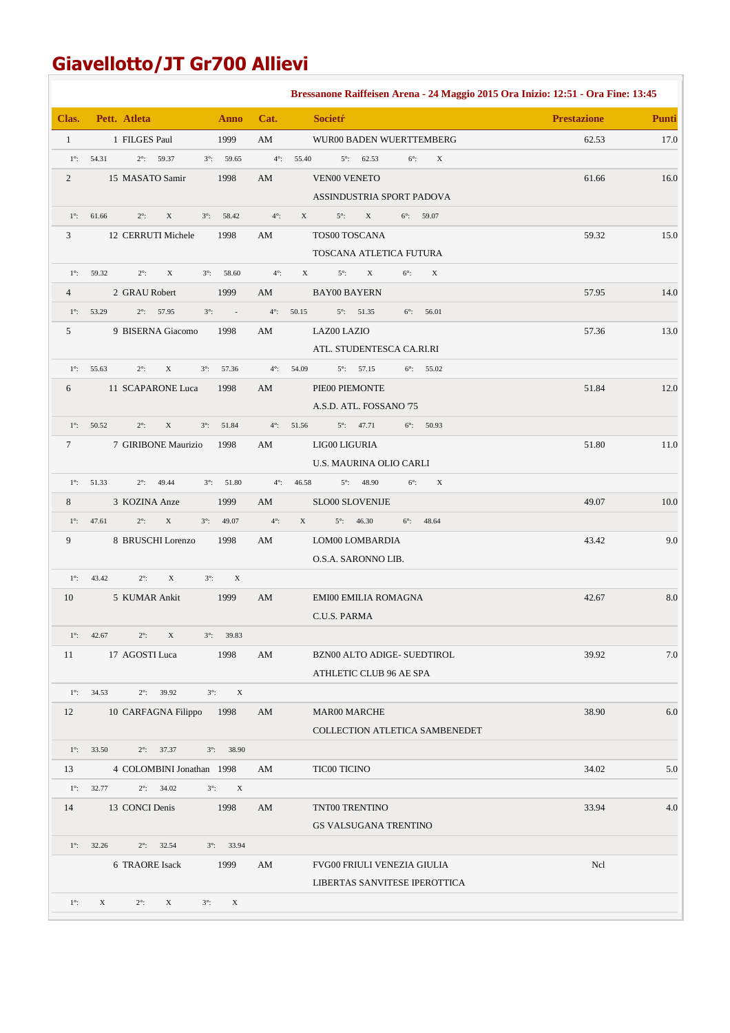## **Giavellotto/JT Gr700 Allievi**

|                  |                                                                                         |                   | Bressanone Raiffeisen Arena - 24 Maggio 2015 Ora Inizio: 12:51 - Ora Fine: 13:45 |                    |              |
|------------------|-----------------------------------------------------------------------------------------|-------------------|----------------------------------------------------------------------------------|--------------------|--------------|
| Clas.            | Pett. Atleta<br>Anno                                                                    | Cat.              | <b>Societr</b>                                                                   | <b>Prestazione</b> | <b>Punti</b> |
| $\mathbf{1}$     | 1999<br>1 FILGES Paul                                                                   | AM                | WUR00 BADEN WUERTTEMBERG                                                         | 62.53              | 17.0         |
| $1^\circ$ :      | 54.31<br>$2^{\circ}$ : 59.37<br>$3^{\circ}$ : 59.65                                     | $4^\circ$ :       | 55.40<br>$5^{\circ}$ : 62.53<br>$6^\circ$ :<br>$\mathbf X$                       |                    |              |
| $\overline{c}$   | 15 MASATO Samir<br>1998                                                                 | AM                | <b>VEN00 VENETO</b>                                                              | 61.66              | 16.0         |
|                  |                                                                                         |                   | ASSINDUSTRIA SPORT PADOVA                                                        |                    |              |
| $1^\circ$ :      | 61.66<br>$2^\circ$ :<br>$\mathbf X$<br>$3^{\circ}$ : 58.42                              | $4^\circ$ :       | $\mathbf X$<br>X<br>$5^\circ$ :<br>$6^{\circ}$ : 59.07                           |                    |              |
| 3                | 12 CERRUTI Michele<br>1998                                                              | AM                | TOS00 TOSCANA                                                                    | 59.32              | 15.0         |
|                  |                                                                                         |                   | TOSCANA ATLETICA FUTURA                                                          |                    |              |
| $1^\circ$ :      | $3^{\circ}$ : 58.60<br>59.32<br>$2^\circ$ :<br>$\mathbf X$                              | $4^\circ$ :       | $5^\circ$ :<br>$\mathbf X$<br>$6^\circ$ :<br>X<br>$\mathbf X$                    |                    |              |
| $\overline{4}$   | 2 GRAU Robert<br>1999                                                                   | AM                | <b>BAY00 BAYERN</b>                                                              | 57.95              | 14.0         |
| $1^\circ$ :      | 53.29<br>$2^{\circ}$ : 57.95<br>$3^\circ$ :<br>$\sim 10$                                | $4^\circ$ :       | 50.15<br>$5^{\circ}$ : 51.35<br>$6^\circ$ :<br>56.01                             |                    |              |
| 5                | 9 BISERNA Giacomo<br>1998                                                               | AM                | LAZ00 LAZIO                                                                      | 57.36              | 13.0         |
|                  |                                                                                         |                   | ATL. STUDENTESCA CA.RI.RI                                                        |                    |              |
| $1^\circ$ :      | 55.63<br>$2^\circ$ :<br>X<br>$3^\circ$ :<br>57.36                                       | $4^\circ$ :       | 54.09<br>$5^{\circ}$ : 57.15<br>$6^\circ$ : 55.02                                |                    |              |
| 6                | 11 SCAPARONE Luca<br>1998                                                               | AM                | PIE00 PIEMONTE                                                                   | 51.84              | 12.0         |
|                  |                                                                                         |                   | A.S.D. ATL. FOSSANO 75                                                           |                    |              |
| $1^\circ$ :      | 50.52<br>$2^\circ$ :<br>$\mathbf X$<br>$3^{\circ}$ : 51.84                              | $4^\circ$ :       | $5^{\circ}$ : 47.71<br>50.93<br>51.56<br>$6^\circ$ :                             |                    |              |
| $7\phantom{.0}$  | 7 GIRIBONE Maurizio<br>1998                                                             | AM                | LIG00 LIGURIA                                                                    | 51.80              | 11.0         |
|                  |                                                                                         |                   | U.S. MAURINA OLIO CARLI                                                          |                    |              |
|                  | $1^{\circ}$ : 51.33<br>$2^{\circ}$ : 49.44<br>$3^{\circ}$ : 51.80                       | $4^\circ$ :       | 46.58<br>$5^{\circ}$ : 48.90<br>$6^\circ$ :<br>$\mathbf X$                       |                    |              |
| 8                | 3 KOZINA Anze<br>1999                                                                   | AM                | <b>SLO00 SLOVENIJE</b>                                                           | 49.07              | 10.0         |
| $1^\circ$ :<br>9 | $\mathbf X$<br>47.61<br>$2^\circ$ :<br>$3^{\circ}$ : 49.07<br>8 BRUSCHI Lorenzo<br>1998 | $4^\circ$ :<br>AM | X<br>$5^{\circ}$ : 46.30<br>$6^\circ$ : 48.64<br>LOM00 LOMBARDIA                 | 43.42              | 9.0          |
|                  |                                                                                         |                   | O.S.A. SARONNO LIB.                                                              |                    |              |
| $1^\circ$ :      | $\mathbf X$<br>43.42<br>$2^\circ$ :<br>$3^\circ$ :<br>$\mathbf X$                       |                   |                                                                                  |                    |              |
| 10               | 5 KUMAR Ankit<br>1999                                                                   | AM                | <b>EMI00 EMILIA ROMAGNA</b>                                                      | 42.67              | $8.0\,$      |
|                  |                                                                                         |                   | C.U.S. PARMA                                                                     |                    |              |
|                  | $2^\circ$ :<br>$1^\circ$ : 42.67<br>$3^\circ$ :<br>39.83<br>X                           |                   |                                                                                  |                    |              |
| 11               | 17 AGOSTI Luca<br>1998                                                                  | AM                | BZN00 ALTO ADIGE- SUEDTIROL                                                      | 39.92              | 7.0          |
|                  |                                                                                         |                   | ATHLETIC CLUB 96 AE SPA                                                          |                    |              |
| $1^\circ$ :      | $2^{\circ}$ : 39.92<br>34.53<br>$3^\circ$ :<br>$\mathbf X$                              |                   |                                                                                  |                    |              |
| 12               | 10 CARFAGNA Filippo<br>1998                                                             | AM                | MAR00 MARCHE                                                                     | 38.90              | 6.0          |
|                  |                                                                                         |                   | COLLECTION ATLETICA SAMBENEDET                                                   |                    |              |
| $1^\circ$ :      | 33.50<br>$2^\circ$ :<br>37.37<br>$3^{\circ}$ : 38.90                                    |                   |                                                                                  |                    |              |
| 13               | 4 COLOMBINI Jonathan 1998                                                               | AM                | <b>TIC00 TICINO</b>                                                              | 34.02              | 5.0          |
| $1^\circ$ :      | 32.77<br>$2^{\circ}$ : 34.02<br>$3^\circ$ :<br>$\mathbf X$                              |                   |                                                                                  |                    |              |
| 14               | 13 CONCI Denis<br>1998                                                                  | AM                | TNT00 TRENTINO                                                                   | 33.94              | 4.0          |
|                  |                                                                                         |                   | <b>GS VALSUGANA TRENTINO</b>                                                     |                    |              |
| $1^\circ$ :      | 32.26<br>$2^\circ$ :<br>32.54<br>$3^{\circ}$ : 33.94                                    |                   |                                                                                  |                    |              |
|                  | 6 TRAORE Isack<br>1999                                                                  | AM                | FVG00 FRIULI VENEZIA GIULIA                                                      | Ncl                |              |
|                  |                                                                                         |                   | LIBERTAS SANVITESE IPEROTTICA                                                    |                    |              |
| $1^\circ$ :      | $\mathbf X$<br>$\mathbf X$<br>$2^\circ$ :<br>X<br>$3^\circ$ :                           |                   |                                                                                  |                    |              |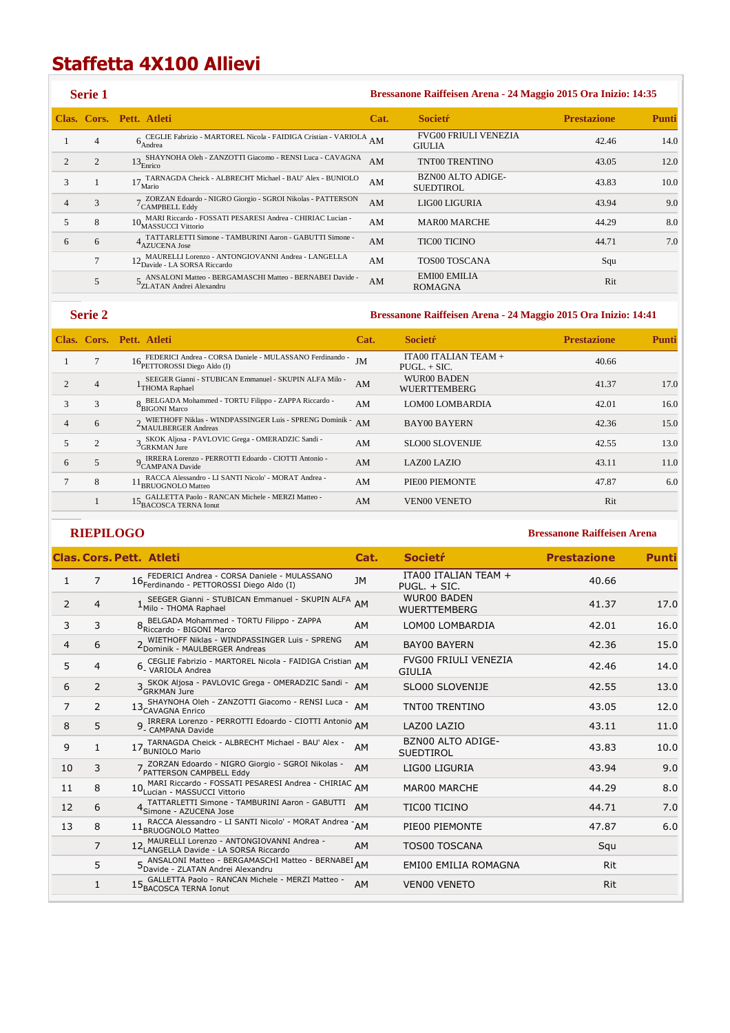## **Staffetta 4X100 Allievi**

|                | <b>Serie 1</b> |                                                                                                   |      | Bressanone Raiffeisen Arena - 24 Maggio 2015 Ora Inizio: 14:35 |                    |              |
|----------------|----------------|---------------------------------------------------------------------------------------------------|------|----------------------------------------------------------------|--------------------|--------------|
|                |                | Clas. Cors. Pett. Atleti                                                                          | Cat. | <b>Societr</b>                                                 | <b>Prestazione</b> | <b>Punti</b> |
|                | $\overline{4}$ | 6 CEGLIE Fabrizio - MARTOREL Nicola - FAIDIGA Cristian - VARIOLA AM<br>Andrea                     |      | <b>FVG00 FRIULI VENEZIA</b><br><b>GIULIA</b>                   | 42.46              | 14.0         |
|                | 2              | $13\ensuremath{\mathrm{_{BH}T00H\!\!{_{A}}}$ Oleh - ZANZOTTI Giacomo - RENSI Luca - CAVAGNA       | AM   | <b>TNT00 TRENTINO</b>                                          | 43.05              | 12.0         |
| 3              |                | $17\,$ TARNAGDA Cheick - ALBRECHT Michael - BAU' Alex - BUNIOLO Mario                             | AM   | <b>BZN00 ALTO ADIGE-</b><br>SUEDTIROL                          | 43.83              | 10.0         |
| $\overline{4}$ | 3              | 7 ZORZAN Edoardo - NIGRO Giorgio - SGROI Nikolas - PATTERSON<br>CAMPBELL Eddy                     | AM   | LIG00 LIGURIA                                                  | 43.94              | 9.0          |
| 5              | 8              | $10\,$ MARI Riccardo - FOSSATI PESARESI Andrea - CHIRIAC Lucian - MASSUCCI Vittorio               | AM   | <b>MAR00 MARCHE</b>                                            | 44.29              | 8.0          |
| 6              | 6              | TATTARLETTI Simone - TAMBURINI Aaron - GABUTTI Simone -<br>4 IAI LAKLET 11                        | AM   | <b>TIC00 TICINO</b>                                            | 44.71              | 7.0          |
|                | 7              | 12 MAURELLI Lorenzo - ANTONGIOVANNI Andrea - LANGELLA<br>12 <sub>Davide</sub> - LA SORSA Riccardo | AM   | <b>TOS00 TOSCANA</b>                                           | Squ                |              |
|                | 5              | ANSALONI Matteo - BERGAMASCHI Matteo - BERNABEI Davide -<br><sup>2</sup> ZLATAN Andrei Alexandru  | AM   | <b>EMI00 EMILIA</b><br>ROMAGNA                                 | Rit                |              |
|                |                |                                                                                                   |      |                                                                |                    |              |

#### **Serie 2 Bressanone Raiffeisen Arena - 24 Maggio 2015 Ora Inizio: 14:41**

|   |                | Clas. Cors. Pett. Atleti                                                                 | Cat. | <b>Societr</b>                         | <b>Prestazione</b> | Punti |
|---|----------------|------------------------------------------------------------------------------------------|------|----------------------------------------|--------------------|-------|
|   | 7              | FEDERICI Andrea - CORSA Daniele - MULASSANO Ferdinando -<br>16 PETTOROSSI Diego Aldo (I) | JM   | ITA00 ITALIAN TEAM +<br>$PUGL. + SIC.$ | 40.66              |       |
|   | 4              | SEEGER Gianni - STUBICAN Emmanuel - SKUPIN ALFA Milo -<br><sup>1</sup> THOMA Raphael     | AM   | WUR00 BADEN<br><b>WUERTTEMBERG</b>     | 41.37              | 17.0  |
| 3 | 3              | BELGADA Mohammed - TORTU Filippo - ZAPPA Riccardo -<br><sup>8</sup> BIGONI Marco         | AM   | <b>LOM00 LOMBARDIA</b>                 | 42.01              | 16.0  |
|   | 6              | > WIETHOFF Niklas - WINDPASSINGER Luis - SPRENG Dominik -<br>MAULBERGER Andreas          | AM   | <b>BAY00 BAYERN</b>                    | 42.36              | 15.0  |
|   | $\overline{c}$ | 3 SKOK Aljosa - PAVLOVIC Grega - OMERADZIC Sandi -<br><sup>3</sup> GRKMAN Jure           | AM   | <b>SLO00 SLOVENIJE</b>                 | 42.55              | 13.0  |
| 6 | 5              | IRRERA Lorenzo - PERROTTI Edoardo - CIOTTI Antonio -<br><sup>7</sup> CAMPANA Davide      | AM   | <b>LAZ00 LAZIO</b>                     | 43.11              | 11.0  |
|   | 8              | RACCA Alessandro - LI SANTI Nicolo' - MORAT Andrea -<br>11 <sub>BRUOGNOLO</sub> Matteo   | AM   | PIE00 PIEMONTE                         | 47.87              | 6.0   |
|   |                | GALLETTA Paolo - RANCAN Michele - MERZI Matteo -<br>15 GALLETTA Paolo - KAP              | AM   | <b>VEN00 VENETO</b>                    | Rit                |       |

#### **RIEPILOGO Bressanone Raiffeisen Arena**

|    |                | <b>Clas, Cors, Pett. Atleti</b>                                                             | Cat.      | <b>Societr</b>                               | <b>Prestazione</b> | Punti |
|----|----------------|---------------------------------------------------------------------------------------------|-----------|----------------------------------------------|--------------------|-------|
|    | 7              | 16 FEDERICI Andrea - CORSA Daniele - MULASSANO<br>16 Ferdinando - PETTOROSSI Diego Aldo (I) | <b>JM</b> | ITA00 ITALIAN TEAM +<br>$PUGL. + SIC.$       | 40.66              |       |
| 2  | 4              | 1 SEEGER Gianni - STUBICAN Emmanuel - SKUPIN ALFA AM<br>1 Milo - THOMA Raphael              |           | <b>WUR00 BADEN</b><br><b>WUERTTEMBERG</b>    | 41.37              | 17.0  |
| 3  | 3              | 8 BELGADA Mohammed - TORTU Filippo - ZAPPA<br>8 Riccardo - BIGONI Marco                     | AM        | LOM00 LOMBARDIA                              | 42.01              | 16.0  |
| 4  | 6              | 2 WIETHOFF Niklas - WINDPASSINGER Luis - SPRENG<br>2 Dominik - MAULBERGER Andreas           | AM        | <b>BAY00 BAYERN</b>                          | 42.36              | 15.0  |
| 5  | 4              | 6 CEGLIE Fabrizio - MARTOREL Nicola - FAIDIGA Cristian AM<br>- VARIOLA Andrea               |           | <b>FVG00 FRIULI VENEZIA</b><br><b>GIULIA</b> | 42.46              | 14.0  |
| 6  | $\overline{2}$ | 3 SKOK Aljosa - PAVLOVIC Grega - OMERADZIC Sandi -<br>GRKMAN Jure                           | AM        | SLO00 SLOVENIJE                              | 42.55              | 13.0  |
| 7  | 2              | SHAYNOHA Oleh - ZANZOTTI Giacomo - RENSI Luca -<br>13 SHAYNOHA VIER                         | AM        | TNT00 TRENTINO                               | 43.05              | 12.0  |
| 8  | 5              | 9 IRRERA Lorenzo - PERROTTI Edoardo - CIOTTI Antonio AM                                     |           | LAZ00 LAZIO                                  | 43.11              | 11.0  |
| 9  | $\mathbf{1}$   | 17 TARNAGDA Cheick - ALBRECHT Michael - BAU' Alex -<br>TBUNIOLO Mario                       | AM        | BZN00 ALTO ADIGE-<br><b>SUEDTIROL</b>        | 43.83              | 10.0  |
| 10 | 3              | 7 ZORZAN Edoardo - NIGRO Giorgio - SGROI Nikolas -<br>7 PATTERSON CAMPBELL Eddy             | AM        | LIG00 LIGURIA                                | 43.94              | 9.0   |
| 11 | 8              | $10^{~}$ MARI Riccardo - FOSSATI PESARESI Andrea - CHIRIAC $\,$ AM $\,$                     |           | <b>MAR00 MARCHE</b>                          | 44.29              | 8.0   |
| 12 | 6              | 4 TATTARLETTI Simone - TAMBURINI Aaron - GABUTTI<br>Simone - AZUCENA Jose                   | AM        | TIC00 TICINO                                 | 44.71              | 7.0   |
| 13 | 8              | $11\,$ RACCA Alessandro - LI SANTI Nicolo' - MORAT Andrea - AM                              |           | PIE00 PIEMONTE                               | 47.87              | 6.0   |
|    | 7              | 12_MAURELLI Lorenzo - ANTONGIOVANNI Andrea -<br>12_LANGELLA Davide - LA SORSA Riccardo      | AM        | <b>TOS00 TOSCANA</b>                         | Squ                |       |
|    | 5              | $5\,$ ANSALONI Matteo - BERGAMASCHI Matteo - BERNABEI $_{\rm AM}$                           |           | EMI00 EMILIA ROMAGNA                         | <b>Rit</b>         |       |
|    |                | 15 GALLETTA Paolo - RANCAN Michele - MERZI Matteo -                                         | AM        | <b>VENOO VENETO</b>                          | Rit                |       |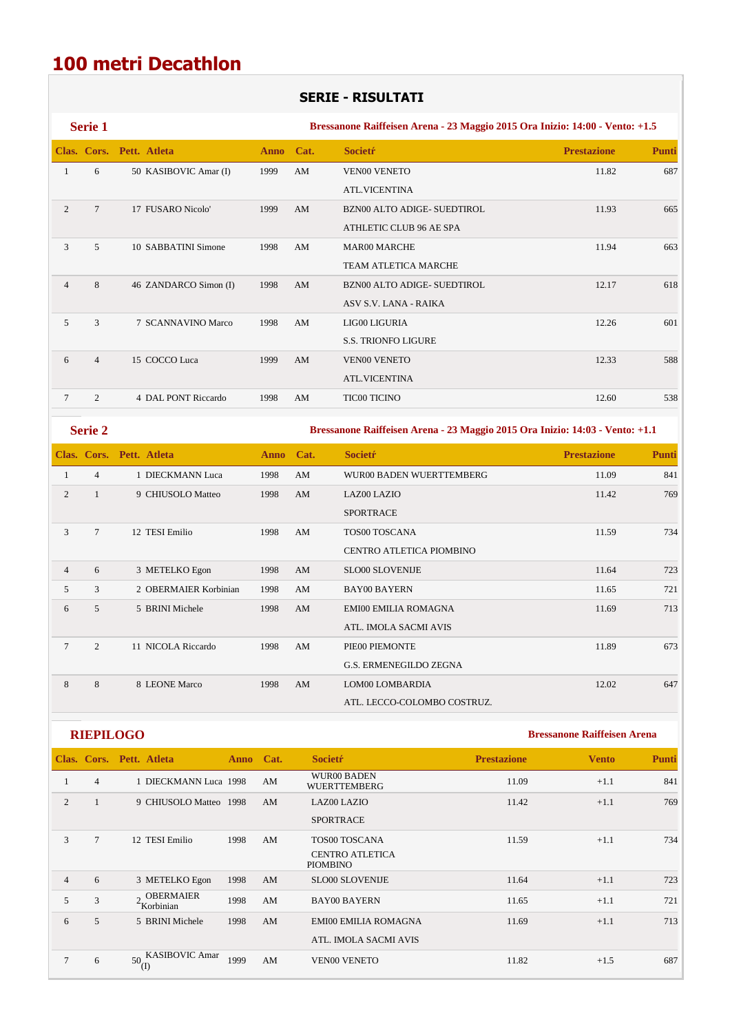## **100 metri Decathlon**

#### **SERIE - RISULTATI**

|                | Serie 1          |                                                                       |      |                        | Bressanone Raiffeisen Arena - 23 Maggio 2015 Ora Inizio: 14:00 - Vento: +1.5 |                                    |              |
|----------------|------------------|-----------------------------------------------------------------------|------|------------------------|------------------------------------------------------------------------------|------------------------------------|--------------|
|                |                  | Clas. Cors. Pett. Atleta                                              | Anno | Cat.                   | <b>Societr</b>                                                               | <b>Prestazione</b>                 | Punti        |
| $\mathbf{1}$   | 6                | 50 KASIBOVIC Amar (I)                                                 | 1999 | AM                     | <b>VEN00 VENETO</b>                                                          | 11.82                              | 687          |
|                |                  |                                                                       |      |                        | ATL.VICENTINA                                                                |                                    |              |
| $\overline{2}$ | $\overline{7}$   | 17 FUSARO Nicolo'                                                     | 1999 | AM                     | BZN00 ALTO ADIGE- SUEDTIROL                                                  | 11.93                              | 665          |
|                |                  |                                                                       |      |                        | ATHLETIC CLUB 96 AE SPA                                                      |                                    |              |
| 3              | 5                | 10 SABBATINI Simone                                                   | 1998 | AM                     | <b>MAR00 MARCHE</b>                                                          | 11.94                              | 663          |
|                |                  |                                                                       |      |                        | <b>TEAM ATLETICA MARCHE</b>                                                  |                                    |              |
| $\overline{4}$ | 8                | 46 ZANDARCO Simon (I)                                                 | 1998 | AM                     | BZN00 ALTO ADIGE- SUEDTIROL                                                  | 12.17                              | 618          |
|                |                  |                                                                       |      |                        | ASV S.V. LANA - RAIKA                                                        |                                    |              |
| 5              | 3                | 7 SCANNAVINO Marco                                                    | 1998 | AM                     | LIG00 LIGURIA                                                                | 12.26                              | 601          |
|                |                  |                                                                       |      |                        | <b>S.S. TRIONFO LIGURE</b>                                                   |                                    |              |
| 6              | $\overline{4}$   | 15 COCCO Luca                                                         | 1999 | AM                     | <b>VEN00 VENETO</b>                                                          | 12.33                              | 588          |
|                |                  |                                                                       |      |                        | <b>ATL.VICENTINA</b>                                                         |                                    |              |
| 7              | $\overline{c}$   | 4 DAL PONT Riccardo                                                   | 1998 | AM                     | <b>TIC00 TICINO</b>                                                          | 12.60                              | 538          |
|                | Serie 2          |                                                                       |      |                        | Bressanone Raiffeisen Arena - 23 Maggio 2015 Ora Inizio: 14:03 - Vento: +1.1 |                                    |              |
|                |                  | Clas. Cors. Pett. Atleta                                              | Anno | Cat.                   | <b>Societŕ</b>                                                               | <b>Prestazione</b>                 | <b>Punti</b> |
| $\mathbf{1}$   | $\overline{4}$   | 1 DIECKMANN Luca                                                      | 1998 | AM                     | WUR00 BADEN WUERTTEMBERG                                                     | 11.09                              | 841          |
| $\mathbf{2}$   | $\mathbf{1}$     | 9 CHIUSOLO Matteo                                                     | 1998 | AM                     | LAZ00 LAZIO                                                                  | 11.42                              | 769          |
|                |                  |                                                                       |      |                        | <b>SPORTRACE</b>                                                             |                                    |              |
| 3              | $\tau$           | 12 TESI Emilio                                                        | 1998 | AM                     | TOS00 TOSCANA                                                                | 11.59                              | 734          |
|                |                  |                                                                       |      |                        | CENTRO ATLETICA PIOMBINO                                                     |                                    |              |
| $\overline{4}$ | 6                | 3 METELKO Egon                                                        | 1998 | AM                     | <b>SLO00 SLOVENIJE</b>                                                       | 11.64                              | 723          |
| 5              | 3                | 2 OBERMAIER Korbinian                                                 | 1998 | AM                     | <b>BAY00 BAYERN</b>                                                          | 11.65                              | 721          |
| 6              | 5                | 5 BRINI Michele                                                       | 1998 | AM                     | EMI00 EMILIA ROMAGNA                                                         | 11.69                              | 713          |
|                |                  |                                                                       |      |                        | ATL. IMOLA SACMI AVIS                                                        |                                    |              |
| 7              | $\overline{c}$   | 11 NICOLA Riccardo                                                    | 1998 | AM                     | PIE00 PIEMONTE                                                               | 11.89                              | 673          |
|                |                  |                                                                       |      |                        | G.S. ERMENEGILDO ZEGNA                                                       |                                    |              |
| $8\,$          | $\,8\,$          | 8 LEONE Marco                                                         | 1998 | $\mathbf{A}\mathbf{M}$ | LOM00 LOMBARDIA                                                              | 12.02                              | 647          |
|                |                  |                                                                       |      |                        | ATL. LECCO-COLOMBO COSTRUZ.                                                  |                                    |              |
|                | <b>RIEPILOGO</b> |                                                                       |      |                        |                                                                              | <b>Bressanone Raiffeisen Arena</b> |              |
|                |                  | Clas. Cors. Pett. Atleta<br><b>Anno</b>                               | Cat. | <b>Societr</b>         |                                                                              | <b>Prestazione</b><br><b>Vento</b> | Punti        |
| $\mathbf{1}$   | $\overline{4}$   | 1 DIECKMANN Luca 1998                                                 | AM   |                        | WUR00 BADEN<br>WUERTTEMBERG                                                  | 11.09<br>$+1.1$                    | 841          |
| $\mathbf{2}$   | $\mathbf{1}$     | 9 CHIUSOLO Matteo 1998                                                | AM   |                        | LAZ00 LAZIO                                                                  | 11.42<br>$+1.1$                    | 769          |
|                |                  |                                                                       |      |                        | SPORTRACE                                                                    |                                    |              |
| 3              | $\tau$           | 12 TESI Emilio<br>1998                                                | AM   |                        | TOS00 TOSCANA                                                                | $+1.1$<br>11.59                    | 734          |
|                |                  |                                                                       |      | PIOMBINO               | CENTRO ATLETICA                                                              |                                    |              |
| $\overline{4}$ | 6                | 3 METELKO Egon<br>1998                                                | AM   |                        | SLO00 SLOVENIJE                                                              | 11.64<br>$+1.1$                    | 723          |
| 5              | $\mathfrak{Z}$   | <b>OBERMAIER</b><br>$2 \frac{\text{OBERM}}{\text{Korbinian}}$<br>1998 | AM   |                        | <b>BAY00 BAYERN</b>                                                          | 11.65<br>$+1.1$                    | 721          |

6 5 5 BRINI Michele 1998 AM EMI00 EMILIA ROMAGNA 11.69 +1.1 713 ATL. IMOLA SACMI AVIS  $7 \t 6 \t 50 \frac{\text{KASIBOVIC Amar}}{\text{(I)}}$  1999 AM VEN00 VENETO 11.82 +1.5 687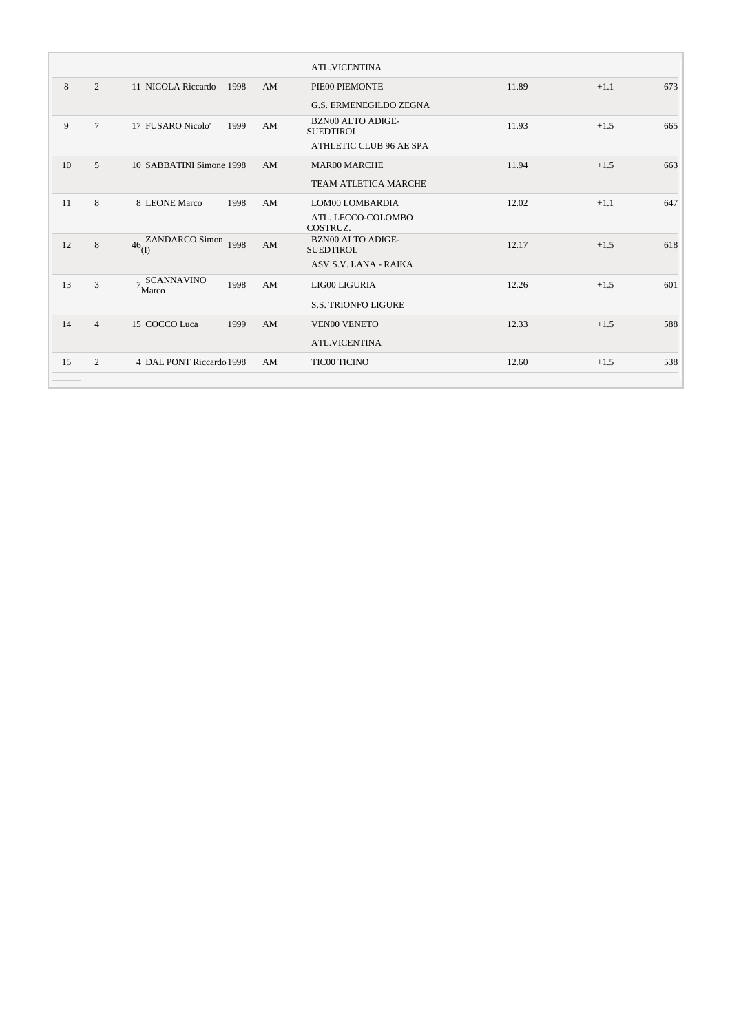|    |                |                          |      |    | <b>ATL.VICENTINA</b>                         |       |        |     |
|----|----------------|--------------------------|------|----|----------------------------------------------|-------|--------|-----|
| 8  | $\overline{2}$ | 11 NICOLA Riccardo       | 1998 | AM | PIE00 PIEMONTE                               | 11.89 | $+1.1$ | 673 |
|    |                |                          |      |    | <b>G.S. ERMENEGILDO ZEGNA</b>                |       |        |     |
| 9  | $\tau$         | 17 FUSARO Nicolo'        | 1999 | AM | BZN00 ALTO ADIGE-<br><b>SUEDTIROL</b>        | 11.93 | $+1.5$ | 665 |
|    |                |                          |      |    | ATHLETIC CLUB 96 AE SPA                      |       |        |     |
| 10 | $\overline{5}$ | 10 SABBATINI Simone 1998 |      | AM | <b>MAR00 MARCHE</b>                          | 11.94 | $+1.5$ | 663 |
|    |                |                          |      |    | <b>TEAM ATLETICA MARCHE</b>                  |       |        |     |
| 11 | 8              | 8 LEONE Marco            | 1998 | AM | LOM00 LOMBARDIA                              | 12.02 | $+1.1$ | 647 |
|    |                |                          |      |    | ATL. LECCO-COLOMBO<br>COSTRUZ.               |       |        |     |
| 12 | 8              | 46 ZANDARCO Simon<br>(L) | 1998 | AM | <b>BZN00 ALTO ADIGE-</b><br><b>SUEDTIROL</b> | 12.17 | $+1.5$ | 618 |
|    |                |                          |      |    | ASV S.V. LANA - RAIKA                        |       |        |     |
| 13 | 3              | 7 SCANNAVINO<br>'Marco   | 1998 | AM | LIG00 LIGURIA                                | 12.26 | $+1.5$ | 601 |
|    |                |                          |      |    | <b>S.S. TRIONFO LIGURE</b>                   |       |        |     |
| 14 | $\overline{4}$ | 15 COCCO Luca            | 1999 | AM | <b>VEN00 VENETO</b>                          | 12.33 | $+1.5$ | 588 |
|    |                |                          |      |    | <b>ATL.VICENTINA</b>                         |       |        |     |
| 15 | $\overline{2}$ | 4 DAL PONT Riccardo 1998 |      | AM | <b>TIC00 TICINO</b>                          | 12.60 | $+1.5$ | 538 |
|    |                |                          |      |    |                                              |       |        |     |

 $\sim$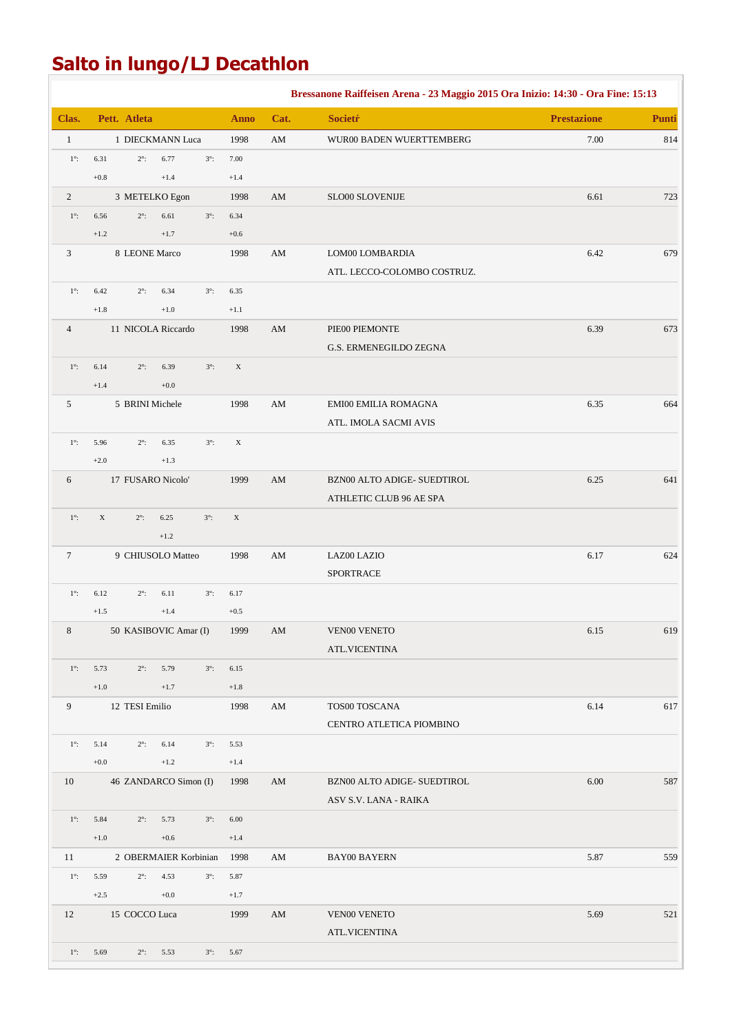## **Salto in lungo/LJ Decathlon**

|                |                               |                               |             |                        | Bressanone Raiffeisen Arena - 23 Maggio 2015 Ora Inizio: 14:30 - Ora Fine: 15:13 |                    |              |
|----------------|-------------------------------|-------------------------------|-------------|------------------------|----------------------------------------------------------------------------------|--------------------|--------------|
| Clas.          | Pett. Atleta                  |                               | <b>Anno</b> | Cat.                   | <b>Societŕ</b>                                                                   | <b>Prestazione</b> | <b>Punti</b> |
| $\mathbf{1}$   |                               | 1 DIECKMANN Luca              | 1998        | AM                     | WUR00 BADEN WUERTTEMBERG                                                         | $7.00\,$           | 814          |
| $1^\circ$ :    | 6.31<br>$2^\circ$ :           | 6.77<br>$3^\circ$ :           | 7.00        |                        |                                                                                  |                    |              |
|                | $+0.8$                        | $+1.4$                        | $+1.4$      |                        |                                                                                  |                    |              |
| 2              |                               | 3 METELKO Egon                | 1998        | AM                     | SLO00 SLOVENIJE                                                                  | 6.61               | 723          |
| $1^\circ$ :    | $2^\circ$ :<br>6.56           | 6.61<br>$3^\circ$ :           | 6.34        |                        |                                                                                  |                    |              |
|                | $+1.2$                        | $+1.7$                        | $+0.6$      |                        |                                                                                  |                    |              |
| 3              | 8 LEONE Marco                 |                               | 1998        | AM                     | LOM00 LOMBARDIA                                                                  | 6.42               | 679          |
|                |                               |                               |             |                        | ATL. LECCO-COLOMBO COSTRUZ.                                                      |                    |              |
| $1^\circ$ :    | 6.42<br>$2^\circ$ :           | 6.34<br>$3^\circ$ :           | 6.35        |                        |                                                                                  |                    |              |
|                | $+1.8\,$                      | $+1.0$                        | $+1.1$      |                        |                                                                                  |                    |              |
| $\overline{4}$ |                               | 11 NICOLA Riccardo            | 1998        | AM                     | PIE00 PIEMONTE                                                                   | 6.39               | 673          |
|                |                               |                               |             |                        | G.S. ERMENEGILDO ZEGNA                                                           |                    |              |
| $1^\circ$ :    | 6.14<br>$2^\circ$ :           | $3^\circ$ :<br>6.39           | $\mathbf X$ |                        |                                                                                  |                    |              |
|                | $+1.4$                        | $+0.0$                        |             |                        |                                                                                  |                    |              |
| 5              | 5 BRINI Michele               |                               | 1998        | AM                     | EMI00 EMILIA ROMAGNA                                                             | 6.35               | 664          |
|                |                               |                               |             |                        | ATL. IMOLA SACMI AVIS                                                            |                    |              |
| $1^\circ$ :    | 5.96<br>$2^\circ$ :<br>$+2.0$ | 6.35<br>$3^\circ$ :<br>$+1.3$ | $\mathbf X$ |                        |                                                                                  |                    |              |
| 6              | 17 FUSARO Nicolo'             |                               | 1999        | AM                     | BZN00 ALTO ADIGE- SUEDTIROL                                                      | 6.25               | 641          |
|                |                               |                               |             |                        | ATHLETIC CLUB 96 AE SPA                                                          |                    |              |
| $1^\circ$ :    | $\mathbf X$<br>$2^\circ$ :    | 6.25<br>$3^\circ$ :           | $\mathbf X$ |                        |                                                                                  |                    |              |
|                |                               | $+1.2$                        |             |                        |                                                                                  |                    |              |
| 7              |                               | 9 CHIUSOLO Matteo             | 1998        | $\mathbf{A}\mathbf{M}$ | LAZ00 LAZIO                                                                      | 6.17               | 624          |
|                |                               |                               |             |                        | <b>SPORTRACE</b>                                                                 |                    |              |
| $1^\circ$ :    | 6.12<br>$2^\circ$ :           | 6.11<br>$3^\circ$ :           | 6.17        |                        |                                                                                  |                    |              |
|                | $+1.5$                        | $+1.4$                        | $+0.5$      |                        |                                                                                  |                    |              |
| 8              |                               | 50 KASIBOVIC Amar (I)         | 1999        | $\mathbf{A}\mathbf{M}$ | <b>VEN00 VENETO</b>                                                              | 6.15               | 619          |
|                |                               |                               |             |                        | ATL.VICENTINA                                                                    |                    |              |
| $1^\circ$ :    | 5.73<br>$2^\circ$ :           | 5.79<br>$3^\circ$ :           | 6.15        |                        |                                                                                  |                    |              |
|                | $+1.0$                        | $+1.7$                        | $+1.8$      |                        |                                                                                  |                    |              |
| 9              | 12 TESI Emilio                |                               | 1998        | AM                     | TOS00 TOSCANA                                                                    | 6.14               | 617          |
|                |                               |                               |             |                        | CENTRO ATLETICA PIOMBINO                                                         |                    |              |
| $1^\circ$ :    | 5.14<br>$2^\circ$ :           | 6.14<br>$3^\circ$ :           | 5.53        |                        |                                                                                  |                    |              |
|                | $+0.0$                        | $+1.2$                        | $+1.4$      |                        |                                                                                  |                    |              |
| 10             |                               | 46 ZANDARCO Simon (I)         | 1998        | AM                     | BZN00 ALTO ADIGE- SUEDTIROL                                                      | 6.00               | 587          |
|                |                               |                               |             |                        | ASV S.V. LANA - RAIKA                                                            |                    |              |
| $1^\circ$ :    | 5.84<br>$2^\circ$ :           | 5.73<br>$3^\circ$ :           | 6.00        |                        |                                                                                  |                    |              |
|                | $+1.0$                        | $+0.6$                        | $+1.4$      |                        |                                                                                  |                    |              |
| 11             |                               | 2 OBERMAIER Korbinian         | 1998        | AM                     | BAY00 BAYERN                                                                     | 5.87               | 559          |
| $1^\circ$ :    | 5.59<br>$2^\circ$ :           | 4.53<br>$3^\circ$ :           | 5.87        |                        |                                                                                  |                    |              |
|                | $+2.5$                        | $+0.0$                        | $+1.7$      |                        |                                                                                  |                    |              |
| 12             | 15 COCCO Luca                 |                               | 1999        | AM                     | VEN00 VENETO                                                                     | 5.69               | 521          |
|                |                               |                               |             |                        | <b>ATL.VICENTINA</b>                                                             |                    |              |
| $1^\circ$ :    | 5.69<br>$2^\circ$ :           | 5.53<br>$3^\circ$ :           | 5.67        |                        |                                                                                  |                    |              |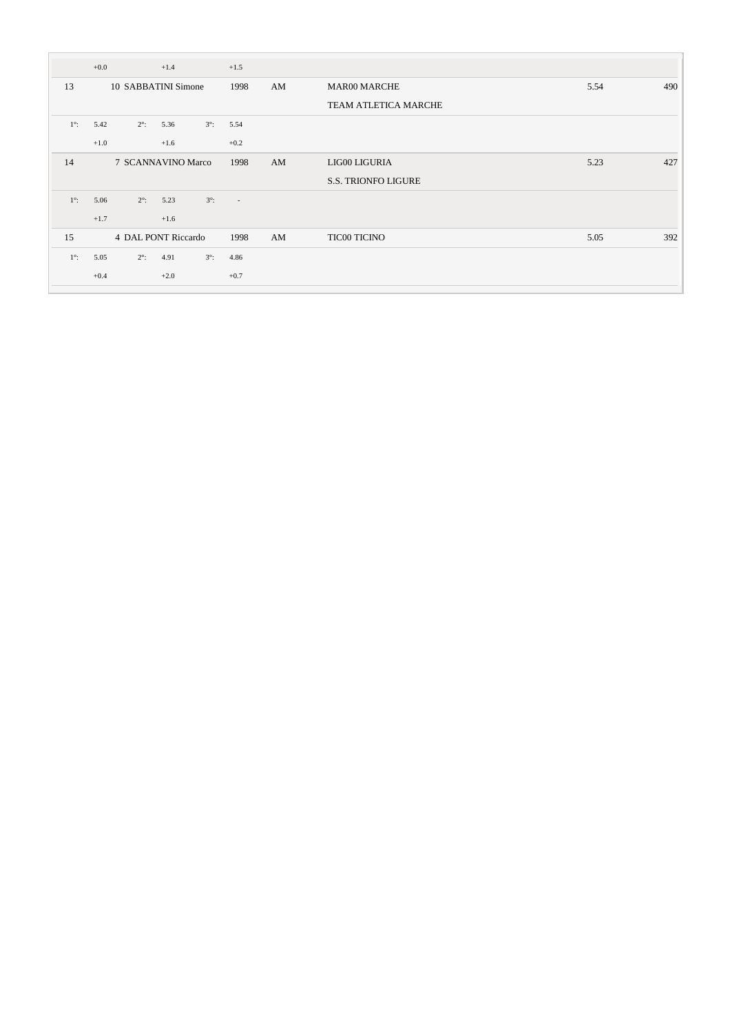|             | $+0.0$ |                     | $+1.4$ |             | $+1.5$ |    |                            |      |     |
|-------------|--------|---------------------|--------|-------------|--------|----|----------------------------|------|-----|
| 13          |        | 10 SABBATINI Simone |        |             | 1998   | AM | <b>MAR00 MARCHE</b>        | 5.54 | 490 |
|             |        |                     |        |             |        |    | TEAM ATLETICA MARCHE       |      |     |
| $1^\circ$ : | 5.42   | $2^\circ$ :         | 5.36   | $3^\circ$ : | 5.54   |    |                            |      |     |
|             | $+1.0$ |                     | $+1.6$ |             | $+0.2$ |    |                            |      |     |
| 14          |        | 7 SCANNAVINO Marco  |        |             | 1998   | AM | LIG00 LIGURIA              | 5.23 | 427 |
|             |        |                     |        |             |        |    | <b>S.S. TRIONFO LIGURE</b> |      |     |
| $1^\circ$ : | 5.06   | $2^\circ$ :         | 5.23   | $3^\circ$ : | $\sim$ |    |                            |      |     |
|             | $+1.7$ |                     | $+1.6$ |             |        |    |                            |      |     |
| 15          |        | 4 DAL PONT Riccardo |        |             | 1998   | AM | <b>TIC00 TICINO</b>        | 5.05 | 392 |
| $1^\circ$ : | 5.05   | $2^\circ$ :         | 4.91   | $3^\circ$ : | 4.86   |    |                            |      |     |
|             | $+0.4$ |                     | $+2.0$ |             | $+0.7$ |    |                            |      |     |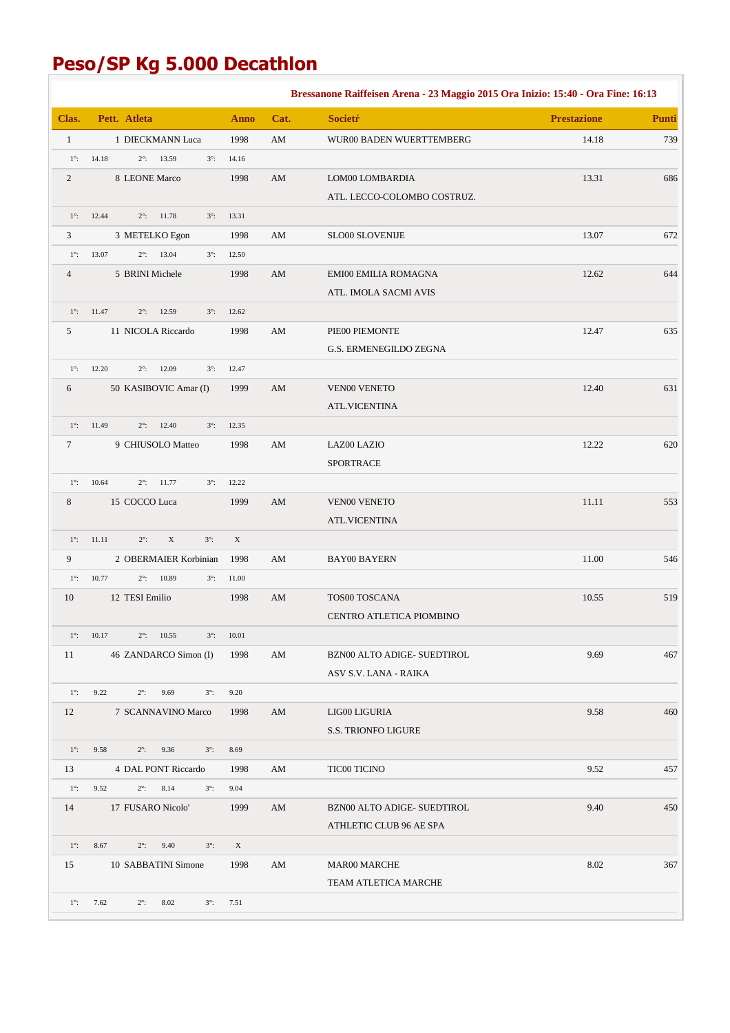## **Peso/SP Kg 5.000 Decathlon**

|              |                                                    |                     |                        | Bressanone Raiffeisen Arena - 23 Maggio 2015 Ora Inizio: 15:40 - Ora Fine: 16:13 |                    |       |
|--------------|----------------------------------------------------|---------------------|------------------------|----------------------------------------------------------------------------------|--------------------|-------|
| Clas.        | Pett. Atleta                                       | <b>Anno</b>         | Cat.                   | <b>Societr</b>                                                                   | <b>Prestazione</b> | Punti |
| $\mathbf{1}$ | 1 DIECKMANN Luca                                   | 1998                | AM                     | WUR00 BADEN WUERTTEMBERG                                                         | 14.18              | 739   |
| $1^\circ$ :  | 14.18<br>$2^{\circ}$ : 13.59<br>$3^\circ$ :        | 14.16               |                        |                                                                                  |                    |       |
| $\mathbf{2}$ | 8 LEONE Marco                                      | 1998                | AM                     | LOM00 LOMBARDIA                                                                  | 13.31              | 686   |
|              |                                                    |                     |                        | ATL. LECCO-COLOMBO COSTRUZ.                                                      |                    |       |
| $1^\circ$ :  | $2^{\circ}$ : 11.78<br>12.44<br>$3^\circ$ :        | 13.31               |                        |                                                                                  |                    |       |
| 3            | 3 METELKO Egon                                     | 1998                | AM                     | SLO00 SLOVENIJE                                                                  | 13.07              | 672   |
| $1^\circ$ :  | 13.07<br>$2^{\circ}$ : 13.04<br>$3^\circ$ :        | 12.50               |                        |                                                                                  |                    |       |
| 4            | 5 BRINI Michele                                    | 1998                | AM                     | EMI00 EMILIA ROMAGNA                                                             | 12.62              | 644   |
|              |                                                    |                     |                        | ATL. IMOLA SACMI AVIS                                                            |                    |       |
| $1^\circ$ :  | 11.47<br>12.59<br>$2^\circ$ :<br>$3^\circ$ :       | 12.62               |                        |                                                                                  |                    |       |
| 5            | 11 NICOLA Riccardo                                 | 1998                | AM                     | PIE00 PIEMONTE                                                                   | 12.47              | 635   |
|              |                                                    |                     |                        | G.S. ERMENEGILDO ZEGNA                                                           |                    |       |
| $1^\circ$ :  | 12.09<br>12.20<br>$2^\circ$ :<br>$3^\circ$ :       | 12.47               |                        |                                                                                  |                    |       |
| 6            | 50 KASIBOVIC Amar (I)                              | 1999                | AM                     | <b>VEN00 VENETO</b>                                                              | 12.40              | 631   |
|              |                                                    |                     |                        | <b>ATL.VICENTINA</b>                                                             |                    |       |
| $1^\circ$ :  | 11.49<br>$2^\circ$ :<br>12.40<br>$3^\circ$ :       | 12.35               |                        |                                                                                  |                    |       |
| $\tau$       | 9 CHIUSOLO Matteo                                  | 1998                | AM                     | LAZ00 LAZIO                                                                      | 12.22              | 620   |
|              |                                                    |                     |                        | SPORTRACE                                                                        |                    |       |
| $1^\circ$ :  | 10.64<br>$2^\circ$ :<br>11.77<br>$3^\circ$ :       | 12.22               |                        |                                                                                  |                    |       |
| $8\,$        | 15 COCCO Luca                                      | 1999                | AM                     | <b>VEN00 VENETO</b>                                                              | 11.11              | 553   |
|              |                                                    |                     |                        | <b>ATL.VICENTINA</b>                                                             |                    |       |
| $1^\circ$ :  | $\mathbf X$<br>11.11<br>$2^\circ$ :<br>$3^\circ$ : | X                   |                        |                                                                                  |                    |       |
| 9            | 2 OBERMAIER Korbinian                              | 1998                | AM                     | <b>BAY00 BAYERN</b>                                                              | 11.00              | 546   |
| $1^\circ$ :  | 10.77<br>$2^\circ$ :<br>10.89<br>$3^\circ$ :       | 11.00               |                        |                                                                                  |                    |       |
| 10           | 12 TESI Emilio                                     | 1998                | $\mathbf{A}\mathbf{M}$ | TOS00 TOSCANA                                                                    | 10.55              | 519   |
|              |                                                    |                     |                        | CENTRO ATLETICA PIOMBINO                                                         |                    |       |
|              | $1^{\circ}$ : 10.17<br>$2^{\circ}$ : 10.55         | $3^{\circ}$ : 10.01 |                        |                                                                                  |                    |       |
| 11           | 46 ZANDARCO Simon (I)                              | 1998                | AM                     | BZN00 ALTO ADIGE- SUEDTIROL                                                      | 9.69               | 467   |
|              |                                                    |                     |                        | ASV S.V. LANA - RAIKA                                                            |                    |       |
| $1^\circ$ :  | 9.22<br>$2^\circ$ :<br>9.69<br>$3^\circ$ :         | 9.20                |                        |                                                                                  |                    |       |
| 12           | 7 SCANNAVINO Marco                                 | 1998                | AM                     | LIG00 LIGURIA                                                                    | 9.58               | 460   |
|              |                                                    |                     |                        | <b>S.S. TRIONFO LIGURE</b>                                                       |                    |       |
| $1^\circ$ :  | 9.58<br>$2^\circ$ :<br>9.36<br>$3^\circ$ :         | 8.69                |                        |                                                                                  |                    |       |
| 13           | 4 DAL PONT Riccardo                                | 1998                | AM                     | <b>TIC00 TICINO</b>                                                              | 9.52               | 457   |
| $1^\circ$ :  | 9.52<br>$2^\circ$ :<br>8.14<br>$3^\circ$ :         | 9.04                |                        |                                                                                  |                    |       |
| 14           | 17 FUSARO Nicolo'                                  | 1999                | AM                     | BZN00 ALTO ADIGE- SUEDTIROL                                                      | 9.40               | 450   |
|              |                                                    |                     |                        | ATHLETIC CLUB 96 AE SPA                                                          |                    |       |
| $1^\circ$ :  | 8.67<br>$2^\circ$ :<br>9.40<br>$3^\circ$ :         | $\mathbf{X}$        |                        |                                                                                  |                    |       |
| 15           | 10 SABBATINI Simone                                | 1998                | AM                     | <b>MAR00 MARCHE</b>                                                              | 8.02               | 367   |
|              |                                                    |                     |                        | TEAM ATLETICA MARCHE                                                             |                    |       |
| $1^\circ$ :  | 7.62<br>$2^\circ$ :<br>8.02<br>$3^\circ$ :         | 7.51                |                        |                                                                                  |                    |       |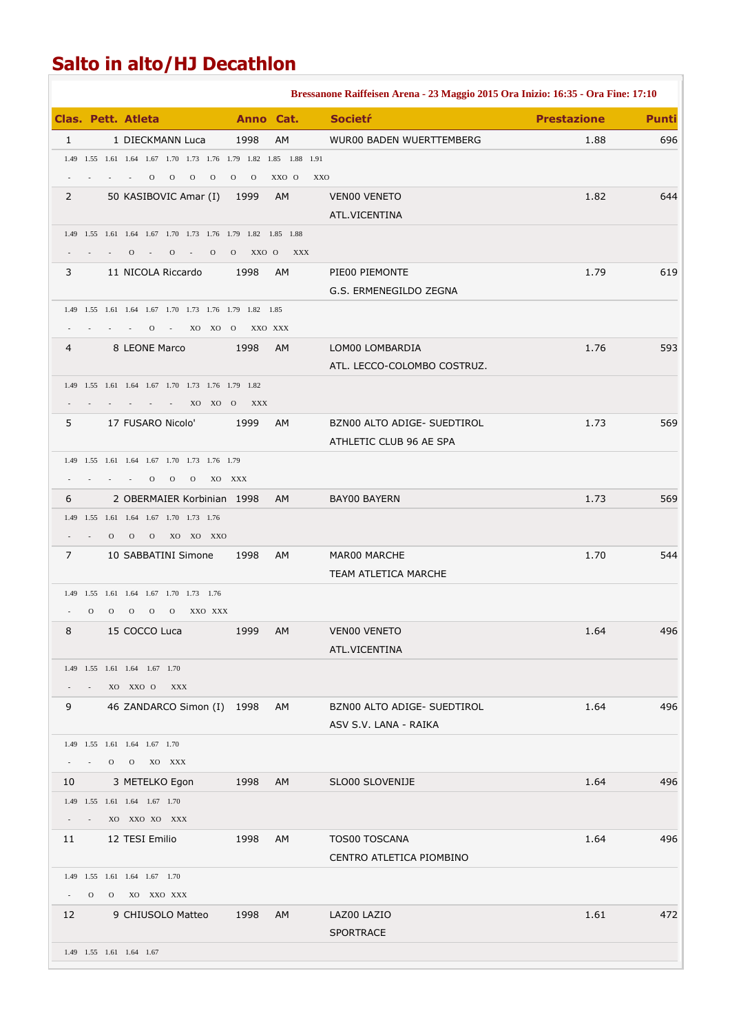## **Salto in alto/HJ Decathlon**

|                                                       |                |          |                                                                                    |                                |              | Bressanone Raiffeisen Arena - 23 Maggio 2015 Ora Inizio: 16:35 - Ora Fine: 17:10 |                    |              |
|-------------------------------------------------------|----------------|----------|------------------------------------------------------------------------------------|--------------------------------|--------------|----------------------------------------------------------------------------------|--------------------|--------------|
|                                                       |                |          | <b>Clas. Pett. Atleta</b>                                                          | Anno Cat.                      |              | <b>Societr</b>                                                                   | <b>Prestazione</b> | <b>Punti</b> |
| $\mathbf{1}$                                          |                |          | 1 DIECKMANN Luca                                                                   | 1998                           | AM           | WUR00 BADEN WUERTTEMBERG                                                         | 1.88               | 696          |
|                                                       |                |          | 1.49 1.55 1.61 1.64 1.67 1.70 1.73 1.76 1.79 1.82 1.85 1.88 1.91                   |                                |              |                                                                                  |                    |              |
|                                                       |                |          | $\mathbf{O}$<br>$\overline{O}$<br>$\overline{O}$<br>$\mathbf{O}$                   | $\overline{O}$<br>$\mathbf{O}$ | XXO O<br>XXO |                                                                                  |                    |              |
| $\overline{2}$                                        |                |          | 50 KASIBOVIC Amar (I)                                                              | 1999                           | AM           | VEN00 VENETO                                                                     | 1.82               | 644          |
|                                                       |                |          |                                                                                    |                                |              | ATL.VICENTINA                                                                    |                    |              |
|                                                       |                |          | 1.49 1.55 1.61 1.64 1.67 1.70 1.73 1.76 1.79 1.82 1.85 1.88                        |                                |              |                                                                                  |                    |              |
|                                                       |                |          | $\mathbf{O}$<br>$\mathbf{O}$<br>$\mathbf{O}$<br>$\sim 100$<br>$\sim 100$           | $0$ XX $0$ $0$                 | XXX          |                                                                                  |                    |              |
| 3                                                     |                |          | 11 NICOLA Riccardo                                                                 | 1998                           | AM           | PIE00 PIEMONTE                                                                   | 1.79               | 619          |
|                                                       |                |          | 1.49 1.55 1.61 1.64 1.67 1.70 1.73 1.76 1.79 1.82 1.85                             |                                |              | G.S. ERMENEGILDO ZEGNA                                                           |                    |              |
|                                                       |                |          | $\Omega$<br>XO XO O<br>$\sim$ $-$                                                  | XXO XXX                        |              |                                                                                  |                    |              |
| 4                                                     |                |          | 8 LEONE Marco                                                                      | 1998                           | AM           | LOM00 LOMBARDIA                                                                  | 1.76               | 593          |
|                                                       |                |          |                                                                                    |                                |              | ATL. LECCO-COLOMBO COSTRUZ.                                                      |                    |              |
|                                                       |                |          | 1.49   1.55   1.61   1.64   1.67   1.70   1.73   1.76   1.79   1.82                |                                |              |                                                                                  |                    |              |
|                                                       |                |          | XO XO O                                                                            | XXX                            |              |                                                                                  |                    |              |
| 5                                                     |                |          | 17 FUSARO Nicolo'                                                                  | 1999                           | AM           | BZN00 ALTO ADIGE- SUEDTIROL                                                      | 1.73               | 569          |
|                                                       |                |          |                                                                                    |                                |              | ATHLETIC CLUB 96 AE SPA                                                          |                    |              |
|                                                       |                |          | 1.49 1.55 1.61 1.64 1.67 1.70 1.73 1.76 1.79                                       |                                |              |                                                                                  |                    |              |
|                                                       |                |          | $\mathbf{O}$<br>$0\qquad 0$<br>XO XXX                                              |                                |              |                                                                                  |                    |              |
| 6                                                     |                |          | 2 OBERMAIER Korbinian 1998                                                         |                                | <b>AM</b>    | <b>BAY00 BAYERN</b>                                                              | 1.73               | 569          |
|                                                       |                |          | 1.49 1.55 1.61 1.64 1.67 1.70 1.73 1.76                                            |                                |              |                                                                                  |                    |              |
|                                                       |                | $\Omega$ | XO XO XXO<br>$\mathbf{O}$<br>$\overline{O}$                                        |                                |              |                                                                                  |                    |              |
| 7                                                     |                |          | 10 SABBATINI Simone                                                                | 1998                           | AM           | MAR00 MARCHE                                                                     | 1.70               | 544          |
|                                                       |                |          |                                                                                    |                                |              | TEAM ATLETICA MARCHE                                                             |                    |              |
|                                                       | $\mathbf{O}$   |          | 1.49 1.55 1.61 1.64 1.67 1.70 1.73 1.76<br>$\mathbf{O}$<br>$\mathbf{O}$<br>$\circ$ |                                |              |                                                                                  |                    |              |
| 8                                                     |                | $\Omega$ | XXO XXX<br>15 COCCO Luca                                                           | 1999                           | <b>AM</b>    | VEN00 VENETO                                                                     | 1.64               | 496          |
|                                                       |                |          |                                                                                    |                                |              | ATL.VICENTINA                                                                    |                    |              |
|                                                       |                |          | 1.49 1.55 1.61 1.64 1.67 1.70                                                      |                                |              |                                                                                  |                    |              |
|                                                       |                |          | XO XXO O<br>XXX                                                                    |                                |              |                                                                                  |                    |              |
| 9                                                     |                |          | 46 ZANDARCO Simon (I) 1998                                                         |                                | AM           | BZN00 ALTO ADIGE- SUEDTIROL                                                      | 1.64               | 496          |
|                                                       |                |          |                                                                                    |                                |              | ASV S.V. LANA - RAIKA                                                            |                    |              |
|                                                       |                |          | 1.49 1.55 1.61 1.64 1.67 1.70                                                      |                                |              |                                                                                  |                    |              |
|                                                       |                |          | $0$ $0$ $X0$ $XXX$                                                                 |                                |              |                                                                                  |                    |              |
| 10                                                    |                |          | 3 METELKO Egon                                                                     | 1998                           | AM           | SLO00 SLOVENIJE                                                                  | 1.64               | 496          |
|                                                       |                |          | 1.49  1.55  1.61  1.64  1.67  1.70                                                 |                                |              |                                                                                  |                    |              |
| $\mathcal{L}_{\rm{max}}$ and $\mathcal{L}_{\rm{max}}$ |                |          | XO XXO XO XXX                                                                      |                                |              |                                                                                  |                    |              |
| 11 \,                                                 |                |          | 12 TESI Emilio                                                                     | 1998                           | AM           | TOS00 TOSCANA                                                                    | 1.64               | 496          |
|                                                       |                |          |                                                                                    |                                |              | CENTRO ATLETICA PIOMBINO                                                         |                    |              |
|                                                       |                |          | 1.49 1.55 1.61 1.64 1.67 1.70                                                      |                                |              |                                                                                  |                    |              |
|                                                       | $\overline{O}$ |          | O XO XXO XXX                                                                       |                                |              |                                                                                  |                    |              |
| 12 <sup>2</sup>                                       |                |          | 9 CHIUSOLO Matteo                                                                  | 1998                           | AM           | LAZ00 LAZIO<br><b>SPORTRACE</b>                                                  | 1.61               | 472          |
|                                                       |                |          | 1.49 1.55 1.61 1.64 1.67                                                           |                                |              |                                                                                  |                    |              |
|                                                       |                |          |                                                                                    |                                |              |                                                                                  |                    |              |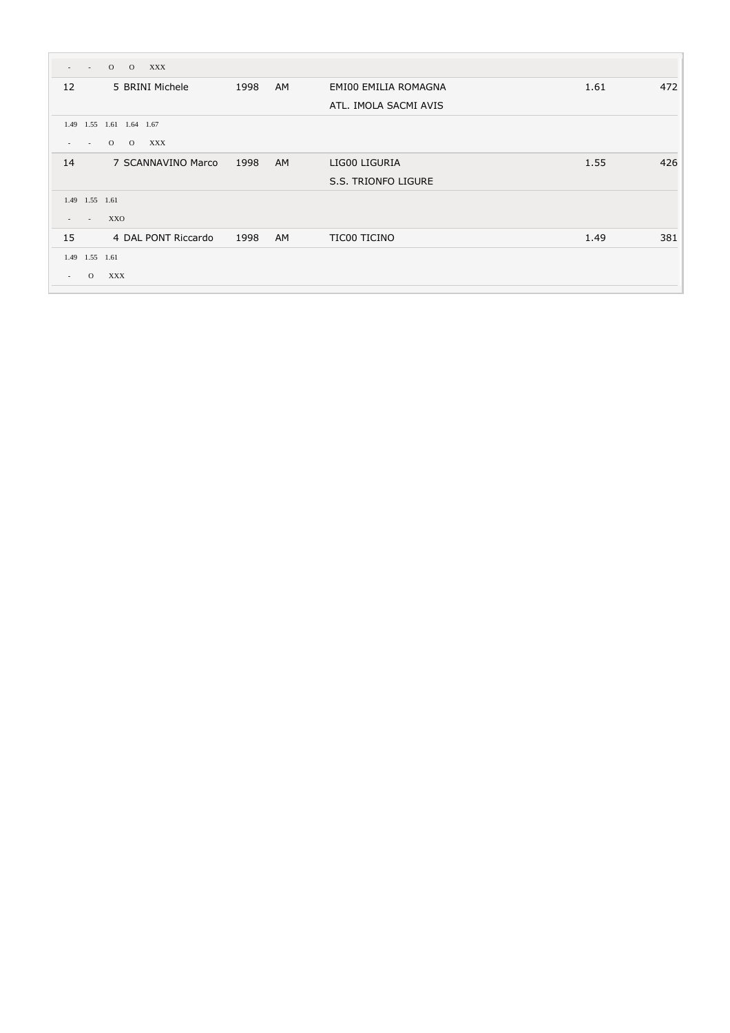|        | $\overline{O}$<br>$\overline{O}$<br><b>XXX</b><br>$\sim$            |      |           |                       |      |     |
|--------|---------------------------------------------------------------------|------|-----------|-----------------------|------|-----|
| 12     | 5 BRINI Michele                                                     | 1998 | <b>AM</b> | EMI00 EMILIA ROMAGNA  | 1.61 | 472 |
|        |                                                                     |      |           | ATL. IMOLA SACMI AVIS |      |     |
| 1.49   | 1.55 1.61 1.64 1.67                                                 |      |           |                       |      |     |
|        | $\overline{O}$<br>$\overline{O}$<br>XXX<br>$\overline{\phantom{a}}$ |      |           |                       |      |     |
| 14     | 7 SCANNAVINO Marco                                                  | 1998 | <b>AM</b> | LIG00 LIGURIA         | 1.55 | 426 |
|        |                                                                     |      |           | S.S. TRIONFO LIGURE   |      |     |
|        | 1.49 1.55 1.61                                                      |      |           |                       |      |     |
|        | XXO<br>$\overline{a}$                                               |      |           |                       |      |     |
| 15     | 4 DAL PONT Riccardo                                                 | 1998 | <b>AM</b> | TIC00 TICINO          | 1.49 | 381 |
|        | 1.49 1.55 1.61                                                      |      |           |                       |      |     |
| $\sim$ | XXX<br>$\circ$                                                      |      |           |                       |      |     |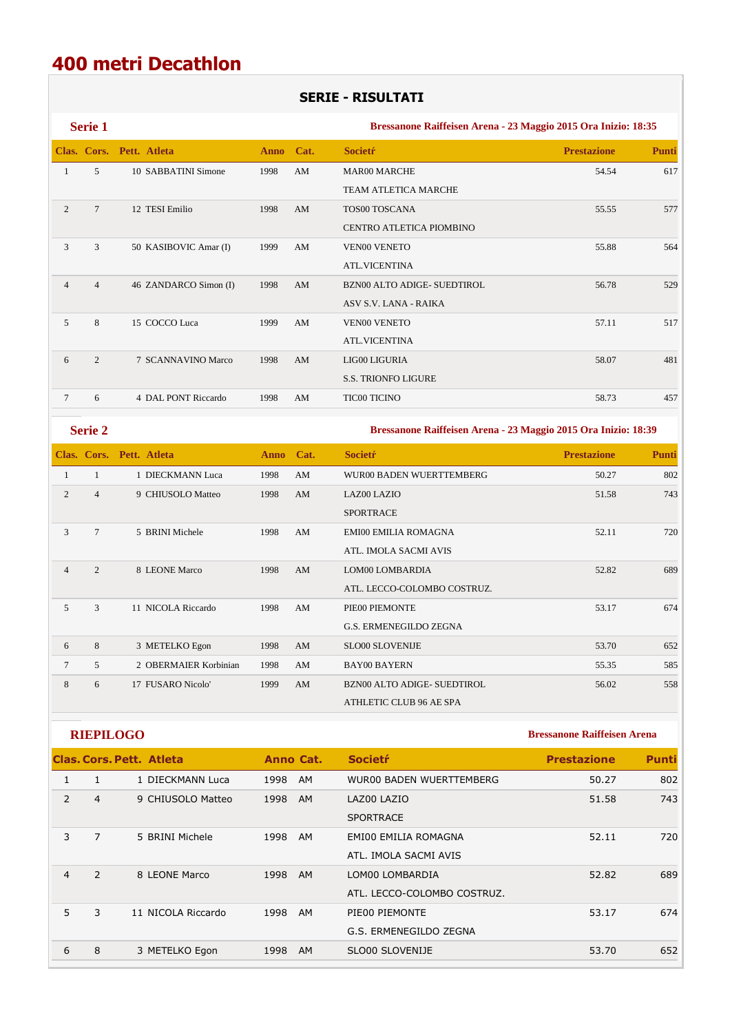### **400 metri Decathlon**

#### **SERIE - RISULTATI**

**Serie 1 Bressanone Raiffeisen Arena - 23 Maggio 2015 Ora Inizio: 18:35 Clas. Cors. Pett. Atleta Anno Cat. Societŕ Prestazione Punti** 1 5 10 SABBATINI Simone 1998 AM MAR00 MARCHE 54.54 617 TEAM ATLETICA MARCHE 2 7 12 TESI Emilio 1998 AM TOS00 TOSCANA 55.55 577 CENTRO ATLETICA PIOMBINO 3 3 50 KASIBOVIC Amar (I) 1999 AM VEN00 VENETO 55.88 564 ATL.VICENTINA 4 4 46 ZANDARCO Simon (I) 1998 AM BZN00 ALTO ADIGE- SUEDTIROL 56.78 529 ASV S.V. LANA - RAIKA 5 8 15 COCCO Luca 1999 AM VEN00 VENETO 57.11 517 ATL.VICENTINA 6 2 7 SCANNAVINO Marco 1998 AM LIG00 LIGURIA 58.07 481 S.S. TRIONFO LIGURE 7 6 4 DAL PONT Riccardo 1998 AM TIC00 TICINO 58.73 457

**Serie 2 Bressanone Raiffeisen Arena - 23 Maggio 2015 Ora Inizio: 18:39** 

|                |                | Clas. Cors. Pett. Atleta | <b>Anno</b> | Cat. | <b>Societr</b>                     | <b>Prestazione</b> | <b>Punti</b> |
|----------------|----------------|--------------------------|-------------|------|------------------------------------|--------------------|--------------|
|                |                | 1 DIECKMANN Luca         | 1998        | AM   | WUR00 BADEN WUERTTEMBERG           | 50.27              | 802          |
| 2              | $\overline{4}$ | 9 CHIUSOLO Matteo        | 1998        | AM   | <b>LAZ00 LAZIO</b>                 | 51.58              | 743          |
|                |                |                          |             |      | <b>SPORTRACE</b>                   |                    |              |
| 3              | 7              | 5 BRINI Michele          | 1998        | AM   | <b>EMI00 EMILIA ROMAGNA</b>        | 52.11              | 720          |
|                |                |                          |             |      | ATL. IMOLA SACMI AVIS              |                    |              |
| $\overline{4}$ | 2              | 8 LEONE Marco            | 1998        | AM   | LOM00 LOMBARDIA                    | 52.82              | 689          |
|                |                |                          |             |      | ATL. LECCO-COLOMBO COSTRUZ.        |                    |              |
| 5              | 3              | 11 NICOLA Riccardo       | 1998        | AM   | PIE00 PIEMONTE                     | 53.17              | 674          |
|                |                |                          |             |      | <b>G.S. ERMENEGILDO ZEGNA</b>      |                    |              |
| 6              | 8              | 3 METELKO Egon           | 1998        | AM   | <b>SLO00 SLOVENIJE</b>             | 53.70              | 652          |
| 7              | 5              | 2 OBERMAIER Korbinian    | 1998        | AM   | <b>BAY00 BAYERN</b>                | 55.35              | 585          |
| 8              | 6              | 17 FUSARO Nicolo'        | 1999        | AM   | <b>BZN00 ALTO ADIGE- SUEDTIROL</b> | 56.02              | 558          |
|                |                |                          |             |      | ATHLETIC CLUB 96 AE SPA            |                    |              |

**RIEPILOGO Bressanone Raiffeisen Arena** 

|                |               | Clas. Cors. Pett. Atleta | Anno Cat.         | <b>Societr</b>                                 | <b>Prestazione</b> | <b>Punti</b> |
|----------------|---------------|--------------------------|-------------------|------------------------------------------------|--------------------|--------------|
|                | 1             | 1 DIECKMANN Luca         | 1998<br><b>AM</b> | <b>WUR00 BADEN WUERTTEMBERG</b>                | 50.27              | 802          |
| 2              | 4             | 9 CHIUSOLO Matteo        | 1998<br><b>AM</b> | LAZ00 LAZIO<br><b>SPORTRACE</b>                | 51.58              | 743          |
| 3              | 7             | 5 BRINI Michele          | 1998<br><b>AM</b> | EMI00 EMILIA ROMAGNA<br>ATL. IMOLA SACMI AVIS  | 52.11              | 720          |
| $\overline{4}$ | $\mathcal{P}$ | 8 LEONE Marco            | 1998<br><b>AM</b> | LOM00 LOMBARDIA<br>ATL. LECCO-COLOMBO COSTRUZ. | 52.82              | 689          |
| 5.             | 3             | 11 NICOLA Riccardo       | 1998<br><b>AM</b> | PIE00 PIEMONTE<br>G.S. ERMENEGILDO ZEGNA       | 53.17              | 674          |
| 6              | 8             | 3 METELKO Egon           | 1998<br><b>AM</b> | SLO00 SLOVENIJE                                | 53.70              | 652          |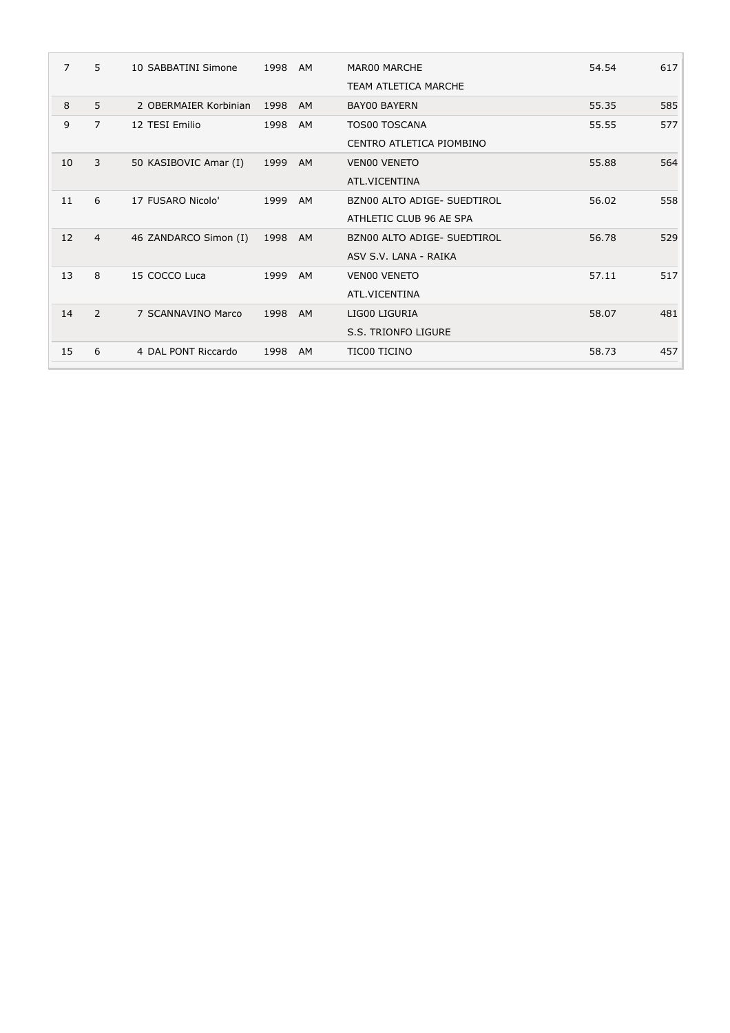| 7  | 5              | 10 SABBATINI Simone   | 1998 | AM        | <b>MAR00 MARCHE</b>         | 54.54 | 617 |
|----|----------------|-----------------------|------|-----------|-----------------------------|-------|-----|
|    |                |                       |      |           | TEAM ATLETICA MARCHE        |       |     |
| 8  | 5              | 2 OBERMAIER Korbinian | 1998 | AM        | <b>BAY00 BAYERN</b>         | 55.35 | 585 |
| 9  | $\overline{7}$ | 12 TESI Emilio        | 1998 | AM        | <b>TOS00 TOSCANA</b>        | 55.55 | 577 |
|    |                |                       |      |           | CENTRO ATLETICA PIOMBINO    |       |     |
| 10 | 3              | 50 KASIBOVIC Amar (I) | 1999 | AM        | <b>VENOO VENETO</b>         | 55.88 | 564 |
|    |                |                       |      |           | ATL.VICENTINA               |       |     |
| 11 | 6              | 17 FUSARO Nicolo'     | 1999 | AM        | BZN00 ALTO ADIGE- SUEDTIROL | 56.02 | 558 |
|    |                |                       |      |           | ATHLETIC CLUB 96 AE SPA     |       |     |
| 12 | $\overline{4}$ | 46 ZANDARCO Simon (I) | 1998 | AM        | BZN00 ALTO ADIGE- SUEDTIROL | 56.78 | 529 |
|    |                |                       |      |           | ASV S.V. LANA - RAIKA       |       |     |
| 13 | 8              | 15 COCCO Luca         | 1999 | AM        | <b>VENOO VENETO</b>         | 57.11 | 517 |
|    |                |                       |      |           | ATL.VICENTINA               |       |     |
| 14 | 2              | 7 SCANNAVINO Marco    | 1998 | <b>AM</b> | LIG00 LIGURIA               | 58.07 | 481 |
|    |                |                       |      |           | S.S. TRIONFO LIGURE         |       |     |
| 15 | 6              | 4 DAL PONT Riccardo   | 1998 | <b>AM</b> | TIC00 TICINO                | 58.73 | 457 |
|    |                |                       |      |           |                             |       |     |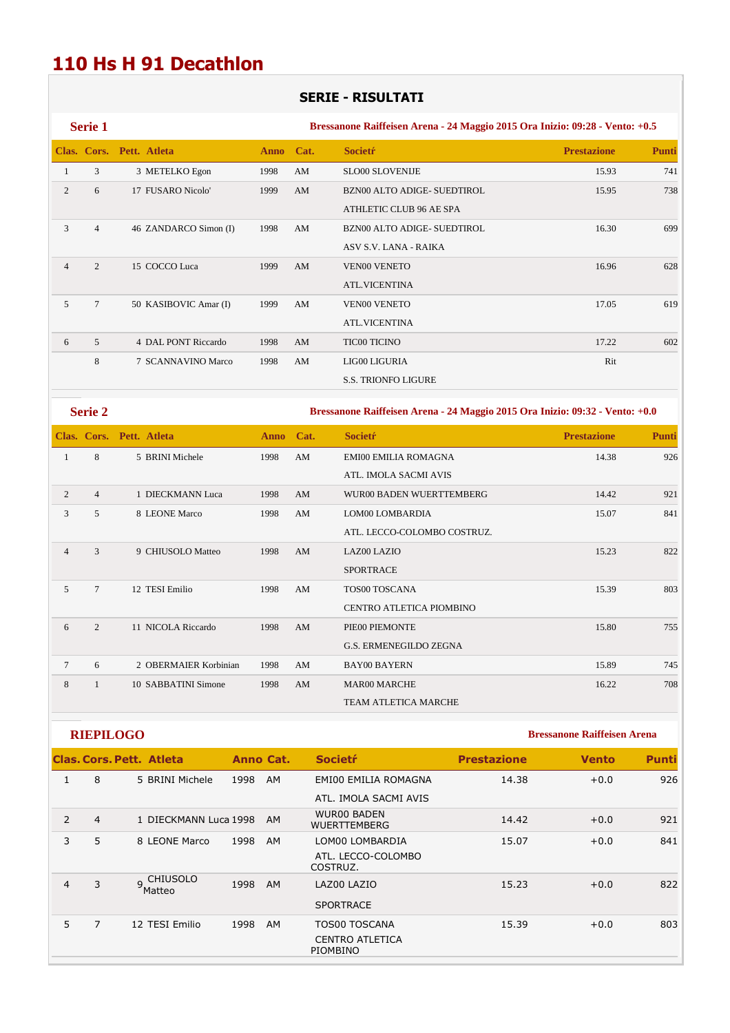## **110 Hs H 91 Decathlon**

### **SERIE - RISULTATI**

| Serie 1        |                |                          |             |      | Bressanone Raiffeisen Arena - 24 Maggio 2015 Ora Inizio: 09:28 - Vento: +0.5 |                    |              |
|----------------|----------------|--------------------------|-------------|------|------------------------------------------------------------------------------|--------------------|--------------|
|                |                | Clas. Cors. Pett. Atleta | <b>Anno</b> | Cat. | <b>Societr</b>                                                               | <b>Prestazione</b> | <b>Punti</b> |
|                | 3              | 3 METELKO Egon           | 1998        | AM   | <b>SLO00 SLOVENIJE</b>                                                       | 15.93              | 741          |
| 2              | 6              | 17 FUSARO Nicolo'        | 1999        | AM   | BZN00 ALTO ADIGE-SUEDTIROL                                                   | 15.95              | 738          |
|                |                |                          |             |      | ATHLETIC CLUB 96 AE SPA                                                      |                    |              |
| 3              | $\overline{4}$ | 46 ZANDARCO Simon (I)    | 1998        | AM   | <b>BZN00 ALTO ADIGE- SUEDTIROL</b>                                           | 16.30              | 699          |
|                |                |                          |             |      | ASV S.V. LANA - RAIKA                                                        |                    |              |
| $\overline{4}$ | $\overline{2}$ | 15 COCCO Luca            | 1999        | AM   | <b>VEN00 VENETO</b>                                                          | 16.96              | 628          |
|                |                |                          |             |      | <b>ATL.VICENTINA</b>                                                         |                    |              |
| 5              | $\overline{7}$ | 50 KASIBOVIC Amar (I)    | 1999        | AM   | <b>VEN00 VENETO</b>                                                          | 17.05              | 619          |
|                |                |                          |             |      | <b>ATL.VICENTINA</b>                                                         |                    |              |
| 6              | 5              | 4 DAL PONT Riccardo      | 1998        | AM   | <b>TIC00 TICINO</b>                                                          | 17.22              | 602          |
|                | 8              | 7 SCANNAVINO Marco       | 1998        | AM   | LIG00 LIGURIA                                                                | Rit                |              |
|                |                |                          |             |      | <b>S.S. TRIONFO LIGURE</b>                                                   |                    |              |

**Serie 2 Bressanone Raiffeisen Arena - 24 Maggio 2015 Ora Inizio: 09:32 - Vento: +0.0** 

|                |                | Clas. Cors. Pett. Atleta | <b>Anno</b> | Cat. | <b>Societr</b>                | <b>Prestazione</b> | <b>Punti</b> |
|----------------|----------------|--------------------------|-------------|------|-------------------------------|--------------------|--------------|
| 1              | 8              | 5 BRINI Michele          | 1998        | AM   | <b>EMI00 EMILIA ROMAGNA</b>   | 14.38              | 926          |
|                |                |                          |             |      | ATL. IMOLA SACMI AVIS         |                    |              |
| $\overline{2}$ | $\overline{4}$ | 1 DIECKMANN Luca         | 1998        | AM   | WUR00 BADEN WUERTTEMBERG      | 14.42              | 921          |
| 3              | 5              | 8 LEONE Marco            | 1998        | AM   | LOM00 LOMBARDIA               | 15.07              | 841          |
|                |                |                          |             |      | ATL. LECCO-COLOMBO COSTRUZ.   |                    |              |
| $\overline{4}$ | 3              | 9 CHIUSOLO Matteo        | 1998        | AM   | <b>LAZ00 LAZIO</b>            | 15.23              | 822          |
|                |                |                          |             |      | <b>SPORTRACE</b>              |                    |              |
| 5              | $\overline{7}$ | 12 TESI Emilio           | 1998        | AM   | TOS00 TOSCANA                 | 15.39              | 803          |
|                |                |                          |             |      | CENTRO ATLETICA PIOMBINO      |                    |              |
| 6              | $\overline{2}$ | 11 NICOLA Riccardo       | 1998        | AM   | PIE00 PIEMONTE                | 15.80              | 755          |
|                |                |                          |             |      | <b>G.S. ERMENEGILDO ZEGNA</b> |                    |              |
| $\tau$         | 6              | 2 OBERMAIER Korbinian    | 1998        | AM   | <b>BAY00 BAYERN</b>           | 15.89              | 745          |
| 8              |                | 10 SABBATINI Simone      | 1998        | AM   | <b>MAR00 MARCHE</b>           | 16.22              | 708          |
|                |                |                          |             |      | <b>TEAM ATLETICA MARCHE</b>   |                    |              |

**RIEPILOGO Bressanone Raiffeisen Arena** 

|                |  |                                                                                                                            |                       | <b>Societr</b>                            | <b>Prestazione</b> | <b>Vento</b> | <b>Punti</b> |
|----------------|--|----------------------------------------------------------------------------------------------------------------------------|-----------------------|-------------------------------------------|--------------------|--------------|--------------|
| 8              |  | 1998                                                                                                                       | AM                    | EMI00 EMILIA ROMAGNA                      | 14.38              | $+0.0$       | 926          |
|                |  |                                                                                                                            |                       | ATL. IMOLA SACMI AVIS                     |                    |              |              |
| $\overline{4}$ |  |                                                                                                                            | <b>AM</b>             | <b>WUR00 BADEN</b><br><b>WUERTTEMBERG</b> | 14.42              | $+0.0$       | 921          |
| 5              |  | 1998                                                                                                                       | <b>AM</b>             | LOM00 LOMBARDIA                           | 15.07              | $+0.0$       | 841          |
|                |  |                                                                                                                            |                       | ATL. LECCO-COLOMBO<br>COSTRUZ.            |                    |              |              |
| 3              |  | 1998                                                                                                                       | AM                    | LAZ00 LAZIO                               | 15.23              | $+0.0$       | 822          |
|                |  |                                                                                                                            |                       | <b>SPORTRACE</b>                          |                    |              |              |
| $\overline{7}$ |  | 1998                                                                                                                       | AM                    | <b>TOS00 TOSCANA</b>                      | 15.39              | $+0.0$       | 803          |
|                |  |                                                                                                                            |                       | <b>CENTRO ATLETICA</b><br>PIOMBINO        |                    |              |              |
|                |  | <b>Clas. Cors. Pett. Atleta</b><br>5 BRINI Michele<br>8 LEONE Marco<br>9 CHIUSOLO<br><sup>'</sup> Matteo<br>12 TESI Emilio | 1 DIECKMANN Luca 1998 | Anno Cat.                                 |                    |              |              |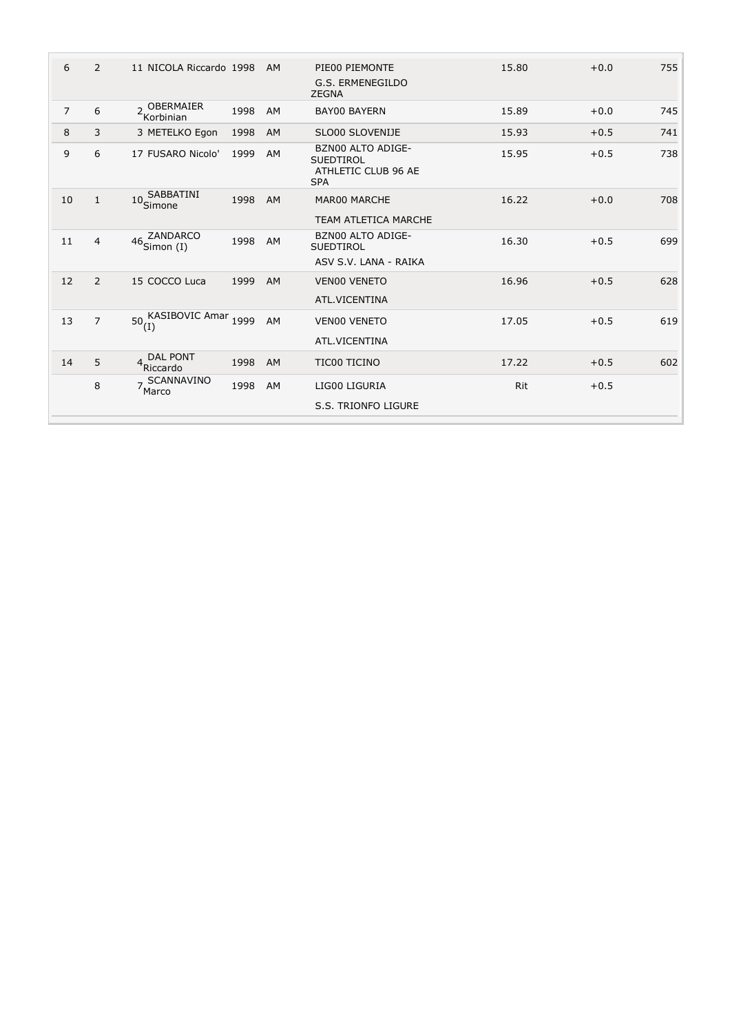| 6              | 2              | 11 NICOLA Riccardo 1998                  |      | AM        | PIE00 PIEMONTE<br>G.S. ERMENEGILDO<br><b>ZEGNA</b>                                | 15.80 | $+0.0$ | 755 |
|----------------|----------------|------------------------------------------|------|-----------|-----------------------------------------------------------------------------------|-------|--------|-----|
| $\overline{7}$ | 6              | 2 OBERMAIER<br>Korbinian                 | 1998 | AM        | <b>BAY00 BAYERN</b>                                                               | 15.89 | $+0.0$ | 745 |
| 8              | 3              | 3 METELKO Egon                           | 1998 | <b>AM</b> | SLO00 SLOVENIJE                                                                   | 15.93 | $+0.5$ | 741 |
| 9              | 6              | 17 FUSARO Nicolo'                        | 1999 | AM        | <b>BZN00 ALTO ADIGE-</b><br><b>SUEDTIROL</b><br>ATHLETIC CLUB 96 AE<br><b>SPA</b> | 15.95 | $+0.5$ | 738 |
| 10             | $\mathbf{1}$   | SABBATINI<br>$10$ Simone                 | 1998 | AM        | MAR00 MARCHE<br><b>TEAM ATLETICA MARCHE</b>                                       | 16.22 | $+0.0$ | 708 |
| 11             | 4              | ZANDARCO<br>$46\frac{2}{S}$ (I)          | 1998 | AM        | <b>BZN00 ALTO ADIGE-</b><br><b>SUEDTIROL</b><br>ASV S.V. LANA - RAIKA             | 16.30 | $+0.5$ | 699 |
| 12             | $\overline{2}$ | 15 COCCO Luca                            | 1999 | <b>AM</b> | <b>VENOO VENETO</b><br>ATL.VICENTINA                                              | 16.96 | $+0.5$ | 628 |
| 13             | $\overline{7}$ | 50 KASIBOVIC Amar 1999<br>(1)            |      | AM        | <b>VENOO VENETO</b><br>ATL.VICENTINA                                              | 17.05 | $+0.5$ | 619 |
| 14             | 5              | <b>DAL PONT</b><br>$4\frac{1}{Riccardo}$ | 1998 | AM        | TIC00 TICINO                                                                      | 17.22 | $+0.5$ | 602 |
|                | 8              | SCANNAVINO<br>7 SUAIN<br>Marco           | 1998 | AM        | LIG00 LIGURIA<br>S.S. TRIONFO LIGURE                                              | Rit   | $+0.5$ |     |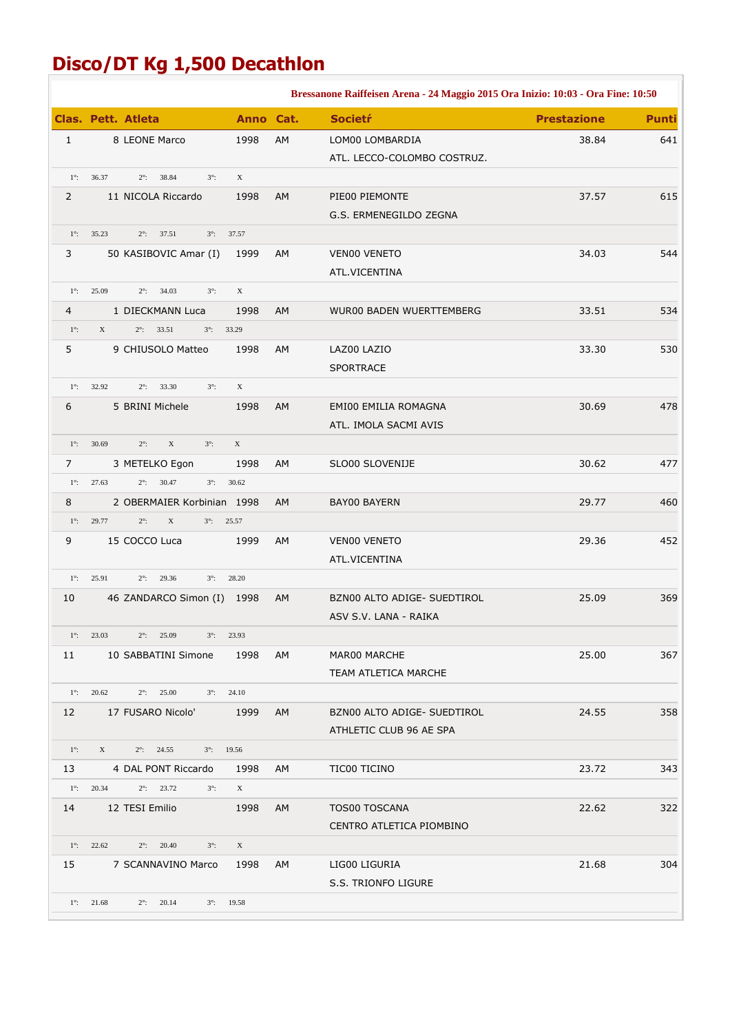## **Disco/DT Kg 1,500 Decathlon**

|                |                                                                   |              |           | Bressanone Raiffeisen Arena - 24 Maggio 2015 Ora Inizio: 10:03 - Ora Fine: 10:50 |                    |              |
|----------------|-------------------------------------------------------------------|--------------|-----------|----------------------------------------------------------------------------------|--------------------|--------------|
|                | <b>Clas. Pett. Atleta</b>                                         | Anno Cat.    |           | <b>Societŕ</b>                                                                   | <b>Prestazione</b> | <b>Punti</b> |
| $\mathbf{1}$   | 8 LEONE Marco                                                     | 1998         | AM        | LOM00 LOMBARDIA                                                                  | 38.84              | 641          |
|                |                                                                   |              |           | ATL. LECCO-COLOMBO COSTRUZ.                                                      |                    |              |
| $1^\circ$ :    | 36.37<br>$2^\circ$ :<br>38.84<br>$3^\circ$ :                      | $\mathbf{X}$ |           |                                                                                  |                    |              |
| $\overline{2}$ | 11 NICOLA Riccardo                                                | 1998         | AM        | PIE00 PIEMONTE                                                                   | 37.57              | 615          |
|                |                                                                   |              |           | G.S. ERMENEGILDO ZEGNA                                                           |                    |              |
| $1^\circ$ :    | 35.23<br>$2^{\circ}$ : 37.51<br>$3^{\circ}$ : $37.57$             |              |           |                                                                                  |                    |              |
| 3              | 50 KASIBOVIC Amar (I)                                             | 1999         | AM        | VEN00 VENETO                                                                     | 34.03              | 544          |
|                |                                                                   |              |           | ATL.VICENTINA                                                                    |                    |              |
| $1^\circ$ :    | 25.09<br>$2^{\circ}$ : 34.03<br>$3^\circ$ :                       | X            |           |                                                                                  |                    |              |
| 4              | 1 DIECKMANN Luca                                                  | 1998         | AM        | <b>WUR00 BADEN WUERTTEMBERG</b>                                                  | 33.51              | 534          |
| $1^\circ$ :    | X<br>$2^{\circ}$ : 33.51<br>$3^{\circ}$ : 33.29                   |              |           |                                                                                  |                    |              |
| 5              | 9 CHIUSOLO Matteo                                                 | 1998         | AM        | LAZ00 LAZIO                                                                      | 33.30              | 530          |
|                |                                                                   |              |           | <b>SPORTRACE</b>                                                                 |                    |              |
| $1^\circ$ :    | 32.92<br>$2^{\circ}$ : 33.30<br>$3^\circ$ :                       | $\mathbf{X}$ |           |                                                                                  |                    |              |
| 6              | 5 BRINI Michele                                                   | 1998         | <b>AM</b> | <b>EMI00 EMILIA ROMAGNA</b>                                                      | 30.69              | 478          |
|                |                                                                   |              |           | ATL. IMOLA SACMI AVIS                                                            |                    |              |
| $1^\circ$ :    | $\mathbf X$<br>30.69<br>$2^\circ$ :<br>$3^\circ$ :                | X            |           |                                                                                  |                    |              |
| 7              | 3 METELKO Egon                                                    | 1998         | AM        | SLO00 SLOVENIJE                                                                  | 30.62              | 477          |
| $1^\circ$ :    | $2^{\circ}$ : 30.47<br>27.63<br>$3^\circ$ :                       | 30.62        |           |                                                                                  |                    |              |
| 8              | 2 OBERMAIER Korbinian 1998                                        |              | <b>AM</b> | <b>BAY00 BAYERN</b>                                                              | 29.77              | 460          |
| $1^\circ$ :    | 29.77<br>$2^\circ$ :<br>X<br>$3^{\circ}$ : 25.57                  |              |           |                                                                                  |                    |              |
| 9              | 15 COCCO Luca                                                     | 1999         | AM        | VEN00 VENETO                                                                     | 29.36              | 452          |
|                |                                                                   |              |           | ATL.VICENTINA                                                                    |                    |              |
|                | $1^\circ$ : 25.91<br>$2^{\circ}$ : 29.36<br>$3^\circ$ :           | 28.20        |           |                                                                                  |                    |              |
| 10             | 46 ZANDARCO Simon (I) 1998                                        |              | AM        | BZN00 ALTO ADIGE- SUEDTIROL                                                      | 25.09              | 369          |
|                |                                                                   |              |           | ASV S.V. LANA - RAIKA                                                            |                    |              |
|                | $1^{\circ}$ : 23.03<br>$2^{\circ}$ : 25.09<br>$3^{\circ}$ : 23.93 |              |           |                                                                                  |                    |              |
| 11             | 10 SABBATINI Simone                                               | 1998         | AM        | MAR00 MARCHE                                                                     | 25.00              | 367          |
|                |                                                                   |              |           | TEAM ATLETICA MARCHE                                                             |                    |              |
|                | $1^{\circ}$ : 20.62<br>$2^{\circ}$ : 25.00<br>$3^{\circ}$ : 24.10 |              |           |                                                                                  |                    |              |
| 12             | 17 FUSARO Nicolo'                                                 | 1999         | AM        | BZN00 ALTO ADIGE- SUEDTIROL                                                      | 24.55              | 358          |
|                |                                                                   |              |           | ATHLETIC CLUB 96 AE SPA                                                          |                    |              |
| $1^\circ$ :    | $X \sim$<br>$2^{\circ}$ : 24.55<br>$3^{\circ}$ : 19.56            |              |           |                                                                                  |                    |              |
| 13             | 4 DAL PONT Riccardo                                               | 1998         | AM        | TIC00 TICINO                                                                     | 23.72              | 343          |
|                | $1^{\circ}$ : 20.34<br>$2^{\circ}$ : 23.72<br>$3^\circ$ :         | X            |           |                                                                                  |                    |              |
| 14             | 12 TESI Emilio                                                    | 1998         | AM        | <b>TOS00 TOSCANA</b>                                                             | 22.62              | 322          |
|                |                                                                   |              |           | CENTRO ATLETICA PIOMBINO                                                         |                    |              |
|                | $1^{\circ}$ : 22.62<br>$2^{\circ}$ : 20.40<br>$3^\circ$ :         | X            |           |                                                                                  |                    |              |
| 15             | 7 SCANNAVINO Marco                                                | 1998         | AM        | LIG00 LIGURIA                                                                    | 21.68              | 304          |
|                |                                                                   |              |           | S.S. TRIONFO LIGURE                                                              |                    |              |
|                | $1^{\circ}$ : 21.68<br>$2^{\circ}$ : 20.14<br>$3^{\circ}$ : 19.58 |              |           |                                                                                  |                    |              |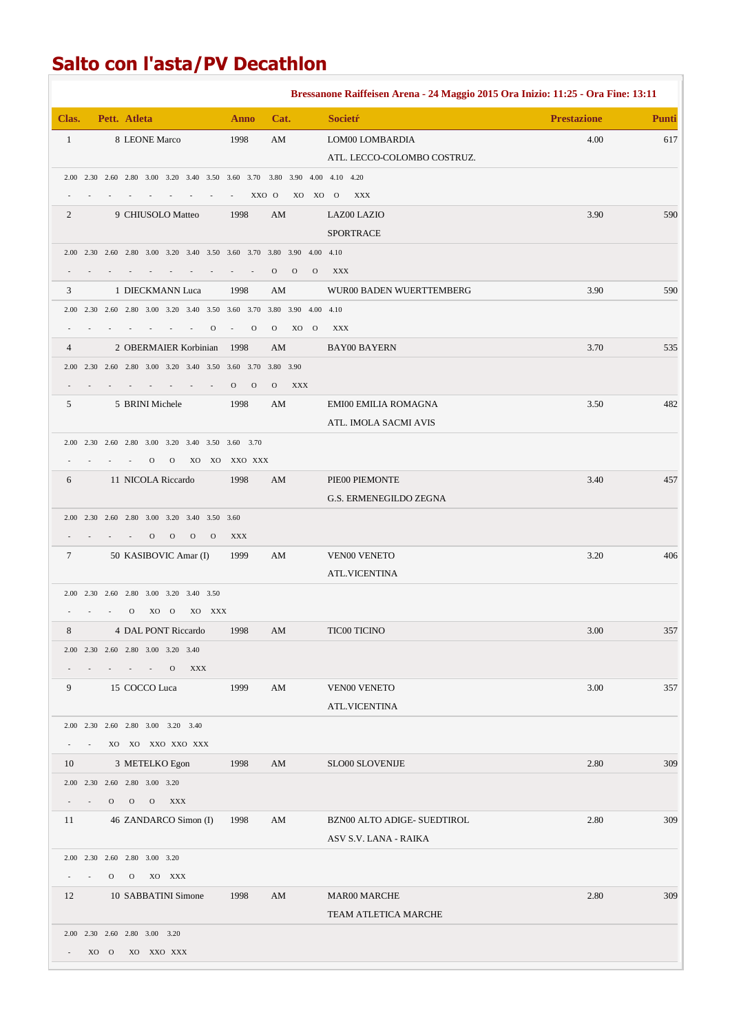## **Salto con l'asta/PV Decathlon**

|                |              |                                                                       |                               |               |          |               |                |                     |               |              | Bressanone Raiffeisen Arena - 24 Maggio 2015 Ora Inizio: 11:25 - Ora Fine: 13:11 |                    |              |
|----------------|--------------|-----------------------------------------------------------------------|-------------------------------|---------------|----------|---------------|----------------|---------------------|---------------|--------------|----------------------------------------------------------------------------------|--------------------|--------------|
| Clas.          |              | Pett. Atleta                                                          |                               |               |          | Anno          |                | Cat.                |               |              | <b>Societr</b>                                                                   | <b>Prestazione</b> | <b>Punti</b> |
| 1              |              | 8 LEONE Marco                                                         |                               |               |          | 1998          |                | AM                  |               |              | LOM00 LOMBARDIA                                                                  | 4.00               | 617          |
|                |              |                                                                       |                               |               |          |               |                |                     |               |              | ATL. LECCO-COLOMBO COSTRUZ.                                                      |                    |              |
|                |              |                                                                       |                               |               |          |               |                |                     |               |              | 2.00 2.30 2.60 2.80 3.00 3.20 3.40 3.50 3.60 3.70 3.80 3.90 4.00 4.10 4.20       |                    |              |
|                |              |                                                                       |                               |               |          |               | XXO O          |                     |               | XO XO O      | XXX                                                                              |                    |              |
| 2              |              | 9 CHIUSOLO Matteo                                                     |                               |               |          | 1998          |                | AM                  |               |              | LAZ00 LAZIO                                                                      | 3.90               | 590          |
|                |              |                                                                       |                               |               |          |               |                |                     |               |              | <b>SPORTRACE</b>                                                                 |                    |              |
|                |              | 2.00 2.30 2.60 2.80 3.00 3.20 3.40 3.50 3.60 3.70 3.80 3.90 4.00 4.10 |                               |               |          |               |                |                     |               |              |                                                                                  |                    |              |
|                |              |                                                                       |                               |               |          |               |                | $\mathbf{O}$        | $\mathcal{O}$ | $\mathbf{O}$ | <b>XXX</b>                                                                       |                    |              |
| 3              |              | 1 DIECKMANN Luca                                                      |                               |               |          | 1998          |                | AM                  |               |              | WUR00 BADEN WUERTTEMBERG                                                         | 3.90               | 590          |
|                |              | 2.00 2.30 2.60 2.80 3.00 3.20 3.40 3.50 3.60 3.70                     |                               |               |          |               |                | 3.80 3.90 4.00 4.10 |               |              |                                                                                  |                    |              |
|                |              |                                                                       |                               |               | $\Omega$ |               | $\mathbf{O}$   | $\mathbf{O}$        | XO O          |              | <b>XXX</b>                                                                       |                    |              |
| $\overline{4}$ |              | 2 OBERMAIER Korbinian                                                 |                               |               |          | 1998          |                | AM                  |               |              | <b>BAY00 BAYERN</b>                                                              | 3.70               | 535          |
|                |              | 2.00 2.30 2.60 2.80 3.00 3.20 3.40 3.50 3.60 3.70                     |                               |               |          |               |                | 3.80 3.90           |               |              |                                                                                  |                    |              |
|                |              |                                                                       |                               |               |          | $\mathbf{O}$  | $\overline{O}$ | $\mathcal{O}$       | <b>XXX</b>    |              |                                                                                  |                    |              |
| 5              |              | 5 BRINI Michele                                                       |                               |               |          | 1998          |                | AM                  |               |              | <b>EMI00 EMILIA ROMAGNA</b>                                                      | 3.50               | 482          |
|                |              |                                                                       |                               |               |          |               |                |                     |               |              | ATL. IMOLA SACMI AVIS                                                            |                    |              |
|                |              | 2.00 2.30 2.60 2.80 3.00 3.20 3.40 3.50 3.60 3.70                     |                               |               |          |               |                |                     |               |              |                                                                                  |                    |              |
|                |              |                                                                       | $\mathcal{O}$<br>$\mathbf{O}$ |               |          | XO XO XXO XXX |                |                     |               |              |                                                                                  |                    |              |
| 6              |              | 11 NICOLA Riccardo                                                    |                               |               |          | 1998          |                | AM                  |               |              | PIE00 PIEMONTE                                                                   | 3.40               | 457          |
|                |              |                                                                       |                               |               |          |               |                |                     |               |              | G.S. ERMENEGILDO ZEGNA                                                           |                    |              |
|                |              | 2.00 2.30 2.60 2.80 3.00 3.20 3.40 3.50 3.60                          |                               |               |          |               |                |                     |               |              |                                                                                  |                    |              |
|                |              |                                                                       | $\mathbf{O}$<br>$\mathbf{O}$  | $\mathcal{O}$ | $\Omega$ | <b>XXX</b>    |                |                     |               |              |                                                                                  |                    |              |
| $\tau$         |              | 50 KASIBOVIC Amar (I)                                                 |                               |               |          | 1999          |                | AM                  |               |              | <b>VEN00 VENETO</b>                                                              | 3.20               | 406          |
|                |              |                                                                       |                               |               |          |               |                |                     |               |              | <b>ATL.VICENTINA</b>                                                             |                    |              |
|                |              | 2.00 2.30 2.60 2.80 3.00 3.20 3.40 3.50                               |                               |               |          |               |                |                     |               |              |                                                                                  |                    |              |
|                |              | $\mathbf{O}$                                                          | XO O                          |               | XO XXX   |               |                |                     |               |              |                                                                                  |                    |              |
| 8              |              | 4 DAL PONT Riccardo                                                   |                               |               |          | 1998          |                | AM                  |               |              | <b>TIC00 TICINO</b>                                                              | 3.00               | 357          |
|                |              | 2.00 2.30 2.60 2.80 3.00 3.20 3.40                                    |                               |               |          |               |                |                     |               |              |                                                                                  |                    |              |
|                |              |                                                                       | $\mathbf{O}$                  | <b>XXX</b>    |          |               |                |                     |               |              |                                                                                  |                    |              |
| 9              |              | 15 COCCO Luca                                                         |                               |               |          | 1999          |                | AM                  |               |              | VEN00 VENETO                                                                     | 3.00               | 357          |
|                |              |                                                                       |                               |               |          |               |                |                     |               |              | <b>ATL.VICENTINA</b>                                                             |                    |              |
|                |              | 2.00 2.30 2.60 2.80 3.00 3.20 3.40                                    |                               |               |          |               |                |                     |               |              |                                                                                  |                    |              |
|                |              | XO XO XXO XXO XXX                                                     |                               |               |          |               |                |                     |               |              |                                                                                  |                    |              |
| 10             |              | 3 METELKO Egon                                                        |                               |               |          | 1998          |                | AM                  |               |              | SLO00 SLOVENIJE                                                                  | 2.80               | 309          |
|                |              | 2.00 2.30 2.60 2.80 3.00 3.20                                         |                               |               |          |               |                |                     |               |              |                                                                                  |                    |              |
|                | $\mathbf{O}$ | $\overline{O}$<br>$\mathbf{O}$                                        | XXX                           |               |          |               |                |                     |               |              |                                                                                  |                    |              |
| 11             |              | 46 ZANDARCO Simon (I)                                                 |                               |               |          | 1998          |                | AM                  |               |              | BZN00 ALTO ADIGE- SUEDTIROL                                                      | 2.80               | 309          |
|                |              |                                                                       |                               |               |          |               |                |                     |               |              | ASV S.V. LANA - RAIKA                                                            |                    |              |
|                |              | 2.00 2.30 2.60 2.80 3.00 3.20                                         |                               |               |          |               |                |                     |               |              |                                                                                  |                    |              |
|                | $\mathbf{O}$ |                                                                       | O XO XXX                      |               |          |               |                |                     |               |              |                                                                                  |                    |              |
| 12             |              | 10 SABBATINI Simone                                                   |                               |               |          | 1998          |                | AM                  |               |              | <b>MAR00 MARCHE</b>                                                              | 2.80               | 309          |
|                |              |                                                                       |                               |               |          |               |                |                     |               |              | TEAM ATLETICA MARCHE                                                             |                    |              |
|                |              | 2.00 2.30 2.60 2.80 3.00 3.20                                         |                               |               |          |               |                |                     |               |              |                                                                                  |                    |              |
|                | XO O         |                                                                       | XO XXO XXX                    |               |          |               |                |                     |               |              |                                                                                  |                    |              |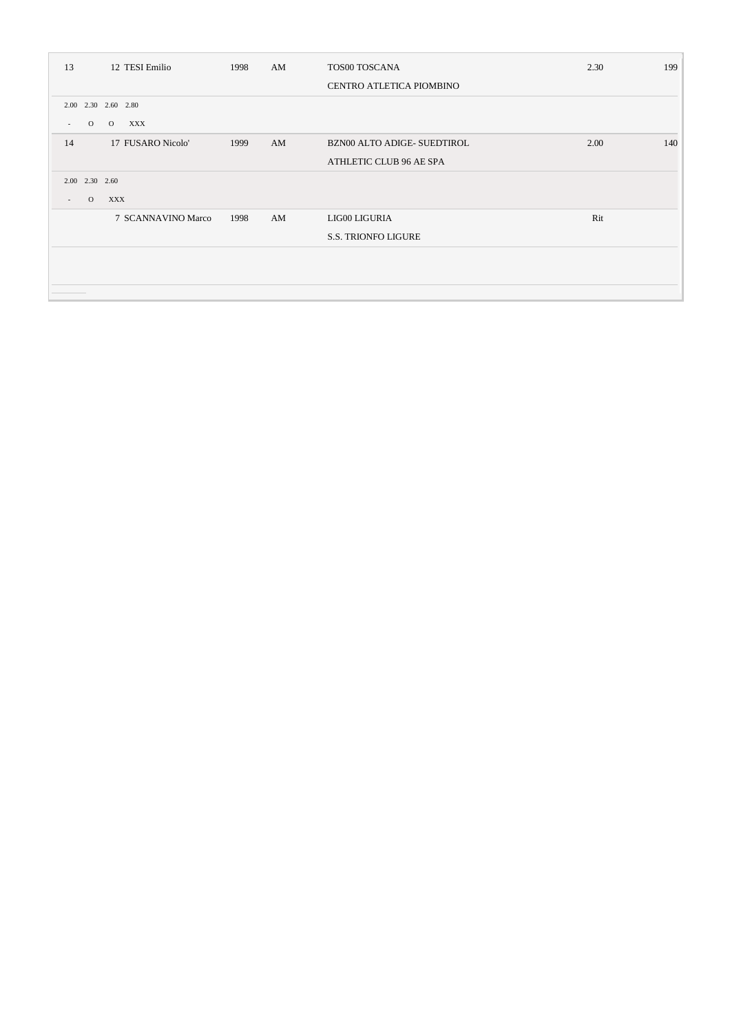| 13                                   | 12 TESI Emilio      | 1998 | AM | TOS00 TOSCANA                      | 2.30 | 199 |
|--------------------------------------|---------------------|------|----|------------------------------------|------|-----|
|                                      |                     |      |    | CENTRO ATLETICA PIOMBINO           |      |     |
|                                      | 2.00 2.30 2.60 2.80 |      |    |                                    |      |     |
| $\overline{O}$<br>$\sim$             | XXX<br>$\Omega$     |      |    |                                    |      |     |
| 14                                   | 17 FUSARO Nicolo'   | 1999 | AM | <b>BZN00 ALTO ADIGE- SUEDTIROL</b> | 2.00 | 140 |
|                                      |                     |      |    | ATHLETIC CLUB 96 AE SPA            |      |     |
| 2.00 2.30 2.60                       |                     |      |    |                                    |      |     |
| $\Omega$<br>$\overline{\phantom{a}}$ | XXX                 |      |    |                                    |      |     |
|                                      | 7 SCANNAVINO Marco  | 1998 | AM | LIG00 LIGURIA                      | Rit  |     |
|                                      |                     |      |    | <b>S.S. TRIONFO LIGURE</b>         |      |     |
|                                      |                     |      |    |                                    |      |     |
|                                      |                     |      |    |                                    |      |     |
|                                      |                     |      |    |                                    |      |     |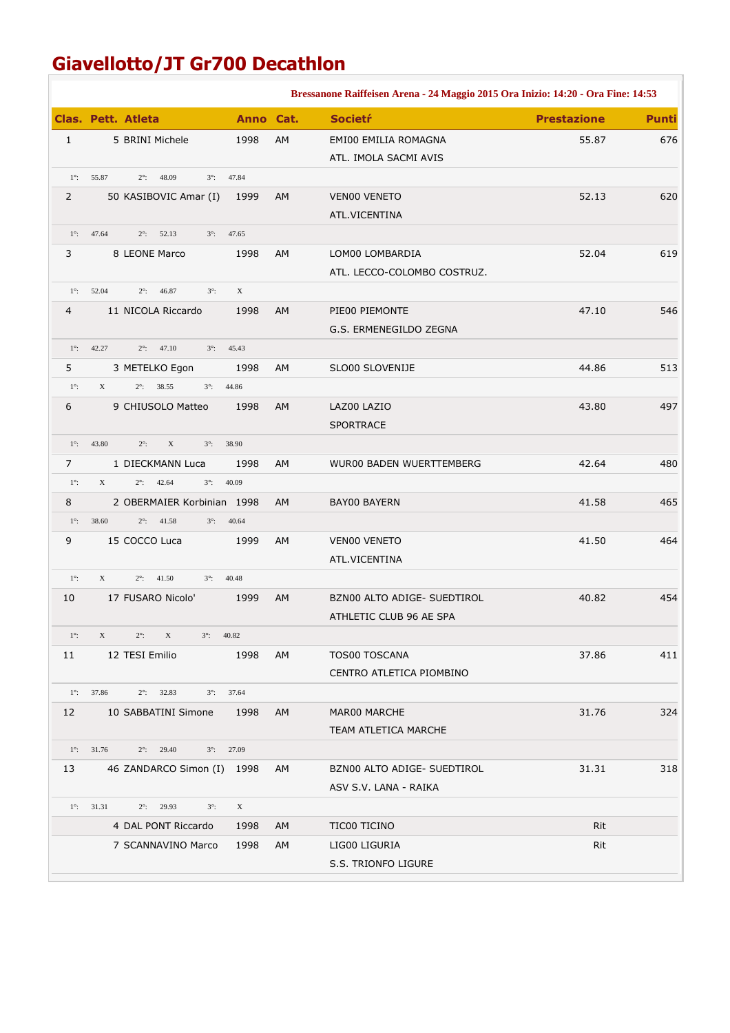## **Giavellotto/JT Gr700 Decathlon**

|                |                                                                        |            | Bressanone Raiffeisen Arena - 24 Maggio 2015 Ora Inizio: 14:20 - Ora Fine: 14:53 |                    |              |
|----------------|------------------------------------------------------------------------|------------|----------------------------------------------------------------------------------|--------------------|--------------|
|                | <b>Clas. Pett. Atleta</b>                                              | Anno Cat.  | <b>Societŕ</b>                                                                   | <b>Prestazione</b> | <b>Punti</b> |
| $\mathbf{1}$   | 5 BRINI Michele                                                        | AM<br>1998 | EMI00 EMILIA ROMAGNA                                                             | 55.87              | 676          |
|                |                                                                        |            | ATL. IMOLA SACMI AVIS                                                            |                    |              |
| $1^\circ$ :    | 55.87<br>48.09<br>$2^\circ$ :<br>$3^\circ$ :<br>47.84                  |            |                                                                                  |                    |              |
| 2              | 50 KASIBOVIC Amar (I)                                                  | 1999<br>AM | VEN00 VENETO                                                                     | 52.13              | 620          |
|                |                                                                        |            | ATL.VICENTINA                                                                    |                    |              |
| $1^\circ$ :    | 47.64<br>$2^{\circ}$ : 52.13<br>47.65<br>$3^\circ$ :                   |            |                                                                                  |                    |              |
| 3              | 8 LEONE Marco                                                          | 1998<br>AM | LOM00 LOMBARDIA                                                                  | 52.04              | 619          |
|                |                                                                        |            | ATL. LECCO-COLOMBO COSTRUZ.                                                      |                    |              |
| $1^\circ$ :    | 52.04<br>$2^\circ$ :<br>46.87<br>$3^\circ$ :<br>$\mathbf X$            |            |                                                                                  |                    |              |
| 4              | 11 NICOLA Riccardo                                                     | 1998<br>AM | PIE00 PIEMONTE                                                                   | 47.10              | 546          |
|                |                                                                        |            | G.S. ERMENEGILDO ZEGNA                                                           |                    |              |
| $1^\circ$ :    | 42.27<br>$2^{\circ}$ : 47.10<br>$3^\circ$ :<br>45.43                   |            |                                                                                  |                    |              |
| 5              | 3 METELKO Egon                                                         | 1998<br>AM | SLO00 SLOVENIJE                                                                  | 44.86              | 513          |
| $1^\circ$ :    | $2^{\circ}$ : 38.55<br>X<br>$3^{\circ}$ : 44.86                        |            |                                                                                  |                    |              |
| 6              | 9 CHIUSOLO Matteo                                                      | 1998<br>AM | LAZ00 LAZIO                                                                      | 43.80              | 497          |
|                |                                                                        |            | <b>SPORTRACE</b>                                                                 |                    |              |
| $1^\circ$ :    | 43.80<br>$2^\circ$ :<br>X<br>$3^\circ$ :<br>38.90                      |            |                                                                                  |                    |              |
| $\overline{7}$ | 1 DIECKMANN Luca                                                       | 1998<br>AM | <b>WUR00 BADEN WUERTTEMBERG</b>                                                  | 42.64              | 480          |
| $1^\circ$ :    | X<br>$2^\circ$ :<br>42.64<br>$3^\circ$ :<br>40.09                      |            |                                                                                  |                    |              |
| 8              | 2 OBERMAIER Korbinian 1998                                             | AM         | <b>BAY00 BAYERN</b>                                                              | 41.58              | 465          |
| $1^\circ$ :    | 38.60<br>$2^{\circ}$ : 41.58<br>$3^\circ$ :<br>40.64                   |            |                                                                                  |                    |              |
| 9              | 15 COCCO Luca                                                          | AM<br>1999 | VEN00 VENETO                                                                     | 41.50              | 464          |
|                |                                                                        |            | ATL.VICENTINA                                                                    |                    |              |
| $1^\circ$ :    | X<br>$2^{\circ}$ : 41.50<br>$3^\circ$ :<br>40.48                       |            |                                                                                  |                    |              |
| 10             | 17 FUSARO Nicolo'                                                      | 1999<br>AM | BZN00 ALTO ADIGE- SUEDTIROL                                                      | 40.82              | 454          |
|                |                                                                        |            | ATHLETIC CLUB 96 AE SPA                                                          |                    |              |
| $1^\circ$ :    | X<br>$2^{\circ}$ : X<br>$3^{\circ}$ : 40.82                            |            |                                                                                  |                    |              |
| 11             | 12 TESI Emilio                                                         | 1998<br>AM | <b>TOS00 TOSCANA</b>                                                             | 37.86              | 411          |
|                |                                                                        |            | CENTRO ATLETICA PIOMBINO                                                         |                    |              |
|                | $1^{\circ}$ : 37.86<br>$2^{\circ}$ : 32.83<br>$3^\circ$ :<br>37.64     |            |                                                                                  |                    |              |
| 12             | 10 SABBATINI Simone                                                    | 1998<br>AM | MAR00 MARCHE                                                                     | 31.76              | 324          |
|                |                                                                        |            | TEAM ATLETICA MARCHE                                                             |                    |              |
| $1^\circ$ :    | 31.76<br>29.40<br>27.09<br>$2^\circ$ :<br>$3^\circ$ :                  |            |                                                                                  |                    |              |
| 13             | 46 ZANDARCO Simon (I) 1998                                             | AM         | BZN00 ALTO ADIGE- SUEDTIROL                                                      | 31.31              | 318          |
|                |                                                                        |            | ASV S.V. LANA - RAIKA                                                            |                    |              |
|                | $2^{\circ}$ : 29.93<br>$\mathbf X$<br>$1^\circ$ : 31.31<br>$3^\circ$ : |            |                                                                                  |                    |              |
|                | 4 DAL PONT Riccardo                                                    | 1998<br>AM | TIC00 TICINO                                                                     | Rit                |              |
|                | 7 SCANNAVINO Marco                                                     | 1998<br>AM | LIG00 LIGURIA                                                                    | Rit                |              |
|                |                                                                        |            | S.S. TRIONFO LIGURE                                                              |                    |              |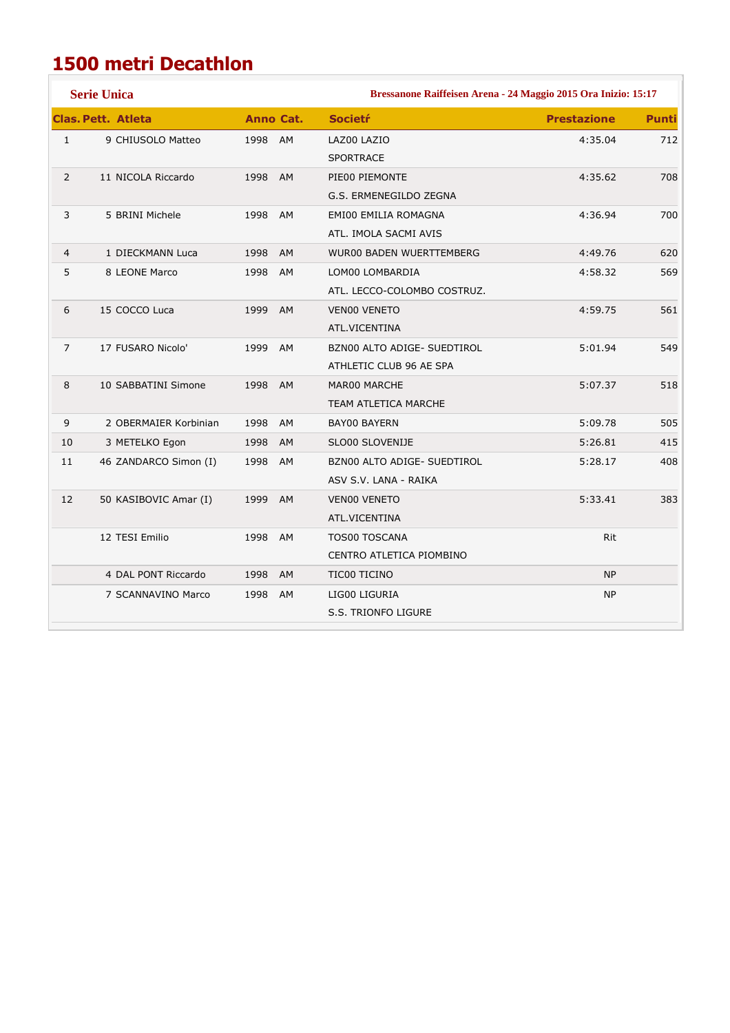## **1500 metri Decathlon**

| <b>Serie Unica</b><br>Bressanone Raiffeisen Arena - 24 Maggio 2015 Ora Inizio: 15:17 |                           |            |                             |                    |              |  |  |
|--------------------------------------------------------------------------------------|---------------------------|------------|-----------------------------|--------------------|--------------|--|--|
|                                                                                      | <b>Clas. Pett. Atleta</b> | Anno Cat.  | <b>Societr</b>              | <b>Prestazione</b> | <b>Punti</b> |  |  |
| $\mathbf{1}$                                                                         | 9 CHIUSOLO Matteo         | 1998 AM    | LAZ00 LAZIO                 | 4:35.04            | 712          |  |  |
|                                                                                      |                           |            | <b>SPORTRACE</b>            |                    |              |  |  |
| $\overline{2}$                                                                       | 11 NICOLA Riccardo        | 1998 AM    | PIE00 PIEMONTE              | 4:35.62            | 708          |  |  |
|                                                                                      |                           |            | G.S. ERMENEGILDO ZEGNA      |                    |              |  |  |
| 3                                                                                    | 5 BRINI Michele           | 1998 AM    | EMI00 EMILIA ROMAGNA        | 4:36.94            | 700          |  |  |
|                                                                                      |                           |            | ATL. IMOLA SACMI AVIS       |                    |              |  |  |
| 4                                                                                    | 1 DIECKMANN Luca          | 1998<br>AM | WUR00 BADEN WUERTTEMBERG    | 4:49.76            | 620          |  |  |
| 5                                                                                    | 8 LEONE Marco             | 1998 AM    | LOM00 LOMBARDIA             | 4:58.32            | 569          |  |  |
|                                                                                      |                           |            | ATL. LECCO-COLOMBO COSTRUZ. |                    |              |  |  |
| 6                                                                                    | 15 COCCO Luca             | 1999<br>AM | <b>VEN00 VENETO</b>         | 4:59.75            | 561          |  |  |
|                                                                                      |                           |            | ATL.VICENTINA               |                    |              |  |  |
| $\overline{7}$                                                                       | 17 FUSARO Nicolo'         | 1999 AM    | BZN00 ALTO ADIGE- SUEDTIROL | 5:01.94            | 549          |  |  |
|                                                                                      |                           |            | ATHLETIC CLUB 96 AE SPA     |                    |              |  |  |
| 8                                                                                    | 10 SABBATINI Simone       | 1998 AM    | MAR00 MARCHE                | 5:07.37            | 518          |  |  |
|                                                                                      |                           |            | <b>TEAM ATLETICA MARCHE</b> |                    |              |  |  |
| 9                                                                                    | 2 OBERMAIER Korbinian     | 1998 AM    | <b>BAY00 BAYERN</b>         | 5:09.78            | 505          |  |  |
| 10                                                                                   | 3 METELKO Egon            | 1998<br>AM | SLO00 SLOVENIJE             | 5:26.81            | 415          |  |  |
| 11                                                                                   | 46 ZANDARCO Simon (I)     | 1998 AM    | BZN00 ALTO ADIGE- SUEDTIROL | 5:28.17            | 408          |  |  |
|                                                                                      |                           |            | ASV S.V. LANA - RAIKA       |                    |              |  |  |
| 12                                                                                   | 50 KASIBOVIC Amar (I)     | 1999 AM    | <b>VEN00 VENETO</b>         | 5:33.41            | 383          |  |  |
|                                                                                      |                           |            | ATL.VICENTINA               |                    |              |  |  |
|                                                                                      | 12 TESI Emilio            | 1998 AM    | <b>TOS00 TOSCANA</b>        | <b>Rit</b>         |              |  |  |
|                                                                                      |                           |            | CENTRO ATLETICA PIOMBINO    |                    |              |  |  |
|                                                                                      | 4 DAL PONT Riccardo       | 1998<br>AM | TIC00 TICINO                | <b>NP</b>          |              |  |  |
|                                                                                      | 7 SCANNAVINO Marco        | 1998 AM    | LIG00 LIGURIA               | <b>NP</b>          |              |  |  |
|                                                                                      |                           |            | S.S. TRIONFO LIGURE         |                    |              |  |  |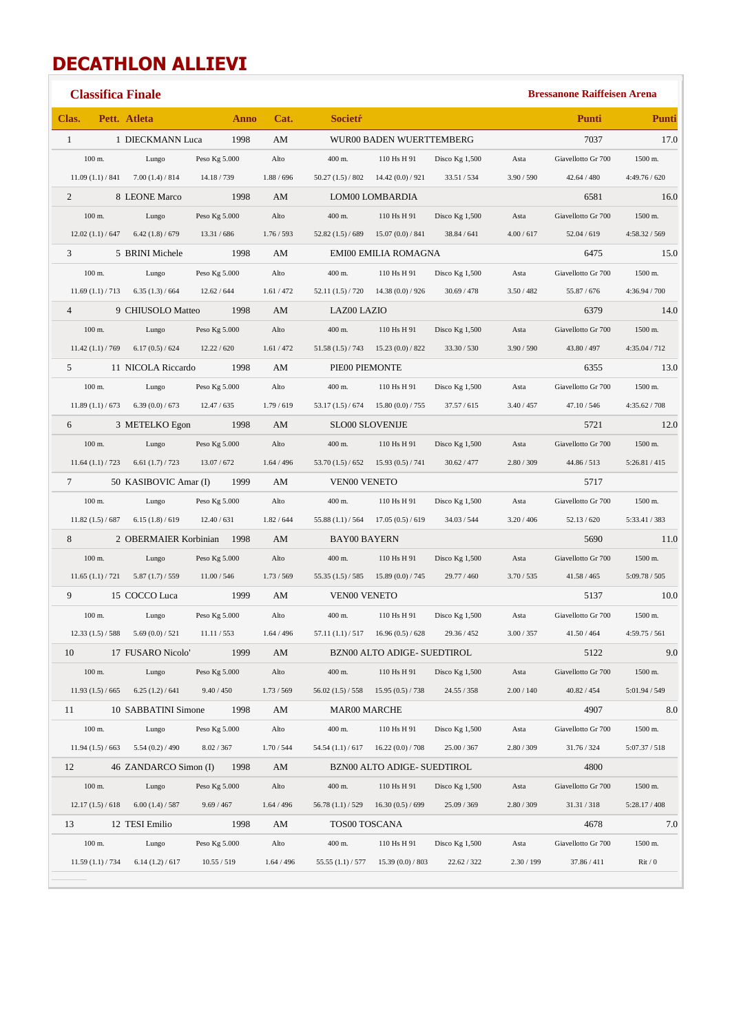## **DECATHLON ALLIEVI**

|                 | <b>Classifica Finale</b> |                                               |               |            |                                      |                                                     |                  |            | <b>Bressanone Raiffeisen Arena</b> |               |
|-----------------|--------------------------|-----------------------------------------------|---------------|------------|--------------------------------------|-----------------------------------------------------|------------------|------------|------------------------------------|---------------|
| Clas.           |                          | Pett. Atleta                                  | Anno          | Cat.       | <b>Societr</b>                       |                                                     |                  |            | Punti                              | Punti         |
| $\mathbf{1}$    |                          | 1 DIECKMANN Luca                              | 1998          | AM         |                                      | WUR00 BADEN WUERTTEMBERG                            |                  |            | 7037                               | 17.0          |
|                 | $100$ m.                 | Lungo                                         | Peso Kg 5.000 | Alto       | 400 m.                               | 110 Hs H 91                                         | Disco $Kg$ 1,500 | Asta       | Giavellotto Gr 700                 | 1500 m.       |
|                 |                          | $11.09(1.1)/841$ 7.00 (1.4) / 814             | 14.18/739     | 1.88 / 696 | 50.27(1.5)/802                       | 14.42 (0.0) / 921                                   | 33.51/534        | 3.90 / 590 | 42.64 / 480                        | 4:49.76 / 620 |
| 2               |                          | 8 LEONE Marco                                 | 1998          | AM         |                                      | LOM00 LOMBARDIA                                     |                  |            | 6581                               | 16.0          |
|                 | $100$ m.                 | Lungo                                         | Peso Kg 5.000 | Alto       | 400 m.                               | 110 Hs H 91                                         | Disco $Kg$ 1,500 | Asta       | Giavellotto Gr 700                 | 1500 m.       |
|                 |                          | $12.02(1.1)/647$ 6.42 (1.8) / 679             | 13.31 / 686   | 1.76 / 593 | $52.82(1.5)/689$ $15.07(0.0)/841$    |                                                     | 38.84 / 641      | 4.00 / 617 | 52.04 / 619                        | 4:58.32 / 569 |
| 3               |                          | 5 BRINI Michele                               | 1998          | AM         |                                      | EMI00 EMILIA ROMAGNA                                |                  |            | 6475                               | 15.0          |
|                 | $100 \text{ m}$ .        | Lungo                                         | Peso Kg 5.000 | Alto       | 400 m.                               | 110 Hs H 91                                         | Disco Kg $1,500$ | Asta       | Giavellotto Gr 700                 | 1500 m.       |
|                 | 11.69(1.1)/713           | 6.35(1.3)/664                                 | 12.62 / 644   | 1.61 / 472 | $52.11(1.5)/720$ 14.38 (0.0) / 926   |                                                     | 30.69 / 478      | 3.50 / 482 | 55.87 / 676                        | 4:36.94 / 700 |
| $\overline{4}$  |                          | 9 CHIUSOLO Matteo                             | 1998          | AM         | LAZ00 LAZIO                          |                                                     |                  |            | 6379                               | 14.0          |
|                 | $100$ m.                 | Lungo                                         | Peso Kg 5.000 | Alto       | 400 m.                               | 110 Hs H 91                                         | Disco Kg $1,500$ | Asta       | Giavellotto Gr 700                 | 1500 m.       |
|                 |                          | $11.42(1.1)/769$ 6.17 (0.5) / 624             | 12.22 / 620   | 1.61 / 472 | $51.58(1.5)/743$ 15.23 (0.0) / 822   |                                                     | 33.30 / 530      | 3.90 / 590 | 43.80 / 497                        | 4:35.04 / 712 |
| $5^{\circ}$     |                          | 11 NICOLA Riccardo                            | 1998          | AM         | PIE00 PIEMONTE                       |                                                     |                  |            | 6355                               | 13.0          |
|                 | $100$ m.                 | Lungo                                         | Peso Kg 5.000 | Alto       | 400 m.                               | 110 Hs H 91                                         | Disco $Kg$ 1,500 | Asta       | Giavellotto Gr 700                 | 1500 m.       |
|                 | 11.89(1.1)/673           | 6.39(0.0) / 673                               | 12.47 / 635   | 1.79/619   | $53.17(1.5)/674$ 15.80 (0.0) / 755   |                                                     | 37.57 / 615      | 3.40 / 457 | 47.10 / 546                        | 4:35.62 / 708 |
| 6               |                          | 3 METELKO Egon                                | 1998          | AM         | <b>SLO00 SLOVENIJE</b>               |                                                     |                  |            | 5721                               | 12.0          |
|                 | $100$ m.                 | Lungo                                         | Peso Kg 5.000 | Alto       | $400$ m.                             | 110 Hs H 91                                         | Disco Kg 1,500   | Asta       | Giavellotto Gr 700                 | 1500 m.       |
|                 |                          | $11.64(1.1)/723$ 6.61 (1.7) / 723 13.07 / 672 |               | 1.64 / 496 | $53.70(1.5)/652$ 15.93 (0.5) / 741   |                                                     | 30.62 / 477      | 2.80 / 309 | 44.86 / 513                        | 5:26.81 / 415 |
| $7\overline{ }$ |                          | 50 KASIBOVIC Amar (I) 1999                    |               | AM         | <b>VEN00 VENETO</b>                  |                                                     |                  |            | 5717                               |               |
|                 | $100$ m.                 | Lungo                                         | Peso Kg 5.000 | Alto       | 400 m.                               | 110 Hs H 91                                         | Disco Kg $1,500$ | Asta       | Giavellotto Gr 700                 | 1500 m.       |
|                 | 11.82(1.5)/687           | 6.15(1.8)/619                                 | 12.40 / 631   | 1.82 / 644 | $55.88(1.1) / 564$ 17.05 (0.5) / 619 |                                                     | 34.03 / 544      | 3.20 / 406 | 52.13 / 620                        | 5:33.41 / 383 |
| 8               |                          | 2 OBERMAIER Korbinian 1998                    |               | AM         | <b>BAY00 BAYERN</b>                  |                                                     |                  |            | 5690                               | 11.0          |
|                 | $100$ m.                 | Lungo                                         | Peso Kg 5.000 | Alto       | 400 m.                               | 110 Hs H 91                                         | Disco Kg $1,500$ | Asta       | Giavellotto Gr 700                 | 1500 m.       |
|                 |                          | $11.65(1.1)/721$ 5.87 (1.7) / 559             | 11.00 / 546   | 1.73 / 569 | $55.35(1.5)/585$ 15.89 (0.0) / 745   |                                                     | 29.77 / 460      | 3.70 / 535 | 41.58 / 465                        | 5:09.78 / 505 |
| 9               |                          | 15 COCCO Luca                                 | 1999          | AM         | <b>VEN00 VENETO</b>                  |                                                     |                  |            | 5137                               | 10.0          |
|                 | $100$ m.                 | Lungo                                         | Peso Kg 5.000 | Alto       | 400 m.                               | 110 Hs H 91                                         | Disco $Kg$ 1,500 | Asta       | Giavellotto Gr 700                 | 1500 m.       |
|                 |                          | $12.33(1.5) / 588$ 5.69 (0.0) / 521           | 11.11 / 553   | 1.64 / 496 |                                      | 57.11 $(1.1) / 517$ 16.96 $(0.5) / 628$ 29.36 / 452 |                  | 3.00 / 357 | 41.50 / 464                        | 4:59.75 / 561 |
| 10              |                          | 17 FUSARO Nicolo'                             | 1999          | AM         |                                      | BZN00 ALTO ADIGE- SUEDTIROL                         |                  |            | 5122                               | 9.0           |
|                 | $100$ m.                 | Lungo                                         | Peso Kg 5.000 | Alto       | 400 m.                               | 110 Hs H 91                                         | Disco $Kg$ 1,500 | Asta       | Giavellotto Gr 700                 | 1500 m.       |
|                 | 11.93(1.5)/665           | 6.25(1.2)/641                                 | 9.40 / 450    | 1.73 / 569 | $56.02(1.5)/558$ 15.95 $(0.5)/738$   |                                                     | 24.55 / 358      | 2.00 / 140 | 40.82 / 454                        | 5:01.94 / 549 |
| 11              |                          | 10 SABBATINI Simone                           | 1998          | AM         | MAR00 MARCHE                         |                                                     |                  |            | 4907                               | 8.0           |
|                 | $100$ m.                 | Lungo                                         | Peso Kg 5.000 | Alto       | 400 m.                               | 110 Hs H 91                                         | Disco $Kg$ 1,500 | Asta       | Giavellotto Gr 700                 | 1500 m.       |
|                 | 11.94(1.5)/663           | 5.54(0.2)/490                                 | 8.02 / 367    | 1.70 / 544 | $54.54(1.1)/617$ 16.22 (0.0) / 708   |                                                     | 25.00 / 367      | 2.80 / 309 | 31.76 / 324                        | 5:07.37 / 518 |
| 12              |                          | 46 ZANDARCO Simon (I)                         | 1998          | AM         |                                      | BZN00 ALTO ADIGE- SUEDTIROL                         |                  |            | 4800                               |               |
|                 | $100$ m.                 | Lungo                                         | Peso Kg 5.000 | Alto       | 400 m.                               | 110 Hs H 91                                         | Disco Kg 1,500   | Asta       | Giavellotto Gr 700                 | 1500 m.       |
|                 | 12.17(1.5)/618           | 6.00(1.4)/587                                 | 9.69 / 467    | 1.64 / 496 | 56.78(1.1)/529                       | 16.30(0.5)/699                                      | 25.09 / 369      | 2.80 / 309 | 31.31 / 318                        | 5:28.17 / 408 |
| 13              |                          | 12 TESI Emilio                                | 1998          | AM         | TOS00 TOSCANA                        |                                                     |                  |            | 4678                               | 7.0           |
|                 | $100$ m.                 | Lungo                                         | Peso Kg 5.000 | Alto       | 400 m.                               | 110 Hs H 91                                         | Disco $Kg$ 1,500 | Asta       | Giavellotto Gr 700                 | 1500 m.       |
|                 | 11.59(1.1)/734           | 6.14(1.2)/617                                 | 10.55 / 519   | 1.64 / 496 | 55.55(1.1)/577                       | 15.39(0.0)/803                                      | 22.62 / 322      | 2.30 / 199 | 37.86/411                          | Rit/0         |
|                 |                          |                                               |               |            |                                      |                                                     |                  |            |                                    |               |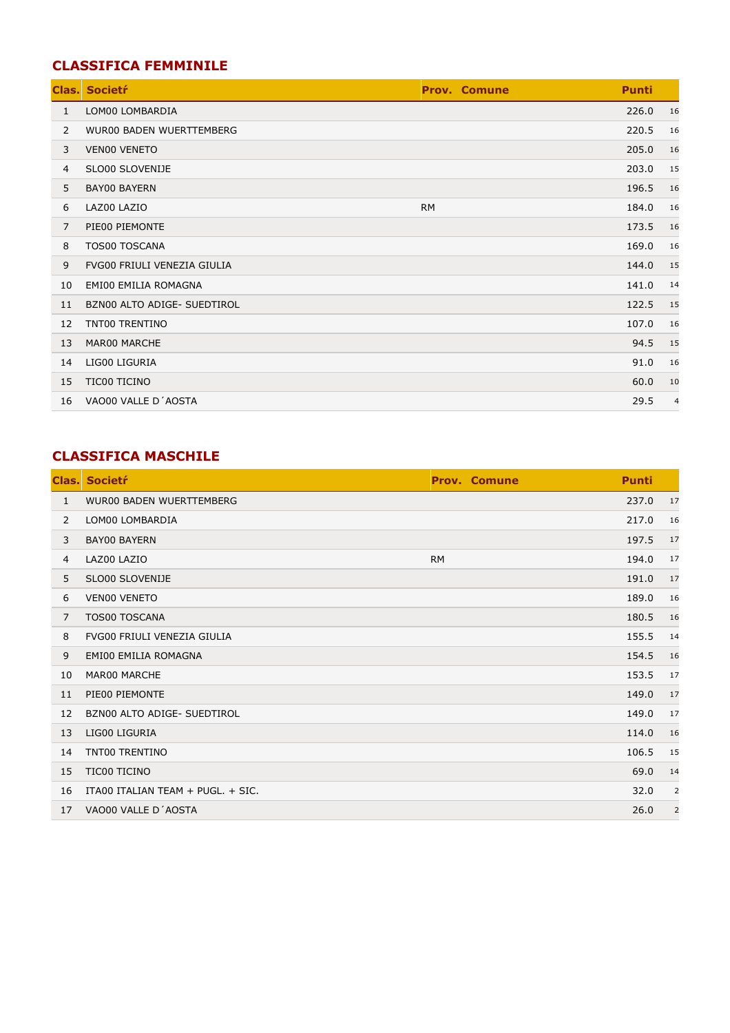## **CLASSIFICA FEMMINILE**

| Clas. | <b>Societr</b>              | <b>Prov. Comune</b> | <b>Punti</b> |                |
|-------|-----------------------------|---------------------|--------------|----------------|
| 1     | LOM00 LOMBARDIA             |                     | 226.0        | 16             |
| 2     | WUR00 BADEN WUERTTEMBERG    |                     | 220.5        | 16             |
| 3     | <b>VENOO VENETO</b>         |                     | 205.0        | 16             |
| 4     | SLO00 SLOVENIJE             |                     | 203.0        | 15             |
| 5     | <b>BAY00 BAYERN</b>         |                     | 196.5        | 16             |
| 6     | LAZ00 LAZIO                 | <b>RM</b>           | 184.0        | 16             |
| 7     | PIE00 PIEMONTE              |                     | 173.5        | 16             |
| 8     | <b>TOS00 TOSCANA</b>        |                     | 169.0        | 16             |
| 9     | FVG00 FRIULI VENEZIA GIULIA |                     | 144.0        | 15             |
| 10    | EMI00 EMILIA ROMAGNA        |                     | 141.0        | 14             |
| 11    | BZN00 ALTO ADIGE- SUEDTIROL |                     | 122.5        | 15             |
| 12    | TNT00 TRENTINO              |                     | 107.0        | 16             |
| 13    | MAR00 MARCHE                |                     | 94.5         | 15             |
| 14    | LIG00 LIGURIA               |                     | 91.0         | 16             |
| 15    | TIC00 TICINO                |                     | 60.0         | 10             |
| 16    | VAO00 VALLE D'AOSTA         |                     | 29.5         | $\overline{4}$ |

## **CLASSIFICA MASCHILE**

| Clas.          | <b>Societr</b>                     | <b>Prov. Comune</b> | <b>Punti</b> |                |
|----------------|------------------------------------|---------------------|--------------|----------------|
| $\mathbf{1}$   | <b>WUR00 BADEN WUERTTEMBERG</b>    |                     | 237.0        | 17             |
| 2              | LOM00 LOMBARDIA                    |                     | 217.0        | 16             |
| 3              | <b>BAY00 BAYERN</b>                |                     | 197.5        | 17             |
| $\overline{4}$ | LAZ00 LAZIO                        | <b>RM</b>           | 194.0        | 17             |
| 5              | SLO00 SLOVENIJE                    |                     | 191.0        | 17             |
| 6              | <b>VENOO VENETO</b>                |                     | 189.0        | 16             |
| 7              | <b>TOS00 TOSCANA</b>               |                     | 180.5        | 16             |
| 8              | <b>FVG00 FRIULI VENEZIA GIULIA</b> |                     | 155.5        | 14             |
| 9              | <b>EMI00 EMILIA ROMAGNA</b>        |                     | 154.5        | 16             |
| 10             | MAR00 MARCHE                       |                     | 153.5        | 17             |
| 11             | PIE00 PIEMONTE                     |                     | 149.0        | 17             |
| 12             | BZN00 ALTO ADIGE- SUEDTIROL        |                     | 149.0        | 17             |
| 13             | LIG00 LIGURIA                      |                     | 114.0        | 16             |
| 14             | TNT00 TRENTINO                     |                     | 106.5        | 15             |
| 15             | <b>TIC00 TICINO</b>                |                     | 69.0         | 14             |
| 16             | ITA00 ITALIAN TEAM + PUGL. + SIC.  |                     | 32.0         | 2              |
| 17             | VAO00 VALLE D'AOSTA                |                     | 26.0         | $\overline{2}$ |